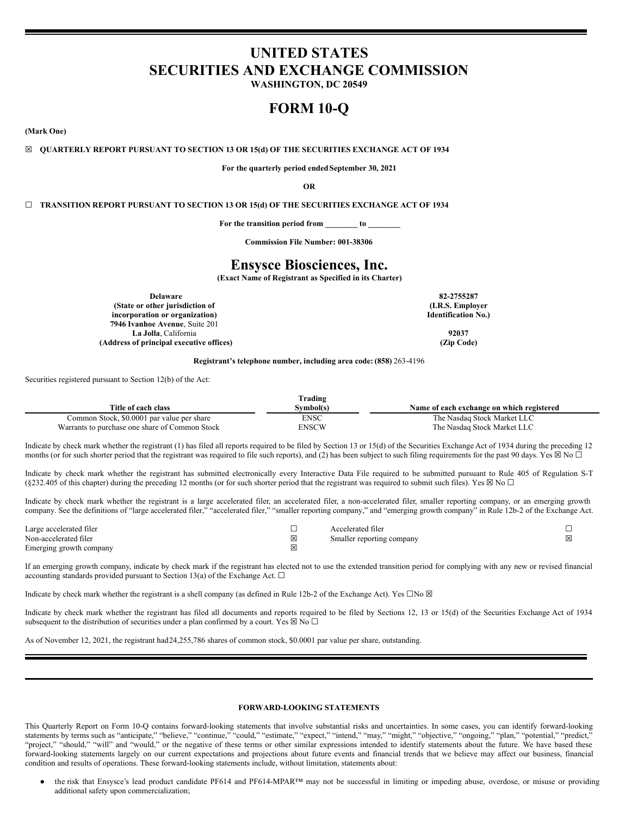# **UNITED STATES SECURITIES AND EXCHANGE COMMISSION**

**WASHINGTON, DC 20549**

# **FORM 10-Q**

<span id="page-0-0"></span>**(Mark One)**

**☒ QUARTERLY REPORT PURSUANT TO SECTION 13 OR 15(d) OF THE SECURITIES EXCHANGE ACT OF 1934**

**For the quarterly period endedSeptember 30, 2021**

**OR**

**☐ TRANSITION REPORT PURSUANT TO SECTION 13 OR 15(d) OF THE SECURITIES EXCHANGE ACT OF 1934**

**For the transition period from \_\_\_\_\_\_\_\_ to \_\_\_\_\_\_\_\_**

**Commission File Number: 001-38306**

# **Ensysce Biosciences, Inc.**

**(Exact Name of Registrant as Specified in its Charter)**

**Delaware 82-2755287 (State or other jurisdiction of incorporation or organization) 7946 Ivanhoe Avenue**, Suite 201 **La Jolla**, California **92037 (Address of principal executive offices) (Zip Code)**

**(I.R.S. Employer Identification No.)**

**Registrant's telephone number, including area code: (858)** 263-4196

Securities registered pursuant to Section 12(b) of the Act:

|                                                | <b>Trading</b> |                                           |
|------------------------------------------------|----------------|-------------------------------------------|
| Title of each class                            | Svmbol(s)      | Name of each exchange on which registered |
| Common Stock, \$0,0001 par value per share     | ENSC           | The Nasdag Stock Market LLC               |
| Warrants to purchase one share of Common Stock | <b>ENSCW</b>   | The Nasdaq Stock Market LLC               |

Indicate by check mark whether the registrant (1) has filed all reports required to be filed by Section 13 or 15(d) of the Securities Exchange Act of 1934 during the preceding 12 months (or for such shorter period that the registrant was required to file such reports), and (2) has been subject to such filing requirements for the past 90 days. Yes  $\boxtimes$  No  $\Box$ 

Indicate by check mark whether the registrant has submitted electronically every Interactive Data File required to be submitted pursuant to Rule 405 of Regulation S-T (§232.405 of this chapter) during the preceding 12 months (or for such shorter period that the registrant was required to submit such files). Yes  $\boxtimes$  No  $\Box$ 

Indicate by check mark whether the registrant is a large accelerated filer, an accelerated filer, a non-accelerated filer, smaller reporting company, or an emerging growth company. See the definitions of "large accelerated filer," "accelerated filer," "smaller reporting company," and "emerging growth company" in Rule 12b-2 of the Exchange Act.

| Large accelerated filer | Accelerated filer         |  |
|-------------------------|---------------------------|--|
| Non-accelerated filer   | Smaller reporting company |  |
| Emerging growth company |                           |  |

If an emerging growth company, indicate by check mark if the registrant has elected not to use the extended transition period for complying with any new or revised financial accounting standards provided pursuant to Section 13(a) of the Exchange Act.  $\square$ 

Indicate by check mark whether the registrant is a shell company (as defined in Rule 12b-2 of the Exchange Act). Yes □No ⊠

Indicate by check mark whether the registrant has filed all documents and reports required to be filed by Sections 12, 13 or 15(d) of the Securities Exchange Act of 1934 subsequent to the distribution of securities under a plan confirmed by a court. Yes  $\boxtimes$  No  $\Box$ 

As of November 12, 2021, the registrant had24,255,786 shares of common stock, \$0.0001 par value per share, outstanding.

## **FORWARD-LOOKING STATEMENTS**

This Quarterly Report on Form 10-Q contains forward-looking statements that involve substantial risks and uncertainties. In some cases, you can identify forward-looking statements by terms such as "anticipate," "believe," "continue," "could," "estimate," "expect," "intend," "may," "might," "objective," "ongoing," "plan," "potential," "predict," "project," "should," "will" and "would," or the negative of these terms or other similar expressions intended to identify statements about the future. We have based these forward-looking statements largely on our current expectations and projections about future events and financial trends that we believe may affect our business, financial condition and results of operations. These forward-looking statements include, without limitation, statements about:

the risk that Ensysce's lead product candidate PF614 and PF614-MPAR™ may not be successful in limiting or impeding abuse, overdose, or misuse or providing additional safety upon commercialization;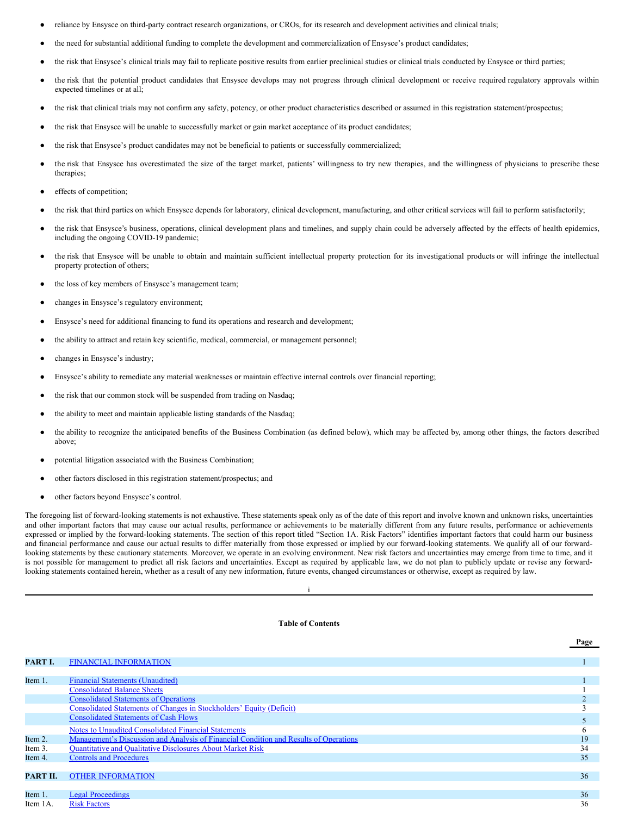- reliance by Ensysce on third-party contract research organizations, or CROs, for its research and development activities and clinical trials;
- the need for substantial additional funding to complete the development and commercialization of Ensysce's product candidates;
- the risk that Ensysce's clinical trials may fail to replicate positive results from earlier preclinical studies or clinical trials conducted by Ensysce or third parties;
- the risk that the potential product candidates that Ensysce develops may not progress through clinical development or receive required regulatory approvals within expected timelines or at all;
- the risk that clinical trials may not confirm any safety, potency, or other product characteristics described or assumed in this registration statement/prospectus;
- the risk that Ensysce will be unable to successfully market or gain market acceptance of its product candidates;
- the risk that Ensysce's product candidates may not be beneficial to patients or successfully commercialized;
- the risk that Ensysce has overestimated the size of the target market, patients' willingness to try new therapies, and the willingness of physicians to prescribe these therapies;
- effects of competition;
- the risk that third parties on which Ensysce depends for laboratory, clinical development, manufacturing, and other critical services will fail to perform satisfactorily;
- the risk that Ensysce's business, operations, clinical development plans and timelines, and supply chain could be adversely affected by the effects of health epidemics, including the ongoing COVID-19 pandemic;
- the risk that Ensysce will be unable to obtain and maintain sufficient intellectual property protection for its investigational products or will infringe the intellectual property protection of others;
- the loss of key members of Ensysce's management team;
- changes in Ensysce's regulatory environment;
- Ensysce's need for additional financing to fund its operations and research and development;
- the ability to attract and retain key scientific, medical, commercial, or management personnel;
- changes in Ensysce's industry;
- Ensysce's ability to remediate any material weaknesses or maintain effective internal controls over financial reporting;
- the risk that our common stock will be suspended from trading on Nasdaq;
- the ability to meet and maintain applicable listing standards of the Nasdaq;
- the ability to recognize the anticipated benefits of the Business Combination (as defined below), which may be affected by, among other things, the factors described above;
- potential litigation associated with the Business Combination;
- other factors disclosed in this registration statement/prospectus; and
- other factors beyond Ensysce's control.

The foregoing list of forward-looking statements is not exhaustive. These statements speak only as of the date of this report and involve known and unknown risks, uncertainties and other important factors that may cause our actual results, performance or achievements to be materially different from any future results, performance or achievements expressed or implied by the forward-looking statements. The section of this report titled "Section 1A. Risk Factors" identifies important factors that could harm our business and financial performance and cause our actual results to differ materially from those expressed or implied by our forward-looking statements. We qualify all of our forwardlooking statements by these cautionary statements. Moreover, we operate in an evolving environment. New risk factors and uncertainties may emerge from time to time, and it is not possible for management to predict all risk factors and uncertainties. Except as required by applicable law, we do not plan to publicly update or revise any forwardlooking statements contained herein, whether as a result of any new information, future events, changed circumstances or otherwise, except as required by law.

#### **Table of Contents**

|          |                                                                                       | Page         |
|----------|---------------------------------------------------------------------------------------|--------------|
| PART I.  | <b>FINANCIAL INFORMATION</b>                                                          |              |
|          |                                                                                       |              |
| Item 1.  | <b>Financial Statements (Unaudited)</b>                                               |              |
|          | <b>Consolidated Balance Sheets</b>                                                    |              |
|          | <b>Consolidated Statements of Operations</b>                                          |              |
|          | Consolidated Statements of Changes in Stockholders' Equity (Deficit)                  |              |
|          | <b>Consolidated Statements of Cash Flows</b>                                          |              |
|          | Notes to Unaudited Consolidated Financial Statements                                  | <sub>0</sub> |
| Item 2.  | Management's Discussion and Analysis of Financial Condition and Results of Operations | 19           |
| Item 3.  | Quantitative and Qualitative Disclosures About Market Risk                            | 34           |
| Item 4.  | <b>Controls and Procedures</b>                                                        | 35           |
|          |                                                                                       |              |
| PART II. | <b>OTHER INFORMATION</b>                                                              | 36           |
|          |                                                                                       |              |
| Item 1.  | <b>Legal Proceedings</b>                                                              | 36           |
| Item 1A. | <b>Risk Factors</b>                                                                   | 36           |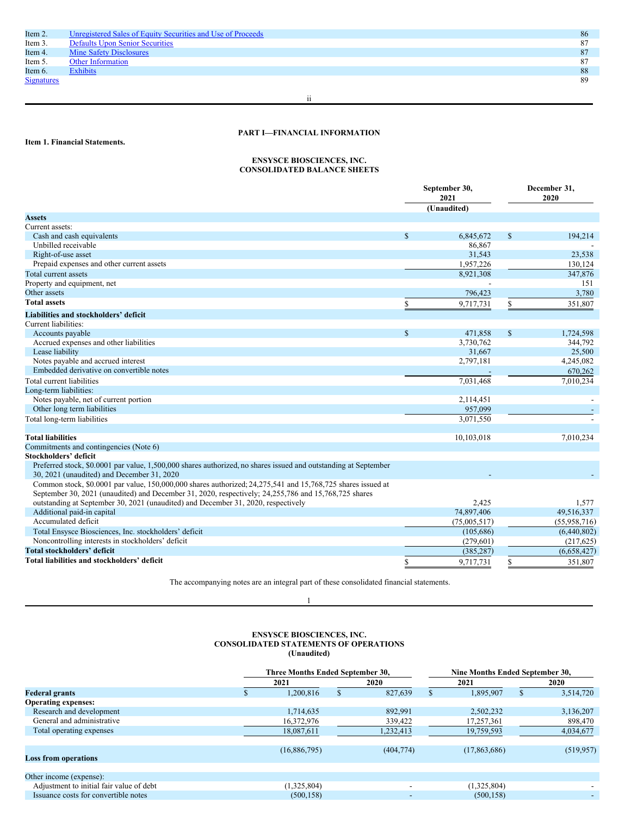| Item 2.           | Unregistered Sales of Equity Securities and Use of Proceeds | 86 |
|-------------------|-------------------------------------------------------------|----|
| Item 3.           | <b>Defaults Upon Senior Securities</b>                      | 87 |
| Item 4.           | <b>Mine Safety Disclosures</b>                              | 87 |
| Item 5.           | <b>Other Information</b>                                    | 87 |
| Item 6.           | <b>Exhibits</b>                                             | 88 |
| <b>Signatures</b> |                                                             | 89 |
|                   |                                                             |    |

ii

# **Item 1. Financial Statements.**

# **PART I—FINANCIAL INFORMATION**

# **ENSYSCE BIOSCIENCES, INC. CONSOLIDATED BALANCE SHEETS**

|                                                                                                                 |             | September 30,<br>2021 |              | December 31,<br>2020 |
|-----------------------------------------------------------------------------------------------------------------|-------------|-----------------------|--------------|----------------------|
| <b>Assets</b>                                                                                                   |             | (Unaudited)           |              |                      |
| Current assets:                                                                                                 |             |                       |              |                      |
| Cash and cash equivalents                                                                                       | S           | 6,845,672             | $\mathbb{S}$ | 194.214              |
| Unbilled receivable                                                                                             |             | 86,867                |              |                      |
| Right-of-use asset                                                                                              |             | 31,543                |              | 23,538               |
| Prepaid expenses and other current assets                                                                       |             | 1,957,226             |              | 130,124              |
| Total current assets                                                                                            |             | 8,921,308             |              | 347,876              |
| Property and equipment, net                                                                                     |             |                       |              | 151                  |
| Other assets                                                                                                    |             | 796,423               |              | 3,780                |
| <b>Total assets</b>                                                                                             | S           | 9,717,731             | \$           | 351,807              |
| Liabilities and stockholders' deficit                                                                           |             |                       |              |                      |
| Current liabilities:                                                                                            |             |                       |              |                      |
| Accounts payable                                                                                                | $\mathbf S$ | 471,858               | $\mathbb{S}$ | 1,724,598            |
| Accrued expenses and other liabilities                                                                          |             | 3,730,762             |              | 344,792              |
| Lease liability                                                                                                 |             | 31,667                |              | 25,500               |
| Notes payable and accrued interest                                                                              |             | 2,797,181             |              | 4,245,082            |
| Embedded derivative on convertible notes                                                                        |             |                       |              | 670,262              |
| Total current liabilities                                                                                       |             | 7,031,468             |              | 7,010,234            |
| Long-term liabilities:                                                                                          |             |                       |              |                      |
| Notes payable, net of current portion                                                                           |             | 2,114,451             |              |                      |
| Other long term liabilities                                                                                     |             | 957,099               |              |                      |
| Total long-term liabilities                                                                                     |             | 3.071.550             |              |                      |
|                                                                                                                 |             |                       |              |                      |
| <b>Total liabilities</b>                                                                                        |             | 10,103,018            |              | 7,010,234            |
| Commitments and contingencies (Note 6)                                                                          |             |                       |              |                      |
| Stockholders' deficit                                                                                           |             |                       |              |                      |
| Preferred stock, \$0.0001 par value, 1,500,000 shares authorized, no shares issued and outstanding at September |             |                       |              |                      |
| 30, 2021 (unaudited) and December 31, 2020                                                                      |             |                       |              |                      |
| Common stock, \$0,0001 par value, 150,000,000 shares authorized; 24,275,541 and 15,768,725 shares issued at     |             |                       |              |                      |
| September 30, 2021 (unaudited) and December 31, 2020, respectively; 24, 255, 786 and 15, 768, 725 shares        |             |                       |              |                      |
| outstanding at September 30, 2021 (unaudited) and December 31, 2020, respectively                               |             | 2.425                 |              | 1.577                |
| Additional paid-in capital                                                                                      |             | 74,897,406            |              | 49,516,337           |
| Accumulated deficit                                                                                             |             | (75,005,517)          |              | (55,958,716)         |
| Total Ensysce Biosciences, Inc. stockholders' deficit                                                           |             | (105, 686)            |              | (6,440,802)          |
| Noncontrolling interests in stockholders' deficit                                                               |             | (279, 601)            |              | (217, 625)           |
| <b>Total stockholders' deficit</b>                                                                              |             | (385, 287)            |              | (6,658,427)          |
| Total liabilities and stockholders' deficit                                                                     | S           | 9,717,731             | S.           | 351,807              |

The accompanying notes are an integral part of these consolidated financial statements. 1

# **ENSYSCE BIOSCIENCES, INC. CONSOLIDATED STATEMENTS OF OPERATIONS (Unaudited)**

|                                          | Three Months Ended September 30. |              |  | Nine Months Ended September 30. |  |              |  |            |  |
|------------------------------------------|----------------------------------|--------------|--|---------------------------------|--|--------------|--|------------|--|
|                                          |                                  | 2021         |  | 2020                            |  | 2021         |  | 2020       |  |
| <b>Federal grants</b>                    |                                  | 1,200,816    |  | 827,639                         |  | 1,895,907    |  | 3,514,720  |  |
| <b>Operating expenses:</b>               |                                  |              |  |                                 |  |              |  |            |  |
| Research and development                 |                                  | 1,714,635    |  | 892.991                         |  | 2.502.232    |  | 3,136,207  |  |
| General and administrative               |                                  | 16,372,976   |  | 339,422                         |  | 17,257,361   |  | 898,470    |  |
| Total operating expenses                 |                                  | 18,087,611   |  | 1,232,413                       |  | 19,759,593   |  | 4,034,677  |  |
|                                          |                                  |              |  |                                 |  |              |  |            |  |
|                                          |                                  | (16,886,795) |  | (404,774)                       |  | (17,863,686) |  | (519, 957) |  |
| <b>Loss from operations</b>              |                                  |              |  |                                 |  |              |  |            |  |
| Other income (expense):                  |                                  |              |  |                                 |  |              |  |            |  |
| Adjustment to initial fair value of debt |                                  | (1,325,804)  |  | $\overline{\phantom{0}}$        |  | (1,325,804)  |  |            |  |
| Issuance costs for convertible notes     |                                  | (500, 158)   |  | $\overline{\phantom{a}}$        |  | (500, 158)   |  |            |  |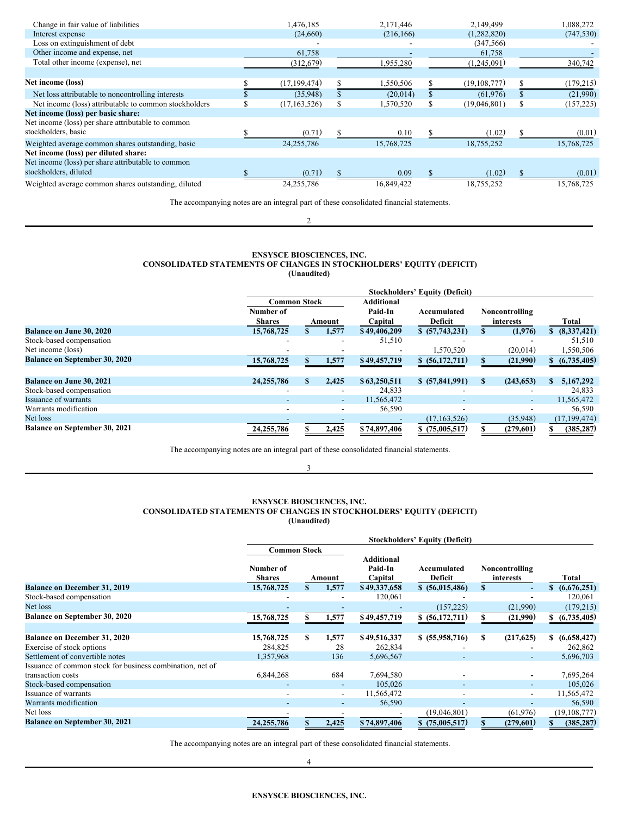| Change in fair value of liabilities                   | 1,476,185      | 2,171,446  | 2.149.499      | 1,088,272  |
|-------------------------------------------------------|----------------|------------|----------------|------------|
| Interest expense                                      | (24,660)       | (216, 166) | (1,282,820)    | (747, 530) |
| Loss on extinguishment of debt                        |                |            | (347, 566)     |            |
| Other income and expense, net                         | 61,758         |            | 61,758         |            |
| Total other income (expense), net                     | (312,679)      | 1,955,280  | (1,245,091)    | 340,742    |
|                                                       |                |            |                |            |
| Net income (loss)                                     | (17, 199, 474) | 1,550,506  | (19, 108, 777) | (179,215)  |
| Net loss attributable to noncontrolling interests     | (35,948)       | (20, 014)  | (61.976)       | (21,990)   |
| Net income (loss) attributable to common stockholders | (17, 163, 526) | 1,570,520  | (19,046,801)   | (157, 225) |
| Net income (loss) per basic share:                    |                |            |                |            |
| Net income (loss) per share attributable to common    |                |            |                |            |
| stockholders, basic                                   | (0.71)         | 0.10       | (1.02)         | (0.01)     |
| Weighted average common shares outstanding, basic     | 24,255,786     | 15,768,725 | 18,755,252     | 15,768,725 |
| Net income (loss) per diluted share:                  |                |            |                |            |
| Net income (loss) per share attributable to common    |                |            |                |            |
| stockholders, diluted                                 | (0.71)         | 0.09       | (1.02)         | (0.01)     |
| Weighted average common shares outstanding, diluted   | 24,255,786     | 16,849,422 | 18,755,252     | 15,768,725 |

The accompanying notes are an integral part of these consolidated financial statements.

## $\overline{2}$

## **ENSYSCE BIOSCIENCES, INC. CONSOLIDATED STATEMENTS OF CHANGES IN STOCKHOLDERS' EQUITY (DEFICIT) (Unaudited)**

|                                      | <b>Stockholders' Equity (Deficit)</b> |  |                          |                   |                          |   |                          |    |                |
|--------------------------------------|---------------------------------------|--|--------------------------|-------------------|--------------------------|---|--------------------------|----|----------------|
|                                      | <b>Common Stock</b>                   |  |                          | <b>Additional</b> |                          |   |                          |    |                |
|                                      | Number of                             |  |                          | Paid-In           | Accumulated              |   | Noncontrolling           |    |                |
|                                      | <b>Shares</b>                         |  | Amount                   | Capital           | <b>Deficit</b>           |   | interests                |    | Total          |
| <b>Balance on June 30, 2020</b>      | 15,768,725                            |  | 1,577                    | \$49,406,209      | \$ (57,743,231)          |   | (1,976)                  |    | \$ (8,337,421) |
| Stock-based compensation             |                                       |  |                          | 51,510            |                          |   |                          |    | 51,510         |
| Net income (loss)                    |                                       |  |                          |                   | 1,570,520                |   | (20, 014)                |    | 1,550,506      |
| <b>Balance on September 30, 2020</b> | 15,768,725                            |  | 1,577                    | \$49,457,719      | \$ (56,172,711)          |   | (21,990)                 |    | \$ (6,735,405) |
|                                      |                                       |  |                          |                   |                          |   |                          |    |                |
| <b>Balance on June 30, 2021</b>      | 24,255,786                            |  | 2.425                    | \$63,250,511      | \$ (57,841,991)          | S | (243, 653)               | S. | 5,167,292      |
| Stock-based compensation             | ۰.                                    |  | $\overline{\phantom{0}}$ | 24,833            | -                        |   |                          |    | 24,833         |
| Issuance of warrants                 | $\overline{\phantom{a}}$              |  | ٠                        | 11,565,472        | -                        |   | $\overline{\phantom{a}}$ |    | 11,565,472     |
| Warrants modification                | $\overline{\phantom{a}}$              |  | -                        | 56,590            | $\overline{\phantom{a}}$ |   |                          |    | 56,590         |
| Net loss                             |                                       |  |                          |                   | (17, 163, 526)           |   | (35,948)                 |    | (17, 199, 474) |
| <b>Balance on September 30, 2021</b> | 24,255,786                            |  | 2,425                    | \$74,897,406      | \$(75,005,517)           |   | (279,601)                |    | (385, 287)     |

The accompanying notes are an integral part of these consolidated financial statements. 3

## **ENSYSCE BIOSCIENCES, INC. CONSOLIDATED STATEMENTS OF CHANGES IN STOCKHOLDERS' EQUITY (DEFICIT) (Unaudited)**

|                                                           | <b>Stockholders' Equity (Deficit)</b> |     |                          |                                         |                          |   |                              |                   |
|-----------------------------------------------------------|---------------------------------------|-----|--------------------------|-----------------------------------------|--------------------------|---|------------------------------|-------------------|
|                                                           | <b>Common Stock</b>                   |     |                          |                                         |                          |   |                              |                   |
|                                                           | Number of<br><b>Shares</b>            |     | Amount                   | <b>Additional</b><br>Paid-In<br>Capital | Accumulated<br>Deficit   |   | Noncontrolling<br>interests  | Total             |
| <b>Balance on December 31, 2019</b>                       | 15,768,725                            |     | 1,577                    | \$49,337,658                            | \$ (56,015,486)          |   | $\overline{\phantom{a}}$     | (6,676,251)       |
| Stock-based compensation                                  |                                       |     |                          | 120,061                                 |                          |   |                              | 120,061           |
| Net loss                                                  |                                       |     |                          |                                         | (157, 225)               |   | (21,990)                     | (179, 215)        |
| <b>Balance on September 30, 2020</b>                      | 15,768,725                            |     | 1,577                    | \$49,457,719                            | \$ (56,172,711)          |   | (21,990)                     | \$ (6,735,405)    |
| <b>Balance on December 31, 2020</b>                       | 15,768,725                            | \$. | 1,577                    | \$49,516,337                            | \$ (55,958,716)          | S | (217,625)                    | (6,658,427)<br>S. |
| Exercise of stock options                                 | 284,825                               |     | 28                       | 262,834                                 |                          |   |                              | 262,862           |
| Settlement of convertible notes                           | 1,357,968                             |     | 136                      | 5,696,567                               |                          |   | $\overline{\phantom{a}}$     | 5,696,703         |
| Issuance of common stock for business combination, net of |                                       |     |                          |                                         |                          |   |                              |                   |
| transaction costs                                         | 6,844,268                             |     | 684                      | 7,694,580                               | ۰                        |   | $\qquad \qquad \blacksquare$ | 7,695,264         |
| Stock-based compensation                                  |                                       |     |                          | 105,026                                 | -                        |   |                              | 105,026           |
| Issuance of warrants                                      | $\overline{\phantom{a}}$              |     | $\overline{\phantom{a}}$ | 11,565,472                              | ۰                        |   | ٠                            | 11,565,472        |
| Warrants modification                                     | $\overline{\phantom{0}}$              |     | $\overline{\phantom{m}}$ | 56,590                                  | $\overline{\phantom{a}}$ |   |                              | 56,590            |
| Net loss                                                  |                                       |     |                          |                                         | (19,046,801)             |   | (61, 976)                    | (19, 108, 777)    |
| <b>Balance on September 30, 2021</b>                      | 24,255,786                            |     | 2,425                    | \$74,897,406                            | (75,005,517)             |   | (279,601)                    | (385, 287)        |

The accompanying notes are an integral part of these consolidated financial statements.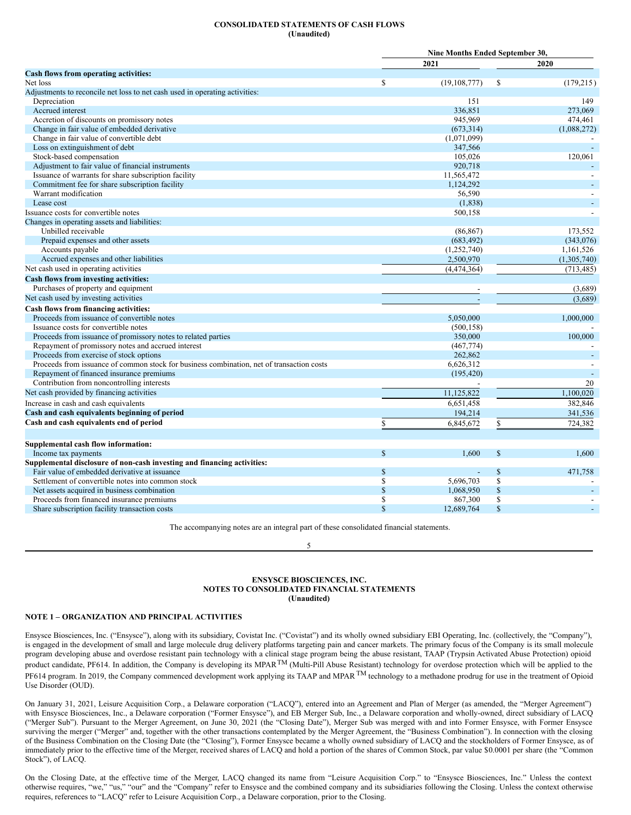## **CONSOLIDATED STATEMENTS OF CASH FLOWS (Unaudited)**

|                                                                                           | <b>Nine Months Ended September 30,</b> |                          |              |             |  |
|-------------------------------------------------------------------------------------------|----------------------------------------|--------------------------|--------------|-------------|--|
|                                                                                           |                                        | 2021                     |              | 2020        |  |
| Cash flows from operating activities:                                                     |                                        |                          |              |             |  |
| Net loss                                                                                  | S.                                     | (19, 108, 777)           | -S           | (179, 215)  |  |
| Adjustments to reconcile net loss to net cash used in operating activities:               |                                        |                          |              |             |  |
| Depreciation                                                                              |                                        | 151                      |              | 149         |  |
| Accrued interest                                                                          |                                        | 336,851                  |              | 273,069     |  |
| Accretion of discounts on promissory notes                                                |                                        | 945,969                  |              | 474,461     |  |
| Change in fair value of embedded derivative                                               |                                        | (673, 314)               |              | (1,088,272) |  |
| Change in fair value of convertible debt                                                  |                                        | (1,071,099)              |              |             |  |
| Loss on extinguishment of debt                                                            |                                        | 347,566                  |              |             |  |
| Stock-based compensation                                                                  |                                        | 105,026                  |              | 120,061     |  |
| Adjustment to fair value of financial instruments                                         |                                        | 920,718                  |              |             |  |
| Issuance of warrants for share subscription facility                                      |                                        | 11,565,472               |              |             |  |
| Commitment fee for share subscription facility                                            |                                        | 1,124,292                |              |             |  |
| Warrant modification                                                                      |                                        | 56,590                   |              |             |  |
| Lease cost                                                                                |                                        | (1, 838)                 |              |             |  |
| Issuance costs for convertible notes                                                      |                                        | 500,158                  |              |             |  |
| Changes in operating assets and liabilities:                                              |                                        |                          |              |             |  |
| Unbilled receivable                                                                       |                                        | (86, 867)                |              | 173,552     |  |
| Prepaid expenses and other assets                                                         |                                        | (683, 492)               |              | (343,076)   |  |
| Accounts payable                                                                          |                                        | (1,252,740)              |              | 1,161,526   |  |
| Accrued expenses and other liabilities                                                    |                                        | 2,500,970                |              | (1,305,740) |  |
| Net cash used in operating activities                                                     |                                        | (4,474,364)              |              | (713, 485)  |  |
| <b>Cash flows from investing activities:</b>                                              |                                        |                          |              |             |  |
| Purchases of property and equipment                                                       |                                        |                          |              | (3,689)     |  |
| Net cash used by investing activities                                                     |                                        | $\overline{\phantom{a}}$ |              | (3,689)     |  |
|                                                                                           |                                        |                          |              |             |  |
| Cash flows from financing activities:<br>Proceeds from issuance of convertible notes      |                                        |                          |              |             |  |
|                                                                                           |                                        | 5,050,000                |              | 1,000,000   |  |
| Issuance costs for convertible notes                                                      |                                        | (500, 158)               |              |             |  |
| Proceeds from issuance of promissory notes to related parties                             |                                        | 350,000                  |              | 100,000     |  |
| Repayment of promissory notes and accrued interest                                        |                                        | (467,774)                |              |             |  |
| Proceeds from exercise of stock options                                                   |                                        | 262,862                  |              |             |  |
| Proceeds from issuance of common stock for business combination, net of transaction costs |                                        | 6,626,312                |              |             |  |
| Repayment of financed insurance premiums                                                  |                                        | (195, 420)               |              |             |  |
| Contribution from noncontrolling interests                                                |                                        |                          |              | 20          |  |
| Net cash provided by financing activities                                                 |                                        | 11,125,822               |              | 1,100,020   |  |
| Increase in cash and cash equivalents                                                     |                                        | 6,651,458                |              | 382,846     |  |
| Cash and cash equivalents beginning of period                                             |                                        | 194,214                  |              | 341,536     |  |
| Cash and cash equivalents end of period                                                   | S                                      | 6,845,672                | \$           | 724,382     |  |
|                                                                                           |                                        |                          |              |             |  |
| Supplemental cash flow information:                                                       |                                        |                          |              |             |  |
| Income tax payments                                                                       | $\mathbf S$                            | 1,600                    | \$           | 1.600       |  |
| Supplemental disclosure of non-cash investing and financing activities:                   |                                        |                          |              |             |  |
| Fair value of embedded derivative at issuance                                             | \$                                     | $\overline{a}$           | $\mathbb{S}$ | 471,758     |  |
| Settlement of convertible notes into common stock                                         | \$                                     | 5,696,703                | \$           |             |  |
| Net assets acquired in business combination                                               |                                        | 1,068,950                | \$           |             |  |
| Proceeds from financed insurance premiums                                                 | S                                      | 867,300                  | \$           |             |  |
| Share subscription facility transaction costs                                             | $\mathbf{\hat{s}}$                     | 12,689,764               | \$           |             |  |

The accompanying notes are an integral part of these consolidated financial statements. 5

## **ENSYSCE BIOSCIENCES, INC. NOTES TO CONSOLIDATED FINANCIAL STATEMENTS (Unaudited)**

# **NOTE 1 – ORGANIZATION AND PRINCIPAL ACTIVITIES**

Ensysce Biosciences, Inc. ("Ensysce"), along with its subsidiary, Covistat Inc. ("Covistat") and its wholly owned subsidiary EBI Operating, Inc. (collectively, the "Company"), is engaged in the development of small and large molecule drug delivery platforms targeting pain and cancer markets. The primary focus of the Company is its small molecule program developing abuse and overdose resistant pain technology with a clinical stage program being the abuse resistant, TAAP (Trypsin Activated Abuse Protection) opioid product candidate, PF614. In addition, the Company is developing its MPAR<sup>TM</sup> (Multi-Pill Abuse Resistant) technology for overdose protection which will be applied to the PF614 program. In 2019, the Company commenced development work applying its TAAP and MPAR<sup>TM</sup> technology to a methadone prodrug for use in the treatment of Opioid Use Disorder (OUD).

On January 31, 2021, Leisure Acquisition Corp., a Delaware corporation ("LACQ"), entered into an Agreement and Plan of Merger (as amended, the "Merger Agreement") with Ensysce Biosciences, Inc., a Delaware corporation ("Former Ensysce"), and EB Merger Sub, Inc., a Delaware corporation and wholly-owned, direct subsidiary of LACQ ("Merger Sub"). Pursuant to the Merger Agreement, on June 30, 2021 (the "Closing Date"), Merger Sub was merged with and into Former Ensysce, with Former Ensysce surviving the merger ("Merger" and, together with the other transactions contemplated by the Merger Agreement, the "Business Combination"). In connection with the closing of the Business Combination on the Closing Date (the "Closing"), Former Ensysce became a wholly owned subsidiary of LACQ and the stockholders of Former Ensysce, as of immediately prior to the effective time of the Merger, received shares of LACQ and hold a portion of the shares of Common Stock, par value \$0.0001 per share (the "Common Stock"), of LACQ.

On the Closing Date, at the effective time of the Merger, LACQ changed its name from "Leisure Acquisition Corp." to "Ensysce Biosciences, Inc." Unless the context otherwise requires, "we," "us," "our" and the "Company" refer to Ensysce and the combined company and its subsidiaries following the Closing. Unless the context otherwise requires, references to "LACQ" refer to Leisure Acquisition Corp., a Delaware corporation, prior to the Closing.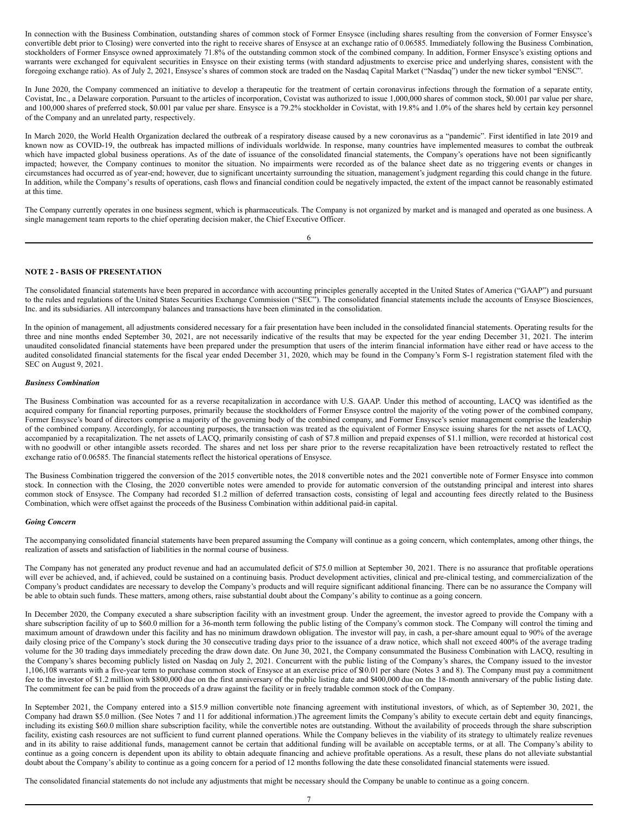In connection with the Business Combination, outstanding shares of common stock of Former Ensysce (including shares resulting from the conversion of Former Ensysce's convertible debt prior to Closing) were converted into the right to receive shares of Ensysce at an exchange ratio of 0.06585. Immediately following the Business Combination, stockholders of Former Ensysce owned approximately 71.8% of the outstanding common stock of the combined company. In addition, Former Ensysce's existing options and warrants were exchanged for equivalent securities in Ensysce on their existing terms (with standard adjustments to exercise price and underlying shares, consistent with the foregoing exchange ratio). As of July 2, 2021, Ensysce's shares of common stock are traded on the Nasdaq Capital Market ("Nasdaq") under the new ticker symbol "ENSC".

In June 2020, the Company commenced an initiative to develop a therapeutic for the treatment of certain coronavirus infections through the formation of a separate entity, Covistat, Inc., a Delaware corporation. Pursuant to the articles of incorporation, Covistat was authorized to issue 1,000,000 shares of common stock, \$0.001 par value per share, and 100,000 shares of preferred stock, \$0.001 par value per share. Ensysce is a 79.2% stockholder in Covistat, with 19.8% and 1.0% of the shares held by certain key personnel of the Company and an unrelated party, respectively.

In March 2020, the World Health Organization declared the outbreak of a respiratory disease caused by a new coronavirus as a "pandemic". First identified in late 2019 and known now as COVID-19, the outbreak has impacted millions of individuals worldwide. In response, many countries have implemented measures to combat the outbreak which have impacted global business operations. As of the date of issuance of the consolidated financial statements, the Company's operations have not been significantly impacted; however, the Company continues to monitor the situation. No impairments were recorded as of the balance sheet date as no triggering events or changes in circumstances had occurred as of year-end; however, due to significant uncertainty surrounding the situation, management's judgment regarding this could change in the future. In addition, while the Company's results of operations, cash flows and financial condition could be negatively impacted, the extent of the impact cannot be reasonably estimated at this time.

The Company currently operates in one business segment, which is pharmaceuticals. The Company is not organized by market and is managed and operated as one business. A single management team reports to the chief operating decision maker, the Chief Executive Officer.

| I<br>I<br>۰, |  |
|--------------|--|

## **NOTE 2 - BASIS OF PRESENTATION**

The consolidated financial statements have been prepared in accordance with accounting principles generally accepted in the United States of America ("GAAP") and pursuant to the rules and regulations of the United States Securities Exchange Commission ("SEC"). The consolidated financial statements include the accounts of Ensysce Biosciences, Inc. and its subsidiaries. All intercompany balances and transactions have been eliminated in the consolidation.

In the opinion of management, all adjustments considered necessary for a fair presentation have been included in the consolidated financial statements. Operating results for the three and nine months ended September 30, 2021, are not necessarily indicative of the results that may be expected for the year ending December 31, 2021. The interim unaudited consolidated financial statements have been prepared under the presumption that users of the interim financial information have either read or have access to the audited consolidated financial statements for the fiscal year ended December 31, 2020, which may be found in the Company's Form S-1 registration statement filed with the SEC on August 9, 2021.

## *Business Combination*

The Business Combination was accounted for as a reverse recapitalization in accordance with U.S. GAAP. Under this method of accounting, LACQ was identified as the acquired company for financial reporting purposes, primarily because the stockholders of Former Ensysce control the majority of the voting power of the combined company, Former Ensysce's board of directors comprise a majority of the governing body of the combined company, and Former Ensysce's senior management comprise the leadership of the combined company. Accordingly, for accounting purposes, the transaction was treated as the equivalent of Former Ensysce issuing shares for the net assets of LACQ, accompanied by a recapitalization. The net assets of LACQ, primarily consisting of cash of \$7.8 million and prepaid expenses of \$1.1 million, were recorded at historical cost with no goodwill or other intangible assets recorded. The shares and net loss per share prior to the reverse recapitalization have been retroactively restated to reflect the exchange ratio of 0.06585. The financial statements reflect the historical operations of Ensysce.

The Business Combination triggered the conversion of the 2015 convertible notes, the 2018 convertible notes and the 2021 convertible note of Former Ensysce into common stock. In connection with the Closing, the 2020 convertible notes were amended to provide for automatic conversion of the outstanding principal and interest into shares common stock of Ensysce. The Company had recorded \$1.2 million of deferred transaction costs, consisting of legal and accounting fees directly related to the Business Combination, which were offset against the proceeds of the Business Combination within additional paid-in capital.

## *Going Concern*

The accompanying consolidated financial statements have been prepared assuming the Company will continue as a going concern, which contemplates, among other things, the realization of assets and satisfaction of liabilities in the normal course of business.

The Company has not generated any product revenue and had an accumulated deficit of \$75.0 million at September 30, 2021. There is no assurance that profitable operations will ever be achieved, and, if achieved, could be sustained on a continuing basis. Product development activities, clinical and pre-clinical testing, and commercialization of the Company's product candidates are necessary to develop the Company's products and will require significant additional financing. There can be no assurance the Company will be able to obtain such funds. These matters, among others, raise substantial doubt about the Company's ability to continue as a going concern.

In December 2020, the Company executed a share subscription facility with an investment group. Under the agreement, the investor agreed to provide the Company with a share subscription facility of up to \$60.0 million for a 36-month term following the public listing of the Company's common stock. The Company will control the timing and maximum amount of drawdown under this facility and has no minimum drawdown obligation. The investor will pay, in cash, a per-share amount equal to 90% of the average daily closing price of the Company's stock during the 30 consecutive trading days prior to the issuance of a draw notice, which shall not exceed 400% of the average trading volume for the 30 trading days immediately preceding the draw down date. On June 30, 2021, the Company consummated the Business Combination with LACQ, resulting in the Company's shares becoming publicly listed on Nasdaq on July 2, 2021. Concurrent with the public listing of the Company's shares, the Company issued to the investor 1,106,108 warrants with a five-year term to purchase common stock of Ensysce at an exercise price of \$10.01 per share (Notes 3 and 8). The Company must pay a commitment fee to the investor of \$1.2 million with \$800,000 due on the first anniversary of the public listing date and \$400,000 due on the 18-month anniversary of the public listing date. The commitment fee can be paid from the proceeds of a draw against the facility or in freely tradable common stock of the Company.

In September 2021, the Company entered into a \$15.9 million convertible note financing agreement with institutional investors, of which, as of September 30, 2021, the Company had drawn \$5.0 million. (See Notes 7 and 11 for additional information.)The agreement limits the Company's ability to execute certain debt and equity financings, including its existing \$60.0 million share subscription facility, while the convertible notes are outstanding. Without the availability of proceeds through the share subscription facility, existing cash resources are not sufficient to fund current planned operations. While the Company believes in the viability of its strategy to ultimately realize revenues and in its ability to raise additional funds, management cannot be certain that additional funding will be available on acceptable terms, or at all. The Company's ability to continue as a going concern is dependent upon its ability to obtain adequate financing and achieve profitable operations. As a result, these plans do not alleviate substantial doubt about the Company's ability to continue as a going concern for a period of 12 months following the date these consolidated financial statements were issued.

The consolidated financial statements do not include any adjustments that might be necessary should the Company be unable to continue as a going concern.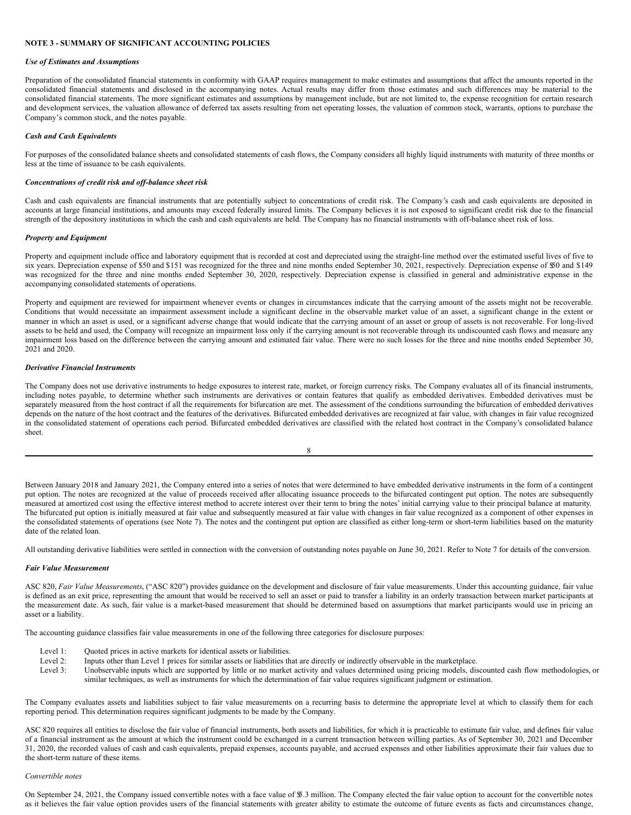## **NOTE 3 - SUMMARY OF SIGNIFICANT ACCOUNTING POLICIES**

#### *Use of Estimates and Assumptions*

Preparation of the consolidated financial statements in conformity with GAAP requires management to make estimates and assumptions that affect the amounts reported in the consolidated financial statements and disclosed in the accompanying notes. Actual results may differ from those estimates and such differences may be material to the consolidated financial statements. The more significant estimates and assumptions by management include, but are not limited to, the expense recognition for certain research and development services, the valuation allowance of deferred tax assets resulting from net operating losses, the valuation of common stock, warrants, options to purchase the Company's common stock, and the notes payable.

## *Cash and Cash Equivalents*

For purposes of the consolidated balance sheets and consolidated statements of cash flows, the Company considers all highly liquid instruments with maturity of three months or less at the time of issuance to be cash equivalents.

## *Concentrations of credit risk and of -balance sheet risk*

Cash and cash equivalents are financial instruments that are potentially subject to concentrations of credit risk. The Company's cash and cash equivalents are deposited in accounts at large financial institutions, and amounts may exceed federally insured limits. The Company believes it is not exposed to significant credit risk due to the financial strength of the depository institutions in which the cash and cash equivalents are held. The Company has no financial instruments with off-balance sheet risk of loss.

#### *Property and Equipment*

Property and equipment include office and laboratory equipment that is recorded at cost and depreciated using the straight-line method over the estimated useful lives of five to six years. Depreciation expense of \$50 and \$151 was recognized for the three and nine months ended September 30, 2021, respectively. Depreciation expense of \$50 and \$149 was recognized for the three and nine months ended September 30, 2020, respectively. Depreciation expense is classified in general and administrative expense in the accompanying consolidated statements of operations.

Property and equipment are reviewed for impairment whenever events or changes in circumstances indicate that the carrying amount of the assets might not be recoverable. Conditions that would necessitate an impairment assessment include a significant decline in the observable market value of an asset, a significant change in the extent or manner in which an asset is used, or a significant adverse change that would indicate that the carrying amount of an asset or group of assets is not recoverable. For long-lived assets to be held and used, the Company will recognize an impairment loss only if the carrying amount is not recoverable through its undiscounted cash flows and measure any impairment loss based on the difference between the carrying amount and estimated fair value. There were no such losses for the three and nine months ended September 30, 2021 and 2020.

#### *Derivative Financial Instruments*

The Company does not use derivative instruments to hedge exposures to interest rate, market, or foreign currency risks. The Company evaluates all of its financial instruments, including notes payable, to determine whether such instruments are derivatives or contain features that qualify as embedded derivatives. Embedded derivatives must be separately measured from the host contract if all the requirements for bifurcation are met. The assessment of the conditions surrounding the bifurcation of embedded derivatives depends on the nature of the host contract and the features of the derivatives. Bifurcated embedded derivatives are recognized at fair value, with changes in fair value recognized in the consolidated statement of operations each period. Bifurcated embedded derivatives are classified with the related host contract in the Company's consolidated balance sheet.

| I<br>ï |
|--------|
|--------|

Between January 2018 and January 2021, the Company entered into a series of notes that were determined to have embedded derivative instruments in the form of a contingent put option. The notes are recognized at the value of proceeds received after allocating issuance proceeds to the bifurcated contingent put option. The notes are subsequently measured at amortized cost using the effective interest method to accrete interest over their term to bring the notes' initial carrying value to their principal balance at maturity. The bifurcated put option is initially measured at fair value and subsequently measured at fair value with changes in fair value recognized as a component of other expenses in the consolidated statements of operations (see Note 7). The notes and the contingent put option are classified as either long-term or short-term liabilities based on the maturity date of the related loan.

All outstanding derivative liabilities were settled in connection with the conversion of outstanding notes payable on June 30, 2021. Refer to Note 7 for details of the conversion.

## *Fair Value Measurement*

ASC 820, *Fair Value Measurements*, ("ASC 820") provides guidance on the development and disclosure of fair value measurements. Under this accounting guidance, fair value is defined as an exit price, representing the amount that would be received to sell an asset or paid to transfer a liability in an orderly transaction between market participants at the measurement date. As such, fair value is a market-based measurement that should be determined based on assumptions that market participants would use in pricing an asset or a liability.

The accounting guidance classifies fair value measurements in one of the following three categories for disclosure purposes:

- Level 1: Quoted prices in active markets for identical assets or liabilities.
- Level 2: Inputs other than Level 1 prices for similar assets or liabilities that are directly or indirectly observable in the marketplace.
- Level 3: Unobservable inputs which are supported by little or no market activity and values determined using pricing models, discounted cash flow methodologies, or similar techniques, as well as instruments for which the determination of fair value requires significant judgment or estimation.

The Company evaluates assets and liabilities subject to fair value measurements on a recurring basis to determine the appropriate level at which to classify them for each reporting period. This determination requires significant judgments to be made by the Company.

ASC 820 requires all entities to disclose the fair value of financial instruments, both assets and liabilities, for which it is practicable to estimate fair value, and defines fair value of a financial instrument as the amount at which the instrument could be exchanged in a current transaction between willing parties. As of September 30, 2021 and December 31, 2020, the recorded values of cash and cash equivalents, prepaid expenses, accounts payable, and accrued expenses and other liabilities approximate their fair values due to the short-term nature of these items.

# *Convertible notes*

On September 24, 2021, the Company issued convertible notes with a face value of \$5.3 million. The Company elected the fair value option to account for the convertible notes as it believes the fair value option provides users of the financial statements with greater ability to estimate the outcome of future events as facts and circumstances change,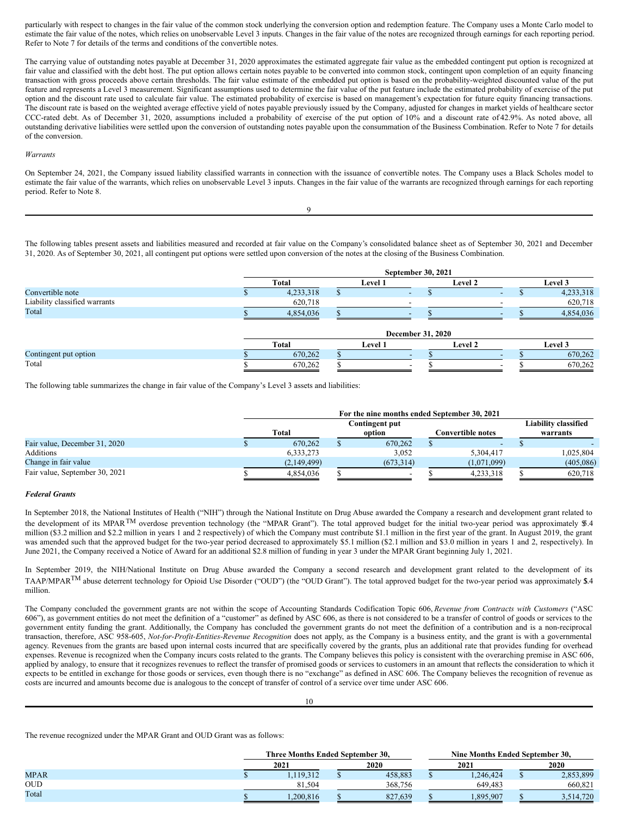particularly with respect to changes in the fair value of the common stock underlying the conversion option and redemption feature. The Company uses a Monte Carlo model to estimate the fair value of the notes, which relies on unobservable Level 3 inputs. Changes in the fair value of the notes are recognized through earnings for each reporting period. Refer to Note 7 for details of the terms and conditions of the convertible notes.

The carrying value of outstanding notes payable at December 31, 2020 approximates the estimated aggregate fair value as the embedded contingent put option is recognized at fair value and classified with the debt host. The put option allows certain notes payable to be converted into common stock, contingent upon completion of an equity financing transaction with gross proceeds above certain thresholds. The fair value estimate of the embedded put option is based on the probability-weighted discounted value of the put feature and represents a Level 3 measurement. Significant assumptions used to determine the fair value of the put feature include the estimated probability of exercise of the put option and the discount rate used to calculate fair value. The estimated probability of exercise is based on management's expectation for future equity financing transactions. The discount rate is based on the weighted average effective yield of notes payable previously issued by the Company, adjusted for changes in market yields of healthcare sector CCC-rated debt. As of December 31, 2020, assumptions included a probability of exercise of the put option of 10% and a discount rate of 42.9%. As noted above, all outstanding derivative liabilities were settled upon the conversion of outstanding notes payable upon the consummation of the Business Combination. Refer to Note 7 for details of the conversion.

#### *Warrants*

On September 24, 2021, the Company issued liability classified warrants in connection with the issuance of convertible notes. The Company uses a Black Scholes model to estimate the fair value of the warrants, which relies on unobservable Level 3 inputs. Changes in the fair value of the warrants are recognized through earnings for each reporting period. Refer to Note 8.

9

The following tables present assets and liabilities measured and recorded at fair value on the Company's consolidated balance sheet as of September 30, 2021 and December 31, 2020. As of September 30, 2021, all contingent put options were settled upon conversion of the notes at the closing of the Business Combination.

|                               |           | September 30, 2021       |                          |           |
|-------------------------------|-----------|--------------------------|--------------------------|-----------|
|                               | Total     | <b>Level</b> 1           | <b>Level 2</b>           | Level 3   |
| Convertible note              | 4,233,318 | $\overline{\phantom{0}}$ | $\overline{\phantom{0}}$ | 4,233,318 |
| Liability classified warrants | 620,718   |                          | -                        | 620,718   |
| Total                         | 4,854,036 | -                        | -                        | 4.854.036 |
|                               |           |                          |                          |           |

|                       | . 2020<br>$\sim$<br><b>December</b><br>$\mathbf{J}$ |                |                          |                |  |  |  |  |  |
|-----------------------|-----------------------------------------------------|----------------|--------------------------|----------------|--|--|--|--|--|
|                       | Total                                               | . .<br>∟evel † | Level <sup>"</sup>       | <b>Level 3</b> |  |  |  |  |  |
| Contingent put option | 670.262                                             |                |                          | 670.262        |  |  |  |  |  |
| Total                 | 670.262                                             |                | $\overline{\phantom{0}}$ | 670,262        |  |  |  |  |  |

The following table summarizes the change in fair value of the Company's Level 3 assets and liabilities:

|                                | Contingent put |  |                          |  |                   | Liability classified |
|--------------------------------|----------------|--|--------------------------|--|-------------------|----------------------|
|                                | Total          |  | option                   |  | Convertible notes | warrants             |
| Fair value, December 31, 2020  | 670.262        |  | 670.262                  |  |                   |                      |
| Additions                      | 6,333,273      |  | 3.052                    |  | 5.304.417         | 1.025.804            |
| Change in fair value           | (2.149.499)    |  | (673.314)                |  | (1.071.099)       | (405.086)            |
| Fair value, September 30, 2021 | 4,854,036      |  | $\overline{\phantom{0}}$ |  | 4,233,318         | 620,718              |

#### *Federal Grants*

In September 2018, the National Institutes of Health ("NIH") through the National Institute on Drug Abuse awarded the Company a research and development grant related to the development of its MPAR<sup>TM</sup> overdose prevention technology (the "MPAR Grant"). The total approved budget for the initial two-year period was approximately \$.4 million (\$3.2 million and \$2.2 million in years 1 and 2 respectively) of which the Company must contribute \$1.1 million in the first year of the grant. In August 2019, the grant was amended such that the approved budget for the two-year period decreased to approximately \$5.1 million (\$2.1 million and \$3.0 million in years 1 and 2, respectively). In June 2021, the Company received a Notice of Award for an additional \$2.8 million of funding in year 3 under the MPAR Grant beginning July 1, 2021.

In September 2019, the NIH/National Institute on Drug Abuse awarded the Company a second research and development grant related to the development of its TAAP/MPAR<sup>TM</sup> abuse deterrent technology for Opioid Use Disorder ("OUD") (the "OUD Grant"). The total approved budget for the two-year period was approximately \$.4 million.

The Company concluded the government grants are not within the scope of Accounting Standards Codification Topic 606, *Revenue from Contracts with Customers* ("ASC 606"), as government entities do not meet the definition of a "customer" as defined by ASC 606, as there is not considered to be a transfer of control of goods or services to the government entity funding the grant. Additionally, the Company has concluded the government grants do not meet the definition of a contribution and is a non-reciprocal transaction, therefore, ASC 958-605, *Not-for-Profit-Entities-Revenue Recognition* does not apply, as the Company is a business entity, and the grant is with a governmental agency. Revenues from the grants are based upon internal costs incurred that are specifically covered by the grants, plus an additional rate that provides funding for overhead expenses. Revenue is recognized when the Company incurs costs related to the grants. The Company believes this policy is consistent with the overarching premise in ASC 606, applied by analogy, to ensure that it recognizes revenues to reflect the transfer of promised goods or services to customers in an amount that reflects the consideration to which it expects to be entitled in exchange for those goods or services, even though there is no "exchange" as defined in ASC 606. The Company believes the recognition of revenue as costs are incurred and amounts become due is analogous to the concept of transfer of control of a service over time under ASC 606.

10

The revenue recognized under the MPAR Grant and OUD Grant was as follows:

|             | Three Months Ended September 30. |  |         |  | Nine Months Ended September 30. |           |
|-------------|----------------------------------|--|---------|--|---------------------------------|-----------|
|             | 2021                             |  | 2020    |  | 2021                            | 2020      |
| <b>MPAR</b> | 1.119.312                        |  | 458.883 |  | .246.424                        | 2,853,899 |
| <b>OUD</b>  | 81.504                           |  | 368,756 |  | 649.483                         | 660,821   |
| Total       | 1,200,816                        |  | 827.639 |  | 1,895,907                       | 3,514,720 |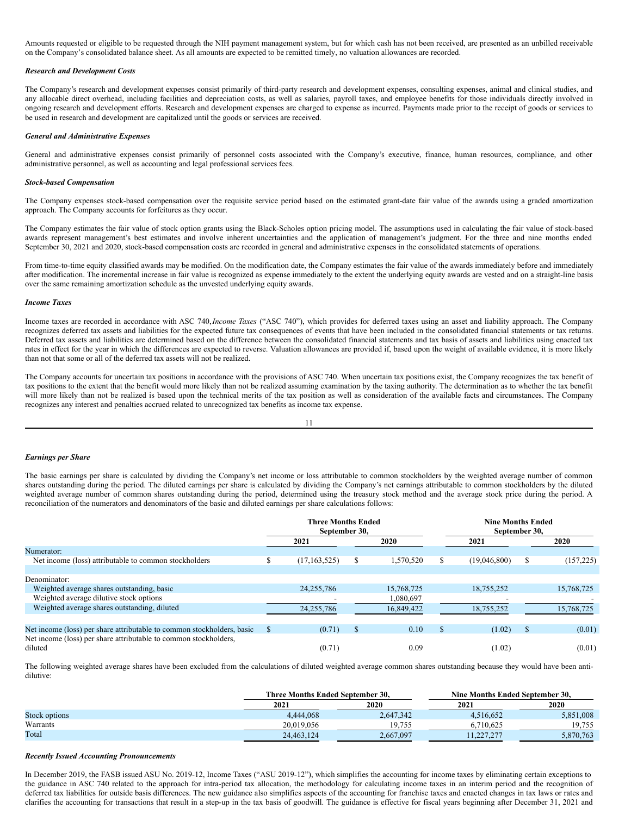Amounts requested or eligible to be requested through the NIH payment management system, but for which cash has not been received, are presented as an unbilled receivable on the Company's consolidated balance sheet. As all amounts are expected to be remitted timely, no valuation allowances are recorded.

#### *Research and Development Costs*

The Company's research and development expenses consist primarily of third-party research and development expenses, consulting expenses, animal and clinical studies, and any allocable direct overhead, including facilities and depreciation costs, as well as salaries, payroll taxes, and employee benefits for those individuals directly involved in ongoing research and development efforts. Research and development expenses are charged to expense as incurred. Payments made prior to the receipt of goods or services to be used in research and development are capitalized until the goods or services are received.

#### *General and Administrative Expenses*

General and administrative expenses consist primarily of personnel costs associated with the Company's executive, finance, human resources, compliance, and other administrative personnel, as well as accounting and legal professional services fees.

#### *Stock-based Compensation*

The Company expenses stock-based compensation over the requisite service period based on the estimated grant-date fair value of the awards using a graded amortization approach. The Company accounts for forfeitures as they occur.

The Company estimates the fair value of stock option grants using the Black-Scholes option pricing model. The assumptions used in calculating the fair value of stock-based awards represent management's best estimates and involve inherent uncertainties and the application of management's judgment. For the three and nine months ended September 30, 2021 and 2020, stock-based compensation costs are recorded in general and administrative expenses in the consolidated statements of operations.

From time-to-time equity classified awards may be modified. On the modification date, the Company estimates the fair value of the awards immediately before and immediately after modification. The incremental increase in fair value is recognized as expense immediately to the extent the underlying equity awards are vested and on a straight-line basis over the same remaining amortization schedule as the unvested underlying equity awards.

#### *Income Taxes*

Income taxes are recorded in accordance with ASC 740,*Income Taxes* ("ASC 740"), which provides for deferred taxes using an asset and liability approach. The Company recognizes deferred tax assets and liabilities for the expected future tax consequences of events that have been included in the consolidated financial statements or tax returns. Deferred tax assets and liabilities are determined based on the difference between the consolidated financial statements and tax basis of assets and liabilities using enacted tax rates in effect for the year in which the differences are expected to reverse. Valuation allowances are provided if, based upon the weight of available evidence, it is more likely than not that some or all of the deferred tax assets will not be realized.

The Company accounts for uncertain tax positions in accordance with the provisions of ASC 740. When uncertain tax positions exist, the Company recognizes the tax benefit of tax positions to the extent that the benefit would more likely than not be realized assuming examination by the taxing authority. The determination as to whether the tax benefit will more likely than not be realized is based upon the technical merits of the tax position as well as consideration of the available facts and circumstances. The Company recognizes any interest and penalties accrued related to unrecognized tax benefits as income tax expense.

## *Earnings per Share*

The basic earnings per share is calculated by dividing the Company's net income or loss attributable to common stockholders by the weighted average number of common shares outstanding during the period. The diluted earnings per share is calculated by dividing the Company's net earnings attributable to common stockholders by the diluted weighted average number of common shares outstanding during the period, determined using the treasury stock method and the average stock price during the period. A reconciliation of the numerators and denominators of the basic and diluted earnings per share calculations follows:

|                                                                        | <b>Three Months Ended</b><br>September 30, |                |    |            |              |              | <b>Nine Months Ended</b><br>September 30, |            |
|------------------------------------------------------------------------|--------------------------------------------|----------------|----|------------|--------------|--------------|-------------------------------------------|------------|
|                                                                        |                                            | 2021           |    | 2020       |              | 2021         |                                           | 2020       |
| Numerator:                                                             |                                            |                |    |            |              |              |                                           |            |
| Net income (loss) attributable to common stockholders                  |                                            | (17, 163, 525) | \$ | 1,570,520  | \$           | (19,046,800) | S                                         | (157, 225) |
|                                                                        |                                            |                |    |            |              |              |                                           |            |
| Denominator:                                                           |                                            |                |    |            |              |              |                                           |            |
| Weighted average shares outstanding, basic                             |                                            | 24, 255, 786   |    | 15,768,725 |              | 18,755,252   |                                           | 15,768,725 |
| Weighted average dilutive stock options                                |                                            |                |    | 1,080,697  |              |              |                                           |            |
| Weighted average shares outstanding, diluted                           |                                            | 24, 255, 786   |    | 16,849,422 |              | 18,755,252   |                                           | 15,768,725 |
|                                                                        |                                            |                |    |            |              |              |                                           |            |
| Net income (loss) per share attributable to common stockholders, basic | <sup>\$</sup>                              | (0.71)         | \$ | 0.10       | $\mathbf{s}$ | (1.02)       | S                                         | (0.01)     |
| Net income (loss) per share attributable to common stockholders,       |                                            |                |    |            |              |              |                                           |            |
| diluted                                                                |                                            | (0.71)         |    | 0.09       |              | (1.02)       |                                           | (0.01)     |

The following weighted average shares have been excluded from the calculations of diluted weighted average common shares outstanding because they would have been antidilutive:

|               | Three Months Ended September 30. |           | Nine Months Ended September 30. |           |
|---------------|----------------------------------|-----------|---------------------------------|-----------|
|               | 2021                             | 2020      | 2021                            | 2020      |
| Stock options | 4,444,068                        | 2.647.342 | 4.516.652                       | 5,851,008 |
| Warrants      | 20.019.056                       | 19.755    | 6.710.625                       | 19.755    |
| Total         | 24,463,124                       | 2,667,097 | 1.221.21                        | 5,870,763 |

#### *Recently Issued Accounting Pronouncements*

In December 2019, the FASB issued ASU No. 2019-12, Income Taxes ("ASU 2019-12"), which simplifies the accounting for income taxes by eliminating certain exceptions to the guidance in ASC 740 related to the approach for intra-period tax allocation, the methodology for calculating income taxes in an interim period and the recognition of deferred tax liabilities for outside basis differences. The new guidance also simplifies aspects of the accounting for franchise taxes and enacted changes in tax laws or rates and clarifies the accounting for transactions that result in a step-up in the tax basis of goodwill. The guidance is effective for fiscal years beginning after December 31, 2021 and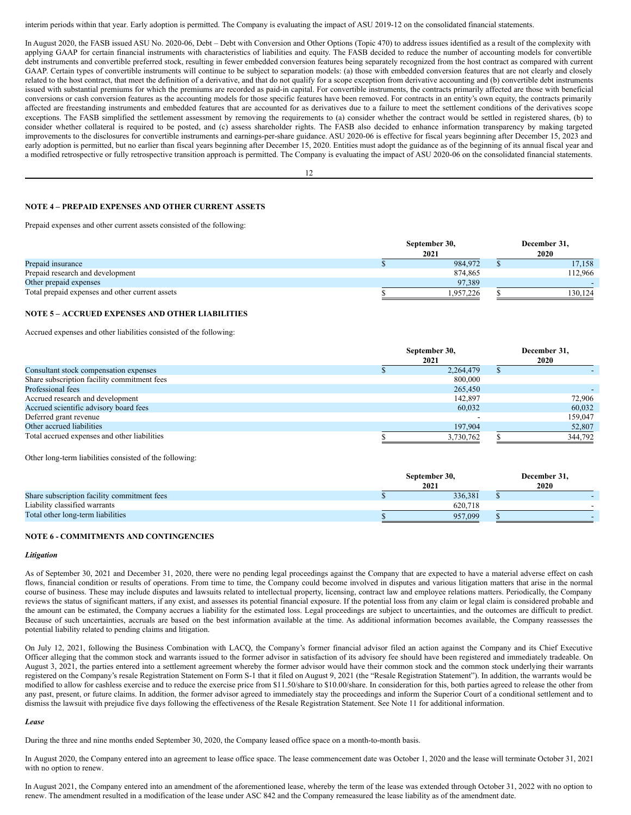interim periods within that year. Early adoption is permitted. The Company is evaluating the impact of ASU 2019-12 on the consolidated financial statements.

In August 2020, the FASB issued ASU No. 2020-06, Debt – Debt with Conversion and Other Options (Topic 470) to address issues identified as a result of the complexity with applying GAAP for certain financial instruments with characteristics of liabilities and equity. The FASB decided to reduce the number of accounting models for convertible debt instruments and convertible preferred stock, resulting in fewer embedded conversion features being separately recognized from the host contract as compared with current GAAP. Certain types of convertible instruments will continue to be subject to separation models: (a) those with embedded conversion features that are not clearly and closely related to the host contract, that meet the definition of a derivative, and that do not qualify for a scope exception from derivative accounting and (b) convertible debt instruments issued with substantial premiums for which the premiums are recorded as paid-in capital. For convertible instruments, the contracts primarily affected are those with beneficial conversions or cash conversion features as the accounting models for those specific features have been removed. For contracts in an entity's own equity, the contracts primarily affected are freestanding instruments and embedded features that are accounted for as derivatives due to a failure to meet the settlement conditions of the derivatives scope exceptions. The FASB simplified the settlement assessment by removing the requirements to (a) consider whether the contract would be settled in registered shares, (b) to consider whether collateral is required to be posted, and (c) assess shareholder rights. The FASB also decided to enhance information transparency by making targeted improvements to the disclosures for convertible instruments and earnings-per-share guidance. ASU 2020-06 is effective for fiscal years beginning after December 15, 2023 and early adoption is permitted, but no earlier than fiscal years beginning after December 15, 2020. Entities must adopt the guidance as of the beginning of its annual fiscal year and a modified retrospective or fully retrospective transition approach is permitted. The Company is evaluating the impact of ASU 2020-06 on the consolidated financial statements.

12

#### **NOTE 4 – PREPAID EXPENSES AND OTHER CURRENT ASSETS**

Prepaid expenses and other current assets consisted of the following:

|                                                 | September 30, | December 31, |
|-------------------------------------------------|---------------|--------------|
|                                                 | 2021          | 2020         |
| Prepaid insurance                               | 984,972       | 17.158       |
| Prepaid research and development                | 874.865       | 112.966      |
| Other prepaid expenses                          | 97,389        |              |
| Total prepaid expenses and other current assets | .957.226      | 130.124      |

## **NOTE 5 – ACCRUED EXPENSES AND OTHER LIABILITIES**

Accrued expenses and other liabilities consisted of the following:

|                                              | September 30,<br>2021 |           |  | December 31, |
|----------------------------------------------|-----------------------|-----------|--|--------------|
|                                              |                       |           |  | 2020         |
| Consultant stock compensation expenses       |                       | 2.264.479 |  |              |
| Share subscription facility commitment fees  |                       | 800,000   |  |              |
| Professional fees                            |                       | 265,450   |  |              |
| Accrued research and development             |                       | 142,897   |  | 72,906       |
| Accrued scientific advisory board fees       |                       | 60.032    |  | 60,032       |
| Deferred grant revenue                       |                       |           |  | 159,047      |
| Other accrued liabilities                    |                       | 197,904   |  | 52,807       |
| Total accrued expenses and other liabilities |                       | 3.730.762 |  | 344,792      |

Other long-term liabilities consisted of the following:

|                                             | September 30,<br>2021 | December 31,<br>2020 |
|---------------------------------------------|-----------------------|----------------------|
| Share subscription facility commitment fees | 336.381               |                      |
| Liability classified warrants               | 620.718               |                      |
| Total other long-term liabilities           | 957,099               |                      |

## **NOTE 6 - COMMITMENTS AND CONTINGENCIES**

#### *Litigation*

As of September 30, 2021 and December 31, 2020, there were no pending legal proceedings against the Company that are expected to have a material adverse effect on cash flows, financial condition or results of operations. From time to time, the Company could become involved in disputes and various litigation matters that arise in the normal course of business. These may include disputes and lawsuits related to intellectual property, licensing, contract law and employee relations matters. Periodically, the Company reviews the status of significant matters, if any exist, and assesses its potential financial exposure. If the potential loss from any claim or legal claim is considered probable and the amount can be estimated, the Company accrues a liability for the estimated loss. Legal proceedings are subject to uncertainties, and the outcomes are difficult to predict. Because of such uncertainties, accruals are based on the best information available at the time. As additional information becomes available, the Company reassesses the potential liability related to pending claims and litigation.

On July 12, 2021, following the Business Combination with LACQ, the Company's former financial advisor filed an action against the Company and its Chief Executive Officer alleging that the common stock and warrants issued to the former advisor in satisfaction of its advisory fee should have been registered and immediately tradeable. On August 3, 2021, the parties entered into a settlement agreement whereby the former advisor would have their common stock and the common stock underlying their warrants registered on the Company's resale Registration Statement on Form S-1 that it filed on August 9, 2021 (the "Resale Registration Statement"). In addition, the warrants would be modified to allow for cashless exercise and to reduce the exercise price from \$11.50/share to \$10.00/share. In consideration for this, both parties agreed to release the other from any past, present, or future claims. In addition, the former advisor agreed to immediately stay the proceedings and inform the Superior Court of a conditional settlement and to dismiss the lawsuit with prejudice five days following the effectiveness of the Resale Registration Statement. See Note 11 for additional information.

#### *Lease*

During the three and nine months ended September 30, 2020, the Company leased office space on a month-to-month basis.

In August 2020, the Company entered into an agreement to lease office space. The lease commencement date was October 1, 2020 and the lease will terminate October 31, 2021 with no option to renew.

In August 2021, the Company entered into an amendment of the aforementioned lease, whereby the term of the lease was extended through October 31, 2022 with no option to renew. The amendment resulted in a modification of the lease under ASC 842 and the Company remeasured the lease liability as of the amendment date.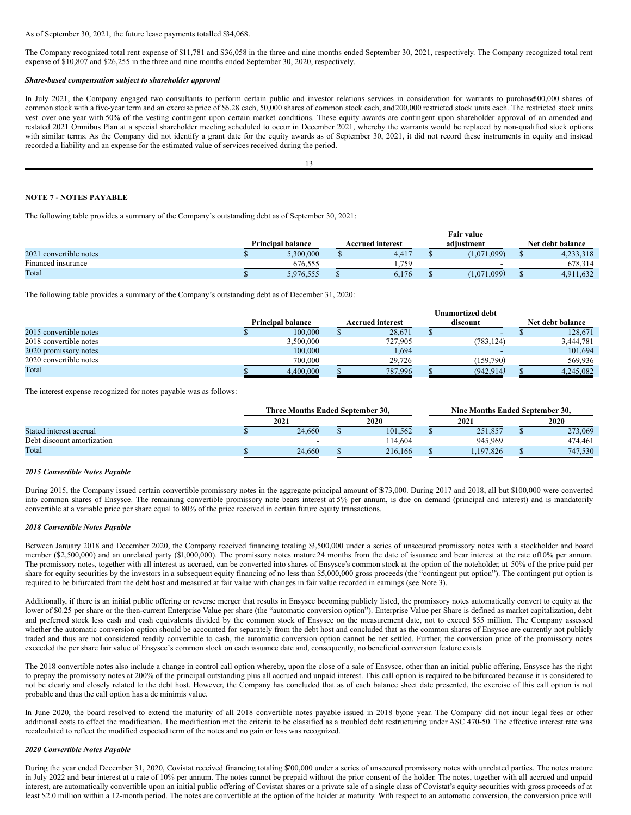As of September 30, 2021, the future lease payments totalled \$34,068.

The Company recognized total rent expense of \$11,781 and \$36,058 in the three and nine months ended September 30, 2021, respectively. The Company recognized total rent expense of \$10,807 and \$26,255 in the three and nine months ended September 30, 2020, respectively.

#### *Share-based compensation subject to shareholder approval*

In July 2021, the Company engaged two consultants to perform certain public and investor relations services in consideration for warrants to purchase500,000 shares of common stock with a five-year term and an exercise price of \$6.28 each, 50,000 shares of common stock each, and200,000 restricted stock units each. The restricted stock units vest over one year with 50% of the vesting contingent upon certain market conditions. These equity awards are contingent upon shareholder approval of an amended and restated 2021 Omnibus Plan at a special shareholder meeting scheduled to occur in December 2021, whereby the warrants would be replaced by non-qualified stock options with similar terms. As the Company did not identify a grant date for the equity awards as of September 30, 2021, it did not record these instruments in equity and instead recorded a liability and an expense for the estimated value of services received during the period.

13

## **NOTE 7 - NOTES PAYABLE**

The following table provides a summary of the Company's outstanding debt as of September 30, 2021:

|                        |                          |                         | <b>Fair value</b> |                  |
|------------------------|--------------------------|-------------------------|-------------------|------------------|
|                        | <b>Principal balance</b> | <b>Accrued interest</b> | adiustment        | Net debt balance |
| 2021 convertible notes | 5,300,000                | 4.417                   | (1.071.099)       | , 233.318        |
| Financed insurance     | 676.555                  | .759                    |                   | 678.314          |
| Total                  | 5.976.555                | 6.176                   | (1.071.099)       | 4.911.632        |

The following table provides a summary of the Company's outstanding debt as of December 31, 2020:

|                        |                          |                         | <b>Unamortized debt</b> |                  |
|------------------------|--------------------------|-------------------------|-------------------------|------------------|
|                        | <b>Principal balance</b> | <b>Accrued interest</b> | discount                | Net debt balance |
| 2015 convertible notes | 100,000                  | 28,671                  |                         | 128,671          |
| 2018 convertible notes | 3.500.000                | 727.905                 | (783, 124)              | 3,444,781        |
| 2020 promissory notes  | 100,000                  | 1,694                   |                         | 101.694          |
| 2020 convertible notes | 700,000                  | 29.726                  | (159.790)               | 569.936          |
| Total                  | 4,400,000                | 787,996                 | (942.914)               | 4.245.082        |

The interest expense recognized for notes payable was as follows:

|                            | Three Months Ended September 30. |  |         |  | Nine Months Ended September 30. |  |         |  |
|----------------------------|----------------------------------|--|---------|--|---------------------------------|--|---------|--|
|                            | 2021                             |  | 2020    |  | 2021                            |  | 2020    |  |
| Stated interest accrual    | 24,660                           |  | 101.562 |  | 251,857                         |  | 273,069 |  |
| Debt discount amortization |                                  |  | 114.604 |  | 945.969                         |  | 474.461 |  |
| Total                      | 24.660                           |  | 216,166 |  | .197.826                        |  | 747,530 |  |

#### *2015 Convertible Notes Payable*

During 2015, the Company issued certain convertible promissory notes in the aggregate principal amount of \$873,000. During 2017 and 2018, all but \$100,000 were converted into common shares of Ensysce. The remaining convertible promissory note bears interest at 5% per annum, is due on demand (principal and interest) and is mandatorily convertible at a variable price per share equal to 80% of the price received in certain future equity transactions.

## *2018 Convertible Notes Payable*

Between January 2018 and December 2020, the Company received financing totaling \$3,500,000 under a series of unsecured promissory notes with a stockholder and board member (\$2,500,000) and an unrelated party (\$1,000,000). The promissory notes mature24 months from the date of issuance and bear interest at the rate of10% per annum. The promissory notes, together with all interest as accrued, can be converted into shares of Ensysce's common stock at the option of the noteholder, at 50% of the price paid per share for equity securities by the investors in a subsequent equity financing of no less than \$5,000,000 gross proceeds (the "contingent put option"). The contingent put option is required to be bifurcated from the debt host and measured at fair value with changes in fair value recorded in earnings (see Note 3).

Additionally, if there is an initial public offering or reverse merger that results in Ensysce becoming publicly listed, the promissory notes automatically convert to equity at the lower of \$0.25 per share or the then-current Enterprise Value per share (the "automatic conversion option"). Enterprise Value per Share is defined as market capitalization, debt and preferred stock less cash and cash equivalents divided by the common stock of Ensysce on the measurement date, not to exceed \$55 million. The Company assessed whether the automatic conversion option should be accounted for separately from the debt host and concluded that as the common shares of Ensysce are currently not publicly traded and thus are not considered readily convertible to cash, the automatic conversion option cannot be net settled. Further, the conversion price of the promissory notes exceeded the per share fair value of Ensysce's common stock on each issuance date and, consequently, no beneficial conversion feature exists.

The 2018 convertible notes also include a change in control call option whereby, upon the close of a sale of Ensysce, other than an initial public offering, Ensysce has the right to prepay the promissory notes at 200% of the principal outstanding plus all accrued and unpaid interest. This call option is required to be bifurcated because it is considered to not be clearly and closely related to the debt host. However, the Company has concluded that as of each balance sheet date presented, the exercise of this call option is not probable and thus the call option has a de minimis value.

In June 2020, the board resolved to extend the maturity of all 2018 convertible notes payable issued in 2018 byone year. The Company did not incur legal fees or other additional costs to effect the modification. The modification met the criteria to be classified as a troubled debt restructuring under ASC 470-50. The effective interest rate was recalculated to reflect the modified expected term of the notes and no gain or loss was recognized.

#### *2020 Convertible Notes Payable*

During the year ended December 31, 2020, Covistat received financing totaling \$700,000 under a series of unsecured promissory notes with unrelated parties. The notes mature in July 2022 and bear interest at a rate of 10% per annum. The notes cannot be prepaid without the prior consent of the holder. The notes, together with all accrued and unpaid interest, are automatically convertible upon an initial public offering of Covistat shares or a private sale of a single class of Covistat's equity securities with gross proceeds of at least \$2.0 million within a 12-month period. The notes are convertible at the option of the holder at maturity. With respect to an automatic conversion, the conversion price will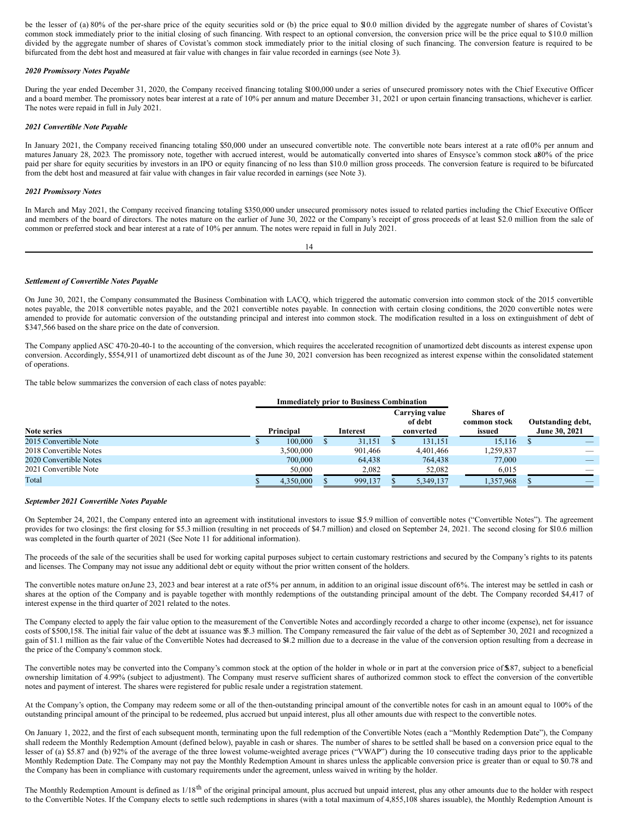be the lesser of (a) 80% of the per-share price of the equity securities sold or (b) the price equal to \$10.0 million divided by the aggregate number of shares of Covistat's common stock immediately prior to the initial closing of such financing. With respect to an optional conversion, the conversion price will be the price equal to \$10.0 million divided by the aggregate number of shares of Covistat's common stock immediately prior to the initial closing of such financing. The conversion feature is required to be bifurcated from the debt host and measured at fair value with changes in fair value recorded in earnings (see Note 3).

#### *2020 Promissory Notes Payable*

During the year ended December 31, 2020, the Company received financing totaling \$100,000 under a series of unsecured promissory notes with the Chief Executive Officer and a board member. The promissory notes bear interest at a rate of 10% per annum and mature December 31, 2021 or upon certain financing transactions, whichever is earlier. The notes were repaid in full in July 2021.

#### *2021 Convertible Note Payable*

In January 2021, the Company received financing totaling \$50,000 under an unsecured convertible note. The convertible note bears interest at a rate of10% per annum and matures January 28, 2023. The promissory note, together with accrued interest, would be automatically converted into shares of Ensysce's common stock a80% of the price paid per share for equity securities by investors in an IPO or equity financing of no less than \$10.0 million gross proceeds. The conversion feature is required to be bifurcated from the debt host and measured at fair value with changes in fair value recorded in earnings (see Note 3).

#### *2021 Promissory Notes*

In March and May 2021, the Company received financing totaling \$350,000 under unsecured promissory notes issued to related parties including the Chief Executive Officer and members of the board of directors. The notes mature on the earlier of June 30, 2022 or the Company's receipt of gross proceeds of at least \$2.0 million from the sale of common or preferred stock and bear interest at a rate of 10% per annum. The notes were repaid in full in July 2021.

14

#### *Settlement of Convertible Notes Payable*

On June 30, 2021, the Company consummated the Business Combination with LACQ, which triggered the automatic conversion into common stock of the 2015 convertible notes payable, the 2018 convertible notes payable, and the 2021 convertible notes payable. In connection with certain closing conditions, the 2020 convertible notes were amended to provide for automatic conversion of the outstanding principal and interest into common stock. The modification resulted in a loss on extinguishment of debt of \$347,566 based on the share price on the date of conversion.

The Company applied ASC 470-20-40-1 to the accounting of the conversion, which requires the accelerated recognition of unamortized debt discounts as interest expense upon conversion. Accordingly, \$554,911 of unamortized debt discount as of the June 30, 2021 conversion has been recognized as interest expense within the consolidated statement of operations.

The table below summarizes the conversion of each class of notes payable:

|                        |           |           |                 | <b>Immediately prior to Business Combination</b> |                                        |           |                                            |                                    |  |
|------------------------|-----------|-----------|-----------------|--------------------------------------------------|----------------------------------------|-----------|--------------------------------------------|------------------------------------|--|
| <b>Note series</b>     | Principal |           | <b>Interest</b> |                                                  | Carrying value<br>of debt<br>converted |           | <b>Shares of</b><br>common stock<br>issued | Outstanding debt,<br>June 30, 2021 |  |
| 2015 Convertible Note  |           | 100,000   |                 | 31,151                                           |                                        | 131,151   | 15.116                                     |                                    |  |
| 2018 Convertible Notes |           | 3.500,000 |                 | 901.466                                          |                                        | 4,401,466 | 1,259,837                                  |                                    |  |
| 2020 Convertible Notes |           | 700,000   |                 | 64.438                                           |                                        | 764.438   | 77,000                                     |                                    |  |
| 2021 Convertible Note  |           | 50,000    |                 | 2.082                                            |                                        | 52,082    | 6,015                                      |                                    |  |
| Total                  |           | 4,350,000 |                 | 999,137                                          |                                        | 5,349,137 | 1,357,968                                  |                                    |  |

#### *September 2021 Convertible Notes Payable*

On September 24, 2021, the Company entered into an agreement with institutional investors to issue \$15.9 million of convertible notes ("Convertible Notes"). The agreement provides for two closings: the first closing for \$5.3 million (resulting in net proceeds of \$4.7 million) and closed on September 24, 2021. The second closing for \$10.6 million was completed in the fourth quarter of 2021 (See Note 11 for additional information).

The proceeds of the sale of the securities shall be used for working capital purposes subject to certain customary restrictions and secured by the Company's rights to its patents and licenses. The Company may not issue any additional debt or equity without the prior written consent of the holders.

The convertible notes mature onJune 23, 2023 and bear interest at a rate of5% per annum, in addition to an original issue discount of6%. The interest may be settled in cash or shares at the option of the Company and is payable together with monthly redemptions of the outstanding principal amount of the debt. The Company recorded \$4,417 of interest expense in the third quarter of 2021 related to the notes.

The Company elected to apply the fair value option to the measurement of the Convertible Notes and accordingly recorded a charge to other income (expense), net for issuance costs of \$500,158. The initial fair value of the debt at issuance was \$5.3 million. The Company remeasured the fair value of the debt as of September 30, 2021 and recognized a gain of \$1.1 million as the fair value of the Convertible Notes had decreased to \$4.2 million due to a decrease in the value of the conversion option resulting from a decrease in the price of the Company's common stock.

The convertible notes may be converted into the Company's common stock at the option of the holder in whole or in part at the conversion price of \$87, subject to a beneficial ownership limitation of 4.99% (subject to adjustment). The Company must reserve sufficient shares of authorized common stock to effect the conversion of the convertible notes and payment of interest. The shares were registered for public resale under a registration statement.

At the Company's option, the Company may redeem some or all of the then-outstanding principal amount of the convertible notes for cash in an amount equal to 100% of the outstanding principal amount of the principal to be redeemed, plus accrued but unpaid interest, plus all other amounts due with respect to the convertible notes.

On January 1, 2022, and the first of each subsequent month, terminating upon the full redemption of the Convertible Notes (each a "Monthly Redemption Date"), the Company shall redeem the Monthly Redemption Amount (defined below), payable in cash or shares. The number of shares to be settled shall be based on a conversion price equal to the lesser of (a) \$5.87 and (b) 92% of the average of the three lowest volume-weighted average prices ("VWAP") during the 10 consecutive trading days prior to the applicable Monthly Redemption Date. The Company may not pay the Monthly Redemption Amount in shares unless the applicable conversion price is greater than or equal to \$0.78 and the Company has been in compliance with customary requirements under the agreement, unless waived in writing by the holder.

The Monthly Redemption Amount is defined as 1/18<sup>th</sup> of the original principal amount, plus accrued but unpaid interest, plus any other amounts due to the holder with respect to the Convertible Notes. If the Company elects to settle such redemptions in shares (with a total maximum of 4,855,108 shares issuable), the Monthly Redemption Amount is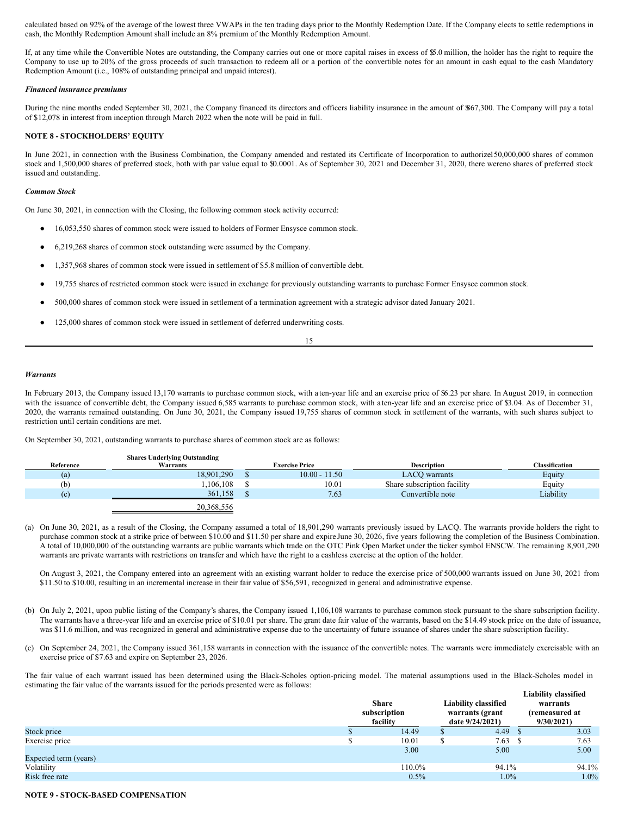calculated based on 92% of the average of the lowest three VWAPs in the ten trading days prior to the Monthly Redemption Date. If the Company elects to settle redemptions in cash, the Monthly Redemption Amount shall include an 8% premium of the Monthly Redemption Amount.

If, at any time while the Convertible Notes are outstanding, the Company carries out one or more capital raises in excess of \$5.0 million, the holder has the right to require the Company to use up to 20% of the gross proceeds of such transaction to redeem all or a portion of the convertible notes for an amount in cash equal to the cash Mandatory Redemption Amount (i.e., 108% of outstanding principal and unpaid interest).

#### *Financed insurance premiums*

During the nine months ended September 30, 2021, the Company financed its directors and officers liability insurance in the amount of \$867,300. The Company will pay a total of \$12,078 in interest from inception through March 2022 when the note will be paid in full.

## **NOTE 8 - STOCKHOLDERS' EQUITY**

In June 2021, in connection with the Business Combination, the Company amended and restated its Certificate of Incorporation to authorize150,000,000 shares of common stock and 1,500,000 shares of preferred stock, both with par value equal to \$0.0001. As of September 30, 2021 and December 31, 2020, there wereno shares of preferred stock issued and outstanding.

#### *Common Stock*

On June 30, 2021, in connection with the Closing, the following common stock activity occurred:

- 16,053,550 shares of common stock were issued to holders of Former Ensysce common stock.
- 6,219,268 shares of common stock outstanding were assumed by the Company.
- 1,357,968 shares of common stock were issued in settlement of \$5.8 million of convertible debt.
- 19,755 shares of restricted common stock were issued in exchange for previously outstanding warrants to purchase Former Ensysce common stock.
- 500,000 shares of common stock were issued in settlement of a termination agreement with a strategic advisor dated January 2021.
- 125,000 shares of common stock were issued in settlement of deferred underwriting costs.

#### *Warrants*

In February 2013, the Company issued 13,170 warrants to purchase common stock, with a ten-year life and an exercise price of \$6.23 per share. In August 2019, in connection with the issuance of convertible debt, the Company issued 6,585 warrants to purchase common stock, with a ten-year life and an exercise price of \$3.04. As of December 31, 2020, the warrants remained outstanding. On June 30, 2021, the Company issued 19,755 shares of common stock in settlement of the warrants, with such shares subject to restriction until certain conditions are met.

On September 30, 2021, outstanding warrants to purchase shares of common stock are as follows:

|                   | <b>Shares Underlying Outstanding</b> |                       |                             |                |
|-------------------|--------------------------------------|-----------------------|-----------------------------|----------------|
| Reference         | Warrants                             | <b>Exercise Price</b> | <b>Description</b>          | Classification |
| $\left( a\right)$ | 18.901.290                           | $10.00 - 11.50$       | LACO warrants               | Equity         |
| (b)               | .106.108                             | 10.01                 | Share subscription facility | Equity         |
| (c)               | 361,158                              | 7.63                  | Convertible note            | Liability      |
|                   | 20,368,556                           |                       |                             |                |

(a) On June 30, 2021, as a result of the Closing, the Company assumed a total of 18,901,290 warrants previously issued by LACQ. The warrants provide holders the right to purchase common stock at a strike price of between \$10.00 and \$11.50 per share and expire June 30, 2026, five years following the completion of the Business Combination. A total of 10,000,000 of the outstanding warrants are public warrants which trade on the OTC Pink Open Market under the ticker symbol ENSCW. The remaining 8,901,290 warrants are private warrants with restrictions on transfer and which have the right to a cashless exercise at the option of the holder.

On August 3, 2021, the Company entered into an agreement with an existing warrant holder to reduce the exercise price of 500,000 warrants issued on June 30, 2021 from \$11.50 to \$10.00, resulting in an incremental increase in their fair value of \$56,591, recognized in general and administrative expense.

- (b) On July 2, 2021, upon public listing of the Company's shares, the Company issued 1,106,108 warrants to purchase common stock pursuant to the share subscription facility. The warrants have a three-year life and an exercise price of \$10.01 per share. The grant date fair value of the warrants, based on the \$14.49 stock price on the date of issuance, was \$11.6 million, and was recognized in general and administrative expense due to the uncertainty of future issuance of shares under the share subscription facility.
- (c) On September 24, 2021, the Company issued 361,158 warrants in connection with the issuance of the convertible notes. The warrants were immediately exercisable with an exercise price of \$7.63 and expire on September 23, 2026.

The fair value of each warrant issued has been determined using the Black-Scholes option-pricing model. The material assumptions used in the Black-Scholes model in estimating the fair value of the warrants issued for the periods presented were as follows:

| $\tilde{}$            | . . | <b>Share</b><br>subscription<br>facility | <b>Liability classified</b><br>warrants (grant<br>date 9/24/2021) | <b>Liability classified</b><br>warrants<br>(remeasured at<br>9/30/2021 |         |
|-----------------------|-----|------------------------------------------|-------------------------------------------------------------------|------------------------------------------------------------------------|---------|
| Stock price           |     | 14.49                                    | 4.49                                                              |                                                                        | 3.03    |
| Exercise price        |     | 10.01                                    | 7.63                                                              | - 8                                                                    | 7.63    |
|                       |     | 3.00                                     | 5.00                                                              |                                                                        | 5.00    |
| Expected term (years) |     |                                          |                                                                   |                                                                        |         |
| Volatility            |     | 110.0%                                   | 94.1%                                                             |                                                                        | 94.1%   |
| Risk free rate        |     | 0.5%                                     | $1.0\%$                                                           |                                                                        | $1.0\%$ |

#### **NOTE 9 - STOCK-BASED COMPENSATION**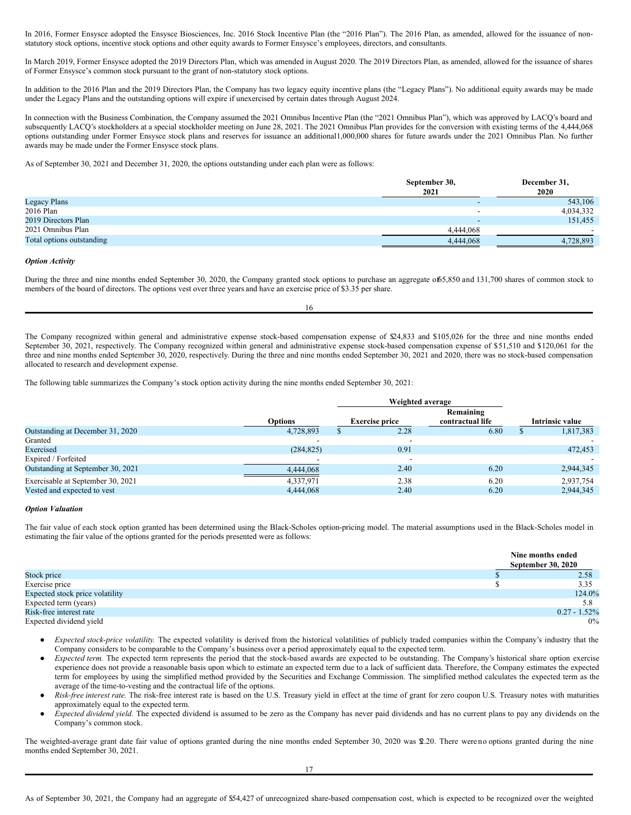In 2016, Former Ensysce adopted the Ensysce Biosciences, Inc. 2016 Stock Incentive Plan (the "2016 Plan"). The 2016 Plan, as amended, allowed for the issuance of nonstatutory stock options, incentive stock options and other equity awards to Former Ensysce's employees, directors, and consultants.

In March 2019, Former Ensysce adopted the 2019 Directors Plan, which was amended in August 2020. The 2019 Directors Plan, as amended, allowed for the issuance of shares of Former Ensysce's common stock pursuant to the grant of non-statutory stock options.

In addition to the 2016 Plan and the 2019 Directors Plan, the Company has two legacy equity incentive plans (the "Legacy Plans"). No additional equity awards may be made under the Legacy Plans and the outstanding options will expire if unexercised by certain dates through August 2024.

In connection with the Business Combination, the Company assumed the 2021 Omnibus Incentive Plan (the "2021 Omnibus Plan"), which was approved by LACQ's board and subsequently LACQ's stockholders at a special stockholder meeting on June 28, 2021. The 2021 Omnibus Plan provides for the conversion with existing terms of the 4,444,068 options outstanding under Former Ensysce stock plans and reserves for issuance an additional1,000,000 shares for future awards under the 2021 Omnibus Plan. No further awards may be made under the Former Ensysce stock plans.

As of September 30, 2021 and December 31, 2020, the options outstanding under each plan were as follows:

|                           | September 30,<br>2021 | December 31,<br>2020 |
|---------------------------|-----------------------|----------------------|
| <b>Legacy Plans</b>       |                       | 543,106              |
| 2016 Plan                 |                       | 4,034,332            |
| 2019 Directors Plan       |                       | 151,455              |
| 2021 Omnibus Plan         | 4,444,068             | -                    |
| Total options outstanding | 4,444,068             | 4,728,893            |

#### *Option Activity*

During the three and nine months ended September 30, 2020, the Company granted stock options to purchase an aggregate of65,850 and 131,700 shares of common stock to members of the board of directors. The options vest over three years and have an exercise price of \$3.35 per share.

16

The Company recognized within general and administrative expense stock-based compensation expense of \$24,833 and \$105,026 for the three and nine months ended September 30, 2021, respectively. The Company recognized within general and administrative expense stock-based compensation expense of \$51,510 and \$120,061 for the three and nine months ended September 30, 2020, respectively. During the three and nine months ended September 30, 2021 and 2020, there was no stock-based compensation allocated to research and development expense.

The following table summarizes the Company's stock option activity during the nine months ended September 30, 2021:

|                                   |                | Weighted average      |                               |                 |
|-----------------------------------|----------------|-----------------------|-------------------------------|-----------------|
|                                   | <b>Options</b> | <b>Exercise price</b> | Remaining<br>contractual life | Intrinsic value |
| Outstanding at December 31, 2020  | 4,728,893      | 2.28                  | 6.80                          | 1,817,383       |
| Granted                           |                |                       |                               |                 |
| Exercised                         | (284, 825)     | 0.91                  |                               | 472,453         |
| Expired / Forfeited               |                |                       |                               |                 |
| Outstanding at September 30, 2021 | 4,444,068      | 2.40                  | 6.20                          | 2,944,345       |
| Exercisable at September 30, 2021 | 4,337,971      | 2.38                  | 6.20                          | 2,937,754       |
| Vested and expected to vest       | 4,444,068      | 2.40                  | 6.20                          | 2.944.345       |

#### *Option Valuation*

The fair value of each stock option granted has been determined using the Black-Scholes option-pricing model. The material assumptions used in the Black-Scholes model in estimating the fair value of the options granted for the periods presented were as follows:

|                                 | Nine months ended         |
|---------------------------------|---------------------------|
|                                 | <b>September 30, 2020</b> |
| Stock price                     | 2.58                      |
| Exercise price                  | 3.35                      |
| Expected stock price volatility | 124.0%                    |
| Expected term (years)           |                           |
| Risk-free interest rate         | $0.27 - 1.52\%$           |
| Expected dividend yield         | $0\%$                     |

Expected stock-price volatility. The expected volatility is derived from the historical volatilities of publicly traded companies within the Company's industry that the Company considers to be comparable to the Company's business over a period approximately equal to the expected term.

- *Expected term*. The expected term represents the period that the stock-based awards are expected to be outstanding. The Company's historical share option exercise experience does not provide a reasonable basis upon which to estimate an expected term due to a lack of sufficient data. Therefore, the Company estimates the expected term for employees by using the simplified method provided by the Securities and Exchange Commission. The simplified method calculates the expected term as the average of the time-to-vesting and the contractual life of the options.
- Risk-free interest rate. The risk-free interest rate is based on the U.S. Treasury yield in effect at the time of grant for zero coupon U.S. Treasury notes with maturities approximately equal to the expected term.
- Expected dividend yield. The expected dividend is assumed to be zero as the Company has never paid dividends and has no current plans to pay any dividends on the Company's common stock.

The weighted-average grant date fair value of options granted during the nine months ended September 30, 2020 was \$2.20. There were no options granted during the nine months ended September 30, 2021.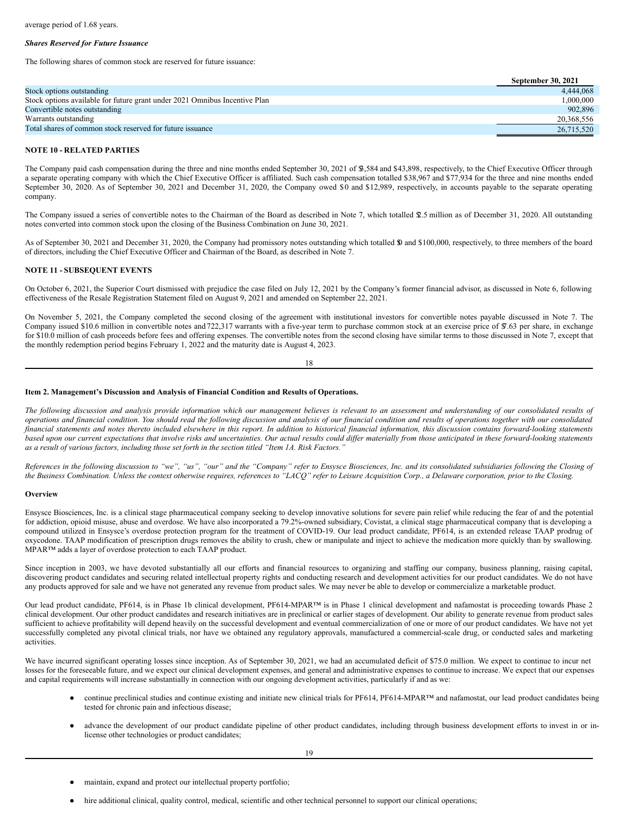## *Shares Reserved for Future Issuance*

The following shares of common stock are reserved for future issuance:

|                                                                            | September 30, 2021 |
|----------------------------------------------------------------------------|--------------------|
| Stock options outstanding                                                  | 4,444,068          |
| Stock options available for future grant under 2021 Omnibus Incentive Plan | 1,000,000          |
| Convertible notes outstanding                                              | 902,896            |
| Warrants outstanding                                                       | 20,368,556         |
| Total shares of common stock reserved for future issuance                  | 26,715,520         |

#### **NOTE 10 - RELATED PARTIES**

The Company paid cash compensation during the three and nine months ended September 30, 2021 of \$,584 and \$43,898, respectively, to the Chief Executive Officer through a separate operating company with which the Chief Executive Officer is affiliated. Such cash compensation totalled \$38,967 and \$77,934 for the three and nine months ended September 30, 2020. As of September 30, 2021 and December 31, 2020, the Company owed \$0 and \$12,989, respectively, in accounts payable to the separate operating company.

The Company issued a series of convertible notes to the Chairman of the Board as described in Note 7, which totalled \$2.5 million as of December 31, 2020. All outstanding notes converted into common stock upon the closing of the Business Combination on June 30, 2021.

As of September 30, 2021 and December 31, 2020, the Company had promissory notes outstanding which totalled \$0 and \$100,000, respectively, to three members of the board of directors, including the Chief Executive Officer and Chairman of the Board, as described in Note 7.

## **NOTE 11 - SUBSEQUENT EVENTS**

On October 6, 2021, the Superior Court dismissed with prejudice the case filed on July 12, 2021 by the Company's former financial advisor, as discussed in Note 6, following effectiveness of the Resale Registration Statement filed on August 9, 2021 and amended on September 22, 2021.

On November 5, 2021, the Company completed the second closing of the agreement with institutional investors for convertible notes payable discussed in Note 7. The Company issued \$10.6 million in convertible notes and 722,317 warrants with a five-year term to purchase common stock at an exercise price of \$7.63 per share, in exchange for \$10.0 million of cash proceeds before fees and offering expenses. The convertible notes from the second closing have similar terms to those discussed in Note 7, except that the monthly redemption period begins February 1, 2022 and the maturity date is August 4, 2023.

#### 18

#### **Item 2. Management's Discussion and Analysis of Financial Condition and Results of Operations.**

The following discussion and analysis provide information which our management believes is relevant to an assessment and understanding of our consolidated results of operations and financial condition. You should read the following discussion and analysis of our financial condition and results of operations together with our consolidated financial statements and notes thereto included elsewhere in this report. In addition to historical financial information, this discussion contains forward-looking statements based upon our current expectations that involve risks and uncertainties. Our actual results could differ materially from those anticipated in these forward-looking statements as a result of various factors, including those set forth in the section titled "Item 1A. Risk Factors."

References in the following discussion to "we", "us", "our" and the "Company" refer to Ensysce Biosciences, Inc. and its consolidated subsidiaries following the Closing of the Business Combination. Unless the context otherwise requires, references to "LACQ" refer to Leisure Acquisition Corp., a Delaware corporation, prior to the Closing.

#### **Overview**

Ensysce Biosciences, Inc. is a clinical stage pharmaceutical company seeking to develop innovative solutions for severe pain relief while reducing the fear of and the potential for addiction, opioid misuse, abuse and overdose. We have also incorporated a 79.2%-owned subsidiary, Covistat, a clinical stage pharmaceutical company that is developing a compound utilized in Ensysce's overdose protection program for the treatment of COVID-19. Our lead product candidate, PF614, is an extended release TAAP prodrug of oxycodone. TAAP modification of prescription drugs removes the ability to crush, chew or manipulate and inject to achieve the medication more quickly than by swallowing. MPAR™ adds a layer of overdose protection to each TAAP product.

Since inception in 2003, we have devoted substantially all our efforts and financial resources to organizing and staffing our company, business planning, raising capital, discovering product candidates and securing related intellectual property rights and conducting research and development activities for our product candidates. We do not have any products approved for sale and we have not generated any revenue from product sales. We may never be able to develop or commercialize a marketable product.

Our lead product candidate, PF614, is in Phase 1b clinical development, PF614-MPAR™ is in Phase 1 clinical development and nafamostat is proceeding towards Phase 2 clinical development. Our other product candidates and research initiatives are in preclinical or earlier stages of development. Our ability to generate revenue from product sales sufficient to achieve profitability will depend heavily on the successful development and eventual commercialization of one or more of our product candidates. We have not yet successfully completed any pivotal clinical trials, nor have we obtained any regulatory approvals, manufactured a commercial-scale drug, or conducted sales and marketing activities.

We have incurred significant operating losses since inception. As of September 30, 2021, we had an accumulated deficit of \$75.0 million. We expect to continue to incur net losses for the foreseeable future, and we expect our clinical development expenses, and general and administrative expenses to continue to increase. We expect that our expenses and capital requirements will increase substantially in connection with our ongoing development activities, particularly if and as we:

- continue preclinical studies and continue existing and initiate new clinical trials for PF614, PF614-MPAR™ and nafamostat, our lead product candidates being tested for chronic pain and infectious disease;
- advance the development of our product candidate pipeline of other product candidates, including through business development efforts to invest in or inlicense other technologies or product candidates;

- maintain, expand and protect our intellectual property portfolio;
- hire additional clinical, quality control, medical, scientific and other technical personnel to support our clinical operations;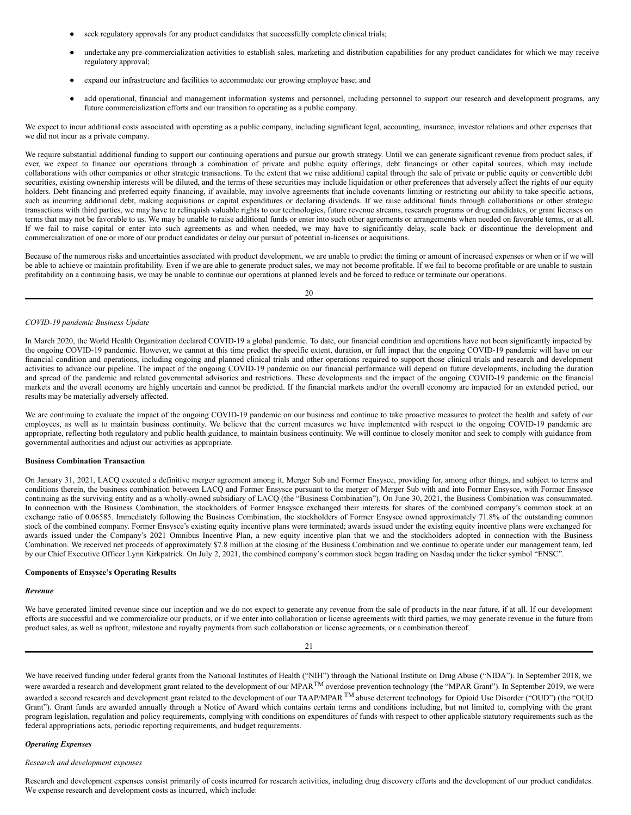- seek regulatory approvals for any product candidates that successfully complete clinical trials;
- undertake any pre-commercialization activities to establish sales, marketing and distribution capabilities for any product candidates for which we may receive regulatory approval;
- expand our infrastructure and facilities to accommodate our growing employee base; and
- add operational, financial and management information systems and personnel, including personnel to support our research and development programs, any future commercialization efforts and our transition to operating as a public company.

We expect to incur additional costs associated with operating as a public company, including significant legal, accounting, insurance, investor relations and other expenses that we did not incur as a private company.

We require substantial additional funding to support our continuing operations and pursue our growth strategy. Until we can generate significant revenue from product sales, if ever, we expect to finance our operations through a combination of private and public equity offerings, debt financings or other capital sources, which may include collaborations with other companies or other strategic transactions. To the extent that we raise additional capital through the sale of private or public equity or convertible debt securities, existing ownership interests will be diluted, and the terms of these securities may include liquidation or other preferences that adversely affect the rights of our equity holders. Debt financing and preferred equity financing, if available, may involve agreements that include covenants limiting or restricting our ability to take specific actions, such as incurring additional debt, making acquisitions or capital expenditures or declaring dividends. If we raise additional funds through collaborations or other strategic transactions with third parties, we may have to relinquish valuable rights to our technologies, future revenue streams, research programs or drug candidates, or grant licenses on terms that may not be favorable to us. We may be unable to raise additional funds or enter into such other agreements or arrangements when needed on favorable terms, or at all. If we fail to raise capital or enter into such agreements as and when needed, we may have to significantly delay, scale back or discontinue the development and commercialization of one or more of our product candidates or delay our pursuit of potential in-licenses or acquisitions.

Because of the numerous risks and uncertainties associated with product development, we are unable to predict the timing or amount of increased expenses or when or if we will be able to achieve or maintain profitability. Even if we are able to generate product sales, we may not become profitable. If we fail to become profitable or are unable to sustain profitability on a continuing basis, we may be unable to continue our operations at planned levels and be forced to reduce or terminate our operations.

20

#### *COVID-19 pandemic Business Update*

In March 2020, the World Health Organization declared COVID-19 a global pandemic. To date, our financial condition and operations have not been significantly impacted by the ongoing COVID-19 pandemic. However, we cannot at this time predict the specific extent, duration, or full impact that the ongoing COVID-19 pandemic will have on our financial condition and operations, including ongoing and planned clinical trials and other operations required to support those clinical trials and research and development activities to advance our pipeline. The impact of the ongoing COVID-19 pandemic on our financial performance will depend on future developments, including the duration and spread of the pandemic and related governmental advisories and restrictions. These developments and the impact of the ongoing COVID-19 pandemic on the financial markets and the overall economy are highly uncertain and cannot be predicted. If the financial markets and/or the overall economy are impacted for an extended period, our results may be materially adversely affected.

We are continuing to evaluate the impact of the ongoing COVID-19 pandemic on our business and continue to take proactive measures to protect the health and safety of our employees, as well as to maintain business continuity. We believe that the current measures we have implemented with respect to the ongoing COVID-19 pandemic are appropriate, reflecting both regulatory and public health guidance, to maintain business continuity. We will continue to closely monitor and seek to comply with guidance from governmental authorities and adjust our activities as appropriate.

#### **Business Combination Transaction**

On January 31, 2021, LACQ executed a definitive merger agreement among it, Merger Sub and Former Ensysce, providing for, among other things, and subject to terms and conditions therein, the business combination between LACQ and Former Ensysce pursuant to the merger of Merger Sub with and into Former Ensysce, with Former Ensysce continuing as the surviving entity and as a wholly-owned subsidiary of LACQ (the "Business Combination"). On June 30, 2021, the Business Combination was consummated. In connection with the Business Combination, the stockholders of Former Ensysce exchanged their interests for shares of the combined company's common stock at an exchange ratio of 0.06585. Immediately following the Business Combination, the stockholders of Former Ensysce owned approximately 71.8% of the outstanding common stock of the combined company. Former Ensysce's existing equity incentive plans were terminated; awards issued under the existing equity incentive plans were exchanged for awards issued under the Company's 2021 Omnibus Incentive Plan, a new equity incentive plan that we and the stockholders adopted in connection with the Business Combination. We received net proceeds of approximately \$7.8 million at the closing of the Business Combination and we continue to operate under our management team, led by our Chief Executive Officer Lynn Kirkpatrick. On July 2, 2021, the combined company's common stock began trading on Nasdaq under the ticker symbol "ENSC".

#### **Components of Ensysce's Operating Results**

#### *Revenue*

We have generated limited revenue since our inception and we do not expect to generate any revenue from the sale of products in the near future, if at all. If our development efforts are successful and we commercialize our products, or if we enter into collaboration or license agreements with third parties, we may generate revenue in the future from product sales, as well as upfront, milestone and royalty payments from such collaboration or license agreements, or a combination thereof.

21

We have received funding under federal grants from the National Institutes of Health ("NIH") through the National Institute on Drug Abuse ("NIDA"). In September 2018, we were awarded a research and development grant related to the development of our MPAR<sup>TM</sup> overdose prevention technology (the "MPAR Grant"). In September 2019, we were awarded a second research and development grant related to the development of our TAAP/MPAR<sup>TM</sup> abuse deterrent technology for Opioid Use Disorder ("OUD") (the "OUD Grant"). Grant funds are awarded annually through a Notice of Award which contains certain terms and conditions including, but not limited to, complying with the grant program legislation, regulation and policy requirements, complying with conditions on expenditures of funds with respect to other applicable statutory requirements such as the federal appropriations acts, periodic reporting requirements, and budget requirements.

#### *Operating Expenses*

# *Research and development expenses*

Research and development expenses consist primarily of costs incurred for research activities, including drug discovery efforts and the development of our product candidates. We expense research and development costs as incurred, which include: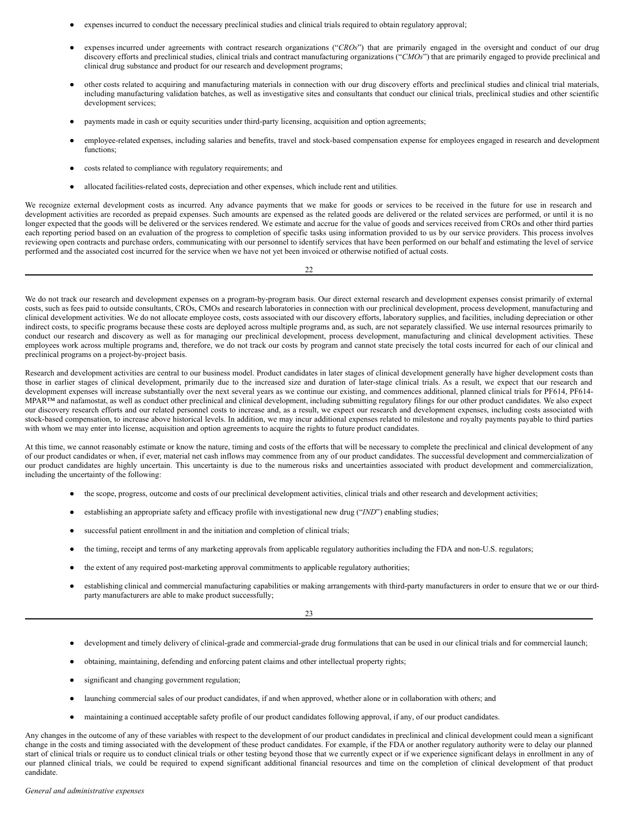- expenses incurred to conduct the necessary preclinical studies and clinical trials required to obtain regulatory approval;
- expenses incurred under agreements with contract research organizations ("CROs") that are primarily engaged in the oversight and conduct of our drug discovery efforts and preclinical studies, clinical trials and contract manufacturing organizations ("CMOs") that are primarily engaged to provide preclinical and clinical drug substance and product for our research and development programs;
- other costs related to acquiring and manufacturing materials in connection with our drug discovery efforts and preclinical studies and clinical trial materials, including manufacturing validation batches, as well as investigative sites and consultants that conduct our clinical trials, preclinical studies and other scientific development services;
- payments made in cash or equity securities under third-party licensing, acquisition and option agreements;
- employee-related expenses, including salaries and benefits, travel and stock-based compensation expense for employees engaged in research and development functions;
- costs related to compliance with regulatory requirements; and
- allocated facilities-related costs, depreciation and other expenses, which include rent and utilities.

We recognize external development costs as incurred. Any advance payments that we make for goods or services to be received in the future for use in research and development activities are recorded as prepaid expenses. Such amounts are expensed as the related goods are delivered or the related services are performed, or until it is no longer expected that the goods will be delivered or the services rendered. We estimate and accrue for the value of goods and services received from CROs and other third parties each reporting period based on an evaluation of the progress to completion of specific tasks using information provided to us by our service providers. This process involves reviewing open contracts and purchase orders, communicating with our personnel to identify services that have been performed on our behalf and estimating the level of service performed and the associated cost incurred for the service when we have not yet been invoiced or otherwise notified of actual costs.

22

We do not track our research and development expenses on a program-by-program basis. Our direct external research and development expenses consist primarily of external costs, such as fees paid to outside consultants, CROs, CMOs and research laboratories in connection with our preclinical development, process development, manufacturing and clinical development activities. We do not allocate employee costs, costs associated with our discovery efforts, laboratory supplies, and facilities, including depreciation or other indirect costs, to specific programs because these costs are deployed across multiple programs and, as such, are not separately classified. We use internal resources primarily to conduct our research and discovery as well as for managing our preclinical development, process development, manufacturing and clinical development activities. These employees work across multiple programs and, therefore, we do not track our costs by program and cannot state precisely the total costs incurred for each of our clinical and preclinical programs on a project-by-project basis.

Research and development activities are central to our business model. Product candidates in later stages of clinical development generally have higher development costs than those in earlier stages of clinical development, primarily due to the increased size and duration of later-stage clinical trials. As a result, we expect that our research and development expenses will increase substantially over the next several years as we continue our existing, and commences additional, planned clinical trials for PF614, PF614-MPAR™ and nafamostat, as well as conduct other preclinical and clinical development, including submitting regulatory filings for our other product candidates. We also expect our discovery research efforts and our related personnel costs to increase and, as a result, we expect our research and development expenses, including costs associated with stock-based compensation, to increase above historical levels. In addition, we may incur additional expenses related to milestone and royalty payments payable to third parties with whom we may enter into license, acquisition and option agreements to acquire the rights to future product candidates.

At this time, we cannot reasonably estimate or know the nature, timing and costs of the efforts that will be necessary to complete the preclinical and clinical development of any of our product candidates or when, if ever, material net cash inflows may commence from any of our product candidates. The successful development and commercialization of our product candidates are highly uncertain. This uncertainty is due to the numerous risks and uncertainties associated with product development and commercialization, including the uncertainty of the following:

- the scope, progress, outcome and costs of our preclinical development activities, clinical trials and other research and development activities;
- establishing an appropriate safety and efficacy profile with investigational new drug ("*IND*") enabling studies;
- successful patient enrollment in and the initiation and completion of clinical trials;
- the timing, receipt and terms of any marketing approvals from applicable regulatory authorities including the FDA and non-U.S. regulators;
- the extent of any required post-marketing approval commitments to applicable regulatory authorities;
- establishing clinical and commercial manufacturing capabilities or making arrangements with third-party manufacturers in order to ensure that we or our thirdparty manufacturers are able to make product successfully;

23

- development and timely delivery of clinical-grade and commercial-grade drug formulations that can be used in our clinical trials and for commercial launch;
- obtaining, maintaining, defending and enforcing patent claims and other intellectual property rights;
- significant and changing government regulation;
- launching commercial sales of our product candidates, if and when approved, whether alone or in collaboration with others; and
- maintaining a continued acceptable safety profile of our product candidates following approval, if any, of our product candidates.

Any changes in the outcome of any of these variables with respect to the development of our product candidates in preclinical and clinical development could mean a significant change in the costs and timing associated with the development of these product candidates. For example, if the FDA or another regulatory authority were to delay our planned start of clinical trials or require us to conduct clinical trials or other testing beyond those that we currently expect or if we experience significant delays in enrollment in any of our planned clinical trials, we could be required to expend significant additional financial resources and time on the completion of clinical development of that product candidate.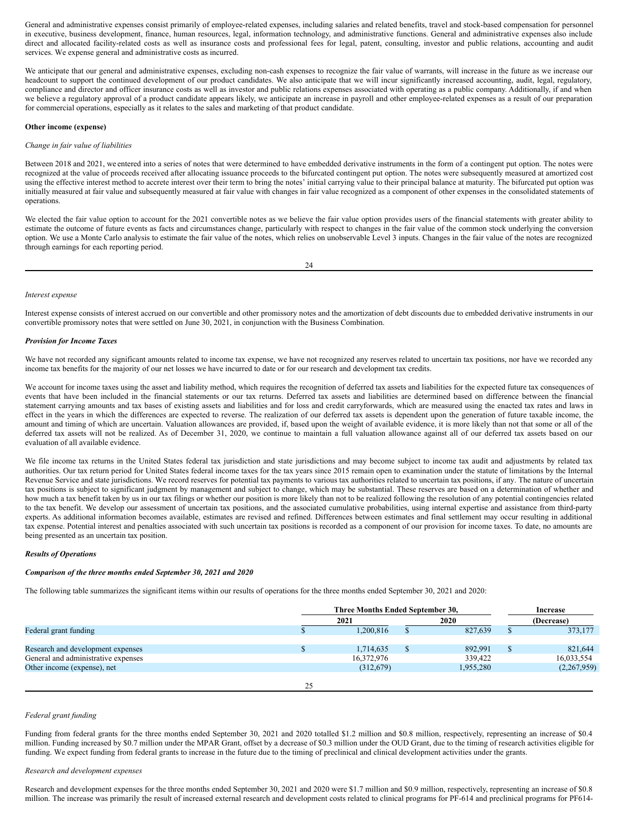General and administrative expenses consist primarily of employee-related expenses, including salaries and related benefits, travel and stock-based compensation for personnel in executive, business development, finance, human resources, legal, information technology, and administrative functions. General and administrative expenses also include direct and allocated facility-related costs as well as insurance costs and professional fees for legal, patent, consulting, investor and public relations, accounting and audit services. We expense general and administrative costs as incurred.

We anticipate that our general and administrative expenses, excluding non-cash expenses to recognize the fair value of warrants, will increase in the future as we increase our headcount to support the continued development of our product candidates. We also anticipate that we will incur significantly increased accounting, audit, legal, regulatory, compliance and director and officer insurance costs as well as investor and public relations expenses associated with operating as a public company. Additionally, if and when we believe a regulatory approval of a product candidate appears likely, we anticipate an increase in payroll and other employee-related expenses as a result of our preparation for commercial operations, especially as it relates to the sales and marketing of that product candidate.

#### **Other income (expense)**

#### *Change in fair value of liabilities*

Between 2018 and 2021, we entered into a series of notes that were determined to have embedded derivative instruments in the form of a contingent put option. The notes were recognized at the value of proceeds received after allocating issuance proceeds to the bifurcated contingent put option. The notes were subsequently measured at amortized cost using the effective interest method to accrete interest over their term to bring the notes' initial carrying value to their principal balance at maturity. The bifurcated put option was initially measured at fair value and subsequently measured at fair value with changes in fair value recognized as a component of other expenses in the consolidated statements of operations.

We elected the fair value option to account for the 2021 convertible notes as we believe the fair value option provides users of the financial statements with greater ability to estimate the outcome of future events as facts and circumstances change, particularly with respect to changes in the fair value of the common stock underlying the conversion option. We use a Monte Carlo analysis to estimate the fair value of the notes, which relies on unobservable Level 3 inputs. Changes in the fair value of the notes are recognized through earnings for each reporting period.

24

#### *Interest expense*

Interest expense consists of interest accrued on our convertible and other promissory notes and the amortization of debt discounts due to embedded derivative instruments in our convertible promissory notes that were settled on June 30, 2021, in conjunction with the Business Combination.

#### *Provision for Income Taxes*

We have not recorded any significant amounts related to income tax expense, we have not recognized any reserves related to uncertain tax positions, nor have we recorded any income tax benefits for the majority of our net losses we have incurred to date or for our research and development tax credits.

We account for income taxes using the asset and liability method, which requires the recognition of deferred tax assets and liabilities for the expected future tax consequences of events that have been included in the financial statements or our tax returns. Deferred tax assets and liabilities are determined based on difference between the financial statement carrying amounts and tax bases of existing assets and liabilities and for loss and credit carryforwards, which are measured using the enacted tax rates and laws in effect in the years in which the differences are expected to reverse. The realization of our deferred tax assets is dependent upon the generation of future taxable income, the amount and timing of which are uncertain. Valuation allowances are provided, if, based upon the weight of available evidence, it is more likely than not that some or all of the deferred tax assets will not be realized. As of December 31, 2020, we continue to maintain a full valuation allowance against all of our deferred tax assets based on our evaluation of all available evidence.

We file income tax returns in the United States federal tax jurisdiction and state jurisdictions and may become subject to income tax audit and adjustments by related tax authorities. Our tax return period for United States federal income taxes for the tax years since 2015 remain open to examination under the statute of limitations by the Internal Revenue Service and state jurisdictions. We record reserves for potential tax payments to various tax authorities related to uncertain tax positions, if any. The nature of uncertain tax positions is subject to significant judgment by management and subject to change, which may be substantial. These reserves are based on a determination of whether and how much a tax benefit taken by us in our tax filings or whether our position is more likely than not to be realized following the resolution of any potential contingencies related to the tax benefit. We develop our assessment of uncertain tax positions, and the associated cumulative probabilities, using internal expertise and assistance from third-party experts. As additional information becomes available, estimates are revised and refined. Differences between estimates and final settlement may occur resulting in additional tax expense. Potential interest and penalties associated with such uncertain tax positions is recorded as a component of our provision for income taxes. To date, no amounts are being presented as an uncertain tax position.

## *Results of Operations*

## *Comparison of the three months ended September 30, 2021 and 2020*

The following table summarizes the significant items within our results of operations for the three months ended September 30, 2021 and 2020:

|                                     |    | Three Months Ended September 30. |  |           |  |             |  |
|-------------------------------------|----|----------------------------------|--|-----------|--|-------------|--|
|                                     |    | 2021                             |  | 2020      |  | (Decrease)  |  |
| Federal grant funding               |    | 1,200,816                        |  | 827,639   |  | 373,177     |  |
|                                     |    |                                  |  |           |  |             |  |
| Research and development expenses   |    | 1,714,635                        |  | 892.991   |  | 821,644     |  |
| General and administrative expenses |    | 16,372,976                       |  | 339,422   |  | 16,033,554  |  |
| Other income (expense), net         |    | (312,679)                        |  | 1,955,280 |  | (2,267,959) |  |
|                                     |    |                                  |  |           |  |             |  |
|                                     | 25 |                                  |  |           |  |             |  |

## *Federal grant funding*

Funding from federal grants for the three months ended September 30, 2021 and 2020 totalled \$1.2 million and \$0.8 million, respectively, representing an increase of \$0.4 million. Funding increased by \$0.7 million under the MPAR Grant, offset by a decrease of \$0.3 million under the OUD Grant, due to the timing of research activities eligible for funding. We expect funding from federal grants to increase in the future due to the timing of preclinical and clinical development activities under the grants.

# *Research and development expenses*

Research and development expenses for the three months ended September 30, 2021 and 2020 were \$1.7 million and \$0.9 million, respectively, representing an increase of \$0.8 million. The increase was primarily the result of increased external research and development costs related to clinical programs for PF-614 and preclinical programs for PF614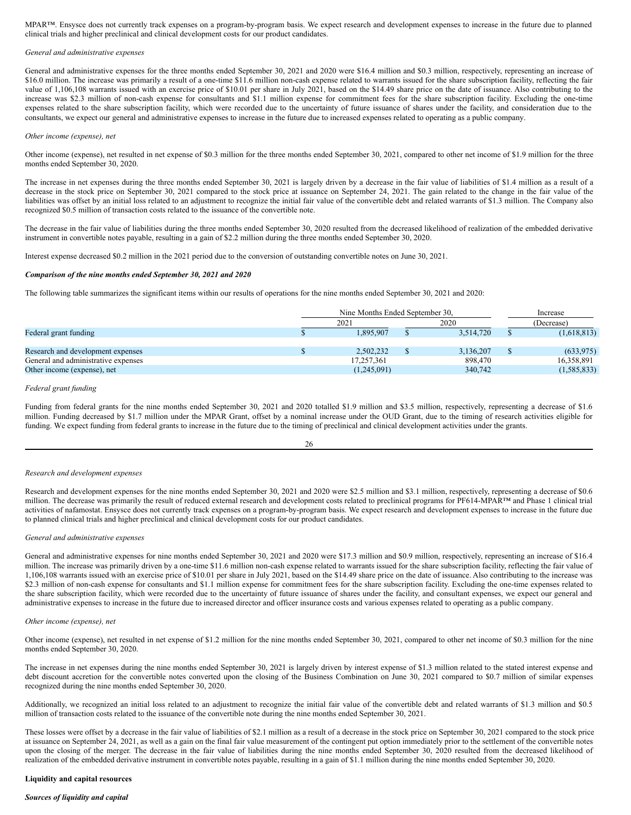MPAR™. Ensysce does not currently track expenses on a program-by-program basis. We expect research and development expenses to increase in the future due to planned clinical trials and higher preclinical and clinical development costs for our product candidates.

#### *General and administrative expenses*

General and administrative expenses for the three months ended September 30, 2021 and 2020 were \$16.4 million and \$0.3 million, respectively, representing an increase of \$16.0 million. The increase was primarily a result of a one-time \$11.6 million non-cash expense related to warrants issued for the share subscription facility, reflecting the fair value of 1,106,108 warrants issued with an exercise price of \$10.01 per share in July 2021, based on the \$14.49 share price on the date of issuance. Also contributing to the increase was \$2.3 million of non-cash expense for consultants and \$1.1 million expense for commitment fees for the share subscription facility. Excluding the one-time expenses related to the share subscription facility, which were recorded due to the uncertainty of future issuance of shares under the facility, and consideration due to the consultants, we expect our general and administrative expenses to increase in the future due to increased expenses related to operating as a public company.

#### *Other income (expense), net*

Other income (expense), net resulted in net expense of \$0.3 million for the three months ended September 30, 2021, compared to other net income of \$1.9 million for the three months ended September 30, 2020.

The increase in net expenses during the three months ended September 30, 2021 is largely driven by a decrease in the fair value of liabilities of \$1.4 million as a result of a decrease in the stock price on September 30, 2021 compared to the stock price at issuance on September 24, 2021. The gain related to the change in the fair value of the liabilities was offset by an initial loss related to an adjustment to recognize the initial fair value of the convertible debt and related warrants of \$1.3 million. The Company also recognized \$0.5 million of transaction costs related to the issuance of the convertible note.

The decrease in the fair value of liabilities during the three months ended September 30, 2020 resulted from the decreased likelihood of realization of the embedded derivative instrument in convertible notes payable, resulting in a gain of \$2.2 million during the three months ended September 30, 2020.

Interest expense decreased \$0.2 million in the 2021 period due to the conversion of outstanding convertible notes on June 30, 2021.

#### *Comparison of the nine months ended September 30, 2021 and 2020*

The following table summarizes the significant items within our results of operations for the nine months ended September 30, 2021 and 2020:

|                                     | Nine Months Ended September 30. | Increase  |  |               |
|-------------------------------------|---------------------------------|-----------|--|---------------|
|                                     | 2021                            | 2020      |  | (Decrease)    |
| Federal grant funding               | 1.895.907                       | 3.514.720 |  | (1,618,813)   |
|                                     |                                 |           |  |               |
| Research and development expenses   | 2.502.232                       | 3,136,207 |  | (633, 975)    |
| General and administrative expenses | 17,257,361                      | 898,470   |  | 16,358,891    |
| Other income (expense), net         | (1,245,091)                     | 340,742   |  | (1, 585, 833) |

#### *Federal grant funding*

Funding from federal grants for the nine months ended September 30, 2021 and 2020 totalled \$1.9 million and \$3.5 million, respectively, representing a decrease of \$1.6 million. Funding decreased by \$1.7 million under the MPAR Grant, offset by a nominal increase under the OUD Grant, due to the timing of research activities eligible for funding. We expect funding from federal grants to increase in the future due to the timing of preclinical and clinical development activities under the grants.

#### *Research and development expenses*

Research and development expenses for the nine months ended September 30, 2021 and 2020 were \$2.5 million and \$3.1 million, respectively, representing a decrease of \$0.6 million. The decrease was primarily the result of reduced external research and development costs related to preclinical programs for PF614-MPAR™ and Phase 1 clinical trial activities of nafamostat. Ensysce does not currently track expenses on a program-by-program basis. We expect research and development expenses to increase in the future due to planned clinical trials and higher preclinical and clinical development costs for our product candidates.

#### *General and administrative expenses*

General and administrative expenses for nine months ended September 30, 2021 and 2020 were \$17.3 million and \$0.9 million, respectively, representing an increase of \$16.4 million. The increase was primarily driven by a one-time \$11.6 million non-cash expense related to warrants issued for the share subscription facility, reflecting the fair value of 1,106,108 warrants issued with an exercise price of \$10.01 per share in July 2021, based on the \$14.49 share price on the date of issuance. Also contributing to the increase was \$2.3 million of non-cash expense for consultants and \$1.1 million expense for commitment fees for the share subscription facility. Excluding the one-time expenses related to the share subscription facility, which were recorded due to the uncertainty of future issuance of shares under the facility, and consultant expenses, we expect our general and administrative expenses to increase in the future due to increased director and officer insurance costs and various expenses related to operating as a public company.

#### *Other income (expense), net*

Other income (expense), net resulted in net expense of \$1.2 million for the nine months ended September 30, 2021, compared to other net income of \$0.3 million for the nine months ended September 30, 2020.

The increase in net expenses during the nine months ended September 30, 2021 is largely driven by interest expense of \$1.3 million related to the stated interest expense and debt discount accretion for the convertible notes converted upon the closing of the Business Combination on June 30, 2021 compared to \$0.7 million of similar expenses recognized during the nine months ended September 30, 2020.

Additionally, we recognized an initial loss related to an adjustment to recognize the initial fair value of the convertible debt and related warrants of \$1.3 million and \$0.5 million of transaction costs related to the issuance of the convertible note during the nine months ended September 30, 2021.

These losses were offset by a decrease in the fair value of liabilities of \$2.1 million as a result of a decrease in the stock price on September 30, 2021 compared to the stock price at issuance on September 24, 2021, as well as a gain on the final fair value measurement of the contingent put option immediately prior to the settlement of the convertible notes upon the closing of the merger. The decrease in the fair value of liabilities during the nine months ended September 30, 2020 resulted from the decreased likelihood of realization of the embedded derivative instrument in convertible notes payable, resulting in a gain of \$1.1 million during the nine months ended September 30, 2020.

#### **Liquidity and capital resources**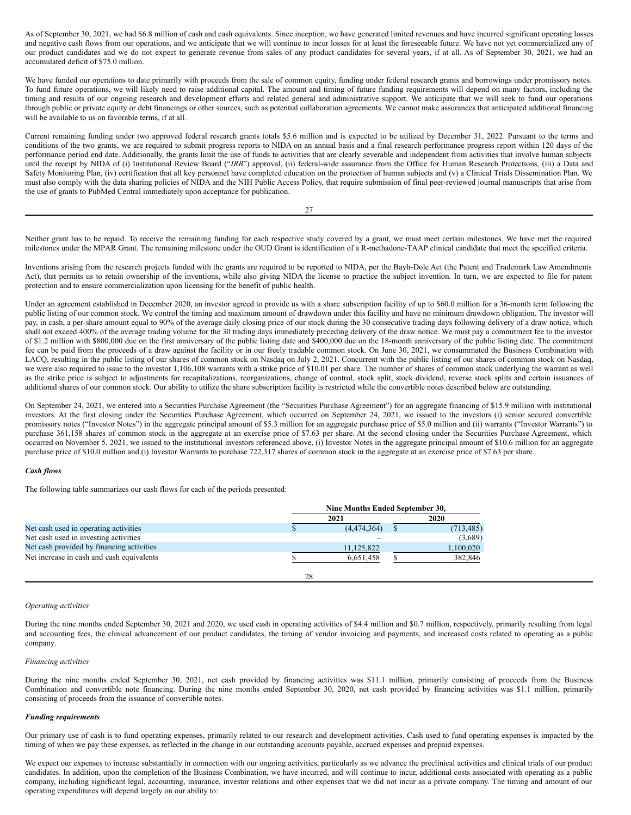As of September 30, 2021, we had \$6.8 million of cash and cash equivalents. Since inception, we have generated limited revenues and have incurred significant operating losses and negative cash flows from our operations, and we anticipate that we will continue to incur losses for at least the foreseeable future. We have not yet commercialized any of our product candidates and we do not expect to generate revenue from sales of any product candidates for several years, if at all. As of September 30, 2021, we had an accumulated deficit of \$75.0 million.

We have funded our operations to date primarily with proceeds from the sale of common equity, funding under federal research grants and borrowings under promissory notes. To fund future operations, we will likely need to raise additional capital. The amount and timing of future funding requirements will depend on many factors, including the timing and results of our ongoing research and development efforts and related general and administrative support. We anticipate that we will seek to fund our operations through public or private equity or debt financings or other sources, such as potential collaboration agreements. We cannot make assurances that anticipated additional financing will be available to us on favorable terms, if at all.

Current remaining funding under two approved federal research grants totals \$5.6 million and is expected to be utilized by December 31, 2022. Pursuant to the terms and conditions of the two grants, we are required to submit progress reports to NIDA on an annual basis and a final research performance progress report within 120 days of the performance period end date. Additionally, the grants limit the use of funds to activities that are clearly severable and independent from activities that involve human subjects until the receipt by NIDA of (i) Institutional Review Board ("IRB") approval, (ii) federal-wide assurance from the Office for Human Research Protections, (iii) a Data and Safety Monitoring Plan, (iv) certification that all key personnel have completed education on the protection of human subjects and (v) a Clinical Trials Dissemination Plan. We must also comply with the data sharing policies of NIDA and the NIH Public Access Policy, that require submission of final peer-reviewed journal manuscripts that arise from the use of grants to PubMed Central immediately upon acceptance for publication.

27

Neither grant has to be repaid. To receive the remaining funding for each respective study covered by a grant, we must meet certain milestones. We have met the required milestones under the MPAR Grant. The remaining milestone under the OUD Grant is identification of a R-methadone-TAAP clinical candidate that meet the specified criteria.

Inventions arising from the research projects funded with the grants are required to be reported to NIDA, per the Bayh-Dole Act (the Patent and Trademark Law Amendments Act), that permits us to retain ownership of the inventions, while also giving NIDA the license to practice the subject invention. In turn, we are expected to file for patent protection and to ensure commercialization upon licensing for the benefit of public health.

Under an agreement established in December 2020, an investor agreed to provide us with a share subscription facility of up to \$60.0 million for a 36-month term following the public listing of our common stock. We control the timing and maximum amount of drawdown under this facility and have no minimum drawdown obligation. The investor will pay, in cash, a per-share amount equal to 90% of the average daily closing price of our stock during the 30 consecutive trading days following delivery of a draw notice, which shall not exceed 400% of the average trading volume for the 30 trading days immediately preceding delivery of the draw notice. We must pay a commitment fee to the investor of \$1.2 million with \$800,000 due on the first anniversary of the public listing date and \$400,000 due on the 18-month anniversary of the public listing date. The commitment fee can be paid from the proceeds of a draw against the facility or in our freely tradable common stock. On June 30, 2021, we consummated the Business Combination with LACQ, resulting in the public listing of our shares of common stock on Nasdaq on July 2, 2021. Concurrent with the public listing of our shares of common stock on Nasdaq, we were also required to issue to the investor 1,106,108 warrants with a strike price of \$10.01 per share. The number of shares of common stock underlying the warrant as well as the strike price is subject to adjustments for recapitalizations, reorganizations, change of control, stock split, stock dividend, reverse stock splits and certain issuances of additional shares of our common stock. Our ability to utilize the share subscription facility is restricted while the convertible notes described below are outstanding.

On September 24, 2021, we entered into a Securities Purchase Agreement (the "Securities Purchase Agreement") for an aggregate financing of \$15.9 million with institutional investors. At the first closing under the Securities Purchase Agreement, which occurred on September 24, 2021, we issued to the investors (i) senior secured convertible promissory notes ("Investor Notes") in the aggregate principal amount of \$5.3 million for an aggregate purchase price of \$5.0 million and (ii) warrants ("Investor Warrants") to purchase 361,158 shares of common stock in the aggregate at an exercise price of \$7.63 per share. At the second closing under the Securities Purchase Agreement, which occurred on November 5, 2021, we issued to the institutional investors referenced above, (i) Investor Notes in the aggregate principal amount of \$10.6 million for an aggregate purchase price of \$10.0 million and (i) Investor Warrants to purchase 722,317 shares of common stock in the aggregate at an exercise price of \$7.63 per share.

## *Cash flows*

The following table summarizes our cash flows for each of the periods presented:

|                                           |    | Nine Months Ended September 30, |  |            |
|-------------------------------------------|----|---------------------------------|--|------------|
|                                           |    | 2021                            |  | 2020       |
| Net cash used in operating activities     |    | (4,474,364)                     |  | (713, 485) |
| Net cash used in investing activities     |    |                                 |  | (3,689)    |
| Net cash provided by financing activities |    | 11, 125, 822                    |  | 1,100,020  |
| Net increase in cash and cash equivalents |    | 6,651,458                       |  | 382,846    |
|                                           | 28 |                                 |  |            |

#### *Operating activities*

During the nine months ended September 30, 2021 and 2020, we used cash in operating activities of \$4.4 million and \$0.7 million, respectively, primarily resulting from legal and accounting fees, the clinical advancement of our product candidates, the timing of vendor invoicing and payments, and increased costs related to operating as a public company.

#### *Financing activities*

During the nine months ended September 30, 2021, net cash provided by financing activities was \$11.1 million, primarily consisting of proceeds from the Business Combination and convertible note financing. During the nine months ended September 30, 2020, net cash provided by financing activities was \$1.1 million, primarily consisting of proceeds from the issuance of convertible notes.

## *Funding requirements*

Our primary use of cash is to fund operating expenses, primarily related to our research and development activities. Cash used to fund operating expenses is impacted by the timing of when we pay these expenses, as reflected in the change in our outstanding accounts payable, accrued expenses and prepaid expenses.

We expect our expenses to increase substantially in connection with our ongoing activities, particularly as we advance the preclinical activities and clinical trials of our product candidates. In addition, upon the completion of the Business Combination, we have incurred, and will continue to incur, additional costs associated with operating as a public company, including significant legal, accounting, insurance, investor relations and other expenses that we did not incur as a private company. The timing and amount of our operating expenditures will depend largely on our ability to: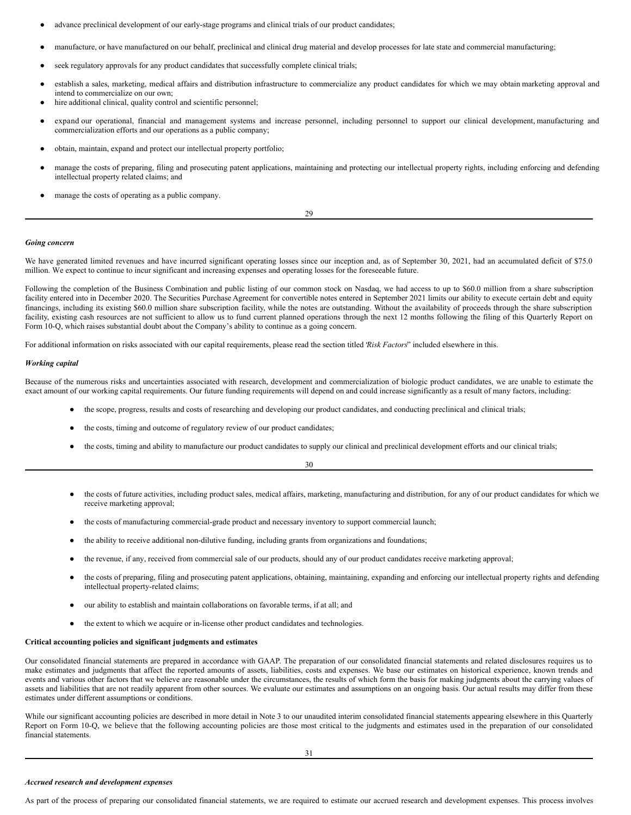- advance preclinical development of our early-stage programs and clinical trials of our product candidates;
- manufacture, or have manufactured on our behalf, preclinical and clinical drug material and develop processes for late state and commercial manufacturing;
- seek regulatory approvals for any product candidates that successfully complete clinical trials;
- establish a sales, marketing, medical affairs and distribution infrastructure to commercialize any product candidates for which we may obtain marketing approval and intend to commercialize on our own;
- hire additional clinical, quality control and scientific personnel;
- expand our operational, financial and management systems and increase personnel, including personnel to support our clinical development, manufacturing and commercialization efforts and our operations as a public company;
- obtain, maintain, expand and protect our intellectual property portfolio;
- manage the costs of preparing, filing and prosecuting patent applications, maintaining and protecting our intellectual property rights, including enforcing and defending intellectual property related claims; and
- manage the costs of operating as a public company.

 $29$ 

#### *Going concern*

We have generated limited revenues and have incurred significant operating losses since our inception and, as of September 30, 2021, had an accumulated deficit of \$75.0 million. We expect to continue to incur significant and increasing expenses and operating losses for the foreseeable future.

Following the completion of the Business Combination and public listing of our common stock on Nasdaq, we had access to up to \$60.0 million from a share subscription facility entered into in December 2020. The Securities Purchase Agreement for convertible notes entered in September 2021 limits our ability to execute certain debt and equity financings, including its existing \$60.0 million share subscription facility, while the notes are outstanding. Without the availability of proceeds through the share subscription facility, existing cash resources are not sufficient to allow us to fund current planned operations through the next 12 months following the filing of this Quarterly Report on Form 10-Q, which raises substantial doubt about the Company's ability to continue as a going concern.

For additional information on risks associated with our capital requirements, please read the section titled "*Risk Factors*" included elsewhere in this.

#### *Working capital*

Because of the numerous risks and uncertainties associated with research, development and commercialization of biologic product candidates, we are unable to estimate the exact amount of our working capital requirements. Our future funding requirements will depend on and could increase significantly as a result of many factors, including:

- the scope, progress, results and costs of researching and developing our product candidates, and conducting preclinical and clinical trials;
- the costs, timing and outcome of regulatory review of our product candidates;
- the costs, timing and ability to manufacture our product candidates to supply our clinical and preclinical development efforts and our clinical trials;

30

- the costs of future activities, including product sales, medical affairs, marketing, manufacturing and distribution, for any of our product candidates for which we receive marketing approval;
- the costs of manufacturing commercial-grade product and necessary inventory to support commercial launch;
- the ability to receive additional non-dilutive funding, including grants from organizations and foundations;
- the revenue, if any, received from commercial sale of our products, should any of our product candidates receive marketing approval;
- the costs of preparing, filing and prosecuting patent applications, obtaining, maintaining, expanding and enforcing our intellectual property rights and defending intellectual property-related claims;
- our ability to establish and maintain collaborations on favorable terms, if at all; and
- the extent to which we acquire or in-license other product candidates and technologies.

# **Critical accounting policies and significant judgments and estimates**

Our consolidated financial statements are prepared in accordance with GAAP. The preparation of our consolidated financial statements and related disclosures requires us to make estimates and judgments that affect the reported amounts of assets, liabilities, costs and expenses. We base our estimates on historical experience, known trends and events and various other factors that we believe are reasonable under the circumstances, the results of which form the basis for making judgments about the carrying values of assets and liabilities that are not readily apparent from other sources. We evaluate our estimates and assumptions on an ongoing basis. Our actual results may differ from these estimates under different assumptions or conditions.

While our significant accounting policies are described in more detail in Note 3 to our unaudited interim consolidated financial statements appearing elsewhere in this Quarterly Report on Form 10-Q, we believe that the following accounting policies are those most critical to the judgments and estimates used in the preparation of our consolidated financial statements.

#### *Accrued research and development expenses*

As part of the process of preparing our consolidated financial statements, we are required to estimate our accrued research and development expenses. This process involves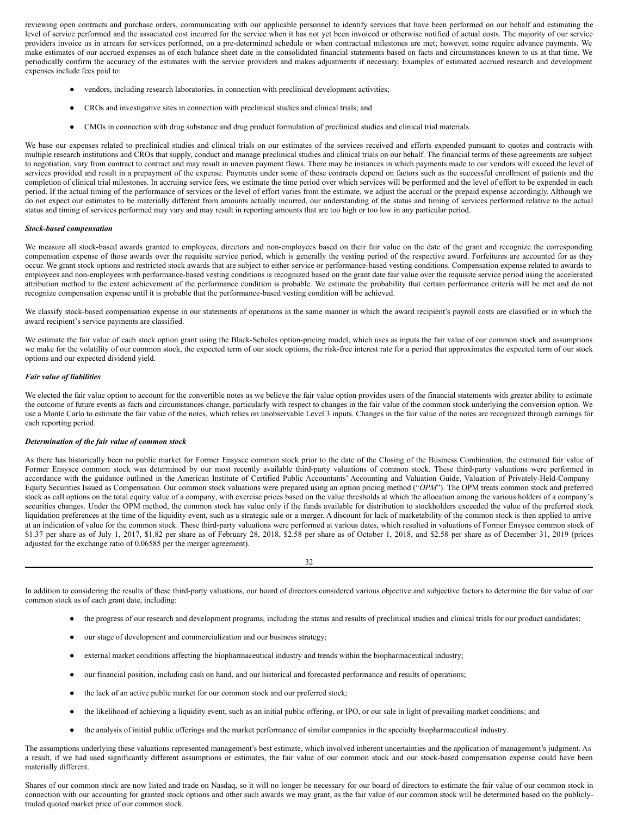reviewing open contracts and purchase orders, communicating with our applicable personnel to identify services that have been performed on our behalf and estimating the level of service performed and the associated cost incurred for the service when it has not yet been invoiced or otherwise notified of actual costs. The majority of our service providers invoice us in arrears for services performed, on a pre-determined schedule or when contractual milestones are met; however, some require advance payments. We make estimates of our accrued expenses as of each balance sheet date in the consolidated financial statements based on facts and circumstances known to us at that time. We periodically confirm the accuracy of the estimates with the service providers and makes adjustments if necessary. Examples of estimated accrued research and development expenses include fees paid to:

- vendors, including research laboratories, in connection with preclinical development activities;
- CROs and investigative sites in connection with preclinical studies and clinical trials; and
- CMOs in connection with drug substance and drug product formulation of preclinical studies and clinical trial materials.

We base our expenses related to preclinical studies and clinical trials on our estimates of the services received and efforts expended pursuant to quotes and contracts with multiple research institutions and CROs that supply, conduct and manage preclinical studies and clinical trials on our behalf. The financial terms of these agreements are subject to negotiation, vary from contract to contract and may result in uneven payment flows. There may be instances in which payments made to our vendors will exceed the level of services provided and result in a prepayment of the expense. Payments under some of these contracts depend on factors such as the successful enrollment of patients and the completion of clinical trial milestones. In accruing service fees, we estimate the time period over which services will be performed and the level of effort to be expended in each period. If the actual timing of the performance of services or the level of effort varies from the estimate, we adjust the accrual or the prepaid expense accordingly. Although we do not expect our estimates to be materially different from amounts actually incurred, our understanding of the status and timing of services performed relative to the actual status and timing of services performed may vary and may result in reporting amounts that are too high or too low in any particular period.

## *Stock-based compensation*

We measure all stock-based awards granted to employees, directors and non-employees based on their fair value on the date of the grant and recognize the corresponding compensation expense of those awards over the requisite service period, which is generally the vesting period of the respective award. Forfeitures are accounted for as they occur. We grant stock options and restricted stock awards that are subject to either service or performance-based vesting conditions. Compensation expense related to awards to employees and non-employees with performance-based vesting conditions is recognized based on the grant date fair value over the requisite service period using the accelerated attribution method to the extent achievement of the performance condition is probable. We estimate the probability that certain performance criteria will be met and do not recognize compensation expense until it is probable that the performance-based vesting condition will be achieved.

We classify stock-based compensation expense in our statements of operations in the same manner in which the award recipient's payroll costs are classified or in which the award recipient's service payments are classified.

We estimate the fair value of each stock option grant using the Black-Scholes option-pricing model, which uses as inputs the fair value of our common stock and assumptions we make for the volatility of our common stock, the expected term of our stock options, the risk-free interest rate for a period that approximates the expected term of our stock options and our expected dividend yield.

#### *Fair value of liabilities*

We elected the fair value option to account for the convertible notes as we believe the fair value option provides users of the financial statements with greater ability to estimate the outcome of future events as facts and circumstances change, particularly with respect to changes in the fair value of the common stock underlying the conversion option. We use a Monte Carlo to estimate the fair value of the notes, which relies on unobservable Level 3 inputs. Changes in the fair value of the notes are recognized through earnings for each reporting period.

#### *Determination of the fair value of common stock*

As there has historically been no public market for Former Ensysce common stock prior to the date of the Closing of the Business Combination, the estimated fair value of Former Ensysce common stock was determined by our most recently available third-party valuations of common stock. These third-party valuations were performed in accordance with the guidance outlined in the American Institute of Certified Public Accountants' Accounting and Valuation Guide, Valuation of Privately-Held-Company Equity Securities Issued as Compensation. Our common stock valuations were prepared using an option pricing method ("OPM"). The OPM treats common stock and preferred stock as call options on the total equity value of a company, with exercise prices based on the value thresholds at which the allocation among the various holders of a company's securities changes. Under the OPM method, the common stock has value only if the funds available for distribution to stockholders exceeded the value of the preferred stock liquidation preferences at the time of the liquidity event, such as a strategic sale or a merger. A discount for lack of marketability of the common stock is then applied to arrive at an indication of value for the common stock. These third-party valuations were performed at various dates, which resulted in valuations of Former Ensysce common stock of \$1.37 per share as of July 1, 2017, \$1.82 per share as of February 28, 2018, \$2.58 per share as of October 1, 2018, and \$2.58 per share as of December 31, 2019 (prices adjusted for the exchange ratio of 0.06585 per the merger agreement).

In addition to considering the results of these third-party valuations, our board of directors considered various objective and subjective factors to determine the fair value of our common stock as of each grant date, including:

- the progress of our research and development programs, including the status and results of preclinical studies and clinical trials for our product candidates;
- our stage of development and commercialization and our business strategy;
- external market conditions affecting the biopharmaceutical industry and trends within the biopharmaceutical industry;
- our financial position, including cash on hand, and our historical and forecasted performance and results of operations;
- the lack of an active public market for our common stock and our preferred stock;
- the likelihood of achieving a liquidity event, such as an initial public offering, or IPO, or our sale in light of prevailing market conditions; and
- the analysis of initial public offerings and the market performance of similar companies in the specialty biopharmaceutical industry.

The assumptions underlying these valuations represented management's best estimate, which involved inherent uncertainties and the application of management's judgment. As a result, if we had used significantly different assumptions or estimates, the fair value of our common stock and our stock-based compensation expense could have been materially different.

Shares of our common stock are now listed and trade on Nasdaq, so it will no longer be necessary for our board of directors to estimate the fair value of our common stock in connection with our accounting for granted stock options and other such awards we may grant, as the fair value of our common stock will be determined based on the publiclytraded quoted market price of our common stock.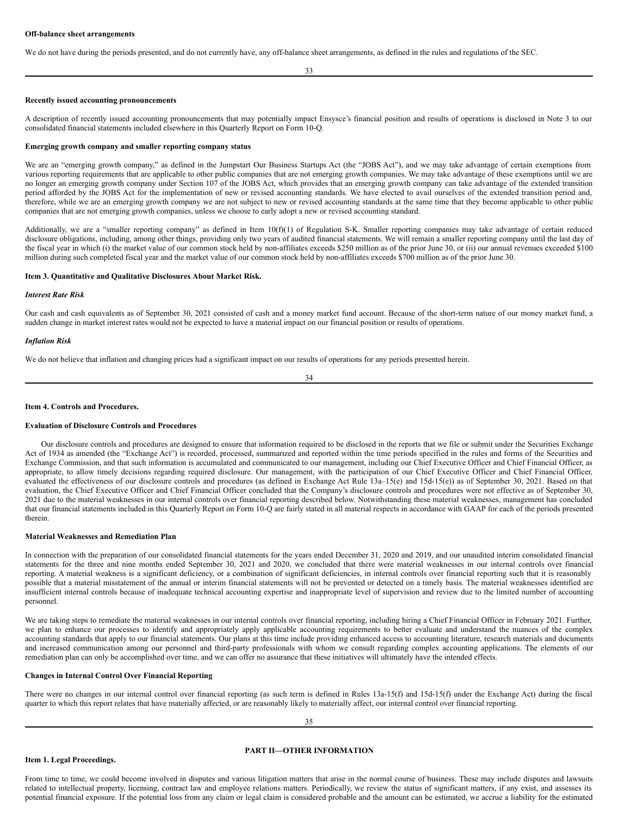#### **Off-balance sheet arrangements**

We do not have during the periods presented, and do not currently have, any off-balance sheet arrangements, as defined in the rules and regulations of the SEC.

33

# **Recently issued accounting pronouncements**

A description of recently issued accounting pronouncements that may potentially impact Ensysce's financial position and results of operations is disclosed in Note 3 to our consolidated financial statements included elsewhere in this Quarterly Report on Form 10-Q.

## **Emerging growth company and smaller reporting company status**

We are an "emerging growth company," as defined in the Jumpstart Our Business Startups Act (the "JOBS Act"), and we may take advantage of certain exemptions from various reporting requirements that are applicable to other public companies that are not emerging growth companies. We may take advantage of these exemptions until we are no longer an emerging growth company under Section 107 of the JOBS Act, which provides that an emerging growth company can take advantage of the extended transition period afforded by the JOBS Act for the implementation of new or revised accounting standards. We have elected to avail ourselves of the extended transition period and, therefore, while we are an emerging growth company we are not subject to new or revised accounting standards at the same time that they become applicable to other public companies that are not emerging growth companies, unless we choose to early adopt a new or revised accounting standard.

Additionally, we are a "smaller reporting company" as defined in Item 10(f)(1) of Regulation S-K. Smaller reporting companies may take advantage of certain reduced disclosure obligations, including, among other things, providing only two years of audited financial statements. We will remain a smaller reporting company until the last day of the fiscal year in which (i) the market value of our common stock held by non-affiliates exceeds \$250 million as of the prior June 30, or (ii) our annual revenues exceeded \$100 million during such completed fiscal year and the market value of our common stock held by non-affiliates exceeds \$700 million as of the prior June 30.

#### **Item 3. Quantitative and Qualitative Disclosures About Market Risk.**

#### *Interest Rate Risk*

Our cash and cash equivalents as of September 30, 2021 consisted of cash and a money market fund account. Because of the short-term nature of our money market fund, a sudden change in market interest rates would not be expected to have a material impact on our financial position or results of operations.

#### *Inflation Risk*

We do not believe that inflation and changing prices had a significant impact on our results of operations for any periods presented herein.

|                    | I |
|--------------------|---|
| ۰,<br>I<br>۰.<br>× |   |

#### **Item 4. Controls and Procedures.**

#### **Evaluation of Disclosure Controls and Procedures**

Our disclosure controls and procedures are designed to ensure that information required to be disclosed in the reports that we file or submit under the Securities Exchange Act of 1934 as amended (the "Exchange Act") is recorded, processed, summarized and reported within the time periods specified in the rules and forms of the Securities and Exchange Commission, and that such information is accumulated and communicated to our management, including our Chief Executive Officer and Chief Financial Officer, as appropriate, to allow timely decisions regarding required disclosure. Our management, with the participation of our Chief Executive Officer and Chief Financial Officer, evaluated the effectiveness of our disclosure controls and procedures (as defined in Exchange Act Rule 13a-15(e) and 15d-15(e)) as of September 30, 2021. Based on that evaluation, the Chief Executive Officer and Chief Financial Officer concluded that the Company's disclosure controls and procedures were not effective as of September 30, 2021 due to the material weaknesses in our internal controls over financial reporting described below. Notwithstanding these material weaknesses, management has concluded that our financial statements included in this Quarterly Report on Form 10-Q are fairly stated in all material respects in accordance with GAAP for each of the periods presented therein.

#### **Material Weaknesses and Remediation Plan**

In connection with the preparation of our consolidated financial statements for the years ended December 31, 2020 and 2019, and our unaudited interim consolidated financial statements for the three and nine months ended September 30, 2021 and 2020, we concluded that there were material weaknesses in our internal controls over financial reporting. A material weakness is a significant deficiency, or a combination of significant deficiencies, in internal controls over financial reporting such that it is reasonably possible that a material misstatement of the annual or interim financial statements will not be prevented or detected on a timely basis. The material weaknesses identified are insufficient internal controls because of inadequate technical accounting expertise and inappropriate level of supervision and review due to the limited number of accounting personnel.

We are taking steps to remediate the material weaknesses in our internal controls over financial reporting, including hiring a Chief Financial Officer in February 2021. Further, we plan to enhance our processes to identify and appropriately apply applicable accounting requirements to better evaluate and understand the nuances of the complex accounting standards that apply to our financial statements. Our plans at this time include providing enhanced access to accounting literature, research materials and documents and increased communication among our personnel and third-party professionals with whom we consult regarding complex accounting applications. The elements of our remediation plan can only be accomplished over time, and we can offer no assurance that these initiatives will ultimately have the intended effects.

#### **Changes in Internal Control Over Financial Reporting**

There were no changes in our internal control over financial reporting (as such term is defined in Rules 13a-15(f) and 15d-15(f) under the Exchange Act) during the fiscal quarter to which this report relates that have materially affected, or are reasonably likely to materially affect, our internal control over financial reporting.

35

#### **Item 1. Legal Proceedings.**

## **PART II—OTHER INFORMATION**

From time to time, we could become involved in disputes and various litigation matters that arise in the normal course of business. These may include disputes and lawsuits related to intellectual property, licensing, contract law and employee relations matters. Periodically, we review the status of significant matters, if any exist, and assesses its potential financial exposure. If the potential loss from any claim or legal claim is considered probable and the amount can be estimated, we accrue a liability for the estimated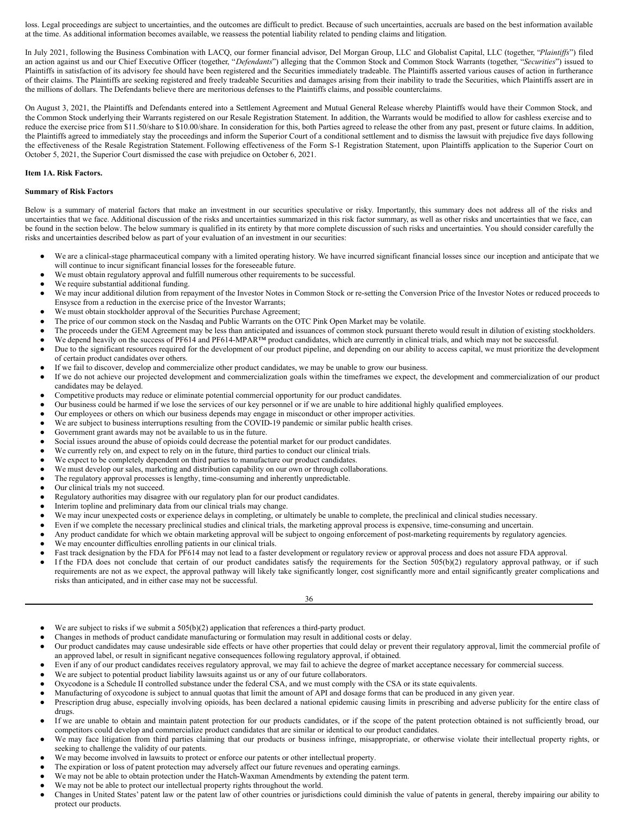loss. Legal proceedings are subject to uncertainties, and the outcomes are difficult to predict. Because of such uncertainties, accruals are based on the best information available at the time. As additional information becomes available, we reassess the potential liability related to pending claims and litigation.

In July 2021, following the Business Combination with LACQ, our former financial advisor, Del Morgan Group, LLC and Globalist Capital, LLC (together, "Plaintiffs") filed an action against us and our Chief Executive Officer (together, "*Defendants*") alleging that the Common Stock and Common Stock Warrants (together, "*Securities*") issued to Plaintiffs in satisfaction of its advisory fee should have been registered and the Securities immediately tradeable. The Plaintiffs asserted various causes of action in furtherance of their claims. The Plaintiffs are seeking registered and freely tradeable Securities and damages arising from their inability to trade the Securities, which Plaintiffs assert are in the millions of dollars. The Defendants believe there are meritorious defenses to the Plaintiffs claims, and possible counterclaims.

On August 3, 2021, the Plaintiffs and Defendants entered into a Settlement Agreement and Mutual General Release whereby Plaintiffs would have their Common Stock, and the Common Stock underlying their Warrants registered on our Resale Registration Statement. In addition, the Warrants would be modified to allow for cashless exercise and to reduce the exercise price from \$11.50/share to \$10.00/share. In consideration for this, both Parties agreed to release the other from any past, present or future claims. In addition, the Plaintiffs agreed to immediately stay the proceedings and inform the Superior Court of a conditional settlement and to dismiss the lawsuit with prejudice five days following the effectiveness of the Resale Registration Statement. Following effectiveness of the Form S-1 Registration Statement, upon Plaintiffs application to the Superior Court on October 5, 2021, the Superior Court dismissed the case with prejudice on October 6, 2021.

## **Item 1A. Risk Factors.**

#### **Summary of Risk Factors**

Below is a summary of material factors that make an investment in our securities speculative or risky. Importantly, this summary does not address all of the risks and uncertainties that we face. Additional discussion of the risks and uncertainties summarized in this risk factor summary, as well as other risks and uncertainties that we face, can be found in the section below. The below summary is qualified in its entirety by that more complete discussion of such risks and uncertainties. You should consider carefully the risks and uncertainties described below as part of your evaluation of an investment in our securities:

- We are a clinical-stage pharmaceutical company with a limited operating history. We have incurred significant financial losses since our inception and anticipate that we will continue to incur significant financial losses for the foreseeable future.
- We must obtain regulatory approval and fulfill numerous other requirements to be successful.
- We require substantial additional funding.
- We may incur additional dilution from repayment of the Investor Notes in Common Stock or re-setting the Conversion Price of the Investor Notes or reduced proceeds to Ensysce from a reduction in the exercise price of the Investor Warrants;
- We must obtain stockholder approval of the Securities Purchase Agreement;
- The price of our common stock on the Nasdaq and Public Warrants on the OTC Pink Open Market may be volatile.
- The proceeds under the GEM Agreement may be less than anticipated and issuances of common stock pursuant thereto would result in dilution of existing stockholders.
- We depend heavily on the success of PF614 and PF614-MPAR™ product candidates, which are currently in clinical trials, and which may not be successful.
- Due to the significant resources required for the development of our product pipeline, and depending on our ability to access capital, we must prioritize the development of certain product candidates over others.
- If we fail to discover, develop and commercialize other product candidates, we may be unable to grow our business.
- If we do not achieve our projected development and commercialization goals within the timeframes we expect, the development and commercialization of our product candidates may be delayed.
- Competitive products may reduce or eliminate potential commercial opportunity for our product candidates.
- Our business could be harmed if we lose the services of our key personnel or if we are unable to hire additional highly qualified employees.
- Our employees or others on which our business depends may engage in misconduct or other improper activities.
- We are subject to business interruptions resulting from the COVID-19 pandemic or similar public health crises.
- Government grant awards may not be available to us in the future.
- Social issues around the abuse of opioids could decrease the potential market for our product candidates.
- We currently rely on, and expect to rely on in the future, third parties to conduct our clinical trials.
- We expect to be completely dependent on third parties to manufacture our product candidates.
- We must develop our sales, marketing and distribution capability on our own or through collaborations.
- The regulatory approval processes is lengthy, time-consuming and inherently unpredictable.
- Our clinical trials my not succeed.
- Regulatory authorities may disagree with our regulatory plan for our product candidates.
- Interim topline and preliminary data from our clinical trials may change.
- We may incur unexpected costs or experience delays in completing, or ultimately be unable to complete, the preclinical and clinical studies necessary.
- Even if we complete the necessary preclinical studies and clinical trials, the marketing approval process is expensive, time-consuming and uncertain.
- Any product candidate for which we obtain marketing approval will be subject to ongoing enforcement of post-marketing requirements by regulatory agencies.
- We may encounter difficulties enrolling patients in our clinical trials.
- Fast track designation by the FDA for PF614 may not lead to a faster development or regulatory review or approval process and does not assure FDA approval.
- If the FDA does not conclude that certain of our product candidates satisfy the requirements for the Section  $505(b)(2)$  regulatory approval pathway, or if such requirements are not as we expect, the approval pathway will likely take significantly longer, cost significantly more and entail significantly greater complications and risks than anticipated, and in either case may not be successful.
	- 36
- We are subject to risks if we submit a  $505(b)(2)$  application that references a third-party product.
- Changes in methods of product candidate manufacturing or formulation may result in additional costs or delay.
- Our product candidates may cause undesirable side effects or have other properties that could delay or prevent their regulatory approval, limit the commercial profile of an approved label, or result in significant negative consequences following regulatory approval, if obtained.
- Even if any of our product candidates receives regulatory approval, we may fail to achieve the degree of market acceptance necessary for commercial success.
- We are subject to potential product liability lawsuits against us or any of our future collaborators.
- Oxycodone is a Schedule II controlled substance under the federal CSA, and we must comply with the CSA or its state equivalents.
- Manufacturing of oxycodone is subject to annual quotas that limit the amount of API and dosage forms that can be produced in any given year.
- Prescription drug abuse, especially involving opioids, has been declared a national epidemic causing limits in prescribing and adverse publicity for the entire class of drugs.
- If we are unable to obtain and maintain patent protection for our products candidates, or if the scope of the patent protection obtained is not sufficiently broad, our competitors could develop and commercialize product candidates that are similar or identical to our product candidates.
- We may face litigation from third parties claiming that our products or business infringe, misappropriate, or otherwise violate their intellectual property rights, or seeking to challenge the validity of our patents.
- We may become involved in lawsuits to protect or enforce our patents or other intellectual property.
- The expiration or loss of patent protection may adversely affect our future revenues and operating earnings.
- We may not be able to obtain protection under the Hatch-Waxman Amendments by extending the patent term.
- We may not be able to protect our intellectual property rights throughout the world.
- Changes in United States' patent law or the patent law of other countries or jurisdictions could diminish the value of patents in general, thereby impairing our ability to protect our products.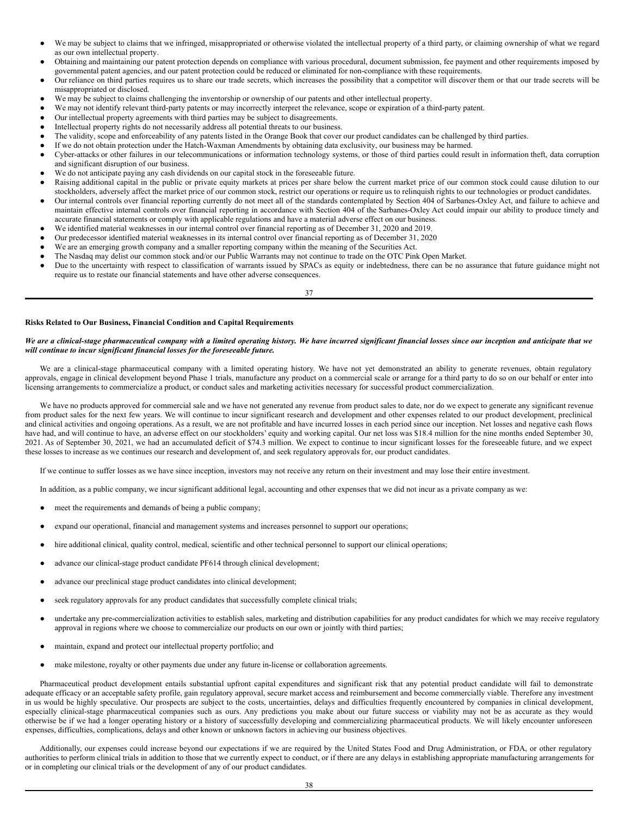- We may be subject to claims that we infringed, misappropriated or otherwise violated the intellectual property of a third party, or claiming ownership of what we regard as our own intellectual property.
- Obtaining and maintaining our patent protection depends on compliance with various procedural, document submission, fee payment and other requirements imposed by governmental patent agencies, and our patent protection could be reduced or eliminated for non-compliance with these requirements.
- Our reliance on third parties requires us to share our trade secrets, which increases the possibility that a competitor will discover them or that our trade secrets will be misappropriated or disclosed.
- We may be subject to claims challenging the inventorship or ownership of our patents and other intellectual property.
- We may not identify relevant third-party patents or may incorrectly interpret the relevance, scope or expiration of a third-party patent.
- Our intellectual property agreements with third parties may be subject to disagreements.
- Intellectual property rights do not necessarily address all potential threats to our business.
- The validity, scope and enforceability of any patents listed in the Orange Book that cover our product candidates can be challenged by third parties.
- If we do not obtain protection under the Hatch-Waxman Amendments by obtaining data exclusivity, our business may be harmed.
- Cyber-attacks or other failures in our telecommunications or information technology systems, or those of third parties could result in information theft, data corruption and significant disruption of our business.
- We do not anticipate paying any cash dividends on our capital stock in the foreseeable future.
- Raising additional capital in the public or private equity markets at prices per share below the current market price of our common stock could cause dilution to our stockholders, adversely affect the market price of our common stock, restrict our operations or require us to relinquish rights to our technologies or product candidates.
- Our internal controls over financial reporting currently do not meet all of the standards contemplated by Section 404 of Sarbanes-Oxley Act, and failure to achieve and maintain effective internal controls over financial reporting in accordance with Section 404 of the Sarbanes-Oxley Act could impair our ability to produce timely and accurate financial statements or comply with applicable regulations and have a material adverse effect on our business.
- We identified material weaknesses in our internal control over financial reporting as of December 31, 2020 and 2019.
- Our predecessor identified material weaknesses in its internal control over financial reporting as of December 31, 2020
- We are an emerging growth company and a smaller reporting company within the meaning of the Securities Act.
- The Nasdaq may delist our common stock and/or our Public Warrants may not continue to trade on the OTC Pink Open Market.
- Due to the uncertainty with respect to classification of warrants issued by SPACs as equity or indebtedness, there can be no assurance that future guidance might not require us to restate our financial statements and have other adverse consequences.

37

#### **Risks Related to Our Business, Financial Condition and Capital Requirements**

#### We are a clinical-stage pharmaceutical company with a limited operating history. We have incurred significant financial losses since our inception and anticipate that we *will continue to incur significant financial losses for the foreseeable future.*

We are a clinical-stage pharmaceutical company with a limited operating history. We have not yet demonstrated an ability to generate revenues, obtain regulatory approvals, engage in clinical development beyond Phase 1 trials, manufacture any product on a commercial scale or arrange for a third party to do so on our behalf or enter into licensing arrangements to commercialize a product, or conduct sales and marketing activities necessary for successful product commercialization.

We have no products approved for commercial sale and we have not generated any revenue from product sales to date, nor do we expect to generate any significant revenue from product sales for the next few years. We will continue to incur significant research and development and other expenses related to our product development, preclinical and clinical activities and ongoing operations. As a result, we are not profitable and have incurred losses in each period since our inception. Net losses and negative cash flows have had, and will continue to have, an adverse effect on our stockholders' equity and working capital. Our net loss was \$18.4 million for the nine months ended September 30, 2021. As of September 30, 2021, we had an accumulated deficit of \$74.3 million. We expect to continue to incur significant losses for the foreseeable future, and we expect these losses to increase as we continues our research and development of, and seek regulatory approvals for, our product candidates.

If we continue to suffer losses as we have since inception, investors may not receive any return on their investment and may lose their entire investment.

In addition, as a public company, we incur significant additional legal, accounting and other expenses that we did not incur as a private company as we:

- meet the requirements and demands of being a public company;
- expand our operational, financial and management systems and increases personnel to support our operations;
- hire additional clinical, quality control, medical, scientific and other technical personnel to support our clinical operations;
- advance our clinical-stage product candidate PF614 through clinical development;
- advance our preclinical stage product candidates into clinical development;
- seek regulatory approvals for any product candidates that successfully complete clinical trials;
- undertake any pre-commercialization activities to establish sales, marketing and distribution capabilities for any product candidates for which we may receive regulatory approval in regions where we choose to commercialize our products on our own or jointly with third parties;
- maintain, expand and protect our intellectual property portfolio; and
- make milestone, royalty or other payments due under any future in-license or collaboration agreements.

Pharmaceutical product development entails substantial upfront capital expenditures and significant risk that any potential product candidate will fail to demonstrate adequate efficacy or an acceptable safety profile, gain regulatory approval, secure market access and reimbursement and become commercially viable. Therefore any investment in us would be highly speculative. Our prospects are subject to the costs, uncertainties, delays and difficulties frequently encountered by companies in clinical development, especially clinical-stage pharmaceutical companies such as ours. Any predictions you make about our future success or viability may not be as accurate as they would otherwise be if we had a longer operating history or a history of successfully developing and commercializing pharmaceutical products. We will likely encounter unforeseen expenses, difficulties, complications, delays and other known or unknown factors in achieving our business objectives.

Additionally, our expenses could increase beyond our expectations if we are required by the United States Food and Drug Administration, or FDA, or other regulatory authorities to perform clinical trials in addition to those that we currently expect to conduct, or if there are any delays in establishing appropriate manufacturing arrangements for or in completing our clinical trials or the development of any of our product candidates.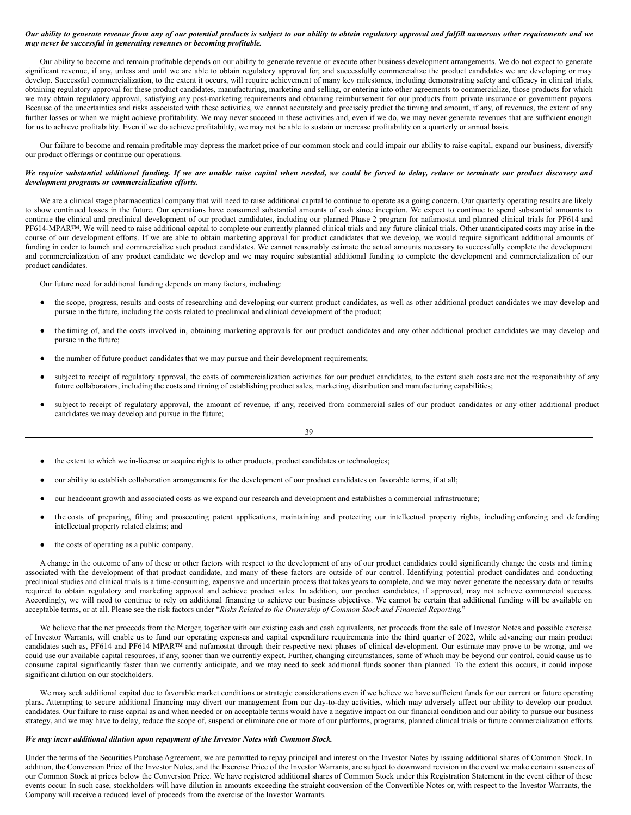## Our ability to generate revenue from any of our potential products is subject to our ability to obtain regulatory approval and fulfill numerous other requirements and we *may never be successful in generating revenues or becoming profitable.*

Our ability to become and remain profitable depends on our ability to generate revenue or execute other business development arrangements. We do not expect to generate significant revenue, if any, unless and until we are able to obtain regulatory approval for, and successfully commercialize the product candidates we are developing or may develop. Successful commercialization, to the extent it occurs, will require achievement of many key milestones, including demonstrating safety and efficacy in clinical trials, obtaining regulatory approval for these product candidates, manufacturing, marketing and selling, or entering into other agreements to commercialize, those products for which we may obtain regulatory approval, satisfying any post-marketing requirements and obtaining reimbursement for our products from private insurance or government payors. Because of the uncertainties and risks associated with these activities, we cannot accurately and precisely predict the timing and amount, if any, of revenues, the extent of any further losses or when we might achieve profitability. We may never succeed in these activities and, even if we do, we may never generate revenues that are sufficient enough for us to achieve profitability. Even if we do achieve profitability, we may not be able to sustain or increase profitability on a quarterly or annual basis.

Our failure to become and remain profitable may depress the market price of our common stock and could impair our ability to raise capital, expand our business, diversify our product offerings or continue our operations.

## We require substantial additional funding. If we are unable raise capital when needed, we could be forced to delay, reduce or terminate our product discovery and *development programs or commercialization ef orts.*

We are a clinical stage pharmaceutical company that will need to raise additional capital to continue to operate as a going concern. Our quarterly operating results are likely to show continued losses in the future. Our operations have consumed substantial amounts of cash since inception. We expect to continue to spend substantial amounts to continue the clinical and preclinical development of our product candidates, including our planned Phase 2 program for nafamostat and planned clinical trials for PF614 and PF614-MPAR™. We will need to raise additional capital to complete our currently planned clinical trials and any future clinical trials. Other unanticipated costs may arise in the course of our development efforts. If we are able to obtain marketing approval for product candidates that we develop, we would require significant additional amounts of funding in order to launch and commercialize such product candidates. We cannot reasonably estimate the actual amounts necessary to successfully complete the development and commercialization of any product candidate we develop and we may require substantial additional funding to complete the development and commercialization of our product candidates.

Our future need for additional funding depends on many factors, including:

- the scope, progress, results and costs of researching and developing our current product candidates, as well as other additional product candidates we may develop and pursue in the future, including the costs related to preclinical and clinical development of the product;
- the timing of, and the costs involved in, obtaining marketing approvals for our product candidates and any other additional product candidates we may develop and pursue in the future;
- the number of future product candidates that we may pursue and their development requirements;
- subject to receipt of regulatory approval, the costs of commercialization activities for our product candidates, to the extent such costs are not the responsibility of any future collaborators, including the costs and timing of establishing product sales, marketing, distribution and manufacturing capabilities;
- subject to receipt of regulatory approval, the amount of revenue, if any, received from commercial sales of our product candidates or any other additional product candidates we may develop and pursue in the future;

39

- the extent to which we in-license or acquire rights to other products, product candidates or technologies;
- our ability to establish collaboration arrangements for the development of our product candidates on favorable terms, if at all;
- our headcount growth and associated costs as we expand our research and development and establishes a commercial infrastructure;
- the costs of preparing, filing and prosecuting patent applications, maintaining and protecting our intellectual property rights, including enforcing and defending intellectual property related claims; and
- the costs of operating as a public company.

A change in the outcome of any of these or other factors with respect to the development of any of our product candidates could significantly change the costs and timing associated with the development of that product candidate, and many of these factors are outside of our control. Identifying potential product candidates and conducting preclinical studies and clinical trials is a time-consuming, expensive and uncertain process that takes years to complete, and we may never generate the necessary data or results required to obtain regulatory and marketing approval and achieve product sales. In addition, our product candidates, if approved, may not achieve commercial success. Accordingly, we will need to continue to rely on additional financing to achieve our business objectives. We cannot be certain that additional funding will be available on acceptable terms, or at all. Please see the risk factors under "*Risks Related to the Ownership of Common Stock and Financial Reporting*."

We believe that the net proceeds from the Merger, together with our existing cash and cash equivalents, net proceeds from the sale of Investor Notes and possible exercise of Investor Warrants, will enable us to fund our operating expenses and capital expenditure requirements into the third quarter of 2022, while advancing our main product candidates such as, PF614 and PF614 MPAR™ and nafamostat through their respective next phases of clinical development. Our estimate may prove to be wrong, and we could use our available capital resources, if any, sooner than we currently expect. Further, changing circumstances, some of which may be beyond our control, could cause us to consume capital significantly faster than we currently anticipate, and we may need to seek additional funds sooner than planned. To the extent this occurs, it could impose significant dilution on our stockholders.

We may seek additional capital due to favorable market conditions or strategic considerations even if we believe we have sufficient funds for our current or future operating plans. Attempting to secure additional financing may divert our management from our day-to-day activities, which may adversely affect our ability to develop our product candidates. Our failure to raise capital as and when needed or on acceptable terms would have a negative impact on our financial condition and our ability to pursue our business strategy, and we may have to delay, reduce the scope of, suspend or eliminate one or more of our platforms, programs, planned clinical trials or future commercialization efforts.

#### *We may incur additional dilution upon repayment of the Investor Notes with Common Stock.*

Under the terms of the Securities Purchase Agreement, we are permitted to repay principal and interest on the Investor Notes by issuing additional shares of Common Stock. In addition, the Conversion Price of the Investor Notes, and the Exercise Price of the Investor Warrants, are subject to downward revision in the event we make certain issuances of our Common Stock at prices below the Conversion Price. We have registered additional shares of Common Stock under this Registration Statement in the event either of these events occur. In such case, stockholders will have dilution in amounts exceeding the straight conversion of the Convertible Notes or, with respect to the Investor Warrants, the Company will receive a reduced level of proceeds from the exercise of the Investor Warrants.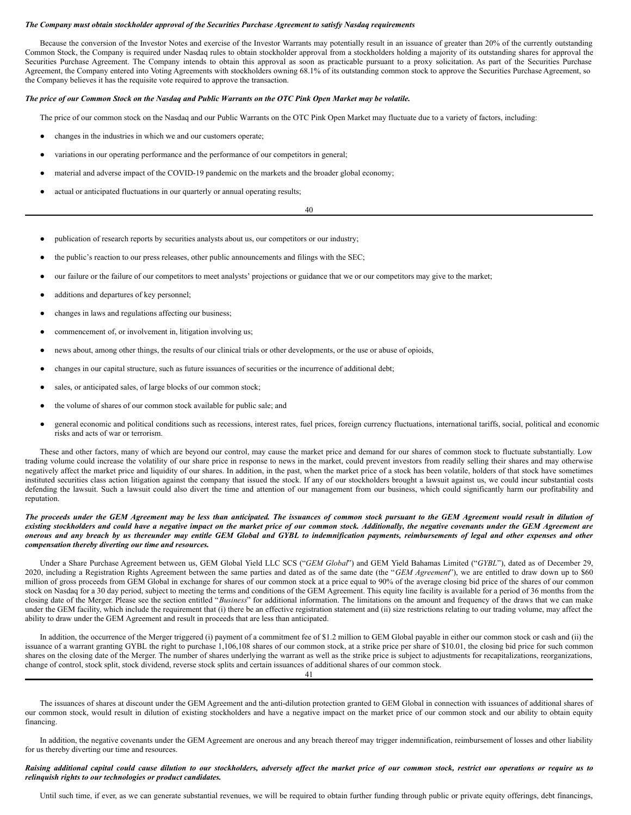#### *The Company must obtain stockholder approval of the Securities Purchase Agreement to satisfy Nasdaq requirements*

Because the conversion of the Investor Notes and exercise of the Investor Warrants may potentially result in an issuance of greater than 20% of the currently outstanding Common Stock, the Company is required under Nasdaq rules to obtain stockholder approval from a stockholders holding a majority of its outstanding shares for approval the Securities Purchase Agreement. The Company intends to obtain this approval as soon as practicable pursuant to a proxy solicitation. As part of the Securities Purchase Agreement, the Company entered into Voting Agreements with stockholders owning 68.1% of its outstanding common stock to approve the Securities Purchase Agreement, so the Company believes it has the requisite vote required to approve the transaction.

#### The price of our Common Stock on the Nasdaq and Public Warrants on the OTC Pink Open Market may be volatile.

The price of our common stock on the Nasdaq and our Public Warrants on the OTC Pink Open Market may fluctuate due to a variety of factors, including:

- changes in the industries in which we and our customers operate;
- variations in our operating performance and the performance of our competitors in general;
- material and adverse impact of the COVID-19 pandemic on the markets and the broader global economy;
- actual or anticipated fluctuations in our quarterly or annual operating results;

40

- publication of research reports by securities analysts about us, our competitors or our industry;
- the public's reaction to our press releases, other public announcements and filings with the SEC;
- our failure or the failure of our competitors to meet analysts' projections or guidance that we or our competitors may give to the market;
- additions and departures of key personnel;
- changes in laws and regulations affecting our business;
- commencement of, or involvement in, litigation involving us;
- news about, among other things, the results of our clinical trials or other developments, or the use or abuse of opioids,
- changes in our capital structure, such as future issuances of securities or the incurrence of additional debt;
- sales, or anticipated sales, of large blocks of our common stock;
- the volume of shares of our common stock available for public sale; and
- general economic and political conditions such as recessions, interest rates, fuel prices, foreign currency fluctuations, international tariffs, social, political and economic risks and acts of war or terrorism.

These and other factors, many of which are beyond our control, may cause the market price and demand for our shares of common stock to fluctuate substantially. Low trading volume could increase the volatility of our share price in response to news in the market, could prevent investors from readily selling their shares and may otherwise negatively affect the market price and liquidity of our shares. In addition, in the past, when the market price of a stock has been volatile, holders of that stock have sometimes instituted securities class action litigation against the company that issued the stock. If any of our stockholders brought a lawsuit against us, we could incur substantial costs defending the lawsuit. Such a lawsuit could also divert the time and attention of our management from our business, which could significantly harm our profitability and reputation.

#### The proceeds under the GEM Agreement may be less than anticipated. The issuances of common stock pursuant to the GEM Agreement would result in dilution of existing stockholders and could have a negative impact on the market price of our common stock. Additionally, the negative covenants under the GEM Agreement are onerous and any breach by us thereunder may entitle GEM Global and GYBL to indemnification payments, reimbursements of legal and other expenses and other *compensation thereby diverting our time and resources.*

Under a Share Purchase Agreement between us, GEM Global Yield LLC SCS ("*GEM Global*") and GEM Yield Bahamas Limited ("*GYBL*"), dated as of December 29, 2020, including a Registration Rights Agreement between the same parties and dated as of the same date (the "*GEM Agreement*"), we are entitled to draw down up to \$60 million of gross proceeds from GEM Global in exchange for shares of our common stock at a price equal to 90% of the average closing bid price of the shares of our common stock on Nasdaq for a 30 day period, subject to meeting the terms and conditions of the GEM Agreement. This equity line facility is available for a period of 36 months from the closing date of the Merger. Please see the section entitled "*Business*" for additional information. The limitations on the amount and frequency of the draws that we can make under the GEM facility, which include the requirement that (i) there be an effective registration statement and (ii) size restrictions relating to our trading volume, may affect the ability to draw under the GEM Agreement and result in proceeds that are less than anticipated.

In addition, the occurrence of the Merger triggered (i) payment of a commitment fee of \$1.2 million to GEM Global payable in either our common stock or cash and (ii) the issuance of a warrant granting GYBL the right to purchase 1,106,108 shares of our common stock, at a strike price per share of \$10.01, the closing bid price for such common shares on the closing date of the Merger. The number of shares underlying the warrant as well as the strike price is subject to adjustments for recapitalizations, reorganizations, change of control, stock split, stock dividend, reverse stock splits and certain issuances of additional shares of our common stock.

41

The issuances of shares at discount under the GEM Agreement and the anti-dilution protection granted to GEM Global in connection with issuances of additional shares of our common stock, would result in dilution of existing stockholders and have a negative impact on the market price of our common stock and our ability to obtain equity financing.

In addition, the negative covenants under the GEM Agreement are onerous and any breach thereof may trigger indemnification, reimbursement of losses and other liability for us thereby diverting our time and resources.

#### Raising additional capital could cause dilution to our stockholders, adversely affect the market price of our common stock, restrict our operations or require us to *relinquish rights to our technologies or product candidates.*

Until such time, if ever, as we can generate substantial revenues, we will be required to obtain further funding through public or private equity offerings, debt financings,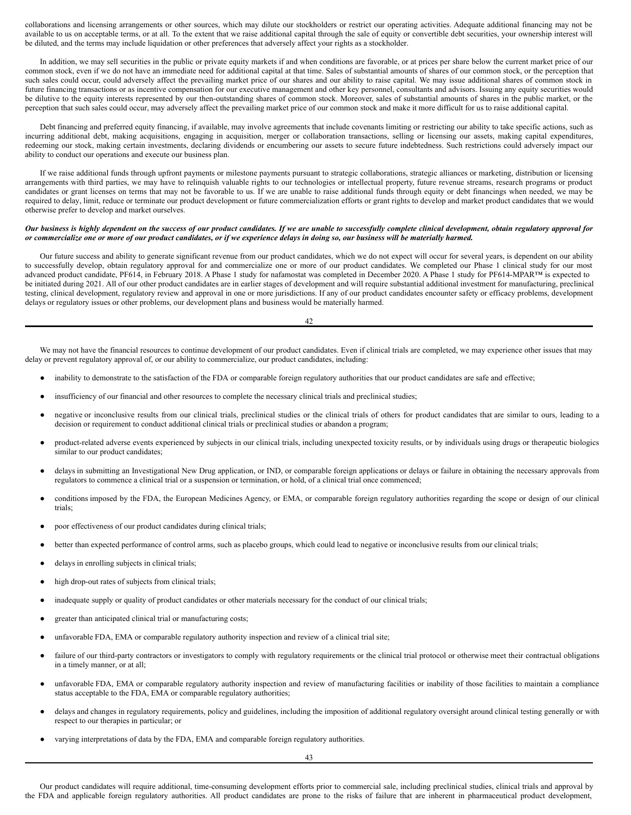collaborations and licensing arrangements or other sources, which may dilute our stockholders or restrict our operating activities. Adequate additional financing may not be available to us on acceptable terms, or at all. To the extent that we raise additional capital through the sale of equity or convertible debt securities, your ownership interest will be diluted, and the terms may include liquidation or other preferences that adversely affect your rights as a stockholder.

In addition, we may sell securities in the public or private equity markets if and when conditions are favorable, or at prices per share below the current market price of our common stock, even if we do not have an immediate need for additional capital at that time. Sales of substantial amounts of shares of our common stock, or the perception that such sales could occur, could adversely affect the prevailing market price of our shares and our ability to raise capital. We may issue additional shares of common stock in future financing transactions or as incentive compensation for our executive management and other key personnel, consultants and advisors. Issuing any equity securities would be dilutive to the equity interests represented by our then-outstanding shares of common stock. Moreover, sales of substantial amounts of shares in the public market, or the perception that such sales could occur, may adversely affect the prevailing market price of our common stock and make it more difficult for us to raise additional capital.

Debt financing and preferred equity financing, if available, may involve agreements that include covenants limiting or restricting our ability to take specific actions, such as incurring additional debt, making acquisitions, engaging in acquisition, merger or collaboration transactions, selling or licensing our assets, making capital expenditures, redeeming our stock, making certain investments, declaring dividends or encumbering our assets to secure future indebtedness. Such restrictions could adversely impact our ability to conduct our operations and execute our business plan.

If we raise additional funds through upfront payments or milestone payments pursuant to strategic collaborations, strategic alliances or marketing, distribution or licensing arrangements with third parties, we may have to relinquish valuable rights to our technologies or intellectual property, future revenue streams, research programs or product candidates or grant licenses on terms that may not be favorable to us. If we are unable to raise additional funds through equity or debt financings when needed, we may be required to delay, limit, reduce or terminate our product development or future commercialization efforts or grant rights to develop and market product candidates that we would otherwise prefer to develop and market ourselves.

#### Our business is highly dependent on the success of our product candidates. If we are unable to successfully complete clinical development, obtain regulatory approval for or commercialize one or more of our product candidates, or if we experience delays in doing so, our business will be materially harmed.

Our future success and ability to generate significant revenue from our product candidates, which we do not expect will occur for several years, is dependent on our ability to successfully develop, obtain regulatory approval for and commercialize one or more of our product candidates. We completed our Phase 1 clinical study for our most advanced product candidate, PF614, in February 2018. A Phase 1 study for nafamostat was completed in December 2020. A Phase 1 study for PF614-MPAR™ is expected to be initiated during 2021. All of our other product candidates are in earlier stages of development and will require substantial additional investment for manufacturing, preclinical testing, clinical development, regulatory review and approval in one or more jurisdictions. If any of our product candidates encounter safety or efficacy problems, development delays or regulatory issues or other problems, our development plans and business would be materially harmed.

42

We may not have the financial resources to continue development of our product candidates. Even if clinical trials are completed, we may experience other issues that may delay or prevent regulatory approval of, or our ability to commercialize, our product candidates, including:

- inability to demonstrate to the satisfaction of the FDA or comparable foreign regulatory authorities that our product candidates are safe and effective;
- insufficiency of our financial and other resources to complete the necessary clinical trials and preclinical studies;
- negative or inconclusive results from our clinical trials, preclinical studies or the clinical trials of others for product candidates that are similar to ours, leading to a decision or requirement to conduct additional clinical trials or preclinical studies or abandon a program;
- product-related adverse events experienced by subjects in our clinical trials, including unexpected toxicity results, or by individuals using drugs or therapeutic biologics similar to our product candidates;
- delays in submitting an Investigational New Drug application, or IND, or comparable foreign applications or delays or failure in obtaining the necessary approvals from regulators to commence a clinical trial or a suspension or termination, or hold, of a clinical trial once commenced;
- conditions imposed by the FDA, the European Medicines Agency, or EMA, or comparable foreign regulatory authorities regarding the scope or design of our clinical trials;
- poor effectiveness of our product candidates during clinical trials;
- better than expected performance of control arms, such as placebo groups, which could lead to negative or inconclusive results from our clinical trials;
- delays in enrolling subjects in clinical trials;
- high drop-out rates of subjects from clinical trials;
- inadequate supply or quality of product candidates or other materials necessary for the conduct of our clinical trials;
- greater than anticipated clinical trial or manufacturing costs;
- unfavorable FDA, EMA or comparable regulatory authority inspection and review of a clinical trial site;
- failure of our third-party contractors or investigators to comply with regulatory requirements or the clinical trial protocol or otherwise meet their contractual obligations in a timely manner, or at all;
- unfavorable FDA, EMA or comparable regulatory authority inspection and review of manufacturing facilities or inability of those facilities to maintain a compliance status acceptable to the FDA, EMA or comparable regulatory authorities;
- delays and changes in regulatory requirements, policy and guidelines, including the imposition of additional regulatory oversight around clinical testing generally or with respect to our therapies in particular; or
- varying interpretations of data by the FDA, EMA and comparable foreign regulatory authorities.

43

Our product candidates will require additional, time-consuming development efforts prior to commercial sale, including preclinical studies, clinical trials and approval by the FDA and applicable foreign regulatory authorities. All product candidates are prone to the risks of failure that are inherent in pharmaceutical product development,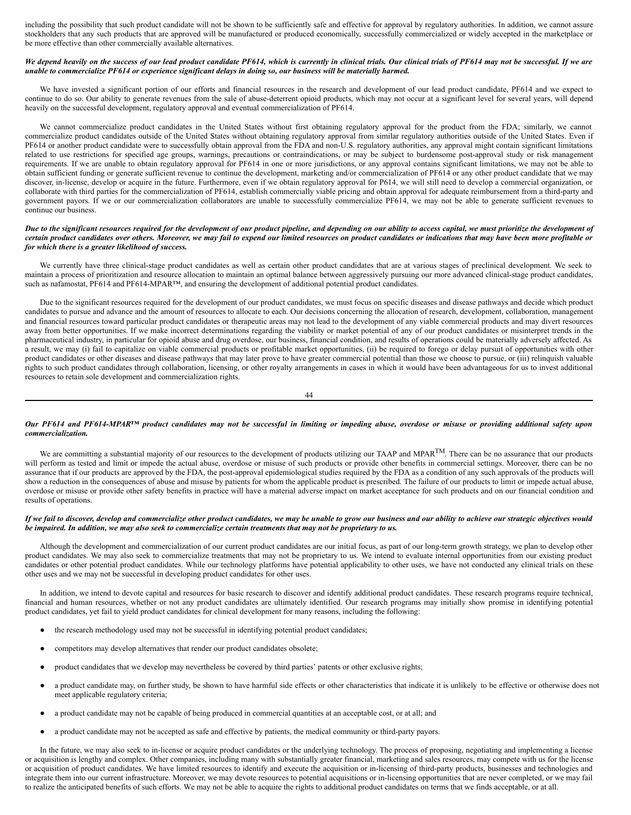including the possibility that such product candidate will not be shown to be sufficiently safe and effective for approval by regulatory authorities. In addition, we cannot assure stockholders that any such products that are approved will be manufactured or produced economically, successfully commercialized or widely accepted in the marketplace or be more effective than other commercially available alternatives.

## We depend heavily on the success of our lead product candidate PF614, which is currently in clinical trials. Our clinical trials of PF614 may not be successful. If we are unable to commercialize PF614 or experience significant delays in doing so, our business will be materially harmed.

We have invested a significant portion of our efforts and financial resources in the research and development of our lead product candidate, PF614 and we expect to continue to do so. Our ability to generate revenues from the sale of abuse-deterrent opioid products, which may not occur at a significant level for several years, will depend heavily on the successful development, regulatory approval and eventual commercialization of PF614.

We cannot commercialize product candidates in the United States without first obtaining regulatory approval for the product from the FDA; similarly, we cannot commercialize product candidates outside of the United States without obtaining regulatory approval from similar regulatory authorities outside of the United States. Even if PF614 or another product candidate were to successfully obtain approval from the FDA and non-U.S. regulatory authorities, any approval might contain significant limitations related to use restrictions for specified age groups, warnings, precautions or contraindications, or may be subject to burdensome post-approval study or risk management requirements. If we are unable to obtain regulatory approval for PF614 in one or more jurisdictions, or any approval contains significant limitations, we may not be able to obtain sufficient funding or generate sufficient revenue to continue the development, marketing and/or commercialization of PF614 or any other product candidate that we may discover, in-license, develop or acquire in the future. Furthermore, even if we obtain regulatory approval for P614, we will still need to develop a commercial organization, or collaborate with third parties for the commercialization of PF614, establish commercially viable pricing and obtain approval for adequate reimbursement from a third-party and government payors. If we or our commercialization collaborators are unable to successfully commercialize PF614, we may not be able to generate sufficient revenues to continue our business.

## Due to the significant resources required for the development of our product pipeline, and depending on our ability to access capital, we must prioritize the development of certain product candidates over others. Moreover, we may fail to expend our limited resources on product candidates or indications that may have been more profitable or *for which there is a greater likelihood of success.*

We currently have three clinical-stage product candidates as well as certain other product candidates that are at various stages of preclinical development. We seek to maintain a process of prioritization and resource allocation to maintain an optimal balance between aggressively pursuing our more advanced clinical-stage product candidates, such as nafamostat, PF614 and PF614-MPAR™, and ensuring the development of additional potential product candidates.

Due to the significant resources required for the development of our product candidates, we must focus on specific diseases and disease pathways and decide which product candidates to pursue and advance and the amount of resources to allocate to each. Our decisions concerning the allocation of research, development, collaboration, management and financial resources toward particular product candidates or therapeutic areas may not lead to the development of any viable commercial products and may divert resources away from better opportunities. If we make incorrect determinations regarding the viability or market potential of any of our product candidates or misinterpret trends in the pharmaceutical industry, in particular for opioid abuse and drug overdose, our business, financial condition, and results of operations could be materially adversely affected. As a result, we may (i) fail to capitalize on viable commercial products or profitable market opportunities, (ii) be required to forego or delay pursuit of opportunities with other product candidates or other diseases and disease pathways that may later prove to have greater commercial potential than those we choose to pursue, or (iii) relinquish valuable rights to such product candidates through collaboration, licensing, or other royalty arrangements in cases in which it would have been advantageous for us to invest additional resources to retain sole development and commercialization rights.

$$
^{44}
$$

## Our PF614 and PF614-MPAR™ product candidates may not be successful in limiting or impeding abuse, overdose or misuse or providing additional safety upon *commercialization.*

We are committing a substantial majority of our resources to the development of products utilizing our TAAP and MPAR<sup>TM</sup>. There can be no assurance that our products will perform as tested and limit or impede the actual abuse, overdose or misuse of such products or provide other benefits in commercial settings. Moreover, there can be no assurance that if our products are approved by the FDA, the post-approval epidemiological studies required by the FDA as a condition of any such approvals of the products will show a reduction in the consequences of abuse and misuse by patients for whom the applicable product is prescribed. The failure of our products to limit or impede actual abuse, overdose or misuse or provide other safety benefits in practice will have a material adverse impact on market acceptance for such products and on our financial condition and results of operations.

## If we fail to discover, develop and commercialize other product candidates, we may be unable to grow our business and our ability to achieve our strategic objectives would be impaired. In addition, we may also seek to commercialize certain treatments that may not be proprietary to us.

Although the development and commercialization of our current product candidates are our initial focus, as part of our long-term growth strategy, we plan to develop other product candidates. We may also seek to commercialize treatments that may not be proprietary to us. We intend to evaluate internal opportunities from our existing product candidates or other potential product candidates. While our technology platforms have potential applicability to other uses, we have not conducted any clinical trials on these other uses and we may not be successful in developing product candidates for other uses.

In addition, we intend to devote capital and resources for basic research to discover and identify additional product candidates. These research programs require technical, financial and human resources, whether or not any product candidates are ultimately identified. Our research programs may initially show promise in identifying potential product candidates, yet fail to yield product candidates for clinical development for many reasons, including the following:

- the research methodology used may not be successful in identifying potential product candidates;
- competitors may develop alternatives that render our product candidates obsolete;
- product candidates that we develop may nevertheless be covered by third parties' patents or other exclusive rights;
- a product candidate may, on further study, be shown to have harmful side effects or other characteristics that indicate it is unlikely to be effective or otherwise does not meet applicable regulatory criteria;
- a product candidate may not be capable of being produced in commercial quantities at an acceptable cost, or at all; and
- a product candidate may not be accepted as safe and effective by patients, the medical community or third-party payors.

In the future, we may also seek to in-license or acquire product candidates or the underlying technology. The process of proposing, negotiating and implementing a license or acquisition is lengthy and complex. Other companies, including many with substantially greater financial, marketing and sales resources, may compete with us for the license or acquisition of product candidates. We have limited resources to identify and execute the acquisition or in-licensing of third-party products, businesses and technologies and integrate them into our current infrastructure. Moreover, we may devote resources to potential acquisitions or in-licensing opportunities that are never completed, or we may fail to realize the anticipated benefits of such efforts. We may not be able to acquire the rights to additional product candidates on terms that we finds acceptable, or at all.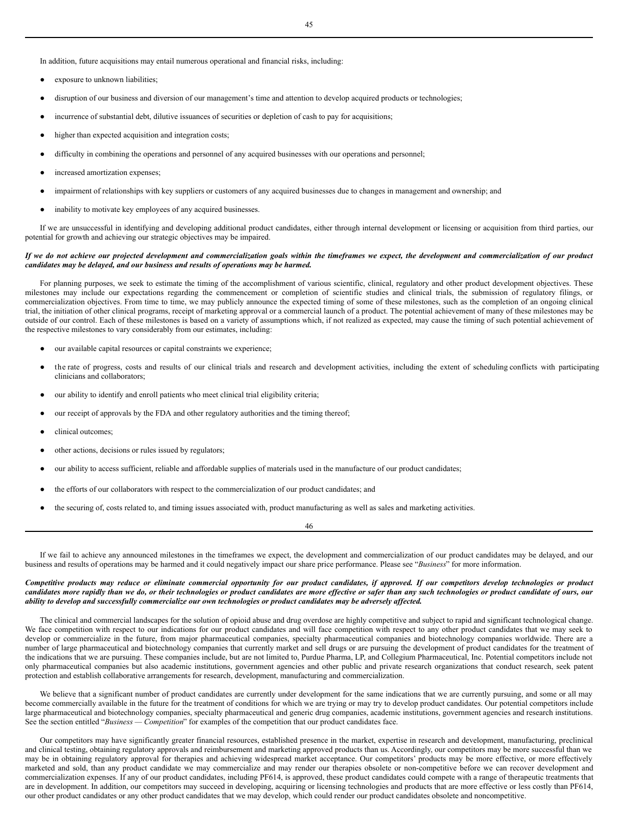In addition, future acquisitions may entail numerous operational and financial risks, including:

- exposure to unknown liabilities;
- disruption of our business and diversion of our management's time and attention to develop acquired products or technologies;
- incurrence of substantial debt, dilutive issuances of securities or depletion of cash to pay for acquisitions;
- higher than expected acquisition and integration costs;
- difficulty in combining the operations and personnel of any acquired businesses with our operations and personnel;
- increased amortization expenses;
- impairment of relationships with key suppliers or customers of any acquired businesses due to changes in management and ownership; and
- inability to motivate key employees of any acquired businesses.

If we are unsuccessful in identifying and developing additional product candidates, either through internal development or licensing or acquisition from third parties, our potential for growth and achieving our strategic objectives may be impaired.

## If we do not achieve our projected development and commercialization goals within the timeframes we expect, the development and commercialization of our product *candidates may be delayed, and our business and results of operations may be harmed.*

For planning purposes, we seek to estimate the timing of the accomplishment of various scientific, clinical, regulatory and other product development objectives. These milestones may include our expectations regarding the commencement or completion of scientific studies and clinical trials, the submission of regulatory filings, or commercialization objectives. From time to time, we may publicly announce the expected timing of some of these milestones, such as the completion of an ongoing clinical trial, the initiation of other clinical programs, receipt of marketing approval or a commercial launch of a product. The potential achievement of many of these milestones may be outside of our control. Each of these milestones is based on a variety of assumptions which, if not realized as expected, may cause the timing of such potential achievement of the respective milestones to vary considerably from our estimates, including:

- our available capital resources or capital constraints we experience:
- the rate of progress, costs and results of our clinical trials and research and development activities, including the extent of scheduling conflicts with participating clinicians and collaborators;
- our ability to identify and enroll patients who meet clinical trial eligibility criteria;
- our receipt of approvals by the FDA and other regulatory authorities and the timing thereof;
- clinical outcomes:
- other actions, decisions or rules issued by regulators;
- our ability to access sufficient, reliable and affordable supplies of materials used in the manufacture of our product candidates;
- the efforts of our collaborators with respect to the commercialization of our product candidates; and
- the securing of, costs related to, and timing issues associated with, product manufacturing as well as sales and marketing activities.

46

If we fail to achieve any announced milestones in the timeframes we expect, the development and commercialization of our product candidates may be delayed, and our business and results of operations may be harmed and it could negatively impact our share price performance. Please see "*Business*" for more information.

#### Competitive products may reduce or eliminate commercial opportunity for our product candidates, if approved. If our competitors develop technologies or product candidates more rapidly than we do, or their technologies or product candidates are more effective or safer than any such technologies or product candidate of ours, our ability to develop and successfully commercialize our own technologies or product candidates may be adversely affected.

The clinical and commercial landscapes for the solution of opioid abuse and drug overdose are highly competitive and subject to rapid and significant technological change. We face competition with respect to our indications for our product candidates and will face competition with respect to any other product candidates that we may seek to develop or commercialize in the future, from major pharmaceutical companies, specialty pharmaceutical companies and biotechnology companies worldwide. There are a number of large pharmaceutical and biotechnology companies that currently market and sell drugs or are pursuing the development of product candidates for the treatment of the indications that we are pursuing. These companies include, but are not limited to, Purdue Pharma, LP, and Collegium Pharmaceutical, Inc. Potential competitors include not only pharmaceutical companies but also academic institutions, government agencies and other public and private research organizations that conduct research, seek patent protection and establish collaborative arrangements for research, development, manufacturing and commercialization.

We believe that a significant number of product candidates are currently under development for the same indications that we are currently pursuing, and some or all may become commercially available in the future for the treatment of conditions for which we are trying or may try to develop product candidates. Our potential competitors include large pharmaceutical and biotechnology companies, specialty pharmaceutical and generic drug companies, academic institutions, government agencies and research institutions. See the section entitled "*Business — Competition*" for examples of the competition that our product candidates face.

Our competitors may have significantly greater financial resources, established presence in the market, expertise in research and development, manufacturing, preclinical and clinical testing, obtaining regulatory approvals and reimbursement and marketing approved products than us. Accordingly, our competitors may be more successful than we may be in obtaining regulatory approval for therapies and achieving widespread market acceptance. Our competitors' products may be more effective, or more effectively marketed and sold, than any product candidate we may commercialize and may render our therapies obsolete or non-competitive before we can recover development and commercialization expenses. If any of our product candidates, including PF614, is approved, these product candidates could compete with a range of therapeutic treatments that are in development. In addition, our competitors may succeed in developing, acquiring or licensing technologies and products that are more effective or less costly than PF614, our other product candidates or any other product candidates that we may develop, which could render our product candidates obsolete and noncompetitive.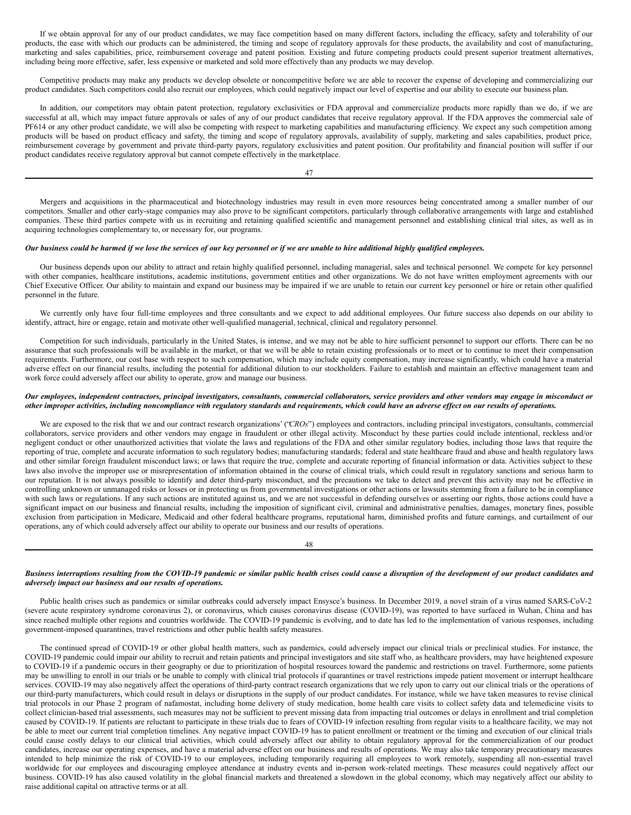If we obtain approval for any of our product candidates, we may face competition based on many different factors, including the efficacy, safety and tolerability of our products, the ease with which our products can be administered, the timing and scope of regulatory approvals for these products, the availability and cost of manufacturing, marketing and sales capabilities, price, reimbursement coverage and patent position. Existing and future competing products could present superior treatment alternatives, including being more effective, safer, less expensive or marketed and sold more effectively than any products we may develop.

Competitive products may make any products we develop obsolete or noncompetitive before we are able to recover the expense of developing and commercializing our product candidates. Such competitors could also recruit our employees, which could negatively impact our level of expertise and our ability to execute our business plan.

In addition, our competitors may obtain patent protection, regulatory exclusivities or FDA approval and commercialize products more rapidly than we do, if we are successful at all, which may impact future approvals or sales of any of our product candidates that receive regulatory approval. If the FDA approves the commercial sale of PF614 or any other product candidate, we will also be competing with respect to marketing capabilities and manufacturing efficiency. We expect any such competition among products will be based on product efficacy and safety, the timing and scope of regulatory approvals, availability of supply, marketing and sales capabilities, product price, reimbursement coverage by government and private third-party payors, regulatory exclusivities and patent position. Our profitability and financial position will suffer if our product candidates receive regulatory approval but cannot compete effectively in the marketplace.

47

Mergers and acquisitions in the pharmaceutical and biotechnology industries may result in even more resources being concentrated among a smaller number of our competitors. Smaller and other early-stage companies may also prove to be significant competitors, particularly through collaborative arrangements with large and established companies. These third parties compete with us in recruiting and retaining qualified scientific and management personnel and establishing clinical trial sites, as well as in acquiring technologies complementary to, or necessary for, our programs.

#### Our business could be harmed if we lose the services of our key personnel or if we are unable to hire additional highly qualified employees.

Our business depends upon our ability to attract and retain highly qualified personnel, including managerial, sales and technical personnel. We compete for key personnel with other companies, healthcare institutions, academic institutions, government entities and other organizations. We do not have written employment agreements with our Chief Executive Officer. Our ability to maintain and expand our business may be impaired if we are unable to retain our current key personnel or hire or retain other qualified personnel in the future.

We currently only have four full-time employees and three consultants and we expect to add additional employees. Our future success also depends on our ability to identify, attract, hire or engage, retain and motivate other well-qualified managerial, technical, clinical and regulatory personnel.

Competition for such individuals, particularly in the United States, is intense, and we may not be able to hire sufficient personnel to support our efforts. There can be no assurance that such professionals will be available in the market, or that we will be able to retain existing professionals or to meet or to continue to meet their compensation requirements. Furthermore, our cost base with respect to such compensation, which may include equity compensation, may increase significantly, which could have a material adverse effect on our financial results, including the potential for additional dilution to our stockholders. Failure to establish and maintain an effective management team and work force could adversely affect our ability to operate, grow and manage our business.

#### Our employees, independent contractors, principal investigators, consultants, commercial collaborators, service providers and other vendors may engage in misconduct or other improper activities, including noncompliance with regulatory standards and requirements, which could have an adverse effect on our results of operations.

We are exposed to the risk that we and our contract research organizations' (*'CROs*') employees and contractors, including principal investigators, consultants, commercial collaborators, service providers and other vendors may engage in fraudulent or other illegal activity. Misconduct by these parties could include intentional, reckless and/or negligent conduct or other unauthorized activities that violate the laws and regulations of the FDA and other similar regulatory bodies, including those laws that require the reporting of true, complete and accurate information to such regulatory bodies; manufacturing standards; federal and state healthcare fraud and abuse and health regulatory laws and other similar foreign fraudulent misconduct laws; or laws that require the true, complete and accurate reporting of financial information or data. Activities subject to these laws also involve the improper use or misrepresentation of information obtained in the course of clinical trials, which could result in regulatory sanctions and serious harm to our reputation. It is not always possible to identify and deter third-party misconduct, and the precautions we take to detect and prevent this activity may not be effective in controlling unknown or unmanaged risks or losses or in protecting us from governmental investigations or other actions or lawsuits stemming from a failure to be in compliance with such laws or regulations. If any such actions are instituted against us, and we are not successful in defending ourselves or asserting our rights, those actions could have a significant impact on our business and financial results, including the imposition of significant civil, criminal and administrative penalties, damages, monetary fines, possible exclusion from participation in Medicare, Medicaid and other federal healthcare programs, reputational harm, diminished profits and future earnings, and curtailment of our operations, any of which could adversely affect our ability to operate our business and our results of operations.

48

## Business interruptions resulting from the COVID-19 pandemic or similar public health crises could cause a disruption of the development of our product candidates and *adversely impact our business and our results of operations.*

Public health crises such as pandemics or similar outbreaks could adversely impact Ensysce's business. In December 2019, a novel strain of a virus named SARS-CoV-2 (severe acute respiratory syndrome coronavirus 2), or coronavirus, which causes coronavirus disease (COVID-19), was reported to have surfaced in Wuhan, China and has since reached multiple other regions and countries worldwide. The COVID-19 pandemic is evolving, and to date has led to the implementation of various responses, including government-imposed quarantines, travel restrictions and other public health safety measures.

The continued spread of COVID-19 or other global health matters, such as pandemics, could adversely impact our clinical trials or preclinical studies. For instance, the COVID-19 pandemic could impair our ability to recruit and retain patients and principal investigators and site staff who, as healthcare providers, may have heightened exposure to COVID-19 if a pandemic occurs in their geography or due to prioritization of hospital resources toward the pandemic and restrictions on travel. Furthermore, some patients may be unwilling to enroll in our trials or be unable to comply with clinical trial protocols if quarantines or travel restrictions impede patient movement or interrupt healthcare services. COVID-19 may also negatively affect the operations of third-party contract research organizations that we rely upon to carry out our clinical trials or the operations of our third-party manufacturers, which could result in delays or disruptions in the supply of our product candidates. For instance, while we have taken measures to revise clinical trial protocols in our Phase 2 program of nafamostat, including home delivery of study medication, home health care visits to collect safety data and telemedicine visits to collect clinician-based trial assessments, such measures may not be sufficient to prevent missing data from impacting trial outcomes or delays in enrollment and trial completion caused by COVID-19. If patients are reluctant to participate in these trials due to fears of COVID-19 infection resulting from regular visits to a healthcare facility, we may not be able to meet our current trial completion timelines. Any negative impact COVID-19 has to patient enrollment or treatment or the timing and execution of our clinical trials could cause costly delays to our clinical trial activities, which could adversely affect our ability to obtain regulatory approval for the commercialization of our product candidates, increase our operating expenses, and have a material adverse effect on our business and results of operations. We may also take temporary precautionary measures intended to help minimize the risk of COVID-19 to our employees, including temporarily requiring all employees to work remotely, suspending all non-essential travel worldwide for our employees and discouraging employee attendance at industry events and in-person work-related meetings. These measures could negatively affect our business. COVID-19 has also caused volatility in the global financial markets and threatened a slowdown in the global economy, which may negatively affect our ability to raise additional capital on attractive terms or at all.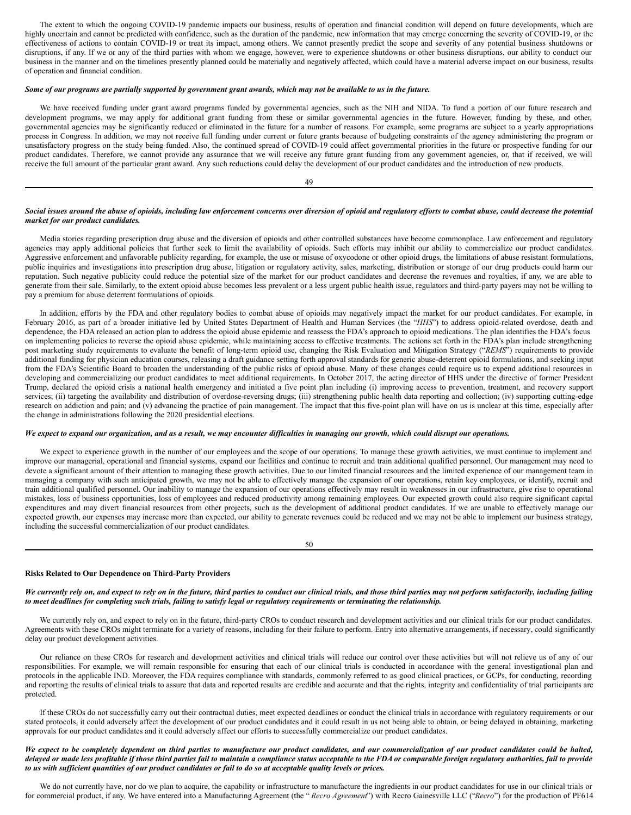The extent to which the ongoing COVID-19 pandemic impacts our business, results of operation and financial condition will depend on future developments, which are highly uncertain and cannot be predicted with confidence, such as the duration of the pandemic, new information that may emerge concerning the severity of COVID-19, or the effectiveness of actions to contain COVID-19 or treat its impact, among others. We cannot presently predict the scope and severity of any potential business shutdowns or disruptions, if any. If we or any of the third parties with whom we engage, however, were to experience shutdowns or other business disruptions, our ability to conduct our business in the manner and on the timelines presently planned could be materially and negatively affected, which could have a material adverse impact on our business, results of operation and financial condition.

## Some of our programs are partially supported by government grant awards, which may not be available to us in the future.

We have received funding under grant award programs funded by governmental agencies, such as the NIH and NIDA. To fund a portion of our future research and development programs, we may apply for additional grant funding from these or similar governmental agencies in the future. However, funding by these, and other, governmental agencies may be significantly reduced or eliminated in the future for a number of reasons. For example, some programs are subject to a yearly appropriations process in Congress. In addition, we may not receive full funding under current or future grants because of budgeting constraints of the agency administering the program or unsatisfactory progress on the study being funded. Also, the continued spread of COVID-19 could affect governmental priorities in the future or prospective funding for our product candidates. Therefore, we cannot provide any assurance that we will receive any future grant funding from any government agencies, or, that if received, we will receive the full amount of the particular grant award. Any such reductions could delay the development of our product candidates and the introduction of new products.

49

#### Social issues around the abuse of opioids, including law enforcement concerns over diversion of opioid and regulatory efforts to combat abuse, could decrease the potential *market for our product candidates.*

Media stories regarding prescription drug abuse and the diversion of opioids and other controlled substances have become commonplace. Law enforcement and regulatory agencies may apply additional policies that further seek to limit the availability of opioids. Such efforts may inhibit our ability to commercialize our product candidates. Aggressive enforcement and unfavorable publicity regarding, for example, the use or misuse of oxycodone or other opioid drugs, the limitations of abuse resistant formulations, public inquiries and investigations into prescription drug abuse, litigation or regulatory activity, sales, marketing, distribution or storage of our drug products could harm our reputation. Such negative publicity could reduce the potential size of the market for our product candidates and decrease the revenues and royalties, if any, we are able to generate from their sale. Similarly, to the extent opioid abuse becomes less prevalent or a less urgent public health issue, regulators and third-party payers may not be willing to pay a premium for abuse deterrent formulations of opioids.

In addition, efforts by the FDA and other regulatory bodies to combat abuse of opioids may negatively impact the market for our product candidates. For example, in February 2016, as part of a broader initiative led by United States Department of Health and Human Services (the "*HHS*") to address opioid-related overdose, death and dependence, the FDA released an action plan to address the opioid abuse epidemic and reassess the FDA's approach to opioid medications. The plan identifies the FDA's focus on implementing policies to reverse the opioid abuse epidemic, while maintaining access to effective treatments. The actions set forth in the FDA's plan include strengthening post marketing study requirements to evaluate the benefit of long-term opioid use, changing the Risk Evaluation and Mitigation Strategy ("*REMS*") requirements to provide additional funding for physician education courses, releasing a draft guidance setting forth approval standards for generic abuse-deterrent opioid formulations, and seeking input from the FDA's Scientific Board to broaden the understanding of the public risks of opioid abuse. Many of these changes could require us to expend additional resources in developing and commercializing our product candidates to meet additional requirements. In October 2017, the acting director of HHS under the directive of former President Trump, declared the opioid crisis a national health emergency and initiated a five point plan including (i) improving access to prevention, treatment, and recovery support services; (ii) targeting the availability and distribution of overdose-reversing drugs; (iii) strengthening public health data reporting and collection; (iv) supporting cutting-edge research on addiction and pain; and (v) advancing the practice of pain management. The impact that this five-point plan will have on us is unclear at this time, especially after the change in administrations following the 2020 presidential elections.

#### We expect to expand our organization, and as a result, we may encounter difficulties in managing our growth, which could disrupt our operations.

We expect to experience growth in the number of our employees and the scope of our operations. To manage these growth activities, we must continue to implement and improve our managerial, operational and financial systems, expand our facilities and continue to recruit and train additional qualified personnel. Our management may need to devote a significant amount of their attention to managing these growth activities. Due to our limited financial resources and the limited experience of our management team in managing a company with such anticipated growth, we may not be able to effectively manage the expansion of our operations, retain key employees, or identify, recruit and train additional qualified personnel. Our inability to manage the expansion of our operations effectively may result in weaknesses in our infrastructure, give rise to operational mistakes, loss of business opportunities, loss of employees and reduced productivity among remaining employees. Our expected growth could also require significant capital expenditures and may divert financial resources from other projects, such as the development of additional product candidates. If we are unable to effectively manage our expected growth, our expenses may increase more than expected, our ability to generate revenues could be reduced and we may not be able to implement our business strategy, including the successful commercialization of our product candidates.

50

## **Risks Related to Our Dependence on Third-Party Providers**

We currently rely on, and expect to rely on in the future, third parties to conduct our clinical trials, and those third parties may not perform satisfactorily, including failing to meet deadlines for completing such trials, failing to satisfy legal or regulatory requirements or terminating the relationship.

We currently rely on, and expect to rely on in the future, third-party CROs to conduct research and development activities and our clinical trials for our product candidates. Agreements with these CROs might terminate for a variety of reasons, including for their failure to perform. Entry into alternative arrangements, if necessary, could significantly delay our product development activities.

Our reliance on these CROs for research and development activities and clinical trials will reduce our control over these activities but will not relieve us of any of our responsibilities. For example, we will remain responsible for ensuring that each of our clinical trials is conducted in accordance with the general investigational plan and protocols in the applicable IND. Moreover, the FDA requires compliance with standards, commonly referred to as good clinical practices, or GCPs, for conducting, recording and reporting the results of clinical trials to assure that data and reported results are credible and accurate and that the rights, integrity and confidentiality of trial participants are protected.

If these CROs do not successfully carry out their contractual duties, meet expected deadlines or conduct the clinical trials in accordance with regulatory requirements or our stated protocols, it could adversely affect the development of our product candidates and it could result in us not being able to obtain, or being delayed in obtaining, marketing approvals for our product candidates and it could adversely affect our efforts to successfully commercialize our product candidates.

We expect to be completely dependent on third parties to manufacture our product candidates, and our commercialization of our product candidates could be halted, delayed or made less profitable if those third parties fail to maintain a compliance status acceptable to the FDA or comparable foreign regulatory authorities, fail to provide to us with sufficient quantities of our product candidates or fail to do so at acceptable quality levels or prices.

We do not currently have, nor do we plan to acquire, the capability or infrastructure to manufacture the ingredients in our product candidates for use in our clinical trials or for commercial product, if any. We have entered into a Manufacturing Agreement (the " *Recro Agreement*") with Recro Gainesville LLC ("*Recro*") for the production of PF614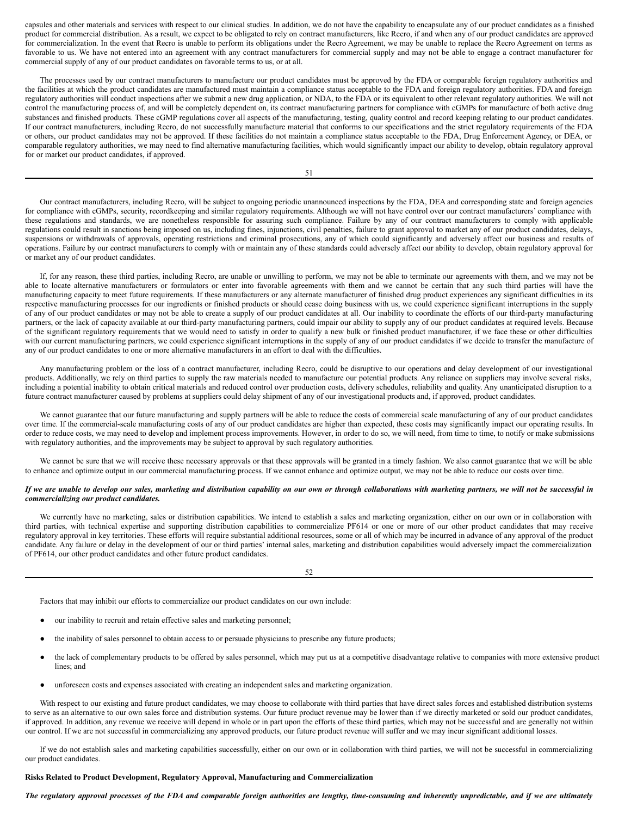capsules and other materials and services with respect to our clinical studies. In addition, we do not have the capability to encapsulate any of our product candidates as a finished product for commercial distribution. As a result, we expect to be obligated to rely on contract manufacturers, like Recro, if and when any of our product candidates are approved for commercialization. In the event that Recro is unable to perform its obligations under the Recro Agreement, we may be unable to replace the Recro Agreement on terms as favorable to us. We have not entered into an agreement with any contract manufacturers for commercial supply and may not be able to engage a contract manufacturer for commercial supply of any of our product candidates on favorable terms to us, or at all.

The processes used by our contract manufacturers to manufacture our product candidates must be approved by the FDA or comparable foreign regulatory authorities and the facilities at which the product candidates are manufactured must maintain a compliance status acceptable to the FDA and foreign regulatory authorities. FDA and foreign regulatory authorities will conduct inspections after we submit a new drug application, or NDA, to the FDA or its equivalent to other relevant regulatory authorities. We will not control the manufacturing process of, and will be completely dependent on, its contract manufacturing partners for compliance with cGMPs for manufacture of both active drug substances and finished products. These cGMP regulations cover all aspects of the manufacturing, testing, quality control and record keeping relating to our product candidates. If our contract manufacturers, including Recro, do not successfully manufacture material that conforms to our specifications and the strict regulatory requirements of the FDA or others, our product candidates may not be approved. If these facilities do not maintain a compliance status acceptable to the FDA, Drug Enforcement Agency, or DEA, or comparable regulatory authorities, we may need to find alternative manufacturing facilities, which would significantly impact our ability to develop, obtain regulatory approval for or market our product candidates, if approved.

51

Our contract manufacturers, including Recro, will be subject to ongoing periodic unannounced inspections by the FDA, DEA and corresponding state and foreign agencies for compliance with cGMPs, security, recordkeeping and similar regulatory requirements. Although we will not have control over our contract manufacturers' compliance with these regulations and standards, we are nonetheless responsible for assuring such compliance. Failure by any of our contract manufacturers to comply with applicable regulations could result in sanctions being imposed on us, including fines, injunctions, civil penalties, failure to grant approval to market any of our product candidates, delays, suspensions or withdrawals of approvals, operating restrictions and criminal prosecutions, any of which could significantly and adversely affect our business and results of operations. Failure by our contract manufacturers to comply with or maintain any of these standards could adversely affect our ability to develop, obtain regulatory approval for or market any of our product candidates.

If, for any reason, these third parties, including Recro, are unable or unwilling to perform, we may not be able to terminate our agreements with them, and we may not be able to locate alternative manufacturers or formulators or enter into favorable agreements with them and we cannot be certain that any such third parties will have the manufacturing capacity to meet future requirements. If these manufacturers or any alternate manufacturer of finished drug product experiences any significant difficulties in its respective manufacturing processes for our ingredients or finished products or should cease doing business with us, we could experience significant interruptions in the supply of any of our product candidates or may not be able to create a supply of our product candidates at all. Our inability to coordinate the efforts of our third-party manufacturing partners, or the lack of capacity available at our third-party manufacturing partners, could impair our ability to supply any of our product candidates at required levels. Because of the significant regulatory requirements that we would need to satisfy in order to qualify a new bulk or finished product manufacturer, if we face these or other difficulties with our current manufacturing partners, we could experience significant interruptions in the supply of any of our product candidates if we decide to transfer the manufacture of any of our product candidates to one or more alternative manufacturers in an effort to deal with the difficulties.

Any manufacturing problem or the loss of a contract manufacturer, including Recro, could be disruptive to our operations and delay development of our investigational products. Additionally, we rely on third parties to supply the raw materials needed to manufacture our potential products. Any reliance on suppliers may involve several risks, including a potential inability to obtain critical materials and reduced control over production costs, delivery schedules, reliability and quality. Any unanticipated disruption to a future contract manufacturer caused by problems at suppliers could delay shipment of any of our investigational products and, if approved, product candidates.

We cannot guarantee that our future manufacturing and supply partners will be able to reduce the costs of commercial scale manufacturing of any of our product candidates over time. If the commercial-scale manufacturing costs of any of our product candidates are higher than expected, these costs may significantly impact our operating results. In order to reduce costs, we may need to develop and implement process improvements. However, in order to do so, we will need, from time to time, to notify or make submissions with regulatory authorities, and the improvements may be subject to approval by such regulatory authorities.

We cannot be sure that we will receive these necessary approvals or that these approvals will be granted in a timely fashion. We also cannot guarantee that we will be able to enhance and optimize output in our commercial manufacturing process. If we cannot enhance and optimize output, we may not be able to reduce our costs over time.

## If we are unable to develop our sales, marketing and distribution capability on our own or through collaborations with marketing partners, we will not be successful in *commercializing our product candidates.*

We currently have no marketing, sales or distribution capabilities. We intend to establish a sales and marketing organization, either on our own or in collaboration with third parties, with technical expertise and supporting distribution capabilities to commercialize PF614 or one or more of our other product candidates that may receive regulatory approval in key territories. These efforts will require substantial additional resources, some or all of which may be incurred in advance of any approval of the product candidate. Any failure or delay in the development of our or third parties' internal sales, marketing and distribution capabilities would adversely impact the commercialization of PF614, our other product candidates and other future product candidates.

52

Factors that may inhibit our efforts to commercialize our product candidates on our own include:

- our inability to recruit and retain effective sales and marketing personnel;
- the inability of sales personnel to obtain access to or persuade physicians to prescribe any future products;
- the lack of complementary products to be offered by sales personnel, which may put us at a competitive disadvantage relative to companies with more extensive product lines: and
- unforeseen costs and expenses associated with creating an independent sales and marketing organization.

With respect to our existing and future product candidates, we may choose to collaborate with third parties that have direct sales forces and established distribution systems to serve as an alternative to our own sales force and distribution systems. Our future product revenue may be lower than if we directly marketed or sold our product candidates, if approved. In addition, any revenue we receive will depend in whole or in part upon the efforts of these third parties, which may not be successful and are generally not within our control. If we are not successful in commercializing any approved products, our future product revenue will suffer and we may incur significant additional losses.

If we do not establish sales and marketing capabilities successfully, either on our own or in collaboration with third parties, we will not be successful in commercializing our product candidates.

## **Risks Related to Product Development, Regulatory Approval, Manufacturing and Commercialization**

The regulatory approval processes of the FDA and comparable foreign authorities are lengthy, time-consuming and inherently unpredictable, and if we are ultimately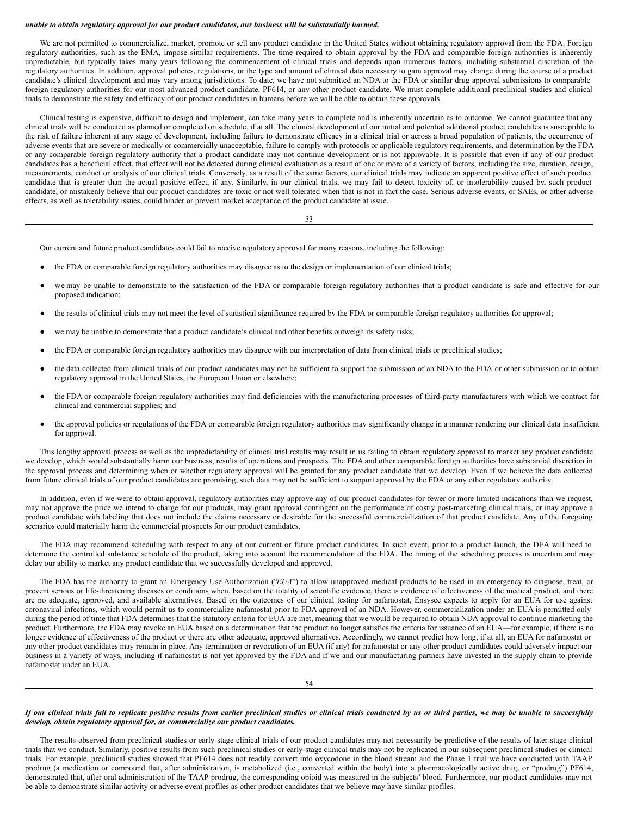#### *unable to obtain regulatory approval for our product candidates, our business will be substantially harmed.*

We are not permitted to commercialize, market, promote or sell any product candidate in the United States without obtaining regulatory approval from the FDA. Foreign regulatory authorities, such as the EMA, impose similar requirements. The time required to obtain approval by the FDA and comparable foreign authorities is inherently unpredictable, but typically takes many years following the commencement of clinical trials and depends upon numerous factors, including substantial discretion of the regulatory authorities. In addition, approval policies, regulations, or the type and amount of clinical data necessary to gain approval may change during the course of a product candidate's clinical development and may vary among jurisdictions. To date, we have not submitted an NDA to the FDA or similar drug approval submissions to comparable foreign regulatory authorities for our most advanced product candidate, PF614, or any other product candidate. We must complete additional preclinical studies and clinical trials to demonstrate the safety and efficacy of our product candidates in humans before we will be able to obtain these approvals.

Clinical testing is expensive, difficult to design and implement, can take many years to complete and is inherently uncertain as to outcome. We cannot guarantee that any clinical trials will be conducted as planned or completed on schedule, if at all. The clinical development of our initial and potential additional product candidates is susceptible to the risk of failure inherent at any stage of development, including failure to demonstrate efficacy in a clinical trial or across a broad population of patients, the occurrence of adverse events that are severe or medically or commercially unacceptable, failure to comply with protocols or applicable regulatory requirements, and determination by the FDA or any comparable foreign regulatory authority that a product candidate may not continue development or is not approvable. It is possible that even if any of our product candidates has a beneficial effect, that effect will not be detected during clinical evaluation as a result of one or more of a variety of factors, including the size, duration, design, measurements, conduct or analysis of our clinical trials. Conversely, as a result of the same factors, our clinical trials may indicate an apparent positive effect of such product candidate that is greater than the actual positive effect, if any. Similarly, in our clinical trials, we may fail to detect toxicity of, or intolerability caused by, such product candidate, or mistakenly believe that our product candidates are toxic or not well tolerated when that is not in fact the case. Serious adverse events, or SAEs, or other adverse effects, as well as tolerability issues, could hinder or prevent market acceptance of the product candidate at issue.

53

Our current and future product candidates could fail to receive regulatory approval for many reasons, including the following:

- the FDA or comparable foreign regulatory authorities may disagree as to the design or implementation of our clinical trials;
- we may be unable to demonstrate to the satisfaction of the FDA or comparable foreign regulatory authorities that a product candidate is safe and effective for our proposed indication;
- the results of clinical trials may not meet the level of statistical significance required by the FDA or comparable foreign regulatory authorities for approval;
- we may be unable to demonstrate that a product candidate's clinical and other benefits outweigh its safety risks;
- the FDA or comparable foreign regulatory authorities may disagree with our interpretation of data from clinical trials or preclinical studies;
- the data collected from clinical trials of our product candidates may not be sufficient to support the submission of an NDA to the FDA or other submission or to obtain regulatory approval in the United States, the European Union or elsewhere;
- the FDA or comparable foreign regulatory authorities may find deficiencies with the manufacturing processes of third-party manufacturers with which we contract for clinical and commercial supplies; and
- the approval policies or regulations of the FDA or comparable foreign regulatory authorities may significantly change in a manner rendering our clinical data insufficient for approval.

This lengthy approval process as well as the unpredictability of clinical trial results may result in us failing to obtain regulatory approval to market any product candidate we develop, which would substantially harm our business, results of operations and prospects. The FDA and other comparable foreign authorities have substantial discretion in the approval process and determining when or whether regulatory approval will be granted for any product candidate that we develop. Even if we believe the data collected from future clinical trials of our product candidates are promising, such data may not be sufficient to support approval by the FDA or any other regulatory authority.

In addition, even if we were to obtain approval, regulatory authorities may approve any of our product candidates for fewer or more limited indications than we request, may not approve the price we intend to charge for our products, may grant approval contingent on the performance of costly post-marketing clinical trials, or may approve a product candidate with labeling that does not include the claims necessary or desirable for the successful commercialization of that product candidate. Any of the foregoing scenarios could materially harm the commercial prospects for our product candidates.

The FDA may recommend scheduling with respect to any of our current or future product candidates. In such event, prior to a product launch, the DEA will need to determine the controlled substance schedule of the product, taking into account the recommendation of the FDA. The timing of the scheduling process is uncertain and may delay our ability to market any product candidate that we successfully developed and approved.

The FDA has the authority to grant an Emergency Use Authorization ("*EUA*") to allow unapproved medical products to be used in an emergency to diagnose, treat, or prevent serious or life-threatening diseases or conditions when, based on the totality of scientific evidence, there is evidence of effectiveness of the medical product, and there are no adequate, approved, and available alternatives. Based on the outcomes of our clinical testing for nafamostat, Ensysce expects to apply for an EUA for use against coronaviral infections, which would permit us to commercialize nafamostat prior to FDA approval of an NDA. However, commercialization under an EUA is permitted only during the period of time that FDA determines that the statutory criteria for EUA are met, meaning that we would be required to obtain NDA approval to continue marketing the product. Furthermore, the FDA may revoke an EUA based on a determination that the product no longer satisfies the criteria for issuance of an EUA—for example, if there is no longer evidence of effectiveness of the product or there are other adequate, approved alternatives. Accordingly, we cannot predict how long, if at all, an EUA for nafamostat or any other product candidates may remain in place. Any termination or revocation of an EUA (if any) for nafamostat or any other product candidates could adversely impact our business in a variety of ways, including if nafamostat is not yet approved by the FDA and if we and our manufacturing partners have invested in the supply chain to provide nafamostat under an EUA.

## If our clinical trials fail to replicate positive results from earlier preclinical studies or clinical trials conducted by us or third parties, we may be unable to successfully *develop, obtain regulatory approval for, or commercialize our product candidates.*

The results observed from preclinical studies or early-stage clinical trials of our product candidates may not necessarily be predictive of the results of later-stage clinical trials that we conduct. Similarly, positive results from such preclinical studies or early-stage clinical trials may not be replicated in our subsequent preclinical studies or clinical trials. For example, preclinical studies showed that PF614 does not readily convert into oxycodone in the blood stream and the Phase 1 trial we have conducted with TAAP prodrug (a medication or compound that, after administration, is metabolized (i.e., converted within the body) into a pharmacologically active drug, or "prodrug") PF614, demonstrated that, after oral administration of the TAAP prodrug, the corresponding opioid was measured in the subjects' blood. Furthermore, our product candidates may not be able to demonstrate similar activity or adverse event profiles as other product candidates that we believe may have similar profiles.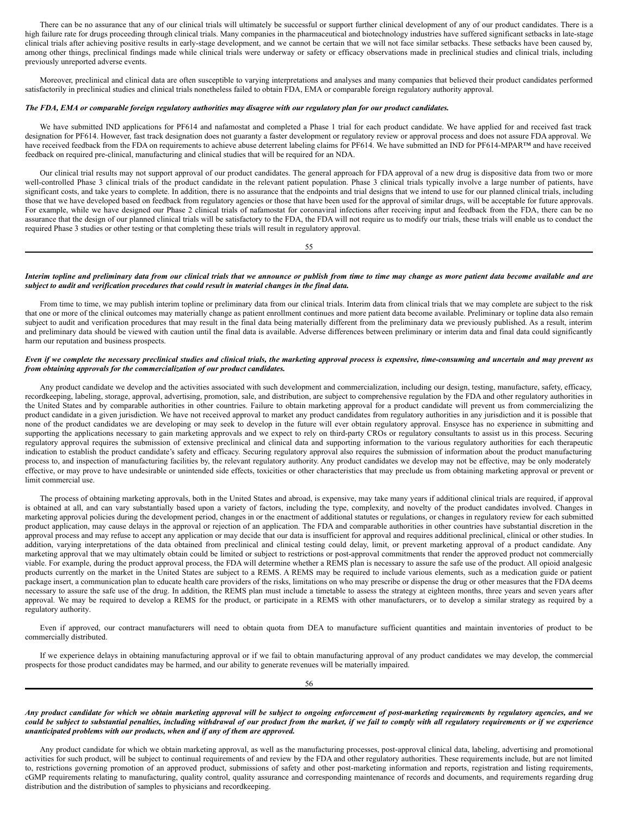There can be no assurance that any of our clinical trials will ultimately be successful or support further clinical development of any of our product candidates. There is a high failure rate for drugs proceeding through clinical trials. Many companies in the pharmaceutical and biotechnology industries have suffered significant setbacks in late-stage clinical trials after achieving positive results in early-stage development, and we cannot be certain that we will not face similar setbacks. These setbacks have been caused by, among other things, preclinical findings made while clinical trials were underway or safety or efficacy observations made in preclinical studies and clinical trials, including previously unreported adverse events.

Moreover, preclinical and clinical data are often susceptible to varying interpretations and analyses and many companies that believed their product candidates performed satisfactorily in preclinical studies and clinical trials nonetheless failed to obtain FDA, EMA or comparable foreign regulatory authority approval.

#### The FDA, EMA or comparable foreign regulatory authorities may disagree with our regulatory plan for our product candidates.

We have submitted IND applications for PF614 and nafamostat and completed a Phase 1 trial for each product candidate. We have applied for and received fast track designation for PF614. However, fast track designation does not guaranty a faster development or regulatory review or approval process and does not assure FDA approval. We have received feedback from the FDA on requirements to achieve abuse deterrent labeling claims for PF614. We have submitted an IND for PF614-MPAR™ and have received feedback on required pre-clinical, manufacturing and clinical studies that will be required for an NDA.

Our clinical trial results may not support approval of our product candidates. The general approach for FDA approval of a new drug is dispositive data from two or more well-controlled Phase 3 clinical trials of the product candidate in the relevant patient population. Phase 3 clinical trials typically involve a large number of patients, have significant costs, and take years to complete. In addition, there is no assurance that the endpoints and trial designs that we intend to use for our planned clinical trials, including those that we have developed based on feedback from regulatory agencies or those that have been used for the approval of similar drugs, will be acceptable for future approvals. For example, while we have designed our Phase 2 clinical trials of nafamostat for coronaviral infections after receiving input and feedback from the FDA, there can be no assurance that the design of our planned clinical trials will be satisfactory to the FDA, the FDA will not require us to modify our trials, these trials will enable us to conduct the required Phase 3 studies or other testing or that completing these trials will result in regulatory approval.

55

#### Interim topline and preliminary data from our clinical trials that we announce or publish from time to time may change as more patient data become available and are *subject to audit and verification procedures that could result in material changes in the final data.*

From time to time, we may publish interim topline or preliminary data from our clinical trials. Interim data from clinical trials that we may complete are subject to the risk that one or more of the clinical outcomes may materially change as patient enrollment continues and more patient data become available. Preliminary or topline data also remain subject to audit and verification procedures that may result in the final data being materially different from the preliminary data we previously published. As a result, interim and preliminary data should be viewed with caution until the final data is available. Adverse differences between preliminary or interim data and final data could significantly harm our reputation and business prospects.

# Even if we complete the necessary preclinical studies and clinical trials, the marketing approval process is expensive, time-consuming and uncertain and may prevent us *from obtaining approvals for the commercialization of our product candidates.*

Any product candidate we develop and the activities associated with such development and commercialization, including our design, testing, manufacture, safety, efficacy, recordkeeping, labeling, storage, approval, advertising, promotion, sale, and distribution, are subject to comprehensive regulation by the FDA and other regulatory authorities in the United States and by comparable authorities in other countries. Failure to obtain marketing approval for a product candidate will prevent us from commercializing the product candidate in a given jurisdiction. We have not received approval to market any product candidates from regulatory authorities in any jurisdiction and it is possible that none of the product candidates we are developing or may seek to develop in the future will ever obtain regulatory approval. Ensysce has no experience in submitting and supporting the applications necessary to gain marketing approvals and we expect to rely on third-party CROs or regulatory consultants to assist us in this process. Securing regulatory approval requires the submission of extensive preclinical and clinical data and supporting information to the various regulatory authorities for each therapeutic indication to establish the product candidate's safety and efficacy. Securing regulatory approval also requires the submission of information about the product manufacturing process to, and inspection of manufacturing facilities by, the relevant regulatory authority. Any product candidates we develop may not be effective, may be only moderately effective, or may prove to have undesirable or unintended side effects, toxicities or other characteristics that may preclude us from obtaining marketing approval or prevent or limit commercial use.

The process of obtaining marketing approvals, both in the United States and abroad, is expensive, may take many years if additional clinical trials are required, if approval is obtained at all, and can vary substantially based upon a variety of factors, including the type, complexity, and novelty of the product candidates involved. Changes in marketing approval policies during the development period, changes in or the enactment of additional statutes or regulations, or changes in regulatory review for each submitted product application, may cause delays in the approval or rejection of an application. The FDA and comparable authorities in other countries have substantial discretion in the approval process and may refuse to accept any application or may decide that our data is insufficient for approval and requires additional preclinical, clinical or other studies. In addition, varying interpretations of the data obtained from preclinical and clinical testing could delay, limit, or prevent marketing approval of a product candidate. Any marketing approval that we may ultimately obtain could be limited or subject to restrictions or post-approval commitments that render the approved product not commercially viable. For example, during the product approval process, the FDA will determine whether a REMS plan is necessary to assure the safe use of the product. All opioid analgesic products currently on the market in the United States are subject to a REMS. A REMS may be required to include various elements, such as a medication guide or patient package insert, a communication plan to educate health care providers of the risks, limitations on who may prescribe or dispense the drug or other measures that the FDA deems necessary to assure the safe use of the drug. In addition, the REMS plan must include a timetable to assess the strategy at eighteen months, three years and seven years after approval. We may be required to develop a REMS for the product, or participate in a REMS with other manufacturers, or to develop a similar strategy as required by a regulatory authority.

Even if approved, our contract manufacturers will need to obtain quota from DEA to manufacture sufficient quantities and maintain inventories of product to be commercially distributed.

If we experience delays in obtaining manufacturing approval or if we fail to obtain manufacturing approval of any product candidates we may develop, the commercial prospects for those product candidates may be harmed, and our ability to generate revenues will be materially impaired.

Any product candidate for which we obtain marketing approval will be subject to ongoing enforcement of post-marketing requirements by regulatory agencies, and we could be subject to substantial penalties, including withdrawal of our product from the market, if we fail to comply with all regulatory requirements or if we experience *unanticipated problems with our products, when and if any of them are approved.*

Any product candidate for which we obtain marketing approval, as well as the manufacturing processes, post-approval clinical data, labeling, advertising and promotional activities for such product, will be subject to continual requirements of and review by the FDA and other regulatory authorities. These requirements include, but are not limited to, restrictions governing promotion of an approved product, submissions of safety and other post-marketing information and reports, registration and listing requirements, cGMP requirements relating to manufacturing, quality control, quality assurance and corresponding maintenance of records and documents, and requirements regarding drug distribution and the distribution of samples to physicians and recordkeeping.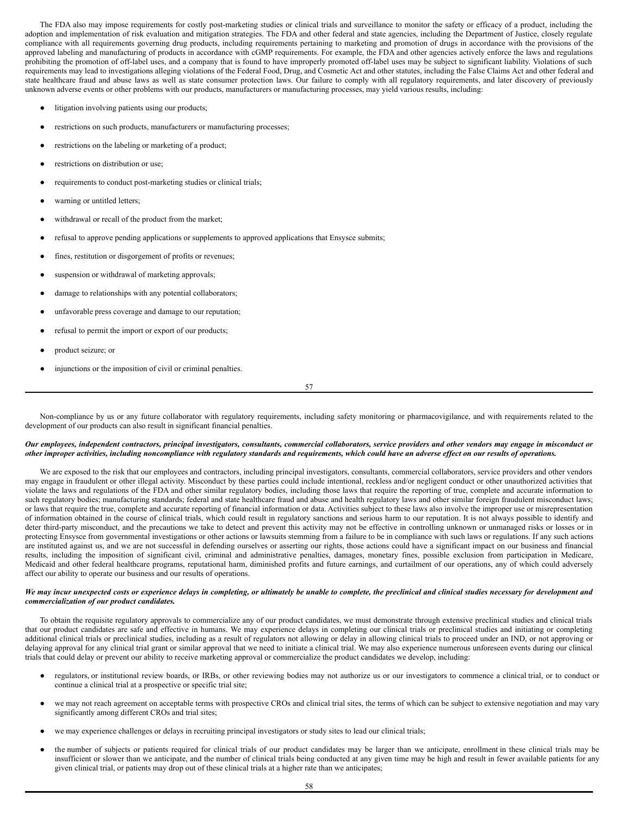The FDA also may impose requirements for costly post-marketing studies or clinical trials and surveillance to monitor the safety or efficacy of a product, including the adoption and implementation of risk evaluation and mitigation strategies. The FDA and other federal and state agencies, including the Department of Justice, closely regulate compliance with all requirements governing drug products, including requirements pertaining to marketing and promotion of drugs in accordance with the provisions of the approved labeling and manufacturing of products in accordance with cGMP requirements. For example, the FDA and other agencies actively enforce the laws and regulations prohibiting the promotion of off-label uses, and a company that is found to have improperly promoted off-label uses may be subject to significant liability. Violations of such requirements may lead to investigations alleging violations of the Federal Food, Drug, and Cosmetic Act and other statutes, including the False Claims Act and other federal and state healthcare fraud and abuse laws as well as state consumer protection laws. Our failure to comply with all regulatory requirements, and later discovery of previously unknown adverse events or other problems with our products, manufacturers or manufacturing processes, may yield various results, including:

- litigation involving patients using our products;
- restrictions on such products, manufacturers or manufacturing processes;
- restrictions on the labeling or marketing of a product;
- restrictions on distribution or use;
- requirements to conduct post-marketing studies or clinical trials;
- warning or untitled letters;
- withdrawal or recall of the product from the market;
- refusal to approve pending applications or supplements to approved applications that Ensysce submits;
- fines, restitution or disgorgement of profits or revenues;
- suspension or withdrawal of marketing approvals;
- damage to relationships with any potential collaborators;
- unfavorable press coverage and damage to our reputation;
- refusal to permit the import or export of our products;
- product seizure; or
- injunctions or the imposition of civil or criminal penalties.

57

Non-compliance by us or any future collaborator with regulatory requirements, including safety monitoring or pharmacovigilance, and with requirements related to the development of our products can also result in significant financial penalties.

#### Our employees, independent contractors, principal investigators, consultants, commercial collaborators, service providers and other vendors may engage in misconduct or other improper activities, including noncompliance with regulatory standards and requirements, which could have an adverse effect on our results of operations.

We are exposed to the risk that our employees and contractors, including principal investigators, consultants, commercial collaborators, service providers and other vendors may engage in fraudulent or other illegal activity. Misconduct by these parties could include intentional, reckless and/or negligent conduct or other unauthorized activities that violate the laws and regulations of the FDA and other similar regulatory bodies, including those laws that require the reporting of true, complete and accurate information to such regulatory bodies; manufacturing standards; federal and state healthcare fraud and abuse and health regulatory laws and other similar foreign fraudulent misconduct laws; or laws that require the true, complete and accurate reporting of financial information or data. Activities subject to these laws also involve the improper use or misrepresentation of information obtained in the course of clinical trials, which could result in regulatory sanctions and serious harm to our reputation. It is not always possible to identify and deter third-party misconduct, and the precautions we take to detect and prevent this activity may not be effective in controlling unknown or unmanaged risks or losses or in protecting Ensysce from governmental investigations or other actions or lawsuits stemming from a failure to be in compliance with such laws or regulations. If any such actions are instituted against us, and we are not successful in defending ourselves or asserting our rights, those actions could have a significant impact on our business and financial results, including the imposition of significant civil, criminal and administrative penalties, damages, monetary fines, possible exclusion from participation in Medicare, Medicaid and other federal healthcare programs, reputational harm, diminished profits and future earnings, and curtailment of our operations, any of which could adversely affect our ability to operate our business and our results of operations.

## We may incur unexpected costs or experience delays in completing, or ultimately be unable to complete, the preclinical and clinical studies necessary for development and *commercialization of our product candidates.*

To obtain the requisite regulatory approvals to commercialize any of our product candidates, we must demonstrate through extensive preclinical studies and clinical trials that our product candidates are safe and effective in humans. We may experience delays in completing our clinical trials or preclinical studies and initiating or completing additional clinical trials or preclinical studies, including as a result of regulators not allowing or delay in allowing clinical trials to proceed under an IND, or not approving or delaying approval for any clinical trial grant or similar approval that we need to initiate a clinical trial. We may also experience numerous unforeseen events during our clinical trials that could delay or prevent our ability to receive marketing approval or commercialize the product candidates we develop, including:

- regulators, or institutional review boards, or IRBs, or other reviewing bodies may not authorize us or our investigators to commence a clinical trial, or to conduct or continue a clinical trial at a prospective or specific trial site;
- we may not reach agreement on acceptable terms with prospective CROs and clinical trial sites, the terms of which can be subject to extensive negotiation and may vary significantly among different CROs and trial sites;
- we may experience challenges or delays in recruiting principal investigators or study sites to lead our clinical trials;
- the number of subjects or patients required for clinical trials of our product candidates may be larger than we anticipate, enrollment in these clinical trials may be insufficient or slower than we anticipate, and the number of clinical trials being conducted at any given time may be high and result in fewer available patients for any given clinical trial, or patients may drop out of these clinical trials at a higher rate than we anticipates;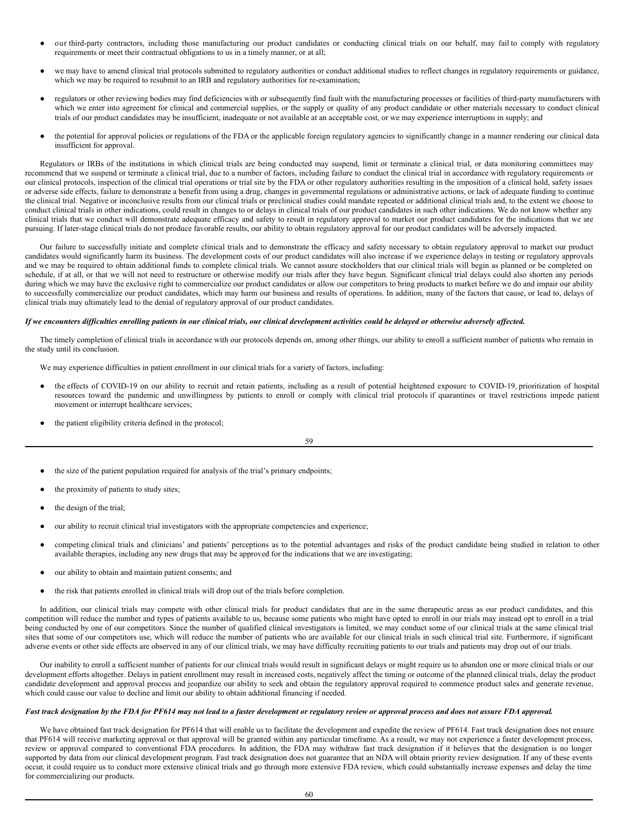- our third-party contractors, including those manufacturing our product candidates or conducting clinical trials on our behalf, may fail to comply with regulatory requirements or meet their contractual obligations to us in a timely manner, or at all;
- we may have to amend clinical trial protocols submitted to regulatory authorities or conduct additional studies to reflect changes in regulatory requirements or guidance, which we may be required to resubmit to an IRB and regulatory authorities for re-examination;
- regulators or other reviewing bodies may find deficiencies with or subsequently find fault with the manufacturing processes or facilities of third-party manufacturers with which we enter into agreement for clinical and commercial supplies, or the supply or quality of any product candidate or other materials necessary to conduct clinical trials of our product candidates may be insufficient, inadequate or not available at an acceptable cost, or we may experience interruptions in supply; and
- the potential for approval policies or regulations of the FDA or the applicable foreign regulatory agencies to significantly change in a manner rendering our clinical data insufficient for approval.

Regulators or IRBs of the institutions in which clinical trials are being conducted may suspend, limit or terminate a clinical trial, or data monitoring committees may recommend that we suspend or terminate a clinical trial, due to a number of factors, including failure to conduct the clinical trial in accordance with regulatory requirements or our clinical protocols, inspection of the clinical trial operations or trial site by the FDA or other regulatory authorities resulting in the imposition of a clinical hold, safety issues or adverse side effects, failure to demonstrate a benefit from using a drug, changes in governmental regulations or administrative actions, or lack of adequate funding to continue the clinical trial. Negative or inconclusive results from our clinical trials or preclinical studies could mandate repeated or additional clinical trials and, to the extent we choose to conduct clinical trials in other indications, could result in changes to or delays in clinical trials of our product candidates in such other indications. We do not know whether any clinical trials that we conduct will demonstrate adequate efficacy and safety to result in regulatory approval to market our product candidates for the indications that we are pursuing. If later-stage clinical trials do not produce favorable results, our ability to obtain regulatory approval for our product candidates will be adversely impacted.

Our failure to successfully initiate and complete clinical trials and to demonstrate the efficacy and safety necessary to obtain regulatory approval to market our product candidates would significantly harm its business. The development costs of our product candidates will also increase if we experience delays in testing or regulatory approvals and we may be required to obtain additional funds to complete clinical trials. We cannot assure stockholders that our clinical trials will begin as planned or be completed on schedule, if at all, or that we will not need to restructure or otherwise modify our trials after they have begun. Significant clinical trial delays could also shorten any periods during which we may have the exclusive right to commercialize our product candidates or allow our competitors to bring products to market before we do and impair our ability to successfully commercialize our product candidates, which may harm our business and results of operations. In addition, many of the factors that cause, or lead to, delays of clinical trials may ultimately lead to the denial of regulatory approval of our product candidates.

## If we encounters difficulties enrolling patients in our clinical trials, our clinical development activities could be delayed or otherwise adversely affected.

The timely completion of clinical trials in accordance with our protocols depends on, among other things, our ability to enroll a sufficient number of patients who remain in the study until its conclusion.

We may experience difficulties in patient enrollment in our clinical trials for a variety of factors, including:

- the effects of COVID-19 on our ability to recruit and retain patients, including as a result of potential heightened exposure to COVID-19, prioritization of hospital resources toward the pandemic and unwillingness by patients to enroll or comply with clinical trial protocols if quarantines or travel restrictions impede patient movement or interrupt healthcare services;
- the patient eligibility criteria defined in the protocol;

59

- the size of the patient population required for analysis of the trial's primary endpoints;
- the proximity of patients to study sites;
- the design of the trial;
- our ability to recruit clinical trial investigators with the appropriate competencies and experience;
- competing clinical trials and clinicians' and patients' perceptions as to the potential advantages and risks of the product candidate being studied in relation to other available therapies, including any new drugs that may be approved for the indications that we are investigating;
- our ability to obtain and maintain patient consents; and
- the risk that patients enrolled in clinical trials will drop out of the trials before completion.

In addition, our clinical trials may compete with other clinical trials for product candidates that are in the same therapeutic areas as our product candidates, and this competition will reduce the number and types of patients available to us, because some patients who might have opted to enroll in our trials may instead opt to enroll in a trial being conducted by one of our competitors. Since the number of qualified clinical investigators is limited, we may conduct some of our clinical trials at the same clinical trial sites that some of our competitors use, which will reduce the number of patients who are available for our clinical trials in such clinical trial site. Furthermore, if significant adverse events or other side effects are observed in any of our clinical trials, we may have difficulty recruiting patients to our trials and patients may drop out of our trials.

Our inability to enroll a sufficient number of patients for our clinical trials would result in significant delays or might require us to abandon one or more clinical trials or our development efforts altogether. Delays in patient enrollment may result in increased costs, negatively affect the timing or outcome of the planned clinical trials, delay the product candidate development and approval process and jeopardize our ability to seek and obtain the regulatory approval required to commence product sales and generate revenue, which could cause our value to decline and limit our ability to obtain additional financing if needed.

# Fast track designation by the FDA for PF614 may not lead to a faster development or regulatory review or approval process and does not assure FDA approval.

We have obtained fast track designation for PF614 that will enable us to facilitate the development and expedite the review of PF614. Fast track designation does not ensure that PF614 will receive marketing approval or that approval will be granted within any particular timeframe. As a result, we may not experience a faster development process, review or approval compared to conventional FDA procedures. In addition, the FDA may withdraw fast track designation if it believes that the designation is no longer supported by data from our clinical development program. Fast track designation does not guarantee that an NDA will obtain priority review designation. If any of these events occur, it could require us to conduct more extensive clinical trials and go through more extensive FDA review, which could substantially increase expenses and delay the time for commercializing our products.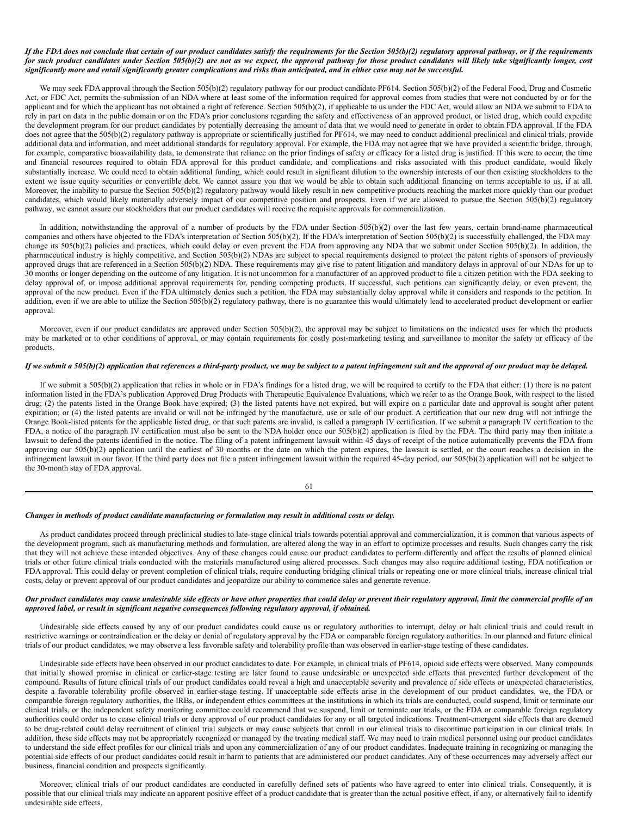## If the FDA does not conclude that certain of our product candidates satisfy the requirements for the Section 505(b)(2) regulatory approval pathway, or if the requirements for such product candidates under Section 505(b)(2) are not as we expect, the approval pathway for those product candidates will likely take significantly longer, cost significantly more and entail significantly greater complications and risks than anticipated, and in either case may not be successful.

We may seek FDA approval through the Section 505(b)(2) regulatory pathway for our product candidate PF614. Section 505(b)(2) of the Federal Food, Drug and Cosmetic Act, or FDC Act, permits the submission of an NDA where at least some of the information required for approval comes from studies that were not conducted by or for the applicant and for which the applicant has not obtained a right of reference. Section 505(b)(2), if applicable to us under the FDC Act, would allow an NDA we submit to FDA to rely in part on data in the public domain or on the FDA's prior conclusions regarding the safety and effectiveness of an approved product, or listed drug, which could expedite the development program for our product candidates by potentially decreasing the amount of data that we would need to generate in order to obtain FDA approval. If the FDA does not agree that the 505(b)(2) regulatory pathway is appropriate or scientifically justified for PF614, we may need to conduct additional preclinical and clinical trials, provide additional data and information, and meet additional standards for regulatory approval. For example, the FDA may not agree that we have provided a scientific bridge, through, for example, comparative bioavailability data, to demonstrate that reliance on the prior findings of safety or efficacy for a listed drug is justified. If this were to occur, the time and financial resources required to obtain FDA approval for this product candidate, and complications and risks associated with this product candidate, would likely substantially increase. We could need to obtain additional funding, which could result in significant dilution to the ownership interests of our then existing stockholders to the extent we issue equity securities or convertible debt. We cannot assure you that we would be able to obtain such additional financing on terms acceptable to us, if at all. Moreover, the inability to pursue the Section 505(b)(2) regulatory pathway would likely result in new competitive products reaching the market more quickly than our product candidates, which would likely materially adversely impact of our competitive position and prospects. Even if we are allowed to pursue the Section 505(b)(2) regulatory pathway, we cannot assure our stockholders that our product candidates will receive the requisite approvals for commercialization.

In addition, notwithstanding the approval of a number of products by the FDA under Section 505(b)(2) over the last few years, certain brand-name pharmaceutical companies and others have objected to the FDA's interpretation of Section 505(b)(2). If the FDA's interpretation of Section 505(b)(2) is successfully challenged, the FDA may change its 505(b)(2) policies and practices, which could delay or even prevent the FDA from approving any NDA that we submit under Section 505(b)(2). In addition, the pharmaceutical industry is highly competitive, and Section 505(b)(2) NDAs are subject to special requirements designed to protect the patent rights of sponsors of previously approved drugs that are referenced in a Section 505(b)(2) NDA. These requirements may give rise to patent litigation and mandatory delays in approval of our NDAs for up to 30 months or longer depending on the outcome of any litigation. It is not uncommon for a manufacturer of an approved product to file a citizen petition with the FDA seeking to delay approval of, or impose additional approval requirements for, pending competing products. If successful, such petitions can significantly delay, or even prevent, the approval of the new product. Even if the FDA ultimately denies such a petition, the FDA may substantially delay approval while it considers and responds to the petition. In addition, even if we are able to utilize the Section 505(b)(2) regulatory pathway, there is no guarantee this would ultimately lead to accelerated product development or earlier approval.

Moreover, even if our product candidates are approved under Section 505(b)(2), the approval may be subject to limitations on the indicated uses for which the products may be marketed or to other conditions of approval, or may contain requirements for costly post-marketing testing and surveillance to monitor the safety or efficacy of the products.

## If we submit a 505(b)(2) application that references a third-party product, we may be subject to a patent infringement suit and the approval of our product may be delayed.

If we submit a 505(b)(2) application that relies in whole or in FDA's findings for a listed drug, we will be required to certify to the FDA that either: (1) there is no patent information listed in the FDA's publication Approved Drug Products with Therapeutic Equivalence Evaluations, which we refer to as the Orange Book, with respect to the listed drug; (2) the patents listed in the Orange Book have expired; (3) the listed patents have not expired, but will expire on a particular date and approval is sought after patent expiration; or (4) the listed patents are invalid or will not be infringed by the manufacture, use or sale of our product. A certification that our new drug will not infringe the Orange Book-listed patents for the applicable listed drug, or that such patents are invalid, is called a paragraph IV certification. If we submit a paragraph IV certification to the FDA, a notice of the paragraph IV certification must also be sent to the NDA holder once our  $505(b)(2)$  application is filed by the FDA. The third party may then initiate a lawsuit to defend the patents identified in the notice. The filing of a patent infringement lawsuit within 45 days of receipt of the notice automatically prevents the FDA from approving our 505(b)(2) application until the earliest of 30 months or the date on which the patent expires, the lawsuit is settled, or the court reaches a decision in the infringement lawsuit in our favor. If the third party does not file a patent infringement lawsuit within the required 45-day period, our 505(b)(2) application will not be subject to the 30-month stay of FDA approval.

61

#### *Changes in methods of product candidate manufacturing or formulation may result in additional costs or delay.*

As product candidates proceed through preclinical studies to late-stage clinical trials towards potential approval and commercialization, it is common that various aspects of the development program, such as manufacturing methods and formulation, are altered along the way in an effort to optimize processes and results. Such changes carry the risk that they will not achieve these intended objectives. Any of these changes could cause our product candidates to perform differently and affect the results of planned clinical trials or other future clinical trials conducted with the materials manufactured using altered processes. Such changes may also require additional testing, FDA notification or FDA approval. This could delay or prevent completion of clinical trials, require conducting bridging clinical trials or repeating one or more clinical trials, increase clinical trial costs, delay or prevent approval of our product candidates and jeopardize our ability to commence sales and generate revenue.

## Our product candidates may cause undesirable side effects or have other properties that could delay or prevent their regulatory approval, limit the commercial profile of an *approved label, or result in significant negative consequences following regulatory approval, if obtained.*

Undesirable side effects caused by any of our product candidates could cause us or regulatory authorities to interrupt, delay or halt clinical trials and could result in restrictive warnings or contraindication or the delay or denial of regulatory approval by the FDA or comparable foreign regulatory authorities. In our planned and future clinical trials of our product candidates, we may observe a less favorable safety and tolerability profile than was observed in earlier-stage testing of these candidates.

Undesirable side effects have been observed in our product candidates to date. For example, in clinical trials of PF614, opioid side effects were observed. Many compounds that initially showed promise in clinical or earlier-stage testing are later found to cause undesirable or unexpected side effects that prevented further development of the compound. Results of future clinical trials of our product candidates could reveal a high and unacceptable severity and prevalence of side effects or unexpected characteristics, despite a favorable tolerability profile observed in earlier-stage testing. If unacceptable side effects arise in the development of our product candidates, we, the FDA or comparable foreign regulatory authorities, the IRBs, or independent ethics committees at the institutions in which its trials are conducted, could suspend, limit or terminate our clinical trials, or the independent safety monitoring committee could recommend that we suspend, limit or terminate our trials, or the FDA or comparable foreign regulatory authorities could order us to cease clinical trials or deny approval of our product candidates for any or all targeted indications. Treatment-emergent side effects that are deemed to be drug-related could delay recruitment of clinical trial subjects or may cause subjects that enroll in our clinical trials to discontinue participation in our clinical trials. In addition, these side effects may not be appropriately recognized or managed by the treating medical staff. We may need to train medical personnel using our product candidates to understand the side effect profiles for our clinical trials and upon any commercialization of any of our product candidates. Inadequate training in recognizing or managing the potential side effects of our product candidates could result in harm to patients that are administered our product candidates. Any of these occurrences may adversely affect our business, financial condition and prospects significantly.

Moreover, clinical trials of our product candidates are conducted in carefully defined sets of patients who have agreed to enter into clinical trials. Consequently, it is possible that our clinical trials may indicate an apparent positive effect of a product candidate that is greater than the actual positive effect, if any, or alternatively fail to identify undesirable side effects.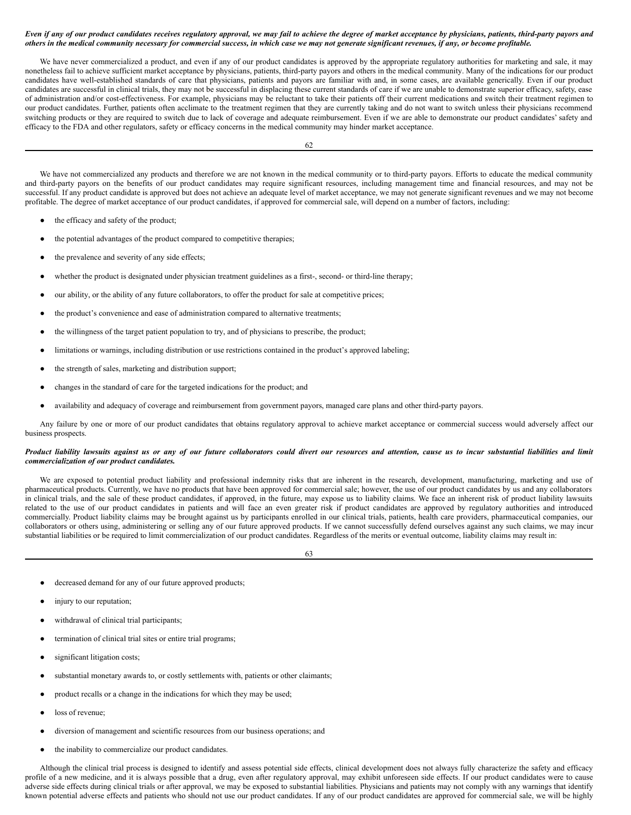## Even if any of our product candidates receives regulatory approval, we may fail to achieve the degree of market acceptance by physicians, patients, third-party payors and others in the medical community necessary for commercial success, in which case we may not generate significant revenues, if any, or become profitable.

We have never commercialized a product, and even if any of our product candidates is approved by the appropriate regulatory authorities for marketing and sale, it may nonetheless fail to achieve sufficient market acceptance by physicians, patients, third-party payors and others in the medical community. Many of the indications for our product candidates have well-established standards of care that physicians, patients and payors are familiar with and, in some cases, are available generically. Even if our product candidates are successful in clinical trials, they may not be successful in displacing these current standards of care if we are unable to demonstrate superior efficacy, safety, ease of administration and/or cost-effectiveness. For example, physicians may be reluctant to take their patients off their current medications and switch their treatment regimen to our product candidates. Further, patients often acclimate to the treatment regimen that they are currently taking and do not want to switch unless their physicians recommend switching products or they are required to switch due to lack of coverage and adequate reimbursement. Even if we are able to demonstrate our product candidates' safety and efficacy to the FDA and other regulators, safety or efficacy concerns in the medical community may hinder market acceptance.

62

We have not commercialized any products and therefore we are not known in the medical community or to third-party payors. Efforts to educate the medical community and third-party payors on the benefits of our product candidates may require significant resources, including management time and financial resources, and may not be successful. If any product candidate is approved but does not achieve an adequate level of market acceptance, we may not generate significant revenues and we may not become profitable. The degree of market acceptance of our product candidates, if approved for commercial sale, will depend on a number of factors, including:

- the efficacy and safety of the product;
- the potential advantages of the product compared to competitive therapies;
- the prevalence and severity of any side effects;
- whether the product is designated under physician treatment guidelines as a first-, second- or third-line therapy;
- our ability, or the ability of any future collaborators, to offer the product for sale at competitive prices;
- the product's convenience and ease of administration compared to alternative treatments;
- the willingness of the target patient population to try, and of physicians to prescribe, the product;
- limitations or warnings, including distribution or use restrictions contained in the product's approved labeling;
- the strength of sales, marketing and distribution support;
- changes in the standard of care for the targeted indications for the product; and
- availability and adequacy of coverage and reimbursement from government payors, managed care plans and other third-party payors.

Any failure by one or more of our product candidates that obtains regulatory approval to achieve market acceptance or commercial success would adversely affect our business prospects.

#### Product liability lawsuits against us or any of our future collaborators could divert our resources and attention, cause us to incur substantial liabilities and limit *commercialization of our product candidates.*

We are exposed to potential product liability and professional indemnity risks that are inherent in the research, development, manufacturing, marketing and use of pharmaceutical products. Currently, we have no products that have been approved for commercial sale; however, the use of our product candidates by us and any collaborators in clinical trials, and the sale of these product candidates, if approved, in the future, may expose us to liability claims. We face an inherent risk of product liability lawsuits related to the use of our product candidates in patients and will face an even greater risk if product candidates are approved by regulatory authorities and introduced commercially. Product liability claims may be brought against us by participants enrolled in our clinical trials, patients, health care providers, pharmaceutical companies, our collaborators or others using, administering or selling any of our future approved products. If we cannot successfully defend ourselves against any such claims, we may incur substantial liabilities or be required to limit commercialization of our product candidates. Regardless of the merits or eventual outcome, liability claims may result in:

63

- decreased demand for any of our future approved products;
- injury to our reputation;
- withdrawal of clinical trial participants;
- termination of clinical trial sites or entire trial programs;
- significant litigation costs;
- substantial monetary awards to, or costly settlements with, patients or other claimants;
- product recalls or a change in the indications for which they may be used;
- loss of revenue:
- diversion of management and scientific resources from our business operations; and
- the inability to commercialize our product candidates.

Although the clinical trial process is designed to identify and assess potential side effects, clinical development does not always fully characterize the safety and efficacy profile of a new medicine, and it is always possible that a drug, even after regulatory approval, may exhibit unforeseen side effects. If our product candidates were to cause adverse side effects during clinical trials or after approval, we may be exposed to substantial liabilities. Physicians and patients may not comply with any warnings that identify known potential adverse effects and patients who should not use our product candidates. If any of our product candidates are approved for commercial sale, we will be highly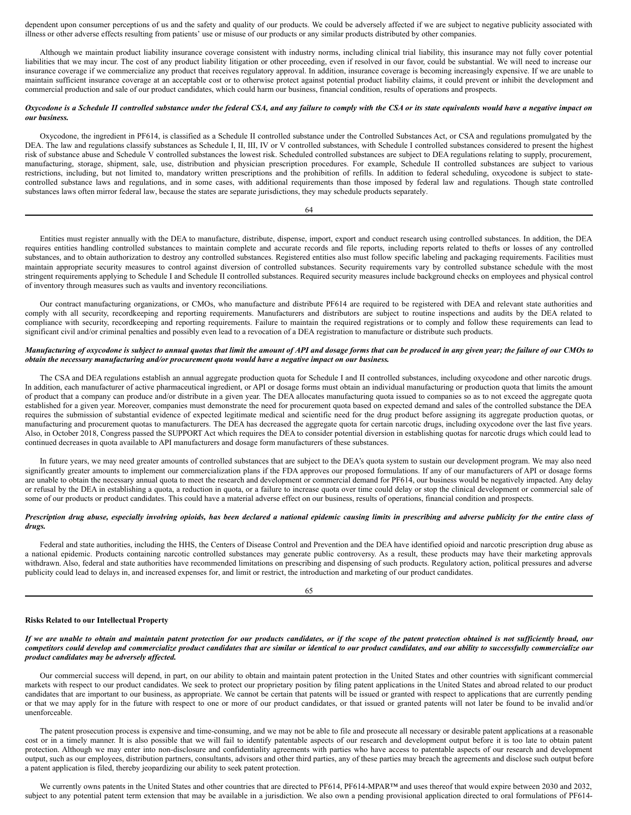dependent upon consumer perceptions of us and the safety and quality of our products. We could be adversely affected if we are subject to negative publicity associated with illness or other adverse effects resulting from patients' use or misuse of our products or any similar products distributed by other companies.

Although we maintain product liability insurance coverage consistent with industry norms, including clinical trial liability, this insurance may not fully cover potential liabilities that we may incur. The cost of any product liability litigation or other proceeding, even if resolved in our favor, could be substantial. We will need to increase our insurance coverage if we commercialize any product that receives regulatory approval. In addition, insurance coverage is becoming increasingly expensive. If we are unable to maintain sufficient insurance coverage at an acceptable cost or to otherwise protect against potential product liability claims, it could prevent or inhibit the development and commercial production and sale of our product candidates, which could harm our business, financial condition, results of operations and prospects.

## Oxycodone is a Schedule II controlled substance under the federal CSA, and any failure to comply with the CSA or its state equivalents would have a negative impact on *our business.*

Oxycodone, the ingredient in PF614, is classified as a Schedule II controlled substance under the Controlled Substances Act, or CSA and regulations promulgated by the DEA. The law and regulations classify substances as Schedule I, II, III, IV or V controlled substances, with Schedule I controlled substances considered to present the highest risk of substance abuse and Schedule V controlled substances the lowest risk. Scheduled controlled substances are subject to DEA regulations relating to supply, procurement, manufacturing, storage, shipment, sale, use, distribution and physician prescription procedures. For example, Schedule II controlled substances are subject to various restrictions, including, but not limited to, mandatory written prescriptions and the prohibition of refills. In addition to federal scheduling, oxycodone is subject to statecontrolled substance laws and regulations, and in some cases, with additional requirements than those imposed by federal law and regulations. Though state controlled substances laws often mirror federal law, because the states are separate jurisdictions, they may schedule products separately.

Entities must register annually with the DEA to manufacture, distribute, dispense, import, export and conduct research using controlled substances. In addition, the DEA requires entities handling controlled substances to maintain complete and accurate records and file reports, including reports related to thefts or losses of any controlled substances, and to obtain authorization to destroy any controlled substances. Registered entities also must follow specific labeling and packaging requirements. Facilities must maintain appropriate security measures to control against diversion of controlled substances. Security requirements vary by controlled substance schedule with the most stringent requirements applying to Schedule I and Schedule II controlled substances. Required security measures include background checks on employees and physical control of inventory through measures such as vaults and inventory reconciliations.

Our contract manufacturing organizations, or CMOs, who manufacture and distribute PF614 are required to be registered with DEA and relevant state authorities and comply with all security, recordkeeping and reporting requirements. Manufacturers and distributors are subject to routine inspections and audits by the DEA related to compliance with security, recordkeeping and reporting requirements. Failure to maintain the required registrations or to comply and follow these requirements can lead to significant civil and/or criminal penalties and possibly even lead to a revocation of a DEA registration to manufacture or distribute such products.

## Manufacturing of oxycodone is subject to annual quotas that limit the amount of API and dosage forms that can be produced in any given year; the failure of our CMOs to *obtain the necessary manufacturing and/or procurement quota would have a negative impact on our business.*

The CSA and DEA regulations establish an annual aggregate production quota for Schedule I and II controlled substances, including oxycodone and other narcotic drugs. In addition, each manufacturer of active pharmaceutical ingredient, or API or dosage forms must obtain an individual manufacturing or production quota that limits the amount of product that a company can produce and/or distribute in a given year. The DEA allocates manufacturing quota issued to companies so as to not exceed the aggregate quota established for a given year. Moreover, companies must demonstrate the need for procurement quota based on expected demand and sales of the controlled substance the DEA requires the submission of substantial evidence of expected legitimate medical and scientific need for the drug product before assigning its aggregate production quotas, or manufacturing and procurement quotas to manufacturers. The DEA has decreased the aggregate quota for certain narcotic drugs, including oxycodone over the last five years. Also, in October 2018, Congress passed the SUPPORT Act which requires the DEA to consider potential diversion in establishing quotas for narcotic drugs which could lead to continued decreases in quota available to API manufacturers and dosage form manufacturers of these substances.

In future years, we may need greater amounts of controlled substances that are subject to the DEA's quota system to sustain our development program. We may also need significantly greater amounts to implement our commercialization plans if the FDA approves our proposed formulations. If any of our manufacturers of API or dosage forms are unable to obtain the necessary annual quota to meet the research and development or commercial demand for PF614, our business would be negatively impacted. Any delay or refusal by the DEA in establishing a quota, a reduction in quota, or a failure to increase quota over time could delay or stop the clinical development or commercial sale of some of our products or product candidates. This could have a material adverse effect on our business, results of operations, financial condition and prospects.

## Prescription drug abuse, especially involving opioids, has been declared a national epidemic causing limits in prescribing and adverse publicity for the entire class of *drugs.*

Federal and state authorities, including the HHS, the Centers of Disease Control and Prevention and the DEA have identified opioid and narcotic prescription drug abuse as a national epidemic. Products containing narcotic controlled substances may generate public controversy. As a result, these products may have their marketing approvals withdrawn. Also, federal and state authorities have recommended limitations on prescribing and dispensing of such products. Regulatory action, political pressures and adverse publicity could lead to delays in, and increased expenses for, and limit or restrict, the introduction and marketing of our product candidates.

#### **Risks Related to our Intellectual Property**

If we are unable to obtain and maintain patent protection for our products candidates, or if the scope of the patent protection obtained is not sufficiently broad, our competitors could develop and commercialize product candidates that are similar or identical to our product candidates, and our ability to successfully commercialize our *product candidates may be adversely af ected.*

Our commercial success will depend, in part, on our ability to obtain and maintain patent protection in the United States and other countries with significant commercial markets with respect to our product candidates. We seek to protect our proprietary position by filing patent applications in the United States and abroad related to our product candidates that are important to our business, as appropriate. We cannot be certain that patents will be issued or granted with respect to applications that are currently pending or that we may apply for in the future with respect to one or more of our product candidates, or that issued or granted patents will not later be found to be invalid and/or unenforceable.

The patent prosecution process is expensive and time-consuming, and we may not be able to file and prosecute all necessary or desirable patent applications at a reasonable cost or in a timely manner. It is also possible that we will fail to identify patentable aspects of our research and development output before it is too late to obtain patent protection. Although we may enter into non-disclosure and confidentiality agreements with parties who have access to patentable aspects of our research and development output, such as our employees, distribution partners, consultants, advisors and other third parties, any of these parties may breach the agreements and disclose such output before a patent application is filed, thereby jeopardizing our ability to seek patent protection.

We currently owns patents in the United States and other countries that are directed to PF614, PF614-MPAR™ and uses thereof that would expire between 2030 and 2032, subject to any potential patent term extension that may be available in a jurisdiction. We also own a pending provisional application directed to oral formulations of PF614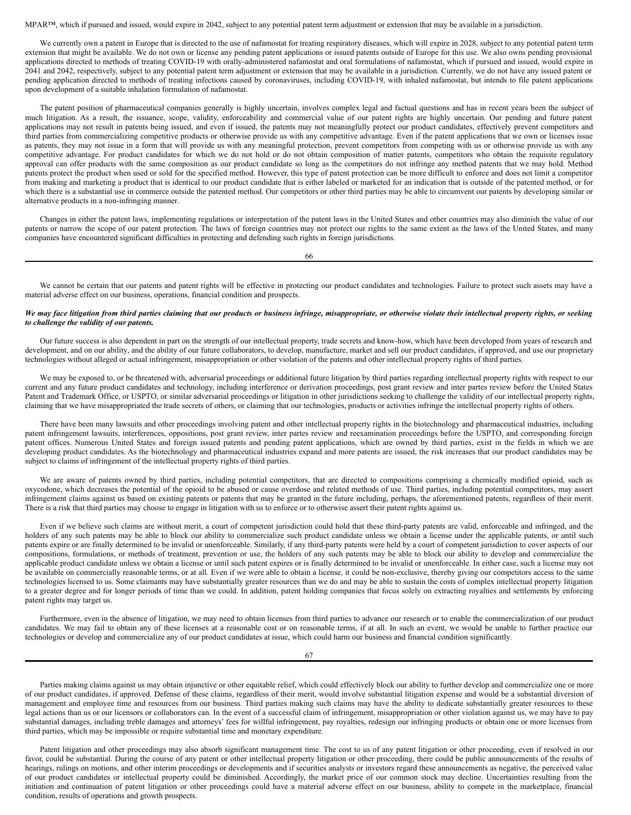MPAR<sup>™</sup>, which if pursued and issued, would expire in 2042, subject to any potential patent term adjustment or extension that may be available in a jurisdiction.

We currently own a patent in Europe that is directed to the use of nafamostat for treating respiratory diseases, which will expire in 2028, subject to any potential patent term extension that might be available. We do not own or license any pending patent applications or issued patents outside of Europe for this use. We also owns pending provisional applications directed to methods of treating COVID-19 with orally-administered nafamostat and oral formulations of nafamostat, which if pursued and issued, would expire in 2041 and 2042, respectively, subject to any potential patent term adjustment or extension that may be available in a jurisdiction. Currently, we do not have any issued patent or pending application directed to methods of treating infections caused by coronaviruses, including COVID-19, with inhaled nafamostat, but intends to file patent applications upon development of a suitable inhalation formulation of nafamostat.

The patent position of pharmaceutical companies generally is highly uncertain, involves complex legal and factual questions and has in recent years been the subject of much litigation. As a result, the issuance, scope, validity, enforceability and commercial value of our patent rights are highly uncertain. Our pending and future patent applications may not result in patents being issued, and even if issued, the patents may not meaningfully protect our product candidates, effectively prevent competitors and third parties from commercializing competitive products or otherwise provide us with any competitive advantage. Even if the patent applications that we own or licenses issue as patents, they may not issue in a form that will provide us with any meaningful protection, prevent competitors from competing with us or otherwise provide us with any competitive advantage. For product candidates for which we do not hold or do not obtain composition of matter patents, competitors who obtain the requisite regulatory approval can offer products with the same composition as our product candidate so long as the competitors do not infringe any method patents that we may hold. Method patents protect the product when used or sold for the specified method. However, this type of patent protection can be more difficult to enforce and does not limit a competitor from making and marketing a product that is identical to our product candidate that is either labeled or marketed for an indication that is outside of the patented method, or for which there is a substantial use in commerce outside the patented method. Our competitors or other third parties may be able to circumvent our patents by developing similar or alternative products in a non-infringing manner.

Changes in either the patent laws, implementing regulations or interpretation of the patent laws in the United States and other countries may also diminish the value of our patents or narrow the scope of our patent protection. The laws of foreign countries may not protect our rights to the same extent as the laws of the United States, and many companies have encountered significant difficulties in protecting and defending such rights in foreign jurisdictions.

66

We cannot be certain that our patents and patent rights will be effective in protecting our product candidates and technologies. Failure to protect such assets may have a material adverse effect on our business, operations, financial condition and prospects.

#### We may face litigation from third parties claiming that our products or business infringe, misappropriate, or otherwise violate their intellectual property rights, or seeking *to challenge the validity of our patents.*

Our future success is also dependent in part on the strength of our intellectual property, trade secrets and know-how, which have been developed from years of research and development, and on our ability, and the ability of our future collaborators, to develop, manufacture, market and sell our product candidates, if approved, and use our proprietary technologies without alleged or actual infringement, misappropriation or other violation of the patents and other intellectual property rights of third parties.

We may be exposed to, or be threatened with, adversarial proceedings or additional future litigation by third parties regarding intellectual property rights with respect to our current and any future product candidates and technology, including interference or derivation proceedings, post grant review and inter partes review before the United States Patent and Trademark Office, or USPTO, or similar adversarial proceedings or litigation in other jurisdictions seeking to challenge the validity of our intellectual property rights, claiming that we have misappropriated the trade secrets of others, or claiming that our technologies, products or activities infringe the intellectual property rights of others.

There have been many lawsuits and other proceedings involving patent and other intellectual property rights in the biotechnology and pharmaceutical industries, including patent infringement lawsuits, interferences, oppositions, post grant review, inter partes review and reexamination proceedings before the USPTO, and corresponding foreign patent offices. Numerous United States and foreign issued patents and pending patent applications, which are owned by third parties, exist in the fields in which we are developing product candidates. As the biotechnology and pharmaceutical industries expand and more patents are issued, the risk increases that our product candidates may be subject to claims of infringement of the intellectual property rights of third parties.

We are aware of patents owned by third parties, including potential competitors, that are directed to compositions comprising a chemically modified opioid, such as oxycodone, which decreases the potential of the opioid to be abused or cause overdose and related methods of use. Third parties, including potential competitors, may assert infringement claims against us based on existing patents or patents that may be granted in the future including, perhaps, the aforementioned patents, regardless of their merit. There is a risk that third parties may choose to engage in litigation with us to enforce or to otherwise assert their patent rights against us.

Even if we believe such claims are without merit, a court of competent jurisdiction could hold that these third-party patents are valid, enforceable and infringed, and the holders of any such patents may be able to block our ability to commercialize such product candidate unless we obtain a license under the applicable patents, or until such patents expire or are finally determined to be invalid or unenforceable. Similarly, if any third-party patents were held by a court of competent jurisdiction to cover aspects of our compositions, formulations, or methods of treatment, prevention or use, the holders of any such patents may be able to block our ability to develop and commercialize the applicable product candidate unless we obtain a license or until such patent expires or is finally determined to be invalid or unenforceable. In either case, such a license may not be available on commercially reasonable terms, or at all. Even if we were able to obtain a license, it could be non-exclusive, thereby giving our competitors access to the same technologies licensed to us. Some claimants may have substantially greater resources than we do and may be able to sustain the costs of complex intellectual property litigation to a greater degree and for longer periods of time than we could. In addition, patent holding companies that focus solely on extracting royalties and settlements by enforcing patent rights may target us.

Furthermore, even in the absence of litigation, we may need to obtain licenses from third parties to advance our research or to enable the commercialization of our product candidates. We may fail to obtain any of these licenses at a reasonable cost or on reasonable terms, if at all. In such an event, we would be unable to further practice our technologies or develop and commercialize any of our product candidates at issue, which could harm our business and financial condition significantly.

67

Parties making claims against us may obtain injunctive or other equitable relief, which could effectively block our ability to further develop and commercialize one or more of our product candidates, if approved. Defense of these claims, regardless of their merit, would involve substantial litigation expense and would be a substantial diversion of management and employee time and resources from our business. Third parties making such claims may have the ability to dedicate substantially greater resources to these legal actions than us or our licensors or collaborators can. In the event of a successful claim of infringement, misappropriation or other violation against us, we may have to pay substantial damages, including treble damages and attorneys' fees for willful infringement, pay royalties, redesign our infringing products or obtain one or more licenses from third parties, which may be impossible or require substantial time and monetary expenditure.

Patent litigation and other proceedings may also absorb significant management time. The cost to us of any patent litigation or other proceeding, even if resolved in our favor, could be substantial. During the course of any patent or other intellectual property litigation or other proceeding, there could be public announcements of the results of hearings, rulings on motions, and other interim proceedings or developments and if securities analysts or investors regard these announcements as negative, the perceived value of our product candidates or intellectual property could be diminished. Accordingly, the market price of our common stock may decline. Uncertainties resulting from the initiation and continuation of patent litigation or other proceedings could have a material adverse effect on our business, ability to compete in the marketplace, financial condition, results of operations and growth prospects.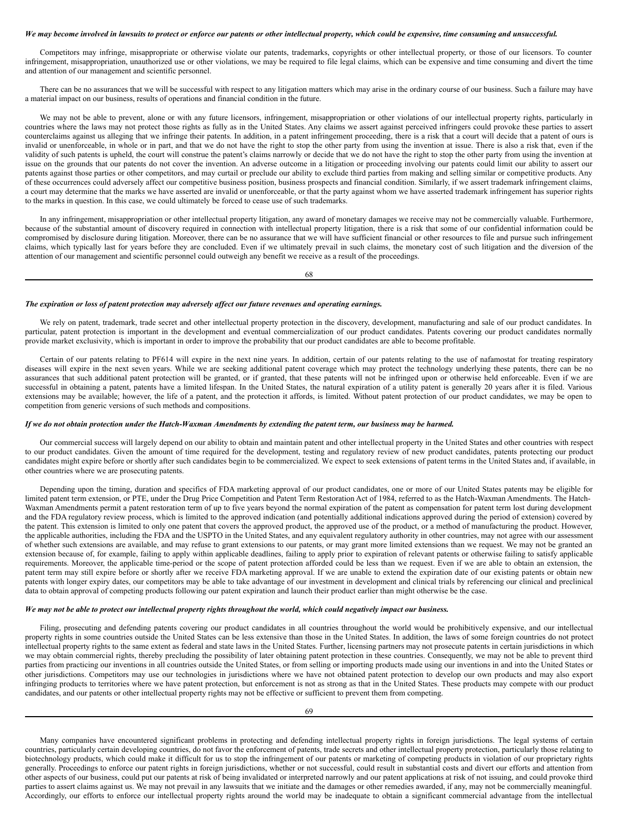#### We may become involved in lawsuits to protect or enforce our patents or other intellectual property, which could be expensive, time consuming and unsuccessful.

Competitors may infringe, misappropriate or otherwise violate our patents, trademarks, copyrights or other intellectual property, or those of our licensors. To counter infringement, misappropriation, unauthorized use or other violations, we may be required to file legal claims, which can be expensive and time consuming and divert the time and attention of our management and scientific personnel.

There can be no assurances that we will be successful with respect to any litigation matters which may arise in the ordinary course of our business. Such a failure may have a material impact on our business, results of operations and financial condition in the future.

We may not be able to prevent, alone or with any future licensors, infringement, misappropriation or other violations of our intellectual property rights, particularly in countries where the laws may not protect those rights as fully as in the United States. Any claims we assert against perceived infringers could provoke these parties to assert counterclaims against us alleging that we infringe their patents. In addition, in a patent infringement proceeding, there is a risk that a court will decide that a patent of ours is invalid or unenforceable, in whole or in part, and that we do not have the right to stop the other party from using the invention at issue. There is also a risk that, even if the validity of such patents is upheld, the court will construe the patent's claims narrowly or decide that we do not have the right to stop the other party from using the invention at issue on the grounds that our patents do not cover the invention. An adverse outcome in a litigation or proceeding involving our patents could limit our ability to assert our patents against those parties or other competitors, and may curtail or preclude our ability to exclude third parties from making and selling similar or competitive products. Any of these occurrences could adversely affect our competitive business position, business prospects and financial condition. Similarly, if we assert trademark infringement claims, a court may determine that the marks we have asserted are invalid or unenforceable, or that the party against whom we have asserted trademark infringement has superior rights to the marks in question. In this case, we could ultimately be forced to cease use of such trademarks.

In any infringement, misappropriation or other intellectual property litigation, any award of monetary damages we receive may not be commercially valuable. Furthermore, because of the substantial amount of discovery required in connection with intellectual property litigation, there is a risk that some of our confidential information could be compromised by disclosure during litigation. Moreover, there can be no assurance that we will have sufficient financial or other resources to file and pursue such infringement claims, which typically last for years before they are concluded. Even if we ultimately prevail in such claims, the monetary cost of such litigation and the diversion of the attention of our management and scientific personnel could outweigh any benefit we receive as a result of the proceedings.

68

#### The expiration or loss of patent protection may adversely affect our future revenues and operating earnings.

We rely on patent, trademark, trade secret and other intellectual property protection in the discovery, development, manufacturing and sale of our product candidates. In particular, patent protection is important in the development and eventual commercialization of our product candidates. Patents covering our product candidates normally provide market exclusivity, which is important in order to improve the probability that our product candidates are able to become profitable.

Certain of our patents relating to PF614 will expire in the next nine years. In addition, certain of our patents relating to the use of nafamostat for treating respiratory diseases will expire in the next seven years. While we are seeking additional patent coverage which may protect the technology underlying these patents, there can be no assurances that such additional patent protection will be granted, or if granted, that these patents will not be infringed upon or otherwise held enforceable. Even if we are successful in obtaining a patent, patents have a limited lifespan. In the United States, the natural expiration of a utility patent is generally 20 years after it is filed. Various extensions may be available; however, the life of a patent, and the protection it affords, is limited. Without patent protection of our product candidates, we may be open to competition from generic versions of such methods and compositions.

#### If we do not obtain protection under the Hatch-Waxman Amendments by extending the patent term, our business may be harmed.

Our commercial success will largely depend on our ability to obtain and maintain patent and other intellectual property in the United States and other countries with respect to our product candidates. Given the amount of time required for the development, testing and regulatory review of new product candidates, patents protecting our product candidates might expire before or shortly after such candidates begin to be commercialized. We expect to seek extensions of patent terms in the United States and, if available, in other countries where we are prosecuting patents.

Depending upon the timing, duration and specifics of FDA marketing approval of our product candidates, one or more of our United States patents may be eligible for limited patent term extension, or PTE, under the Drug Price Competition and Patent Term Restoration Act of 1984, referred to as the Hatch-Waxman Amendments. The Hatch- Waxman Amendments permit a patent restoration term of up to five years beyond the normal expiration of the patent as compensation for patent term lost during development and the FDA regulatory review process, which is limited to the approved indication (and potentially additional indications approved during the period of extension) covered by the patent. This extension is limited to only one patent that covers the approved product, the approved use of the product, or a method of manufacturing the product. However, the applicable authorities, including the FDA and the USPTO in the United States, and any equivalent regulatory authority in other countries, may not agree with our assessment of whether such extensions are available, and may refuse to grant extensions to our patents, or may grant more limited extensions than we request. We may not be granted an extension because of, for example, failing to apply within applicable deadlines, failing to apply prior to expiration of relevant patents or otherwise failing to satisfy applicable requirements. Moreover, the applicable time-period or the scope of patent protection afforded could be less than we request. Even if we are able to obtain an extension, the patent term may still expire before or shortly after we receive FDA marketing approval. If we are unable to extend the expiration date of our existing patents or obtain new patents with longer expiry dates, our competitors may be able to take advantage of our investment in development and clinical trials by referencing our clinical and preclinical data to obtain approval of competing products following our patent expiration and launch their product earlier than might otherwise be the case.

## We may not be able to protect our intellectual property rights throughout the world, which could negatively impact our business.

Filing, prosecuting and defending patents covering our product candidates in all countries throughout the world would be prohibitively expensive, and our intellectual property rights in some countries outside the United States can be less extensive than those in the United States. In addition, the laws of some foreign countries do not protect intellectual property rights to the same extent as federal and state laws in the United States. Further, licensing partners may not prosecute patents in certain jurisdictions in which we may obtain commercial rights, thereby precluding the possibility of later obtaining patent protection in these countries. Consequently, we may not be able to prevent third parties from practicing our inventions in all countries outside the United States, or from selling or importing products made using our inventions in and into the United States or other jurisdictions. Competitors may use our technologies in jurisdictions where we have not obtained patent protection to develop our own products and may also export infringing products to territories where we have patent protection, but enforcement is not as strong as that in the United States. These products may compete with our product candidates, and our patents or other intellectual property rights may not be effective or sufficient to prevent them from competing.

Many companies have encountered significant problems in protecting and defending intellectual property rights in foreign jurisdictions. The legal systems of certain countries, particularly certain developing countries, do not favor the enforcement of patents, trade secrets and other intellectual property protection, particularly those relating to biotechnology products, which could make it difficult for us to stop the infringement of our patents or marketing of competing products in violation of our proprietary rights generally. Proceedings to enforce our patent rights in foreign jurisdictions, whether or not successful, could result in substantial costs and divert our efforts and attention from other aspects of our business, could put our patents at risk of being invalidated or interpreted narrowly and our patent applications at risk of not issuing, and could provoke third parties to assert claims against us. We may not prevail in any lawsuits that we initiate and the damages or other remedies awarded, if any, may not be commercially meaningful. Accordingly, our efforts to enforce our intellectual property rights around the world may be inadequate to obtain a significant commercial advantage from the intellectual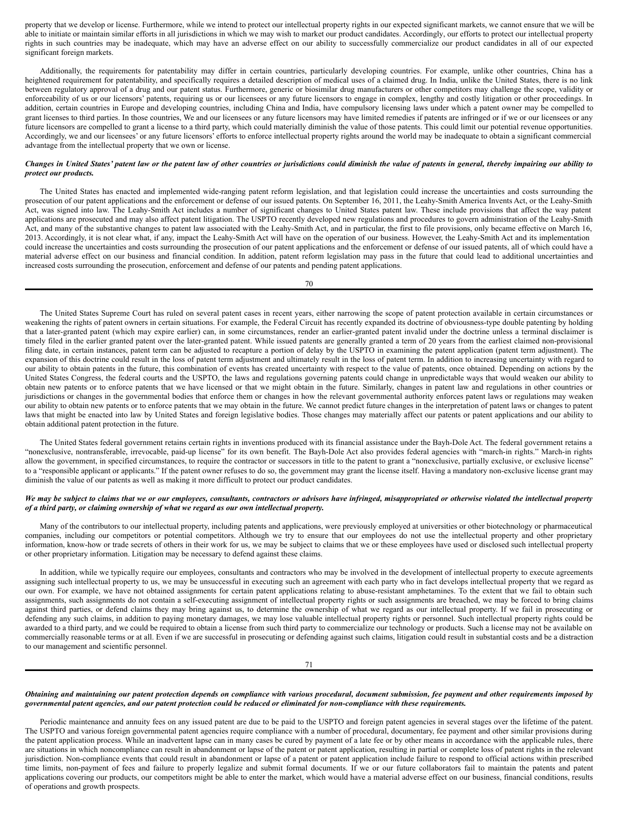property that we develop or license. Furthermore, while we intend to protect our intellectual property rights in our expected significant markets, we cannot ensure that we will be able to initiate or maintain similar efforts in all jurisdictions in which we may wish to market our product candidates. Accordingly, our efforts to protect our intellectual property rights in such countries may be inadequate, which may have an adverse effect on our ability to successfully commercialize our product candidates in all of our expected significant foreign markets.

Additionally, the requirements for patentability may differ in certain countries, particularly developing countries. For example, unlike other countries, China has a heightened requirement for patentability, and specifically requires a detailed description of medical uses of a claimed drug. In India, unlike the United States, there is no link between regulatory approval of a drug and our patent status. Furthermore, generic or biosimilar drug manufacturers or other competitors may challenge the scope, validity or enforceability of us or our licensors' patents, requiring us or our licensees or any future licensors to engage in complex, lengthy and costly litigation or other proceedings. In addition, certain countries in Europe and developing countries, including China and India, have compulsory licensing laws under which a patent owner may be compelled to grant licenses to third parties. In those countries, We and our licensees or any future licensors may have limited remedies if patents are infringed or if we or our licensees or any future licensors are compelled to grant a license to a third party, which could materially diminish the value of those patents. This could limit our potential revenue opportunities. Accordingly, we and our licensees' or any future licensors' efforts to enforce intellectual property rights around the world may be inadequate to obtain a significant commercial advantage from the intellectual property that we own or license.

#### Changes in United States' patent law or the patent law of other countries or jurisdictions could diminish the value of patents in general, thereby impairing our ability to *protect our products.*

The United States has enacted and implemented wide-ranging patent reform legislation, and that legislation could increase the uncertainties and costs surrounding the prosecution of our patent applications and the enforcement or defense of our issued patents. On September 16, 2011, the Leahy-Smith America Invents Act, or the Leahy-Smith Act, was signed into law. The Leahy-Smith Act includes a number of significant changes to United States patent law. These include provisions that affect the way patent applications are prosecuted and may also affect patent litigation. The USPTO recently developed new regulations and procedures to govern administration of the Leahy-Smith Act, and many of the substantive changes to patent law associated with the Leahy-Smith Act, and in particular, the first to file provisions, only became effective on March 16, 2013. Accordingly, it is not clear what, if any, impact the Leahy-Smith Act will have on the operation of our business. However, the Leahy-Smith Act and its implementation could increase the uncertainties and costs surrounding the prosecution of our patent applications and the enforcement or defense of our issued patents, all of which could have a material adverse effect on our business and financial condition. In addition, patent reform legislation may pass in the future that could lead to additional uncertainties and increased costs surrounding the prosecution, enforcement and defense of our patents and pending patent applications.

70

The United States Supreme Court has ruled on several patent cases in recent years, either narrowing the scope of patent protection available in certain circumstances or weakening the rights of patent owners in certain situations. For example, the Federal Circuit has recently expanded its doctrine of obviousness-type double patenting by holding that a later-granted patent (which may expire earlier) can, in some circumstances, render an earlier-granted patent invalid under the doctrine unless a terminal disclaimer is timely filed in the earlier granted patent over the later-granted patent. While issued patents are generally granted a term of 20 years from the earliest claimed non-provisional filing date, in certain instances, patent term can be adjusted to recapture a portion of delay by the USPTO in examining the patent application (patent term adjustment). The expansion of this doctrine could result in the loss of patent term adjustment and ultimately result in the loss of patent term. In addition to increasing uncertainty with regard to our ability to obtain patents in the future, this combination of events has created uncertainty with respect to the value of patents, once obtained. Depending on actions by the United States Congress, the federal courts and the USPTO, the laws and regulations governing patents could change in unpredictable ways that would weaken our ability to obtain new patents or to enforce patents that we have licensed or that we might obtain in the future. Similarly, changes in patent law and regulations in other countries or jurisdictions or changes in the governmental bodies that enforce them or changes in how the relevant governmental authority enforces patent laws or regulations may weaken our ability to obtain new patents or to enforce patents that we may obtain in the future. We cannot predict future changes in the interpretation of patent laws or changes to patent laws that might be enacted into law by United States and foreign legislative bodies. Those changes may materially affect our patents or patent applications and our ability to obtain additional patent protection in the future.

The United States federal government retains certain rights in inventions produced with its financial assistance under the Bayh-Dole Act. The federal government retains a "nonexclusive, nontransferable, irrevocable, paid-up license" for its own benefit. The Bayh-Dole Act also provides federal agencies with "march-in rights." March-in rights allow the government, in specified circumstances, to require the contractor or successors in title to the patent to grant a "nonexclusive, partially exclusive, or exclusive license" to a "responsible applicant or applicants." If the patent owner refuses to do so, the government may grant the license itself. Having a mandatory non-exclusive license grant may diminish the value of our patents as well as making it more difficult to protect our product candidates.

#### We may be subject to claims that we or our employees, consultants, contractors or advisors have infringed, misappropriated or otherwise violated the intellectual property *of a third party, or claiming ownership of what we regard as our own intellectual property.*

Many of the contributors to our intellectual property, including patents and applications, were previously employed at universities or other biotechnology or pharmaceutical companies, including our competitors or potential competitors. Although we try to ensure that our employees do not use the intellectual property and other proprietary information, know-how or trade secrets of others in their work for us, we may be subject to claims that we or these employees have used or disclosed such intellectual property or other proprietary information. Litigation may be necessary to defend against these claims.

In addition, while we typically require our employees, consultants and contractors who may be involved in the development of intellectual property to execute agreements assigning such intellectual property to us, we may be unsuccessful in executing such an agreement with each party who in fact develops intellectual property that we regard as our own. For example, we have not obtained assignments for certain patent applications relating to abuse-resistant amphetamines. To the extent that we fail to obtain such assignments, such assignments do not contain a self-executing assignment of intellectual property rights or such assignments are breached, we may be forced to bring claims against third parties, or defend claims they may bring against us, to determine the ownership of what we regard as our intellectual property. If we fail in prosecuting or defending any such claims, in addition to paying monetary damages, we may lose valuable intellectual property rights or personnel. Such intellectual property rights could be awarded to a third party, and we could be required to obtain a license from such third party to commercialize our technology or products. Such a license may not be available on commercially reasonable terms or at all. Even if we are successful in prosecuting or defending against such claims, litigation could result in substantial costs and be a distraction to our management and scientific personnel.

#### Obtaining and maintaining our patent protection depends on compliance with various procedural, document submission, fee payment and other requirements imposed by governmental patent agencies, and our patent protection could be reduced or eliminated for non-compliance with these requirements.

Periodic maintenance and annuity fees on any issued patent are due to be paid to the USPTO and foreign patent agencies in several stages over the lifetime of the patent. The USPTO and various foreign governmental patent agencies require compliance with a number of procedural, documentary, fee payment and other similar provisions during the patent application process. While an inadvertent lapse can in many cases be cured by payment of a late fee or by other means in accordance with the applicable rules, there are situations in which noncompliance can result in abandonment or lapse of the patent or patent application, resulting in partial or complete loss of patent rights in the relevant jurisdiction. Non-compliance events that could result in abandonment or lapse of a patent or patent application include failure to respond to official actions within prescribed time limits, non-payment of fees and failure to properly legalize and submit formal documents. If we or our future collaborators fail to maintain the patents and patent applications covering our products, our competitors might be able to enter the market, which would have a material adverse effect on our business, financial conditions, results of operations and growth prospects.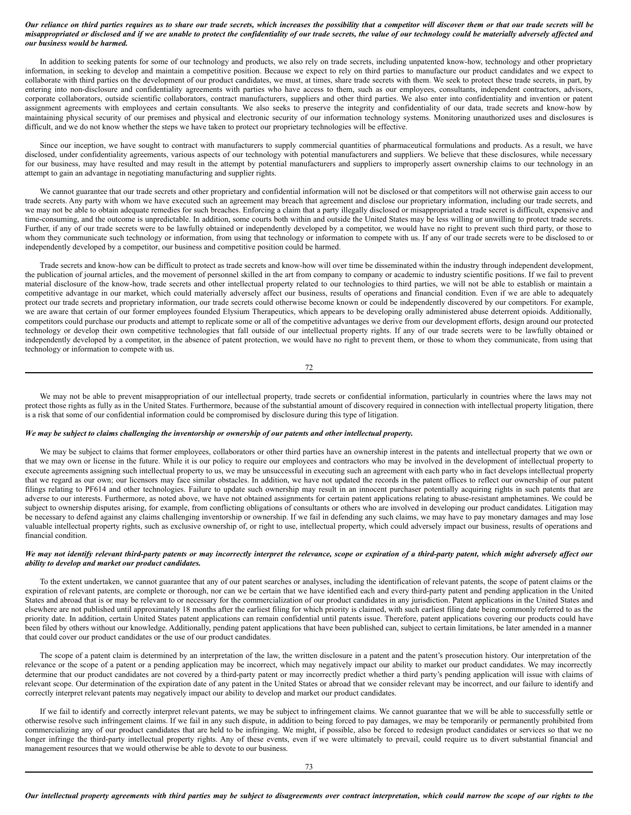#### Our reliance on third parties requires us to share our trade secrets, which increases the possibility that a competitor will discover them or that our trade secrets will be misappropriated or disclosed and if we are unable to protect the confidentiality of our trade secrets, the value of our technology could be materially adversely affected and *our business would be harmed.*

In addition to seeking patents for some of our technology and products, we also rely on trade secrets, including unpatented know-how, technology and other proprietary information, in seeking to develop and maintain a competitive position. Because we expect to rely on third parties to manufacture our product candidates and we expect to collaborate with third parties on the development of our product candidates, we must, at times, share trade secrets with them. We seek to protect these trade secrets, in part, by entering into non-disclosure and confidentiality agreements with parties who have access to them, such as our employees, consultants, independent contractors, advisors, corporate collaborators, outside scientific collaborators, contract manufacturers, suppliers and other third parties. We also enter into confidentiality and invention or patent assignment agreements with employees and certain consultants. We also seeks to preserve the integrity and confidentiality of our data, trade secrets and know-how by maintaining physical security of our premises and physical and electronic security of our information technology systems. Monitoring unauthorized uses and disclosures is difficult, and we do not know whether the steps we have taken to protect our proprietary technologies will be effective.

Since our inception, we have sought to contract with manufacturers to supply commercial quantities of pharmaceutical formulations and products. As a result, we have disclosed, under confidentiality agreements, various aspects of our technology with potential manufacturers and suppliers. We believe that these disclosures, while necessary for our business, may have resulted and may result in the attempt by potential manufacturers and suppliers to improperly assert ownership claims to our technology in an attempt to gain an advantage in negotiating manufacturing and supplier rights.

We cannot guarantee that our trade secrets and other proprietary and confidential information will not be disclosed or that competitors will not otherwise gain access to our trade secrets. Any party with whom we have executed such an agreement may breach that agreement and disclose our proprietary information, including our trade secrets, and we may not be able to obtain adequate remedies for such breaches. Enforcing a claim that a party illegally disclosed or misappropriated a trade secret is difficult, expensive and time-consuming, and the outcome is unpredictable. In addition, some courts both within and outside the United States may be less willing or unwilling to protect trade secrets. Further, if any of our trade secrets were to be lawfully obtained or independently developed by a competitor, we would have no right to prevent such third party, or those to whom they communicate such technology or information, from using that technology or information to compete with us. If any of our trade secrets were to be disclosed to or independently developed by a competitor, our business and competitive position could be harmed.

Trade secrets and know-how can be difficult to protect as trade secrets and know-how will over time be disseminated within the industry through independent development, the publication of journal articles, and the movement of personnel skilled in the art from company to company or academic to industry scientific positions. If we fail to prevent material disclosure of the know-how, trade secrets and other intellectual property related to our technologies to third parties, we will not be able to establish or maintain a competitive advantage in our market, which could materially adversely affect our business, results of operations and financial condition. Even if we are able to adequately protect our trade secrets and proprietary information, our trade secrets could otherwise become known or could be independently discovered by our competitors. For example, we are aware that certain of our former employees founded Elysium Therapeutics, which appears to be developing orally administered abuse deterrent opioids. Additionally, competitors could purchase our products and attempt to replicate some or all of the competitive advantages we derive from our development efforts, design around our protected technology or develop their own competitive technologies that fall outside of our intellectual property rights. If any of our trade secrets were to be lawfully obtained or independently developed by a competitor, in the absence of patent protection, we would have no right to prevent them, or those to whom they communicate, from using that technology or information to compete with us.

72

We may not be able to prevent misappropriation of our intellectual property, trade secrets or confidential information, particularly in countries where the laws may not protect those rights as fully as in the United States. Furthermore, because of the substantial amount of discovery required in connection with intellectual property litigation, there is a risk that some of our confidential information could be compromised by disclosure during this type of litigation.

#### We may be subject to claims challenging the inventorship or ownership of our patents and other intellectual property.

We may be subject to claims that former employees, collaborators or other third parties have an ownership interest in the patents and intellectual property that we own or that we may own or license in the future. While it is our policy to require our employees and contractors who may be involved in the development of intellectual property to execute agreements assigning such intellectual property to us, we may be unsuccessful in executing such an agreement with each party who in fact develops intellectual property that we regard as our own; our licensors may face similar obstacles. In addition, we have not updated the records in the patent offices to reflect our ownership of our patent filings relating to PF614 and other technologies. Failure to update such ownership may result in an innocent purchaser potentially acquiring rights in such patents that are adverse to our interests. Furthermore, as noted above, we have not obtained assignments for certain patent applications relating to abuse-resistant amphetamines. We could be subject to ownership disputes arising, for example, from conflicting obligations of consultants or others who are involved in developing our product candidates. Litigation may be necessary to defend against any claims challenging inventorship or ownership. If we fail in defending any such claims, we may have to pay monetary damages and may lose valuable intellectual property rights, such as exclusive ownership of, or right to use, intellectual property, which could adversely impact our business, results of operations and financial condition.

## We may not identify relevant third-party patents or may incorrectly interpret the relevance, scope or expiration of a third-party patent, which might adversely affect our *ability to develop and market our product candidates.*

To the extent undertaken, we cannot guarantee that any of our patent searches or analyses, including the identification of relevant patents, the scope of patent claims or the expiration of relevant patents, are complete or thorough, nor can we be certain that we have identified each and every third-party patent and pending application in the United States and abroad that is or may be relevant to or necessary for the commercialization of our product candidates in any jurisdiction. Patent applications in the United States and elsewhere are not published until approximately 18 months after the earliest filing for which priority is claimed, with such earliest filing date being commonly referred to as the priority date. In addition, certain United States patent applications can remain confidential until patents issue. Therefore, patent applications covering our products could have been filed by others without our knowledge. Additionally, pending patent applications that have been published can, subject to certain limitations, be later amended in a manner that could cover our product candidates or the use of our product candidates.

The scope of a patent claim is determined by an interpretation of the law, the written disclosure in a patent and the patent's prosecution history. Our interpretation of the relevance or the scope of a patent or a pending application may be incorrect, which may negatively impact our ability to market our product candidates. We may incorrectly determine that our product candidates are not covered by a third-party patent or may incorrectly predict whether a third party's pending application will issue with claims of relevant scope. Our determination of the expiration date of any patent in the United States or abroad that we consider relevant may be incorrect, and our failure to identify and correctly interpret relevant patents may negatively impact our ability to develop and market our product candidates.

If we fail to identify and correctly interpret relevant patents, we may be subject to infringement claims. We cannot guarantee that we will be able to successfully settle or otherwise resolve such infringement claims. If we fail in any such dispute, in addition to being forced to pay damages, we may be temporarily or permanently prohibited from commercializing any of our product candidates that are held to be infringing. We might, if possible, also be forced to redesign product candidates or services so that we no longer infringe the third-party intellectual property rights. Any of these events, even if we were ultimately to prevail, could require us to divert substantial financial and management resources that we would otherwise be able to devote to our business.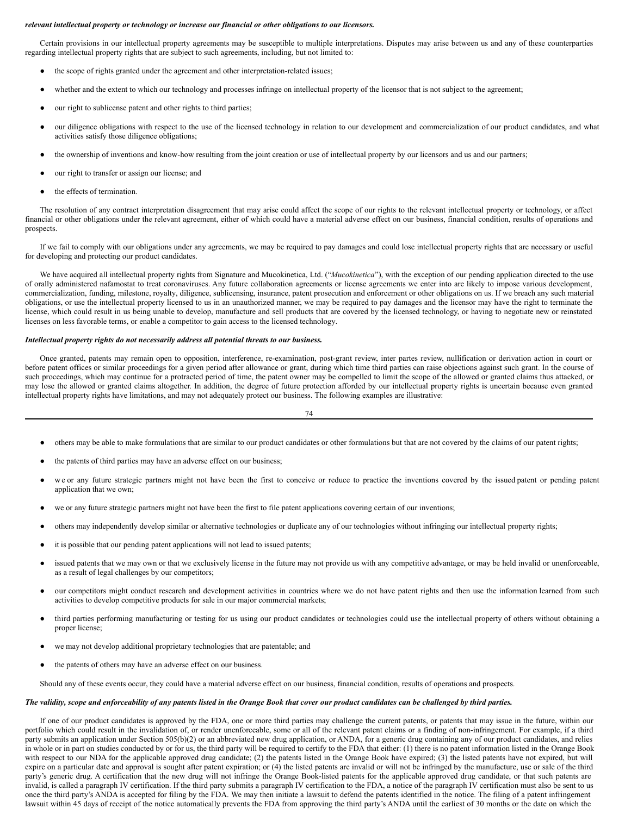# *relevant intellectual property or technology or increase our financial or other obligations to our licensors.*

Certain provisions in our intellectual property agreements may be susceptible to multiple interpretations. Disputes may arise between us and any of these counterparties regarding intellectual property rights that are subject to such agreements, including, but not limited to:

- the scope of rights granted under the agreement and other interpretation-related issues;
- whether and the extent to which our technology and processes infringe on intellectual property of the licensor that is not subject to the agreement;
- our right to sublicense patent and other rights to third parties;
- our diligence obligations with respect to the use of the licensed technology in relation to our development and commercialization of our product candidates, and what activities satisfy those diligence obligations;
- the ownership of inventions and know-how resulting from the joint creation or use of intellectual property by our licensors and us and our partners;
- our right to transfer or assign our license; and
- the effects of termination.

The resolution of any contract interpretation disagreement that may arise could affect the scope of our rights to the relevant intellectual property or technology, or affect financial or other obligations under the relevant agreement, either of which could have a material adverse effect on our business, financial condition, results of operations and prospects.

If we fail to comply with our obligations under any agreements, we may be required to pay damages and could lose intellectual property rights that are necessary or useful for developing and protecting our product candidates.

We have acquired all intellectual property rights from Signature and Mucokinetica, Ltd. ("Mucokinetica"), with the exception of our pending application directed to the use of orally administered nafamostat to treat coronaviruses. Any future collaboration agreements or license agreements we enter into are likely to impose various development, commercialization, funding, milestone, royalty, diligence, sublicensing, insurance, patent prosecution and enforcement or other obligations on us. If we breach any such material obligations, or use the intellectual property licensed to us in an unauthorized manner, we may be required to pay damages and the licensor may have the right to terminate the license, which could result in us being unable to develop, manufacture and sell products that are covered by the licensed technology, or having to negotiate new or reinstated licenses on less favorable terms, or enable a competitor to gain access to the licensed technology.

## *Intellectual property rights do not necessarily address all potential threats to our business.*

Once granted, patents may remain open to opposition, interference, re-examination, post-grant review, inter partes review, nullification or derivation action in court or before patent offices or similar proceedings for a given period after allowance or grant, during which time third parties can raise objections against such grant. In the course of such proceedings, which may continue for a protracted period of time, the patent owner may be compelled to limit the scope of the allowed or granted claims thus attacked, or may lose the allowed or granted claims altogether. In addition, the degree of future protection afforded by our intellectual property rights is uncertain because even granted intellectual property rights have limitations, and may not adequately protect our business. The following examples are illustrative:

74

- others may be able to make formulations that are similar to our product candidates or other formulations but that are not covered by the claims of our patent rights;
- the patents of third parties may have an adverse effect on our business;
- we or any future strategic partners might not have been the first to conceive or reduce to practice the inventions covered by the issued patent or pending patent application that we own;
- we or any future strategic partners might not have been the first to file patent applications covering certain of our inventions;
- others may independently develop similar or alternative technologies or duplicate any of our technologies without infringing our intellectual property rights;
- it is possible that our pending patent applications will not lead to issued patents;
- issued patents that we may own or that we exclusively license in the future may not provide us with any competitive advantage, or may be held invalid or unenforceable, as a result of legal challenges by our competitors;
- our competitors might conduct research and development activities in countries where we do not have patent rights and then use the information learned from such activities to develop competitive products for sale in our major commercial markets;
- third parties performing manufacturing or testing for us using our product candidates or technologies could use the intellectual property of others without obtaining a proper license;
- we may not develop additional proprietary technologies that are patentable; and
- the patents of others may have an adverse effect on our business.

Should any of these events occur, they could have a material adverse effect on our business, financial condition, results of operations and prospects.

#### The validity, scope and enforceability of any patents listed in the Orange Book that cover our product candidates can be challenged by third parties.

If one of our product candidates is approved by the FDA, one or more third parties may challenge the current patents, or patents that may issue in the future, within our portfolio which could result in the invalidation of, or render unenforceable, some or all of the relevant patent claims or a finding of non-infringement. For example, if a third party submits an application under Section 505(b)(2) or an abbreviated new drug application, or ANDA, for a generic drug containing any of our product candidates, and relies in whole or in part on studies conducted by or for us, the third party will be required to certify to the FDA that either: (1) there is no patent information listed in the Orange Book with respect to our NDA for the applicable approved drug candidate; (2) the patents listed in the Orange Book have expired; (3) the listed patents have not expired, but will expire on a particular date and approval is sought after patent expiration; or (4) the listed patents are invalid or will not be infringed by the manufacture, use or sale of the third party's generic drug. A certification that the new drug will not infringe the Orange Book-listed patents for the applicable approved drug candidate, or that such patents are invalid, is called a paragraph IV certification. If the third party submits a paragraph IV certification to the FDA, a notice of the paragraph IV certification must also be sent to us once the third party's ANDA is accepted for filing by the FDA. We may then initiate a lawsuit to defend the patents identified in the notice. The filing of a patent infringement lawsuit within 45 days of receipt of the notice automatically prevents the FDA from approving the third party's ANDA until the earliest of 30 months or the date on which the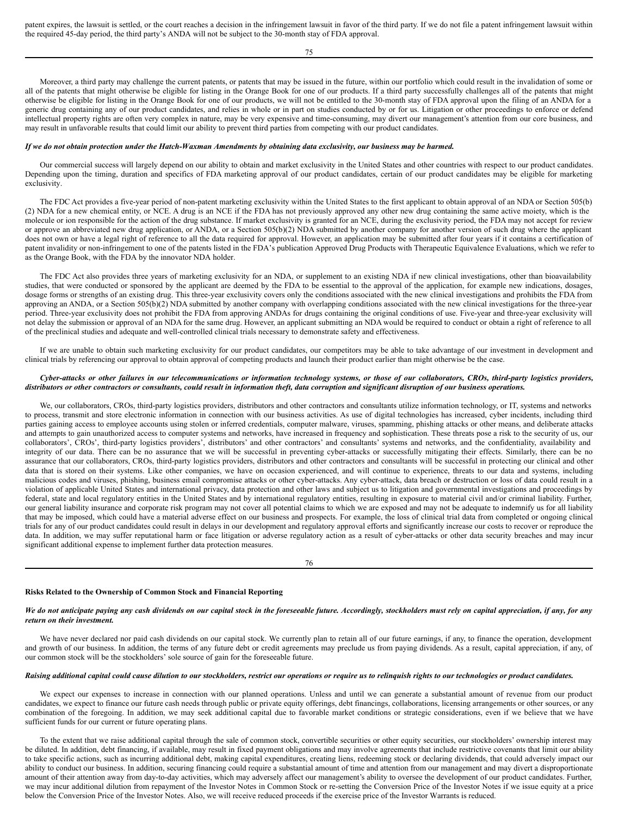patent expires, the lawsuit is settled, or the court reaches a decision in the infringement lawsuit in favor of the third party. If we do not file a patent infringement lawsuit within the required 45-day period, the third party's ANDA will not be subject to the 30-month stay of FDA approval.

75

Moreover, a third party may challenge the current patents, or patents that may be issued in the future, within our portfolio which could result in the invalidation of some or all of the patents that might otherwise be eligible for listing in the Orange Book for one of our products. If a third party successfully challenges all of the patents that might otherwise be eligible for listing in the Orange Book for one of our products, we will not be entitled to the 30-month stay of FDA approval upon the filing of an ANDA for a generic drug containing any of our product candidates, and relies in whole or in part on studies conducted by or for us. Litigation or other proceedings to enforce or defend intellectual property rights are often very complex in nature, may be very expensive and time-consuming, may divert our management's attention from our core business, and may result in unfavorable results that could limit our ability to prevent third parties from competing with our product candidates.

#### If we do not obtain protection under the Hatch-Waxman Amendments by obtaining data exclusivity, our business may be harmed.

Our commercial success will largely depend on our ability to obtain and market exclusivity in the United States and other countries with respect to our product candidates. Depending upon the timing, duration and specifics of FDA marketing approval of our product candidates, certain of our product candidates may be eligible for marketing exclusivity.

The FDC Act provides a five-year period of non-patent marketing exclusivity within the United States to the first applicant to obtain approval of an NDA or Section 505(b) (2) NDA for a new chemical entity, or NCE. A drug is an NCE if the FDA has not previously approved any other new drug containing the same active moiety, which is the molecule or ion responsible for the action of the drug substance. If market exclusivity is granted for an NCE, during the exclusivity period, the FDA may not accept for review or approve an abbreviated new drug application, or ANDA, or a Section 505(b)(2) NDA submitted by another company for another version of such drug where the applicant does not own or have a legal right of reference to all the data required for approval. However, an application may be submitted after four years if it contains a certification of patent invalidity or non-infringement to one of the patents listed in the FDA's publication Approved Drug Products with Therapeutic Equivalence Evaluations, which we refer to as the Orange Book, with the FDA by the innovator NDA holder.

The FDC Act also provides three years of marketing exclusivity for an NDA, or supplement to an existing NDA if new clinical investigations, other than bioavailability studies, that were conducted or sponsored by the applicant are deemed by the FDA to be essential to the approval of the application, for example new indications, dosages, dosage forms or strengths of an existing drug. This three-year exclusivity covers only the conditions associated with the new clinical investigations and prohibits the FDA from approving an ANDA, or a Section 505(b)(2) NDA submitted by another company with overlapping conditions associated with the new clinical investigations for the three-year period. Three-year exclusivity does not prohibit the FDA from approving ANDAs for drugs containing the original conditions of use. Five-year and three-year exclusivity will not delay the submission or approval of an NDA for the same drug. However, an applicant submitting an NDA would be required to conduct or obtain a right of reference to all of the preclinical studies and adequate and well-controlled clinical trials necessary to demonstrate safety and effectiveness.

If we are unable to obtain such marketing exclusivity for our product candidates, our competitors may be able to take advantage of our investment in development and clinical trials by referencing our approval to obtain approval of competing products and launch their product earlier than might otherwise be the case.

## Cyber-attacks or other failures in our telecommunications or information technology systems, or those of our collaborators, CROs, third-party logistics providers, distributors or other contractors or consultants, could result in information theft, data corruption and significant disruption of our business operations.

We, our collaborators, CROs, third-party logistics providers, distributors and other contractors and consultants utilize information technology, or IT, systems and networks to process, transmit and store electronic information in connection with our business activities. As use of digital technologies has increased, cyber incidents, including third parties gaining access to employee accounts using stolen or inferred credentials, computer malware, viruses, spamming, phishing attacks or other means, and deliberate attacks and attempts to gain unauthorized access to computer systems and networks, have increased in frequency and sophistication. These threats pose a risk to the security of us, our collaborators', CROs', third-party logistics providers', distributors' and other contractors' and consultants' systems and networks, and the confidentiality, availability and integrity of our data. There can be no assurance that we will be successful in preventing cyber-attacks or successfully mitigating their effects. Similarly, there can be no assurance that our collaborators, CROs, third-party logistics providers, distributors and other contractors and consultants will be successful in protecting our clinical and other data that is stored on their systems. Like other companies, we have on occasion experienced, and will continue to experience, threats to our data and systems, including malicious codes and viruses, phishing, business email compromise attacks or other cyber-attacks. Any cyber-attack, data breach or destruction or loss of data could result in a violation of applicable United States and international privacy, data protection and other laws and subject us to litigation and governmental investigations and proceedings by federal, state and local regulatory entities in the United States and by international regulatory entities, resulting in exposure to material civil and/or criminal liability. Further, our general liability insurance and corporate risk program may not cover all potential claims to which we are exposed and may not be adequate to indemnify us for all liability that may be imposed, which could have a material adverse effect on our business and prospects. For example, the loss of clinical trial data from completed or ongoing clinical trials for any of our product candidates could result in delays in our development and regulatory approval efforts and significantly increase our costs to recover or reproduce the data. In addition, we may suffer reputational harm or face litigation or adverse regulatory action as a result of cyber-attacks or other data security breaches and may incur significant additional expense to implement further data protection measures.

76

# **Risks Related to the Ownership of Common Stock and Financial Reporting**

## We do not anticipate paying any cash dividends on our capital stock in the foreseeable future. Accordingly, stockholders must rely on capital appreciation, if any, for any *return on their investment.*

We have never declared nor paid cash dividends on our capital stock. We currently plan to retain all of our future earnings, if any, to finance the operation, development and growth of our business. In addition, the terms of any future debt or credit agreements may preclude us from paying dividends. As a result, capital appreciation, if any, of our common stock will be the stockholders' sole source of gain for the foreseeable future.

# Raising additional capital could cause dilution to our stockholders, restrict our operations or require us to relinquish rights to our technologies or product candidates.

We expect our expenses to increase in connection with our planned operations. Unless and until we can generate a substantial amount of revenue from our product candidates, we expect to finance our future cash needs through public or private equity offerings, debt financings, collaborations, licensing arrangements or other sources, or any combination of the foregoing. In addition, we may seek additional capital due to favorable market conditions or strategic considerations, even if we believe that we have sufficient funds for our current or future operating plans.

To the extent that we raise additional capital through the sale of common stock, convertible securities or other equity securities, our stockholders' ownership interest may be diluted. In addition, debt financing, if available, may result in fixed payment obligations and may involve agreements that include restrictive covenants that limit our ability to take specific actions, such as incurring additional debt, making capital expenditures, creating liens, redeeming stock or declaring dividends, that could adversely impact our ability to conduct our business. In addition, securing financing could require a substantial amount of time and attention from our management and may divert a disproportionate amount of their attention away from day-to-day activities, which may adversely affect our management's ability to oversee the development of our product candidates. Further, we may incur additional dilution from repayment of the Investor Notes in Common Stock or re-setting the Conversion Price of the Investor Notes if we issue equity at a price below the Conversion Price of the Investor Notes. Also, we will receive reduced proceeds if the exercise price of the Investor Warrants is reduced.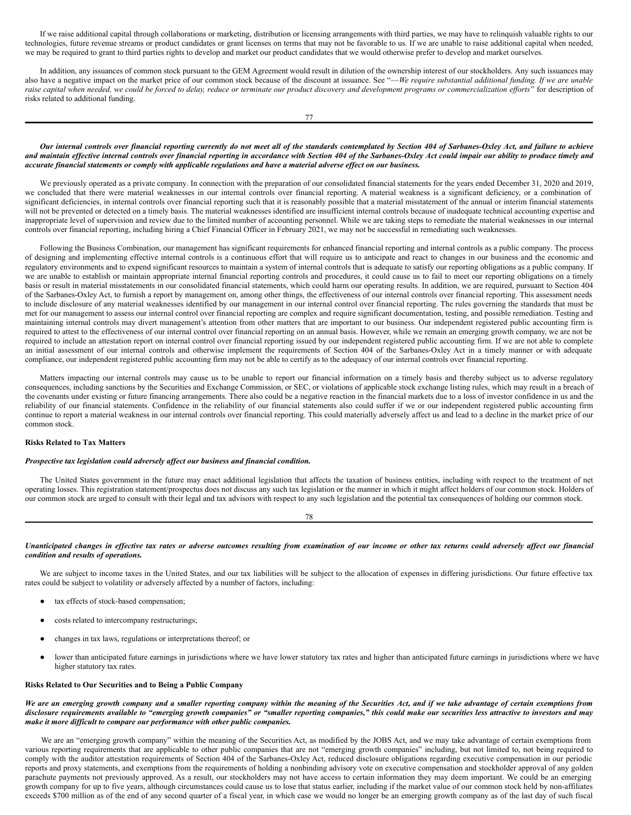If we raise additional capital through collaborations or marketing, distribution or licensing arrangements with third parties, we may have to relinquish valuable rights to our technologies, future revenue streams or product candidates or grant licenses on terms that may not be favorable to us. If we are unable to raise additional capital when needed, we may be required to grant to third parties rights to develop and market our product candidates that we would otherwise prefer to develop and market ourselves.

In addition, any issuances of common stock pursuant to the GEM Agreement would result in dilution of the ownership interest of our stockholders. Any such issuances may also have a negative impact on the market price of our common stock because of the discount at issuance. See "-We require substantial additional funding. If we are unable raise capital when needed, we could be forced to delay, reduce or terminate our product discovery and development programs or commercialization efforts" for description of risks related to additional funding.

## Our internal controls over financial reporting currently do not meet all of the standards contemplated by Section 404 of Sarbanes-Oxley Act, and failure to achieve and maintain effective internal controls over financial reporting in accordance with Section 404 of the Sarbanes-Oxley Act could impair our ability to produce timely and accurate financial statements or comply with applicable regulations and have a material adverse effect on our business.

We previously operated as a private company. In connection with the preparation of our consolidated financial statements for the years ended December 31, 2020 and 2019, we concluded that there were material weaknesses in our internal controls over financial reporting. A material weakness is a significant deficiency, or a combination of significant deficiencies, in internal controls over financial reporting such that it is reasonably possible that a material misstatement of the annual or interim financial statements will not be prevented or detected on a timely basis. The material weaknesses identified are insufficient internal controls because of inadequate technical accounting expertise and inappropriate level of supervision and review due to the limited number of accounting personnel. While we are taking steps to remediate the material weaknesses in our internal controls over financial reporting, including hiring a Chief Financial Officer in February 2021, we may not be successful in remediating such weaknesses.

Following the Business Combination, our management has significant requirements for enhanced financial reporting and internal controls as a public company. The process of designing and implementing effective internal controls is a continuous effort that will require us to anticipate and react to changes in our business and the economic and regulatory environments and to expend significant resources to maintain a system of internal controls that is adequate to satisfy our reporting obligations as a public company. If we are unable to establish or maintain appropriate internal financial reporting controls and procedures, it could cause us to fail to meet our reporting obligations on a timely basis or result in material misstatements in our consolidated financial statements, which could harm our operating results. In addition, we are required, pursuant to Section 404 of the Sarbanes-Oxley Act, to furnish a report by management on, among other things, the effectiveness of our internal controls over financial reporting. This assessment needs to include disclosure of any material weaknesses identified by our management in our internal control over financial reporting. The rules governing the standards that must be met for our management to assess our internal control over financial reporting are complex and require significant documentation, testing, and possible remediation. Testing and maintaining internal controls may divert management's attention from other matters that are important to our business. Our independent registered public accounting firm is required to attest to the effectiveness of our internal control over financial reporting on an annual basis. However, while we remain an emerging growth company, we are not be required to include an attestation report on internal control over financial reporting issued by our independent registered public accounting firm. If we are not able to complete an initial assessment of our internal controls and otherwise implement the requirements of Section 404 of the Sarbanes-Oxley Act in a timely manner or with adequate compliance, our independent registered public accounting firm may not be able to certify as to the adequacy of our internal controls over financial reporting.

Matters impacting our internal controls may cause us to be unable to report our financial information on a timely basis and thereby subject us to adverse regulatory consequences, including sanctions by the Securities and Exchange Commission, or SEC, or violations of applicable stock exchange listing rules, which may result in a breach of the covenants under existing or future financing arrangements. There also could be a negative reaction in the financial markets due to a loss of investor confidence in us and the reliability of our financial statements. Confidence in the reliability of our financial statements also could suffer if we or our independent registered public accounting firm continue to report a material weakness in our internal controls over financial reporting. This could materially adversely affect us and lead to a decline in the market price of our common stock.

## **Risks Related to Tax Matters**

#### *Prospective tax legislation could adversely af ect our business and financial condition.*

The United States government in the future may enact additional legislation that affects the taxation of business entities, including with respect to the treatment of net operating losses. This registration statement/prospectus does not discuss any such tax legislation or the manner in which it might affect holders of our common stock. Holders of our common stock are urged to consult with their legal and tax advisors with respect to any such legislation and the potential tax consequences of holding our common stock.

78

## Unanticipated changes in effective tax rates or adverse outcomes resulting from examination of our income or other tax returns could adversely affect our financial *condition and results of operations.*

We are subject to income taxes in the United States, and our tax liabilities will be subject to the allocation of expenses in differing jurisdictions. Our future effective tax rates could be subject to volatility or adversely affected by a number of factors, including:

- tax effects of stock-based compensation;
- costs related to intercompany restructurings;
- changes in tax laws, regulations or interpretations thereof; or
- lower than anticipated future earnings in jurisdictions where we have lower statutory tax rates and higher than anticipated future earnings in jurisdictions where we have higher statutory tax rates.

# **Risks Related to Our Securities and to Being a Public Company**

## We are an emerging growth company and a smaller reporting company within the meaning of the Securities Act, and if we take advantage of certain exemptions from disclosure requirements available to "emerging growth companies" or "smaller reporting companies," this could make our securities less attractive to investors and may *make it more dif icult to compare our performance with other public companies.*

We are an "emerging growth company" within the meaning of the Securities Act, as modified by the JOBS Act, and we may take advantage of certain exemptions from various reporting requirements that are applicable to other public companies that are not "emerging growth companies" including, but not limited to, not being required to comply with the auditor attestation requirements of Section 404 of the Sarbanes-Oxley Act, reduced disclosure obligations regarding executive compensation in our periodic reports and proxy statements, and exemptions from the requirements of holding a nonbinding advisory vote on executive compensation and stockholder approval of any golden parachute payments not previously approved. As a result, our stockholders may not have access to certain information they may deem important. We could be an emerging growth company for up to five years, although circumstances could cause us to lose that status earlier, including if the market value of our common stock held by non-affiliates exceeds \$700 million as of the end of any second quarter of a fiscal year, in which case we would no longer be an emerging growth company as of the last day of such fiscal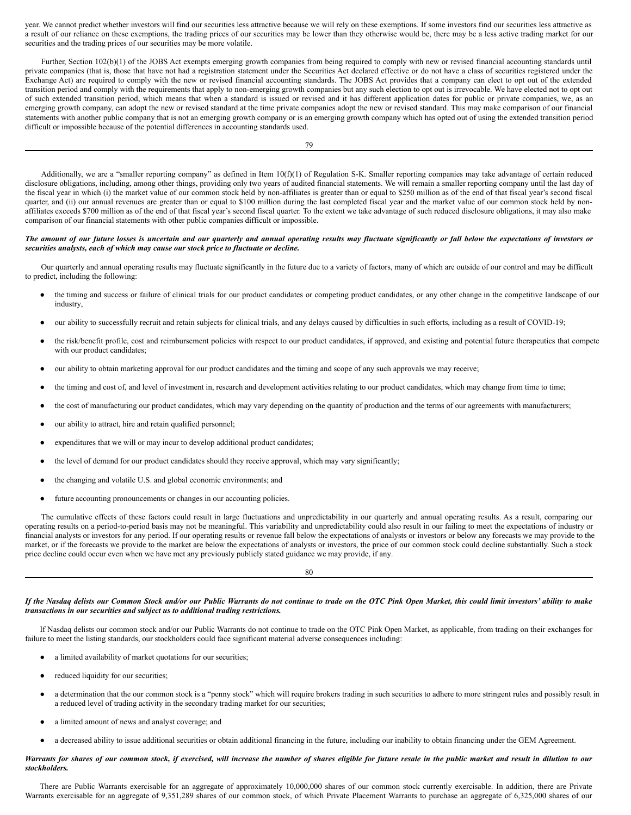year. We cannot predict whether investors will find our securities less attractive because we will rely on these exemptions. If some investors find our securities less attractive as a result of our reliance on these exemptions, the trading prices of our securities may be lower than they otherwise would be, there may be a less active trading market for our securities and the trading prices of our securities may be more volatile.

Further, Section 102(b)(1) of the JOBS Act exempts emerging growth companies from being required to comply with new or revised financial accounting standards until private companies (that is, those that have not had a registration statement under the Securities Act declared effective or do not have a class of securities registered under the Exchange Act) are required to comply with the new or revised financial accounting standards. The JOBS Act provides that a company can elect to opt out of the extended transition period and comply with the requirements that apply to non-emerging growth companies but any such election to opt out is irrevocable. We have elected not to opt out of such extended transition period, which means that when a standard is issued or revised and it has different application dates for public or private companies, we, as an emerging growth company, can adopt the new or revised standard at the time private companies adopt the new or revised standard. This may make comparison of our financial statements with another public company that is not an emerging growth company or is an emerging growth company which has opted out of using the extended transition period difficult or impossible because of the potential differences in accounting standards used.

79

Additionally, we are a "smaller reporting company" as defined in Item 10(f)(1) of Regulation S-K. Smaller reporting companies may take advantage of certain reduced disclosure obligations, including, among other things, providing only two years of audited financial statements. We will remain a smaller reporting company until the last day of the fiscal year in which (i) the market value of our common stock held by non-affiliates is greater than or equal to \$250 million as of the end of that fiscal year's second fiscal quarter, and (ii) our annual revenues are greater than or equal to \$100 million during the last completed fiscal year and the market value of our common stock held by nonaffiliates exceeds \$700 million as of the end of that fiscal year's second fiscal quarter. To the extent we take advantage of such reduced disclosure obligations, it may also make comparison of our financial statements with other public companies difficult or impossible.

## The amount of our future losses is uncertain and our quarterly and annual operating results may fluctuate significantly or fall below the expectations of investors or *securities analysts, each of which may cause our stock price to fluctuate or decline.*

Our quarterly and annual operating results may fluctuate significantly in the future due to a variety of factors, many of which are outside of our control and may be difficult to predict, including the following:

- the timing and success or failure of clinical trials for our product candidates or competing product candidates, or any other change in the competitive landscape of our industry,
- our ability to successfully recruit and retain subjects for clinical trials, and any delays caused by difficulties in such efforts, including as a result of COVID-19;
- the risk/benefit profile, cost and reimbursement policies with respect to our product candidates, if approved, and existing and potential future therapeutics that compete with our product candidates;
- our ability to obtain marketing approval for our product candidates and the timing and scope of any such approvals we may receive;
- the timing and cost of, and level of investment in, research and development activities relating to our product candidates, which may change from time to time;
- the cost of manufacturing our product candidates, which may vary depending on the quantity of production and the terms of our agreements with manufacturers;
- our ability to attract, hire and retain qualified personnel;
- expenditures that we will or may incur to develop additional product candidates;
- the level of demand for our product candidates should they receive approval, which may vary significantly;
- the changing and volatile U.S. and global economic environments; and
- future accounting pronouncements or changes in our accounting policies.

The cumulative effects of these factors could result in large fluctuations and unpredictability in our quarterly and annual operating results. As a result, comparing our operating results on a period-to-period basis may not be meaningful. This variability and unpredictability could also result in our failing to meet the expectations of industry or financial analysts or investors for any period. If our operating results or revenue fall below the expectations of analysts or investors or below any forecasts we may provide to the market, or if the forecasts we provide to the market are below the expectations of analysts or investors, the price of our common stock could decline substantially. Such a stock price decline could occur even when we have met any previously publicly stated guidance we may provide, if any.

80

#### If the Nasdaq delists our Common Stock and/or our Public Warrants do not continue to trade on the OTC Pink Open Market, this could limit investors' ability to make *transactions in our securities and subject us to additional trading restrictions.*

If Nasdaq delists our common stock and/or our Public Warrants do not continue to trade on the OTC Pink Open Market, as applicable, from trading on their exchanges for failure to meet the listing standards, our stockholders could face significant material adverse consequences including:

- a limited availability of market quotations for our securities;
- reduced liquidity for our securities;
- a determination that the our common stock is a "penny stock" which will require brokers trading in such securities to adhere to more stringent rules and possibly result in a reduced level of trading activity in the secondary trading market for our securities;
- a limited amount of news and analyst coverage; and
- a decreased ability to issue additional securities or obtain additional financing in the future, including our inability to obtain financing under the GEM Agreement.

#### Warrants for shares of our common stock, if exercised, will increase the number of shares eligible for future resale in the public market and result in dilution to our *stockholders.*

There are Public Warrants exercisable for an aggregate of approximately 10,000,000 shares of our common stock currently exercisable. In addition, there are Private Warrants exercisable for an aggregate of 9,351,289 shares of our common stock, of which Private Placement Warrants to purchase an aggregate of 6,325,000 shares of our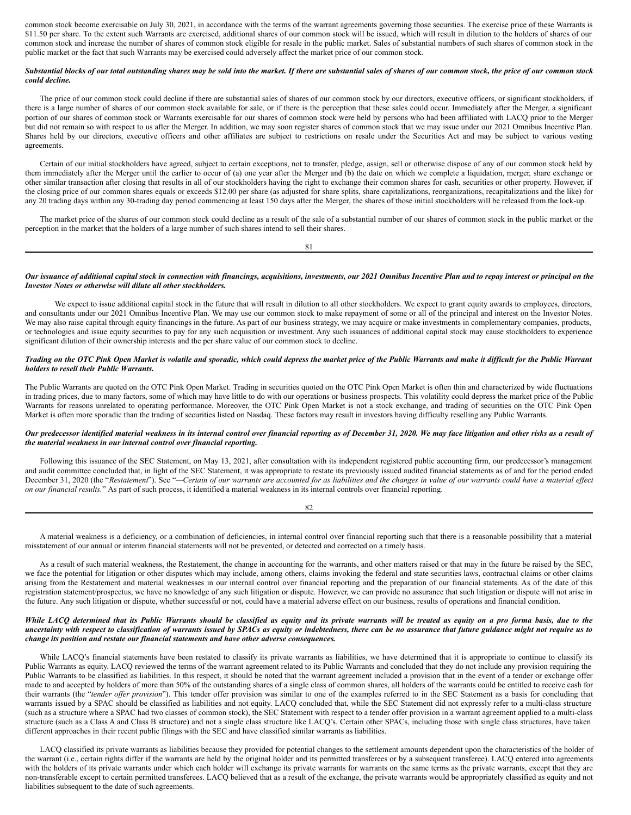common stock become exercisable on July 30, 2021, in accordance with the terms of the warrant agreements governing those securities. The exercise price of these Warrants is \$11.50 per share. To the extent such Warrants are exercised, additional shares of our common stock will be issued, which will result in dilution to the holders of shares of our common stock and increase the number of shares of common stock eligible for resale in the public market. Sales of substantial numbers of such shares of common stock in the public market or the fact that such Warrants may be exercised could adversely affect the market price of our common stock.

#### Substantial blocks of our total outstanding shares may be sold into the market. If there are substantial sales of shares of our common stock, the price of our common stock *could decline.*

The price of our common stock could decline if there are substantial sales of shares of our common stock by our directors, executive officers, or significant stockholders, if there is a large number of shares of our common stock available for sale, or if there is the perception that these sales could occur. Immediately after the Merger, a significant portion of our shares of common stock or Warrants exercisable for our shares of common stock were held by persons who had been affiliated with LACQ prior to the Merger but did not remain so with respect to us after the Merger. In addition, we may soon register shares of common stock that we may issue under our 2021 Omnibus Incentive Plan. Shares held by our directors, executive officers and other affiliates are subject to restrictions on resale under the Securities Act and may be subject to various vesting agreements.

Certain of our initial stockholders have agreed, subject to certain exceptions, not to transfer, pledge, assign, sell or otherwise dispose of any of our common stock held by them immediately after the Merger until the earlier to occur of (a) one year after the Merger and (b) the date on which we complete a liquidation, merger, share exchange or other similar transaction after closing that results in all of our stockholders having the right to exchange their common shares for cash, securities or other property. However, if the closing price of our common shares equals or exceeds \$12.00 per share (as adjusted for share splits, share capitalizations, reorganizations, recapitalizations and the like) for any 20 trading days within any 30-trading day period commencing at least 150 days after the Merger, the shares of those initial stockholders will be released from the lock-up.

The market price of the shares of our common stock could decline as a result of the sale of a substantial number of our shares of common stock in the public market or the perception in the market that the holders of a large number of such shares intend to sell their shares.

81

#### Our issuance of additional capital stock in connection with financings, acquisitions, investments, our 2021 Omnibus Incentive Plan and to repay interest or principal on the *Investor Notes or otherwise will dilute all other stockholders.*

We expect to issue additional capital stock in the future that will result in dilution to all other stockholders. We expect to grant equity awards to employees, directors, and consultants under our 2021 Omnibus Incentive Plan. We may use our common stock to make repayment of some or all of the principal and interest on the Investor Notes. We may also raise capital through equity financings in the future. As part of our business strategy, we may acquire or make investments in complementary companies, products, or technologies and issue equity securities to pay for any such acquisition or investment. Any such issuances of additional capital stock may cause stockholders to experience significant dilution of their ownership interests and the per share value of our common stock to decline.

## Trading on the OTC Pink Open Market is volatile and sporadic, which could depress the market price of the Public Warrants and make it difficult for the Public Warrant *holders to resell their Public Warrants.*

The Public Warrants are quoted on the OTC Pink Open Market. Trading in securities quoted on the OTC Pink Open Market is often thin and characterized by wide fluctuations in trading prices, due to many factors, some of which may have little to do with our operations or business prospects. This volatility could depress the market price of the Public Warrants for reasons unrelated to operating performance. Moreover, the OTC Pink Open Market is not a stock exchange, and trading of securities on the OTC Pink Open Market is often more sporadic than the trading of securities listed on Nasdaq. These factors may result in investors having difficulty reselling any Public Warrants.

#### Our predecessor identified material weakness in its internal control over financial reporting as of December 31, 2020. We may face litigation and other risks as a result of *the material weakness in our internal control over financial reporting.*

Following this issuance of the SEC Statement, on May 13, 2021, after consultation with its independent registered public accounting firm, our predecessor's management and audit committee concluded that, in light of the SEC Statement, it was appropriate to restate its previously issued audited financial statements as of and for the period ended December 31, 2020 (the "Restatement"). See "-Certain of our warrants are accounted for as liabilities and the changes in value of our warrants could have a material effect *on our financial results.*" As part of such process, it identified a material weakness in its internal controls over financial reporting.

82

A material weakness is a deficiency, or a combination of deficiencies, in internal control over financial reporting such that there is a reasonable possibility that a material misstatement of our annual or interim financial statements will not be prevented, or detected and corrected on a timely basis.

As a result of such material weakness, the Restatement, the change in accounting for the warrants, and other matters raised or that may in the future be raised by the SEC, we face the potential for litigation or other disputes which may include, among others, claims invoking the federal and state securities laws, contractual claims or other claims arising from the Restatement and material weaknesses in our internal control over financial reporting and the preparation of our financial statements. As of the date of this registration statement/prospectus, we have no knowledge of any such litigation or dispute. However, we can provide no assurance that such litigation or dispute will not arise in the future. Any such litigation or dispute, whether successful or not, could have a material adverse effect on our business, results of operations and financial condition.

#### While LACQ determined that its Public Warrants should be classified as equity and its private warrants will be treated as equity on a pro forma basis, due to the uncertainty with respect to classification of warrants issued by SPACs as equity or indebtedness, there can be no assurance that future guidance might not require us to *change its position and restate our financial statements and have other adverse consequences.*

While LACQ's financial statements have been restated to classify its private warrants as liabilities, we have determined that it is appropriate to continue to classify its Public Warrants as equity. LACQ reviewed the terms of the warrant agreement related to its Public Warrants and concluded that they do not include any provision requiring the Public Warrants to be classified as liabilities. In this respect, it should be noted that the warrant agreement included a provision that in the event of a tender or exchange offer made to and accepted by holders of more than 50% of the outstanding shares of a single class of common shares, all holders of the warrants could be entitled to receive cash for their warrants (the "tender offer provision"). This tender offer provision was similar to one of the examples referred to in the SEC Statement as a basis for concluding that warrants issued by a SPAC should be classified as liabilities and not equity. LACQ concluded that, while the SEC Statement did not expressly refer to a multi-class structure (such as a structure where a SPAC had two classes of common stock), the SEC Statement with respect to a tender offer provision in a warrant agreement applied to a multi-class structure (such as a Class A and Class B structure) and not a single class structure like LACQ's. Certain other SPACs, including those with single class structures, have taken different approaches in their recent public filings with the SEC and have classified similar warrants as liabilities.

LACQ classified its private warrants as liabilities because they provided for potential changes to the settlement amounts dependent upon the characteristics of the holder of the warrant (i.e., certain rights differ if the warrants are held by the original holder and its permitted transferees or by a subsequent transferee). LACQ entered into agreements with the holders of its private warrants under which each holder will exchange its private warrants for warrants on the same terms as the private warrants, except that they are non-transferable except to certain permitted transferees. LACQ believed that as a result of the exchange, the private warrants would be appropriately classified as equity and not liabilities subsequent to the date of such agreements.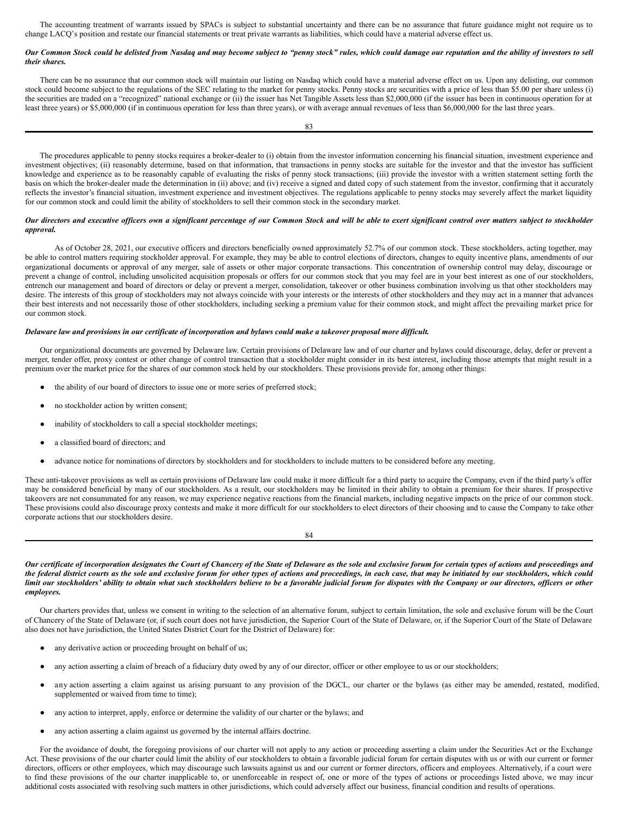The accounting treatment of warrants issued by SPACs is subject to substantial uncertainty and there can be no assurance that future guidance might not require us to change LACQ's position and restate our financial statements or treat private warrants as liabilities, which could have a material adverse effect us.

## Our Common Stock could be delisted from Nasdaq and may become subject to "penny stock" rules, which could damage our reputation and the ability of investors to sell *their shares.*

There can be no assurance that our common stock will maintain our listing on Nasdaq which could have a material adverse effect on us. Upon any delisting, our common stock could become subject to the regulations of the SEC relating to the market for penny stocks. Penny stocks are securities with a price of less than \$5.00 per share unless (i) the securities are traded on a "recognized" national exchange or (ii) the issuer has Net Tangible Assets less than \$2,000,000 (if the issuer has been in continuous operation for at least three years) or \$5,000,000 (if in continuous operation for less than three years), or with average annual revenues of less than \$6,000,000 for the last three years.

83

The procedures applicable to penny stocks requires a broker-dealer to (i) obtain from the investor information concerning his financial situation, investment experience and investment objectives; (ii) reasonably determine, based on that information, that transactions in penny stocks are suitable for the investor and that the investor has sufficient knowledge and experience as to be reasonably capable of evaluating the risks of penny stock transactions; (iii) provide the investor with a written statement setting forth the basis on which the broker-dealer made the determination in (ii) above; and (iv) receive a signed and dated copy of such statement from the investor, confirming that it accurately reflects the investor's financial situation, investment experience and investment objectives. The regulations applicable to penny stocks may severely affect the market liquidity for our common stock and could limit the ability of stockholders to sell their common stock in the secondary market.

## Our directors and executive officers own a significant percentage of our Common Stock and will be able to exert significant control over matters subject to stockholder *approval.*

As of October 28, 2021, our executive officers and directors beneficially owned approximately 52.7% of our common stock. These stockholders, acting together, may be able to control matters requiring stockholder approval. For example, they may be able to control elections of directors, changes to equity incentive plans, amendments of our organizational documents or approval of any merger, sale of assets or other major corporate transactions. This concentration of ownership control may delay, discourage or prevent a change of control, including unsolicited acquisition proposals or offers for our common stock that you may feel are in your best interest as one of our stockholders, entrench our management and board of directors or delay or prevent a merger, consolidation, takeover or other business combination involving us that other stockholders may desire. The interests of this group of stockholders may not always coincide with your interests or the interests of other stockholders and they may act in a manner that advances their best interests and not necessarily those of other stockholders, including seeking a premium value for their common stock, and might affect the prevailing market price for our common stock.

## Delaware law and provisions in our certificate of incorporation and bylaws could make a takeover proposal more difficult.

Our organizational documents are governed by Delaware law. Certain provisions of Delaware law and of our charter and bylaws could discourage, delay, defer or prevent a merger, tender offer, proxy contest or other change of control transaction that a stockholder might consider in its best interest, including those attempts that might result in a premium over the market price for the shares of our common stock held by our stockholders. These provisions provide for, among other things:

- the ability of our board of directors to issue one or more series of preferred stock;
- no stockholder action by written consent:
- inability of stockholders to call a special stockholder meetings;
- a classified board of directors; and
- advance notice for nominations of directors by stockholders and for stockholders to include matters to be considered before any meeting.

These anti-takeover provisions as well as certain provisions of Delaware law could make it more difficult for a third party to acquire the Company, even if the third party's offer may be considered beneficial by many of our stockholders. As a result, our stockholders may be limited in their ability to obtain a premium for their shares. If prospective takeovers are not consummated for any reason, we may experience negative reactions from the financial markets, including negative impacts on the price of our common stock. These provisions could also discourage proxy contests and make it more difficult for our stockholders to elect directors of their choosing and to cause the Company to take other corporate actions that our stockholders desire.

84

Our certificate of incorporation designates the Court of Chancery of the State of Delaware as the sole and exclusive forum for certain types of actions and proceedings and the federal district courts as the sole and exclusive forum for other types of actions and proceedings, in each case, that may be initiated by our stockholders, which could limit our stockholders' ability to obtain what such stockholders believe to be a favorable judicial forum for disputes with the Company or our directors, officers or other *employees.*

Our charters provides that, unless we consent in writing to the selection of an alternative forum, subject to certain limitation, the sole and exclusive forum will be the Court of Chancery of the State of Delaware (or, if such court does not have jurisdiction, the Superior Court of the State of Delaware, or, if the Superior Court of the State of Delaware also does not have jurisdiction, the United States District Court for the District of Delaware) for:

- any derivative action or proceeding brought on behalf of us;
- any action asserting a claim of breach of a fiduciary duty owed by any of our director, officer or other employee to us or our stockholders;
- any action asserting a claim against us arising pursuant to any provision of the DGCL, our charter or the bylaws (as either may be amended, restated, modified, supplemented or waived from time to time);
- any action to interpret, apply, enforce or determine the validity of our charter or the bylaws; and
- any action asserting a claim against us governed by the internal affairs doctrine.

For the avoidance of doubt, the foregoing provisions of our charter will not apply to any action or proceeding asserting a claim under the Securities Act or the Exchange Act. These provisions of the our charter could limit the ability of our stockholders to obtain a favorable judicial forum for certain disputes with us or with our current or former directors, officers or other employees, which may discourage such lawsuits against us and our current or former directors, officers and employees. Alternatively, if a court were to find these provisions of the our charter inapplicable to, or unenforceable in respect of, one or more of the types of actions or proceedings listed above, we may incur additional costs associated with resolving such matters in other jurisdictions, which could adversely affect our business, financial condition and results of operations.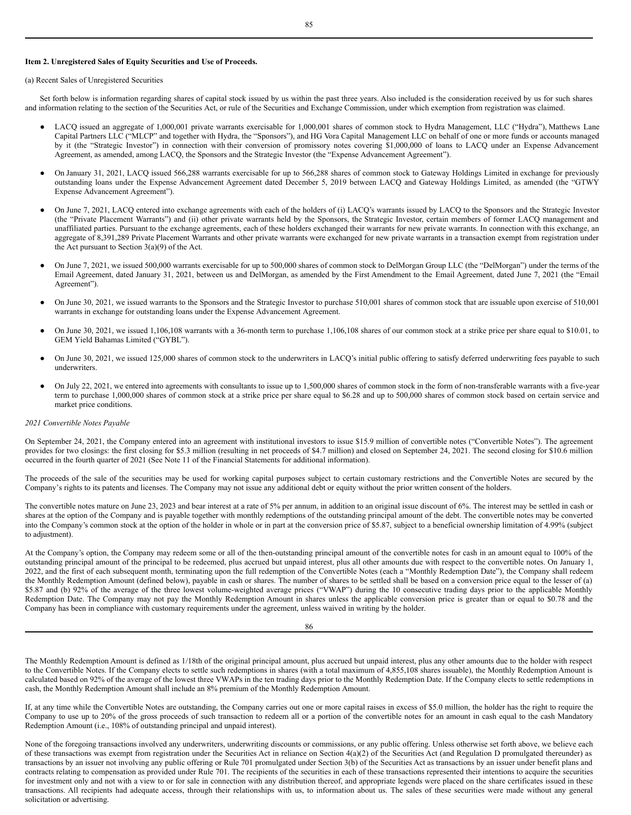## **Item 2. Unregistered Sales of Equity Securities and Use of Proceeds.**

#### (a) Recent Sales of Unregistered Securities

Set forth below is information regarding shares of capital stock issued by us within the past three years. Also included is the consideration received by us for such shares and information relating to the section of the Securities Act, or rule of the Securities and Exchange Commission, under which exemption from registration was claimed.

- LACQ issued an aggregate of 1,000,001 private warrants exercisable for 1,000,001 shares of common stock to Hydra Management, LLC ("Hydra"), Matthews Lane Capital Partners LLC ("MLCP" and together with Hydra, the "Sponsors"), and HG Vora Capital Management LLC on behalf of one or more funds or accounts managed by it (the "Strategic Investor") in connection with their conversion of promissory notes covering \$1,000,000 of loans to LACQ under an Expense Advancement Agreement, as amended, among LACQ, the Sponsors and the Strategic Investor (the "Expense Advancement Agreement").
- On January 31, 2021, LACQ issued 566,288 warrants exercisable for up to 566,288 shares of common stock to Gateway Holdings Limited in exchange for previously outstanding loans under the Expense Advancement Agreement dated December 5, 2019 between LACQ and Gateway Holdings Limited, as amended (the "GTWY Expense Advancement Agreement").
- On June 7, 2021, LACQ entered into exchange agreements with each of the holders of (i) LACQ's warrants issued by LACQ to the Sponsors and the Strategic Investor (the "Private Placement Warrants") and (ii) other private warrants held by the Sponsors, the Strategic Investor, certain members of former LACQ management and unaffiliated parties. Pursuant to the exchange agreements, each of these holders exchanged their warrants for new private warrants. In connection with this exchange, an aggregate of 8,391,289 Private Placement Warrants and other private warrants were exchanged for new private warrants in a transaction exempt from registration under the Act pursuant to Section 3(a)(9) of the Act.
- On June 7, 2021, we issued 500,000 warrants exercisable for up to 500,000 shares of common stock to DelMorgan Group LLC (the "DelMorgan") under the terms of the Email Agreement, dated January 31, 2021, between us and DelMorgan, as amended by the First Amendment to the Email Agreement, dated June 7, 2021 (the "Email Agreement").
- On June 30, 2021, we issued warrants to the Sponsors and the Strategic Investor to purchase 510,001 shares of common stock that are issuable upon exercise of 510,001 warrants in exchange for outstanding loans under the Expense Advancement Agreement.
- On June 30, 2021, we issued 1,106,108 warrants with a 36-month term to purchase 1,106,108 shares of our common stock at a strike price per share equal to \$10.01, to GEM Yield Bahamas Limited ("GYBL").
- On June 30, 2021, we issued 125,000 shares of common stock to the underwriters in LACQ's initial public offering to satisfy deferred underwriting fees payable to such underwriters.
- On July 22, 2021, we entered into agreements with consultants to issue up to 1,500,000 shares of common stock in the form of non-transferable warrants with a five-year term to purchase 1,000,000 shares of common stock at a strike price per share equal to \$6.28 and up to 500,000 shares of common stock based on certain service and market price conditions.

#### *2021 Convertible Notes Payable*

On September 24, 2021, the Company entered into an agreement with institutional investors to issue \$15.9 million of convertible notes ("Convertible Notes"). The agreement provides for two closings: the first closing for \$5.3 million (resulting in net proceeds of \$4.7 million) and closed on September 24, 2021. The second closing for \$10.6 million occurred in the fourth quarter of 2021 (See Note 11 of the Financial Statements for additional information).

The proceeds of the sale of the securities may be used for working capital purposes subject to certain customary restrictions and the Convertible Notes are secured by the Company's rights to its patents and licenses. The Company may not issue any additional debt or equity without the prior written consent of the holders.

The convertible notes mature on June 23, 2023 and bear interest at a rate of 5% per annum, in addition to an original issue discount of 6%. The interest may be settled in cash or shares at the option of the Company and is payable together with monthly redemptions of the outstanding principal amount of the debt. The convertible notes may be converted into the Company's common stock at the option of the holder in whole or in part at the conversion price of \$5.87, subject to a beneficial ownership limitation of 4.99% (subject to adjustment).

At the Company's option, the Company may redeem some or all of the then-outstanding principal amount of the convertible notes for cash in an amount equal to 100% of the outstanding principal amount of the principal to be redeemed, plus accrued but unpaid interest, plus all other amounts due with respect to the convertible notes. On January 1, 2022, and the first of each subsequent month, terminating upon the full redemption of the Convertible Notes (each a "Monthly Redemption Date"), the Company shall redeem the Monthly Redemption Amount (defined below), payable in cash or shares. The number of shares to be settled shall be based on a conversion price equal to the lesser of (a) \$5.87 and (b) 92% of the average of the three lowest volume-weighted average prices ("VWAP") during the 10 consecutive trading days prior to the applicable Monthly Redemption Date. The Company may not pay the Monthly Redemption Amount in shares unless the applicable conversion price is greater than or equal to \$0.78 and the Company has been in compliance with customary requirements under the agreement, unless waived in writing by the holder.

## 86

The Monthly Redemption Amount is defined as 1/18th of the original principal amount, plus accrued but unpaid interest, plus any other amounts due to the holder with respect to the Convertible Notes. If the Company elects to settle such redemptions in shares (with a total maximum of 4,855,108 shares issuable), the Monthly Redemption Amount is calculated based on 92% of the average of the lowest three VWAPs in the ten trading days prior to the Monthly Redemption Date. If the Company elects to settle redemptions in cash, the Monthly Redemption Amount shall include an 8% premium of the Monthly Redemption Amount.

If, at any time while the Convertible Notes are outstanding, the Company carries out one or more capital raises in excess of \$5.0 million, the holder has the right to require the Company to use up to 20% of the gross proceeds of such transaction to redeem all or a portion of the convertible notes for an amount in cash equal to the cash Mandatory Redemption Amount (i.e., 108% of outstanding principal and unpaid interest).

None of the foregoing transactions involved any underwriters, underwriting discounts or commissions, or any public offering. Unless otherwise set forth above, we believe each of these transactions was exempt from registration under the Securities Act in reliance on Section 4(a)(2) of the Securities Act (and Regulation D promulgated thereunder) as transactions by an issuer not involving any public offering or Rule 701 promulgated under Section 3(b) of the Securities Act as transactions by an issuer under benefit plans and contracts relating to compensation as provided under Rule 701. The recipients of the securities in each of these transactions represented their intentions to acquire the securities for investment only and not with a view to or for sale in connection with any distribution thereof, and appropriate legends were placed on the share certificates issued in these transactions. All recipients had adequate access, through their relationships with us, to information about us. The sales of these securities were made without any general solicitation or advertising.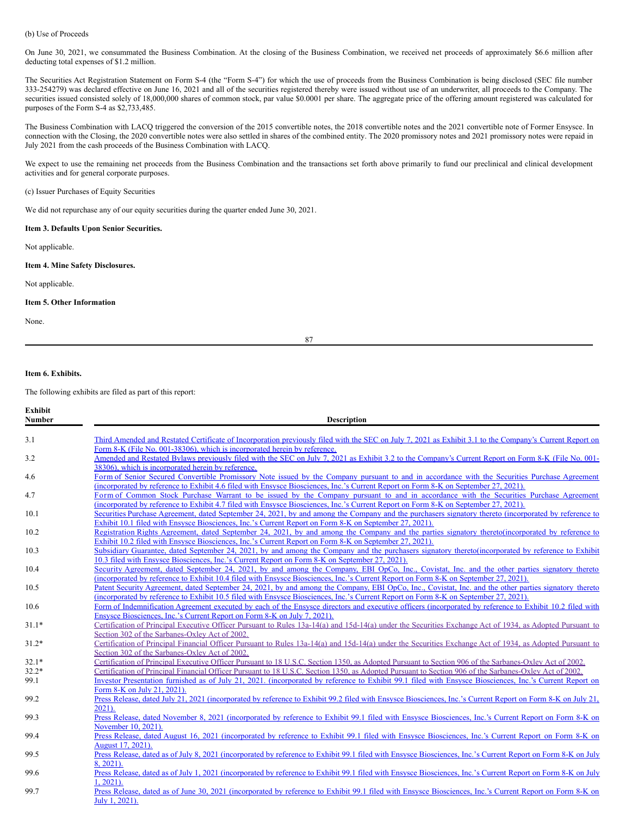## (b) Use of Proceeds

On June 30, 2021, we consummated the Business Combination. At the closing of the Business Combination, we received net proceeds of approximately \$6.6 million after deducting total expenses of \$1.2 million.

The Securities Act Registration Statement on Form S-4 (the "Form S-4") for which the use of proceeds from the Business Combination is being disclosed (SEC file number 333-254279) was declared effective on June 16, 2021 and all of the securities registered thereby were issued without use of an underwriter, all proceeds to the Company. The securities issued consisted solely of 18,000,000 shares of common stock, par value \$0.0001 per share. The aggregate price of the offering amount registered was calculated for purposes of the Form S-4 as \$2,733,485.

The Business Combination with LACQ triggered the conversion of the 2015 convertible notes, the 2018 convertible notes and the 2021 convertible note of Former Ensysce. In connection with the Closing, the 2020 convertible notes were also settled in shares of the combined entity. The 2020 promissory notes and 2021 promissory notes were repaid in July 2021 from the cash proceeds of the Business Combination with LACQ.

We expect to use the remaining net proceeds from the Business Combination and the transactions set forth above primarily to fund our preclinical and clinical development activities and for general corporate purposes.

## (c) Issuer Purchases of Equity Securities

We did not repurchase any of our equity securities during the quarter ended June 30, 2021.

## **Item 3. Defaults Upon Senior Securities.**

Not applicable.

## **Item 4. Mine Safety Disclosures.**

Not applicable.

# **Item 5. Other Information**

None.

87

## **Item 6. Exhibits.**

The following exhibits are filed as part of this report:

| Third Amended and Restated Certificate of Incorporation previously filed with the SEC on July 7, 2021 as Exhibit 3.1 to the Company's Current Report on<br>Form 8-K (File No. 001-38306), which is incorporated herein by reference.<br>Amended and Restated Bylaws previously filed with the SEC on July 7, 2021 as Exhibit 3.2 to the Company's Current Report on Form 8-K (File No. 001-<br>38306), which is incorporated herein by reference.<br>Form of Senior Secured Convertible Promissory Note issued by the Company pursuant to and in accordance with the Securities Purchase Agreement<br>(incorporated by reference to Exhibit 4.6 filed with Ensysce Biosciences, Inc.'s Current Report on Form 8-K on September 27, 2021).<br>Form of Common Stock Purchase Warrant to be issued by the Company pursuant to and in accordance with the Securities Purchase Agreement<br>(incorporated by reference to Exhibit 4.7 filed with Ensysce Biosciences, Inc.'s Current Report on Form 8-K on September 27, 2021).<br>Securities Purchase Agreement, dated September 24, 2021, by and among the Company and the purchasers signatory thereto (incorporated by reference to<br>Exhibit 10.1 filed with Ensysce Biosciences, Inc.'s Current Report on Form 8-K on September 27, 2021).<br>Registration Rights Agreement, dated September 24, 2021, by and among the Company and the parties signatory thereto(incorporated by reference to<br>Exhibit 10.2 filed with Ensysce Biosciences, Inc.'s Current Report on Form 8-K on September 27, 2021).<br>Subsidiary Guarantee, dated September 24, 2021, by and among the Company and the purchasers signatory thereto(incorporated by reference to Exhibit<br>10.3 filed with Ensysce Biosciences, Inc.'s Current Report on Form 8-K on September 27, 2021).<br>Security Agreement, dated September 24, 2021, by and among the Company, EBI OpCo, Inc., Covistat, Inc. and the other parties signatory thereto<br>(incorporated by reference to Exhibit 10.4 filed with Ensysce Biosciences, Inc.'s Current Report on Form 8-K on September 27, 2021).<br>Patent Security Agreement, dated September 24, 2021, by and among the Company, EBI OpCo, Inc., Covistat, Inc. and the other parties signatory thereto<br>(incorporated by reference to Exhibit 10.5 filed with Ensysce Biosciences, Inc.'s Current Report on Form 8-K on September 27, 2021).<br>Form of Indemnification Agreement executed by each of the Ensysce directors and executive officers (incorporated by reference to Exhibit 10.2 filed with<br>Ensysce Biosciences, Inc.'s Current Report on Form 8-K on July 7, 2021).<br>$31.1*$<br>Certification of Principal Executive Officer Pursuant to Rules 13a-14(a) and 15d-14(a) under the Securities Exchange Act of 1934, as Adopted Pursuant to<br>Section 302 of the Sarbanes-Oxley Act of 2002.<br>$31.2*$<br>Certification of Principal Financial Officer Pursuant to Rules 13a-14(a) and 15d-14(a) under the Securities Exchange Act of 1934, as Adopted Pursuant to<br>Section 302 of the Sarbanes-Oxley Act of 2002.<br>$32.1*$<br>Certification of Principal Executive Officer Pursuant to 18 U.S.C. Section 1350, as Adopted Pursuant to Section 906 of the Sarbanes-Oxley Act of 2002.<br>$32.2*$<br>Certification of Principal Financial Officer Pursuant to 18 U.S.C. Section 1350, as Adopted Pursuant to Section 906 of the Sarbanes-Oxley Act of 2002.<br>Investor Presentation furnished as of July 21, 2021. (incorporated by reference to Exhibit 99.1 filed with Ensysce Biosciences, Inc.'s Current Report on<br>Form 8-K on July 21, 2021).<br>Press Release, dated July 21, 2021 (incorporated by reference to Exhibit 99.2 filed with Ensysce Biosciences, Inc.'s Current Report on Form 8-K on July 21,<br>$2021$ ).<br>Press Release, dated November 8, 2021 (incorporated by reference to Exhibit 99.1 filed with Ensysce Biosciences, Inc.'s Current Report on Form 8-K on<br>November 10, 2021).<br>Press Release, dated August 16, 2021 (incorporated by reference to Exhibit 99.1 filed with Ensysce Biosciences, Inc.'s Current Report on Form 8-K on<br>August 17, 2021).<br>Press Release, dated as of July 8, 2021 (incorporated by reference to Exhibit 99.1 filed with Ensysce Biosciences, Inc.'s Current Report on Form 8-K on July<br>$8, 2021$ ).<br>Press Release, dated as of July 1, 2021 (incorporated by reference to Exhibit 99.1 filed with Ensysce Biosciences, Inc.'s Current Report on Form 8-K on July<br>$.2021$ ). | <b>Exhibit</b><br>Number | Description                                                                                                                                              |
|-----------------------------------------------------------------------------------------------------------------------------------------------------------------------------------------------------------------------------------------------------------------------------------------------------------------------------------------------------------------------------------------------------------------------------------------------------------------------------------------------------------------------------------------------------------------------------------------------------------------------------------------------------------------------------------------------------------------------------------------------------------------------------------------------------------------------------------------------------------------------------------------------------------------------------------------------------------------------------------------------------------------------------------------------------------------------------------------------------------------------------------------------------------------------------------------------------------------------------------------------------------------------------------------------------------------------------------------------------------------------------------------------------------------------------------------------------------------------------------------------------------------------------------------------------------------------------------------------------------------------------------------------------------------------------------------------------------------------------------------------------------------------------------------------------------------------------------------------------------------------------------------------------------------------------------------------------------------------------------------------------------------------------------------------------------------------------------------------------------------------------------------------------------------------------------------------------------------------------------------------------------------------------------------------------------------------------------------------------------------------------------------------------------------------------------------------------------------------------------------------------------------------------------------------------------------------------------------------------------------------------------------------------------------------------------------------------------------------------------------------------------------------------------------------------------------------------------------------------------------------------------------------------------------------------------------------------------------------------------------------------------------------------------------------------------------------------------------------------------------------------------------------------------------------------------------------------------------------------------------------------------------------------------------------------------------------------------------------------------------------------------------------------------------------------------------------------------------------------------------------------------------------------------------------------------------------------------------------------------------------------------------------------------------------------------------------------------------------------------------------------------------------------------------------------------------------------------------------------------------------------------------------------------------------------------------------------------------------------------------------------------------------------------------------------------------------------------------------------------------------------------------------------------------------------------------------------------------------------------------------------------------------------------------------------------------------------------------------------------------------------------------------------------------------------------------------------------------------------------------------------------------------------------------------------|--------------------------|----------------------------------------------------------------------------------------------------------------------------------------------------------|
|                                                                                                                                                                                                                                                                                                                                                                                                                                                                                                                                                                                                                                                                                                                                                                                                                                                                                                                                                                                                                                                                                                                                                                                                                                                                                                                                                                                                                                                                                                                                                                                                                                                                                                                                                                                                                                                                                                                                                                                                                                                                                                                                                                                                                                                                                                                                                                                                                                                                                                                                                                                                                                                                                                                                                                                                                                                                                                                                                                                                                                                                                                                                                                                                                                                                                                                                                                                                                                                                                                                                                                                                                                                                                                                                                                                                                                                                                                                                                                                                                                                                                                                                                                                                                                                                                                                                                                                                                                                                                                                                                     |                          |                                                                                                                                                          |
|                                                                                                                                                                                                                                                                                                                                                                                                                                                                                                                                                                                                                                                                                                                                                                                                                                                                                                                                                                                                                                                                                                                                                                                                                                                                                                                                                                                                                                                                                                                                                                                                                                                                                                                                                                                                                                                                                                                                                                                                                                                                                                                                                                                                                                                                                                                                                                                                                                                                                                                                                                                                                                                                                                                                                                                                                                                                                                                                                                                                                                                                                                                                                                                                                                                                                                                                                                                                                                                                                                                                                                                                                                                                                                                                                                                                                                                                                                                                                                                                                                                                                                                                                                                                                                                                                                                                                                                                                                                                                                                                                     | 3.1                      |                                                                                                                                                          |
|                                                                                                                                                                                                                                                                                                                                                                                                                                                                                                                                                                                                                                                                                                                                                                                                                                                                                                                                                                                                                                                                                                                                                                                                                                                                                                                                                                                                                                                                                                                                                                                                                                                                                                                                                                                                                                                                                                                                                                                                                                                                                                                                                                                                                                                                                                                                                                                                                                                                                                                                                                                                                                                                                                                                                                                                                                                                                                                                                                                                                                                                                                                                                                                                                                                                                                                                                                                                                                                                                                                                                                                                                                                                                                                                                                                                                                                                                                                                                                                                                                                                                                                                                                                                                                                                                                                                                                                                                                                                                                                                                     | 3.2                      |                                                                                                                                                          |
|                                                                                                                                                                                                                                                                                                                                                                                                                                                                                                                                                                                                                                                                                                                                                                                                                                                                                                                                                                                                                                                                                                                                                                                                                                                                                                                                                                                                                                                                                                                                                                                                                                                                                                                                                                                                                                                                                                                                                                                                                                                                                                                                                                                                                                                                                                                                                                                                                                                                                                                                                                                                                                                                                                                                                                                                                                                                                                                                                                                                                                                                                                                                                                                                                                                                                                                                                                                                                                                                                                                                                                                                                                                                                                                                                                                                                                                                                                                                                                                                                                                                                                                                                                                                                                                                                                                                                                                                                                                                                                                                                     |                          |                                                                                                                                                          |
|                                                                                                                                                                                                                                                                                                                                                                                                                                                                                                                                                                                                                                                                                                                                                                                                                                                                                                                                                                                                                                                                                                                                                                                                                                                                                                                                                                                                                                                                                                                                                                                                                                                                                                                                                                                                                                                                                                                                                                                                                                                                                                                                                                                                                                                                                                                                                                                                                                                                                                                                                                                                                                                                                                                                                                                                                                                                                                                                                                                                                                                                                                                                                                                                                                                                                                                                                                                                                                                                                                                                                                                                                                                                                                                                                                                                                                                                                                                                                                                                                                                                                                                                                                                                                                                                                                                                                                                                                                                                                                                                                     | 4.6                      |                                                                                                                                                          |
|                                                                                                                                                                                                                                                                                                                                                                                                                                                                                                                                                                                                                                                                                                                                                                                                                                                                                                                                                                                                                                                                                                                                                                                                                                                                                                                                                                                                                                                                                                                                                                                                                                                                                                                                                                                                                                                                                                                                                                                                                                                                                                                                                                                                                                                                                                                                                                                                                                                                                                                                                                                                                                                                                                                                                                                                                                                                                                                                                                                                                                                                                                                                                                                                                                                                                                                                                                                                                                                                                                                                                                                                                                                                                                                                                                                                                                                                                                                                                                                                                                                                                                                                                                                                                                                                                                                                                                                                                                                                                                                                                     | 4.7                      |                                                                                                                                                          |
|                                                                                                                                                                                                                                                                                                                                                                                                                                                                                                                                                                                                                                                                                                                                                                                                                                                                                                                                                                                                                                                                                                                                                                                                                                                                                                                                                                                                                                                                                                                                                                                                                                                                                                                                                                                                                                                                                                                                                                                                                                                                                                                                                                                                                                                                                                                                                                                                                                                                                                                                                                                                                                                                                                                                                                                                                                                                                                                                                                                                                                                                                                                                                                                                                                                                                                                                                                                                                                                                                                                                                                                                                                                                                                                                                                                                                                                                                                                                                                                                                                                                                                                                                                                                                                                                                                                                                                                                                                                                                                                                                     |                          |                                                                                                                                                          |
|                                                                                                                                                                                                                                                                                                                                                                                                                                                                                                                                                                                                                                                                                                                                                                                                                                                                                                                                                                                                                                                                                                                                                                                                                                                                                                                                                                                                                                                                                                                                                                                                                                                                                                                                                                                                                                                                                                                                                                                                                                                                                                                                                                                                                                                                                                                                                                                                                                                                                                                                                                                                                                                                                                                                                                                                                                                                                                                                                                                                                                                                                                                                                                                                                                                                                                                                                                                                                                                                                                                                                                                                                                                                                                                                                                                                                                                                                                                                                                                                                                                                                                                                                                                                                                                                                                                                                                                                                                                                                                                                                     | 10.1                     |                                                                                                                                                          |
|                                                                                                                                                                                                                                                                                                                                                                                                                                                                                                                                                                                                                                                                                                                                                                                                                                                                                                                                                                                                                                                                                                                                                                                                                                                                                                                                                                                                                                                                                                                                                                                                                                                                                                                                                                                                                                                                                                                                                                                                                                                                                                                                                                                                                                                                                                                                                                                                                                                                                                                                                                                                                                                                                                                                                                                                                                                                                                                                                                                                                                                                                                                                                                                                                                                                                                                                                                                                                                                                                                                                                                                                                                                                                                                                                                                                                                                                                                                                                                                                                                                                                                                                                                                                                                                                                                                                                                                                                                                                                                                                                     |                          |                                                                                                                                                          |
|                                                                                                                                                                                                                                                                                                                                                                                                                                                                                                                                                                                                                                                                                                                                                                                                                                                                                                                                                                                                                                                                                                                                                                                                                                                                                                                                                                                                                                                                                                                                                                                                                                                                                                                                                                                                                                                                                                                                                                                                                                                                                                                                                                                                                                                                                                                                                                                                                                                                                                                                                                                                                                                                                                                                                                                                                                                                                                                                                                                                                                                                                                                                                                                                                                                                                                                                                                                                                                                                                                                                                                                                                                                                                                                                                                                                                                                                                                                                                                                                                                                                                                                                                                                                                                                                                                                                                                                                                                                                                                                                                     | 10.2                     |                                                                                                                                                          |
|                                                                                                                                                                                                                                                                                                                                                                                                                                                                                                                                                                                                                                                                                                                                                                                                                                                                                                                                                                                                                                                                                                                                                                                                                                                                                                                                                                                                                                                                                                                                                                                                                                                                                                                                                                                                                                                                                                                                                                                                                                                                                                                                                                                                                                                                                                                                                                                                                                                                                                                                                                                                                                                                                                                                                                                                                                                                                                                                                                                                                                                                                                                                                                                                                                                                                                                                                                                                                                                                                                                                                                                                                                                                                                                                                                                                                                                                                                                                                                                                                                                                                                                                                                                                                                                                                                                                                                                                                                                                                                                                                     |                          |                                                                                                                                                          |
|                                                                                                                                                                                                                                                                                                                                                                                                                                                                                                                                                                                                                                                                                                                                                                                                                                                                                                                                                                                                                                                                                                                                                                                                                                                                                                                                                                                                                                                                                                                                                                                                                                                                                                                                                                                                                                                                                                                                                                                                                                                                                                                                                                                                                                                                                                                                                                                                                                                                                                                                                                                                                                                                                                                                                                                                                                                                                                                                                                                                                                                                                                                                                                                                                                                                                                                                                                                                                                                                                                                                                                                                                                                                                                                                                                                                                                                                                                                                                                                                                                                                                                                                                                                                                                                                                                                                                                                                                                                                                                                                                     | 10.3                     |                                                                                                                                                          |
|                                                                                                                                                                                                                                                                                                                                                                                                                                                                                                                                                                                                                                                                                                                                                                                                                                                                                                                                                                                                                                                                                                                                                                                                                                                                                                                                                                                                                                                                                                                                                                                                                                                                                                                                                                                                                                                                                                                                                                                                                                                                                                                                                                                                                                                                                                                                                                                                                                                                                                                                                                                                                                                                                                                                                                                                                                                                                                                                                                                                                                                                                                                                                                                                                                                                                                                                                                                                                                                                                                                                                                                                                                                                                                                                                                                                                                                                                                                                                                                                                                                                                                                                                                                                                                                                                                                                                                                                                                                                                                                                                     |                          |                                                                                                                                                          |
|                                                                                                                                                                                                                                                                                                                                                                                                                                                                                                                                                                                                                                                                                                                                                                                                                                                                                                                                                                                                                                                                                                                                                                                                                                                                                                                                                                                                                                                                                                                                                                                                                                                                                                                                                                                                                                                                                                                                                                                                                                                                                                                                                                                                                                                                                                                                                                                                                                                                                                                                                                                                                                                                                                                                                                                                                                                                                                                                                                                                                                                                                                                                                                                                                                                                                                                                                                                                                                                                                                                                                                                                                                                                                                                                                                                                                                                                                                                                                                                                                                                                                                                                                                                                                                                                                                                                                                                                                                                                                                                                                     | 10.4                     |                                                                                                                                                          |
|                                                                                                                                                                                                                                                                                                                                                                                                                                                                                                                                                                                                                                                                                                                                                                                                                                                                                                                                                                                                                                                                                                                                                                                                                                                                                                                                                                                                                                                                                                                                                                                                                                                                                                                                                                                                                                                                                                                                                                                                                                                                                                                                                                                                                                                                                                                                                                                                                                                                                                                                                                                                                                                                                                                                                                                                                                                                                                                                                                                                                                                                                                                                                                                                                                                                                                                                                                                                                                                                                                                                                                                                                                                                                                                                                                                                                                                                                                                                                                                                                                                                                                                                                                                                                                                                                                                                                                                                                                                                                                                                                     |                          |                                                                                                                                                          |
|                                                                                                                                                                                                                                                                                                                                                                                                                                                                                                                                                                                                                                                                                                                                                                                                                                                                                                                                                                                                                                                                                                                                                                                                                                                                                                                                                                                                                                                                                                                                                                                                                                                                                                                                                                                                                                                                                                                                                                                                                                                                                                                                                                                                                                                                                                                                                                                                                                                                                                                                                                                                                                                                                                                                                                                                                                                                                                                                                                                                                                                                                                                                                                                                                                                                                                                                                                                                                                                                                                                                                                                                                                                                                                                                                                                                                                                                                                                                                                                                                                                                                                                                                                                                                                                                                                                                                                                                                                                                                                                                                     | 10.5                     |                                                                                                                                                          |
|                                                                                                                                                                                                                                                                                                                                                                                                                                                                                                                                                                                                                                                                                                                                                                                                                                                                                                                                                                                                                                                                                                                                                                                                                                                                                                                                                                                                                                                                                                                                                                                                                                                                                                                                                                                                                                                                                                                                                                                                                                                                                                                                                                                                                                                                                                                                                                                                                                                                                                                                                                                                                                                                                                                                                                                                                                                                                                                                                                                                                                                                                                                                                                                                                                                                                                                                                                                                                                                                                                                                                                                                                                                                                                                                                                                                                                                                                                                                                                                                                                                                                                                                                                                                                                                                                                                                                                                                                                                                                                                                                     |                          |                                                                                                                                                          |
|                                                                                                                                                                                                                                                                                                                                                                                                                                                                                                                                                                                                                                                                                                                                                                                                                                                                                                                                                                                                                                                                                                                                                                                                                                                                                                                                                                                                                                                                                                                                                                                                                                                                                                                                                                                                                                                                                                                                                                                                                                                                                                                                                                                                                                                                                                                                                                                                                                                                                                                                                                                                                                                                                                                                                                                                                                                                                                                                                                                                                                                                                                                                                                                                                                                                                                                                                                                                                                                                                                                                                                                                                                                                                                                                                                                                                                                                                                                                                                                                                                                                                                                                                                                                                                                                                                                                                                                                                                                                                                                                                     | 10.6                     |                                                                                                                                                          |
|                                                                                                                                                                                                                                                                                                                                                                                                                                                                                                                                                                                                                                                                                                                                                                                                                                                                                                                                                                                                                                                                                                                                                                                                                                                                                                                                                                                                                                                                                                                                                                                                                                                                                                                                                                                                                                                                                                                                                                                                                                                                                                                                                                                                                                                                                                                                                                                                                                                                                                                                                                                                                                                                                                                                                                                                                                                                                                                                                                                                                                                                                                                                                                                                                                                                                                                                                                                                                                                                                                                                                                                                                                                                                                                                                                                                                                                                                                                                                                                                                                                                                                                                                                                                                                                                                                                                                                                                                                                                                                                                                     |                          |                                                                                                                                                          |
|                                                                                                                                                                                                                                                                                                                                                                                                                                                                                                                                                                                                                                                                                                                                                                                                                                                                                                                                                                                                                                                                                                                                                                                                                                                                                                                                                                                                                                                                                                                                                                                                                                                                                                                                                                                                                                                                                                                                                                                                                                                                                                                                                                                                                                                                                                                                                                                                                                                                                                                                                                                                                                                                                                                                                                                                                                                                                                                                                                                                                                                                                                                                                                                                                                                                                                                                                                                                                                                                                                                                                                                                                                                                                                                                                                                                                                                                                                                                                                                                                                                                                                                                                                                                                                                                                                                                                                                                                                                                                                                                                     |                          |                                                                                                                                                          |
|                                                                                                                                                                                                                                                                                                                                                                                                                                                                                                                                                                                                                                                                                                                                                                                                                                                                                                                                                                                                                                                                                                                                                                                                                                                                                                                                                                                                                                                                                                                                                                                                                                                                                                                                                                                                                                                                                                                                                                                                                                                                                                                                                                                                                                                                                                                                                                                                                                                                                                                                                                                                                                                                                                                                                                                                                                                                                                                                                                                                                                                                                                                                                                                                                                                                                                                                                                                                                                                                                                                                                                                                                                                                                                                                                                                                                                                                                                                                                                                                                                                                                                                                                                                                                                                                                                                                                                                                                                                                                                                                                     |                          |                                                                                                                                                          |
|                                                                                                                                                                                                                                                                                                                                                                                                                                                                                                                                                                                                                                                                                                                                                                                                                                                                                                                                                                                                                                                                                                                                                                                                                                                                                                                                                                                                                                                                                                                                                                                                                                                                                                                                                                                                                                                                                                                                                                                                                                                                                                                                                                                                                                                                                                                                                                                                                                                                                                                                                                                                                                                                                                                                                                                                                                                                                                                                                                                                                                                                                                                                                                                                                                                                                                                                                                                                                                                                                                                                                                                                                                                                                                                                                                                                                                                                                                                                                                                                                                                                                                                                                                                                                                                                                                                                                                                                                                                                                                                                                     |                          |                                                                                                                                                          |
|                                                                                                                                                                                                                                                                                                                                                                                                                                                                                                                                                                                                                                                                                                                                                                                                                                                                                                                                                                                                                                                                                                                                                                                                                                                                                                                                                                                                                                                                                                                                                                                                                                                                                                                                                                                                                                                                                                                                                                                                                                                                                                                                                                                                                                                                                                                                                                                                                                                                                                                                                                                                                                                                                                                                                                                                                                                                                                                                                                                                                                                                                                                                                                                                                                                                                                                                                                                                                                                                                                                                                                                                                                                                                                                                                                                                                                                                                                                                                                                                                                                                                                                                                                                                                                                                                                                                                                                                                                                                                                                                                     |                          |                                                                                                                                                          |
|                                                                                                                                                                                                                                                                                                                                                                                                                                                                                                                                                                                                                                                                                                                                                                                                                                                                                                                                                                                                                                                                                                                                                                                                                                                                                                                                                                                                                                                                                                                                                                                                                                                                                                                                                                                                                                                                                                                                                                                                                                                                                                                                                                                                                                                                                                                                                                                                                                                                                                                                                                                                                                                                                                                                                                                                                                                                                                                                                                                                                                                                                                                                                                                                                                                                                                                                                                                                                                                                                                                                                                                                                                                                                                                                                                                                                                                                                                                                                                                                                                                                                                                                                                                                                                                                                                                                                                                                                                                                                                                                                     |                          |                                                                                                                                                          |
|                                                                                                                                                                                                                                                                                                                                                                                                                                                                                                                                                                                                                                                                                                                                                                                                                                                                                                                                                                                                                                                                                                                                                                                                                                                                                                                                                                                                                                                                                                                                                                                                                                                                                                                                                                                                                                                                                                                                                                                                                                                                                                                                                                                                                                                                                                                                                                                                                                                                                                                                                                                                                                                                                                                                                                                                                                                                                                                                                                                                                                                                                                                                                                                                                                                                                                                                                                                                                                                                                                                                                                                                                                                                                                                                                                                                                                                                                                                                                                                                                                                                                                                                                                                                                                                                                                                                                                                                                                                                                                                                                     |                          |                                                                                                                                                          |
|                                                                                                                                                                                                                                                                                                                                                                                                                                                                                                                                                                                                                                                                                                                                                                                                                                                                                                                                                                                                                                                                                                                                                                                                                                                                                                                                                                                                                                                                                                                                                                                                                                                                                                                                                                                                                                                                                                                                                                                                                                                                                                                                                                                                                                                                                                                                                                                                                                                                                                                                                                                                                                                                                                                                                                                                                                                                                                                                                                                                                                                                                                                                                                                                                                                                                                                                                                                                                                                                                                                                                                                                                                                                                                                                                                                                                                                                                                                                                                                                                                                                                                                                                                                                                                                                                                                                                                                                                                                                                                                                                     | 99.1                     |                                                                                                                                                          |
|                                                                                                                                                                                                                                                                                                                                                                                                                                                                                                                                                                                                                                                                                                                                                                                                                                                                                                                                                                                                                                                                                                                                                                                                                                                                                                                                                                                                                                                                                                                                                                                                                                                                                                                                                                                                                                                                                                                                                                                                                                                                                                                                                                                                                                                                                                                                                                                                                                                                                                                                                                                                                                                                                                                                                                                                                                                                                                                                                                                                                                                                                                                                                                                                                                                                                                                                                                                                                                                                                                                                                                                                                                                                                                                                                                                                                                                                                                                                                                                                                                                                                                                                                                                                                                                                                                                                                                                                                                                                                                                                                     |                          |                                                                                                                                                          |
|                                                                                                                                                                                                                                                                                                                                                                                                                                                                                                                                                                                                                                                                                                                                                                                                                                                                                                                                                                                                                                                                                                                                                                                                                                                                                                                                                                                                                                                                                                                                                                                                                                                                                                                                                                                                                                                                                                                                                                                                                                                                                                                                                                                                                                                                                                                                                                                                                                                                                                                                                                                                                                                                                                                                                                                                                                                                                                                                                                                                                                                                                                                                                                                                                                                                                                                                                                                                                                                                                                                                                                                                                                                                                                                                                                                                                                                                                                                                                                                                                                                                                                                                                                                                                                                                                                                                                                                                                                                                                                                                                     | 99.2                     |                                                                                                                                                          |
|                                                                                                                                                                                                                                                                                                                                                                                                                                                                                                                                                                                                                                                                                                                                                                                                                                                                                                                                                                                                                                                                                                                                                                                                                                                                                                                                                                                                                                                                                                                                                                                                                                                                                                                                                                                                                                                                                                                                                                                                                                                                                                                                                                                                                                                                                                                                                                                                                                                                                                                                                                                                                                                                                                                                                                                                                                                                                                                                                                                                                                                                                                                                                                                                                                                                                                                                                                                                                                                                                                                                                                                                                                                                                                                                                                                                                                                                                                                                                                                                                                                                                                                                                                                                                                                                                                                                                                                                                                                                                                                                                     |                          |                                                                                                                                                          |
|                                                                                                                                                                                                                                                                                                                                                                                                                                                                                                                                                                                                                                                                                                                                                                                                                                                                                                                                                                                                                                                                                                                                                                                                                                                                                                                                                                                                                                                                                                                                                                                                                                                                                                                                                                                                                                                                                                                                                                                                                                                                                                                                                                                                                                                                                                                                                                                                                                                                                                                                                                                                                                                                                                                                                                                                                                                                                                                                                                                                                                                                                                                                                                                                                                                                                                                                                                                                                                                                                                                                                                                                                                                                                                                                                                                                                                                                                                                                                                                                                                                                                                                                                                                                                                                                                                                                                                                                                                                                                                                                                     | 99.3                     |                                                                                                                                                          |
|                                                                                                                                                                                                                                                                                                                                                                                                                                                                                                                                                                                                                                                                                                                                                                                                                                                                                                                                                                                                                                                                                                                                                                                                                                                                                                                                                                                                                                                                                                                                                                                                                                                                                                                                                                                                                                                                                                                                                                                                                                                                                                                                                                                                                                                                                                                                                                                                                                                                                                                                                                                                                                                                                                                                                                                                                                                                                                                                                                                                                                                                                                                                                                                                                                                                                                                                                                                                                                                                                                                                                                                                                                                                                                                                                                                                                                                                                                                                                                                                                                                                                                                                                                                                                                                                                                                                                                                                                                                                                                                                                     |                          |                                                                                                                                                          |
|                                                                                                                                                                                                                                                                                                                                                                                                                                                                                                                                                                                                                                                                                                                                                                                                                                                                                                                                                                                                                                                                                                                                                                                                                                                                                                                                                                                                                                                                                                                                                                                                                                                                                                                                                                                                                                                                                                                                                                                                                                                                                                                                                                                                                                                                                                                                                                                                                                                                                                                                                                                                                                                                                                                                                                                                                                                                                                                                                                                                                                                                                                                                                                                                                                                                                                                                                                                                                                                                                                                                                                                                                                                                                                                                                                                                                                                                                                                                                                                                                                                                                                                                                                                                                                                                                                                                                                                                                                                                                                                                                     | 99.4                     |                                                                                                                                                          |
|                                                                                                                                                                                                                                                                                                                                                                                                                                                                                                                                                                                                                                                                                                                                                                                                                                                                                                                                                                                                                                                                                                                                                                                                                                                                                                                                                                                                                                                                                                                                                                                                                                                                                                                                                                                                                                                                                                                                                                                                                                                                                                                                                                                                                                                                                                                                                                                                                                                                                                                                                                                                                                                                                                                                                                                                                                                                                                                                                                                                                                                                                                                                                                                                                                                                                                                                                                                                                                                                                                                                                                                                                                                                                                                                                                                                                                                                                                                                                                                                                                                                                                                                                                                                                                                                                                                                                                                                                                                                                                                                                     |                          |                                                                                                                                                          |
|                                                                                                                                                                                                                                                                                                                                                                                                                                                                                                                                                                                                                                                                                                                                                                                                                                                                                                                                                                                                                                                                                                                                                                                                                                                                                                                                                                                                                                                                                                                                                                                                                                                                                                                                                                                                                                                                                                                                                                                                                                                                                                                                                                                                                                                                                                                                                                                                                                                                                                                                                                                                                                                                                                                                                                                                                                                                                                                                                                                                                                                                                                                                                                                                                                                                                                                                                                                                                                                                                                                                                                                                                                                                                                                                                                                                                                                                                                                                                                                                                                                                                                                                                                                                                                                                                                                                                                                                                                                                                                                                                     | 99.5                     |                                                                                                                                                          |
|                                                                                                                                                                                                                                                                                                                                                                                                                                                                                                                                                                                                                                                                                                                                                                                                                                                                                                                                                                                                                                                                                                                                                                                                                                                                                                                                                                                                                                                                                                                                                                                                                                                                                                                                                                                                                                                                                                                                                                                                                                                                                                                                                                                                                                                                                                                                                                                                                                                                                                                                                                                                                                                                                                                                                                                                                                                                                                                                                                                                                                                                                                                                                                                                                                                                                                                                                                                                                                                                                                                                                                                                                                                                                                                                                                                                                                                                                                                                                                                                                                                                                                                                                                                                                                                                                                                                                                                                                                                                                                                                                     |                          |                                                                                                                                                          |
|                                                                                                                                                                                                                                                                                                                                                                                                                                                                                                                                                                                                                                                                                                                                                                                                                                                                                                                                                                                                                                                                                                                                                                                                                                                                                                                                                                                                                                                                                                                                                                                                                                                                                                                                                                                                                                                                                                                                                                                                                                                                                                                                                                                                                                                                                                                                                                                                                                                                                                                                                                                                                                                                                                                                                                                                                                                                                                                                                                                                                                                                                                                                                                                                                                                                                                                                                                                                                                                                                                                                                                                                                                                                                                                                                                                                                                                                                                                                                                                                                                                                                                                                                                                                                                                                                                                                                                                                                                                                                                                                                     | 99.6                     |                                                                                                                                                          |
|                                                                                                                                                                                                                                                                                                                                                                                                                                                                                                                                                                                                                                                                                                                                                                                                                                                                                                                                                                                                                                                                                                                                                                                                                                                                                                                                                                                                                                                                                                                                                                                                                                                                                                                                                                                                                                                                                                                                                                                                                                                                                                                                                                                                                                                                                                                                                                                                                                                                                                                                                                                                                                                                                                                                                                                                                                                                                                                                                                                                                                                                                                                                                                                                                                                                                                                                                                                                                                                                                                                                                                                                                                                                                                                                                                                                                                                                                                                                                                                                                                                                                                                                                                                                                                                                                                                                                                                                                                                                                                                                                     |                          |                                                                                                                                                          |
|                                                                                                                                                                                                                                                                                                                                                                                                                                                                                                                                                                                                                                                                                                                                                                                                                                                                                                                                                                                                                                                                                                                                                                                                                                                                                                                                                                                                                                                                                                                                                                                                                                                                                                                                                                                                                                                                                                                                                                                                                                                                                                                                                                                                                                                                                                                                                                                                                                                                                                                                                                                                                                                                                                                                                                                                                                                                                                                                                                                                                                                                                                                                                                                                                                                                                                                                                                                                                                                                                                                                                                                                                                                                                                                                                                                                                                                                                                                                                                                                                                                                                                                                                                                                                                                                                                                                                                                                                                                                                                                                                     | 99.7                     | Press Release, dated as of June 30, 2021 (incorporated by reference to Exhibit 99.1 filed with Ensysce Biosciences, Inc.'s Current Report on Form 8-K on |
| July 1, 2021).                                                                                                                                                                                                                                                                                                                                                                                                                                                                                                                                                                                                                                                                                                                                                                                                                                                                                                                                                                                                                                                                                                                                                                                                                                                                                                                                                                                                                                                                                                                                                                                                                                                                                                                                                                                                                                                                                                                                                                                                                                                                                                                                                                                                                                                                                                                                                                                                                                                                                                                                                                                                                                                                                                                                                                                                                                                                                                                                                                                                                                                                                                                                                                                                                                                                                                                                                                                                                                                                                                                                                                                                                                                                                                                                                                                                                                                                                                                                                                                                                                                                                                                                                                                                                                                                                                                                                                                                                                                                                                                                      |                          |                                                                                                                                                          |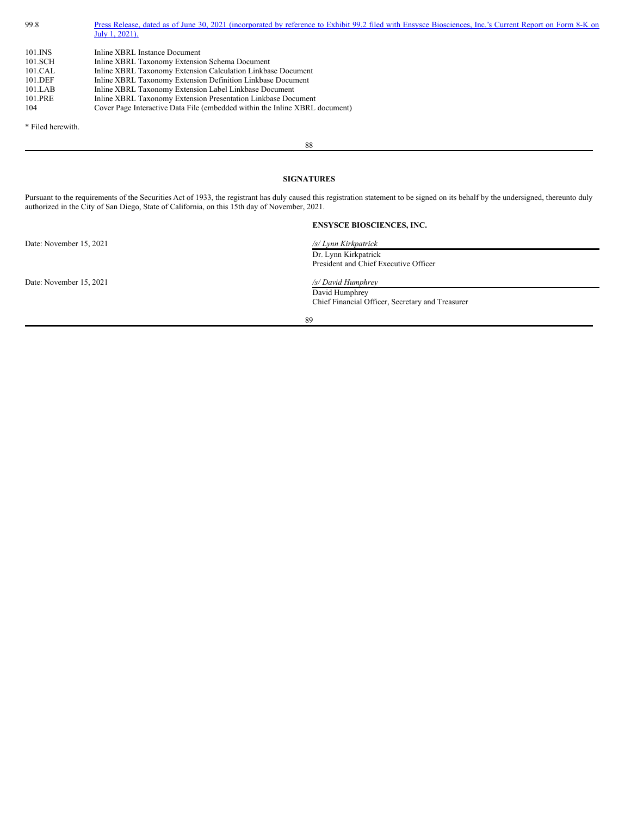| 99.8                                                                                                                                                                                                                                                                                  | Press Release, dated as of June 30, 2021 (incorporated by reference to Exhibit 99.2 filed with Ensysce Biosciences, Inc.'s Current Report on Form 8-K on<br>July 1, 2021).                                                                                                                                                                                                                                                      |  |  |  |
|---------------------------------------------------------------------------------------------------------------------------------------------------------------------------------------------------------------------------------------------------------------------------------------|---------------------------------------------------------------------------------------------------------------------------------------------------------------------------------------------------------------------------------------------------------------------------------------------------------------------------------------------------------------------------------------------------------------------------------|--|--|--|
| 101.INS<br>101.SCH<br>101.CAL<br>101.DEF<br>101.LAB<br>101.PRE<br>104<br>* Filed herewith.                                                                                                                                                                                            | <b>Inline XBRL Instance Document</b><br>Inline XBRL Taxonomy Extension Schema Document<br>Inline XBRL Taxonomy Extension Calculation Linkbase Document<br>Inline XBRL Taxonomy Extension Definition Linkbase Document<br>Inline XBRL Taxonomy Extension Label Linkbase Document<br>Inline XBRL Taxonomy Extension Presentation Linkbase Document<br>Cover Page Interactive Data File (embedded within the Inline XBRL document) |  |  |  |
|                                                                                                                                                                                                                                                                                       | 88                                                                                                                                                                                                                                                                                                                                                                                                                              |  |  |  |
| <b>SIGNATURES</b>                                                                                                                                                                                                                                                                     |                                                                                                                                                                                                                                                                                                                                                                                                                                 |  |  |  |
| Pursuant to the requirements of the Securities Act of 1933, the registrant has duly caused this registration statement to be signed on its behalf by the undersigned, thereunto duly<br>authorized in the City of San Diego, State of California, on this 15th day of November, 2021. |                                                                                                                                                                                                                                                                                                                                                                                                                                 |  |  |  |
|                                                                                                                                                                                                                                                                                       | <b>ENSYSCE BIOSCIENCES, INC.</b>                                                                                                                                                                                                                                                                                                                                                                                                |  |  |  |
| Date: November 15, 2021                                                                                                                                                                                                                                                               | /s/ Lynn Kirkpatrick<br>Dr. Lynn Kirkpatrick<br>President and Chief Executive Officer                                                                                                                                                                                                                                                                                                                                           |  |  |  |
| Date: November 15, 2021                                                                                                                                                                                                                                                               | /s/ David Humphrey<br>David Humphrey<br>Chief Financial Officer, Secretary and Treasurer                                                                                                                                                                                                                                                                                                                                        |  |  |  |

89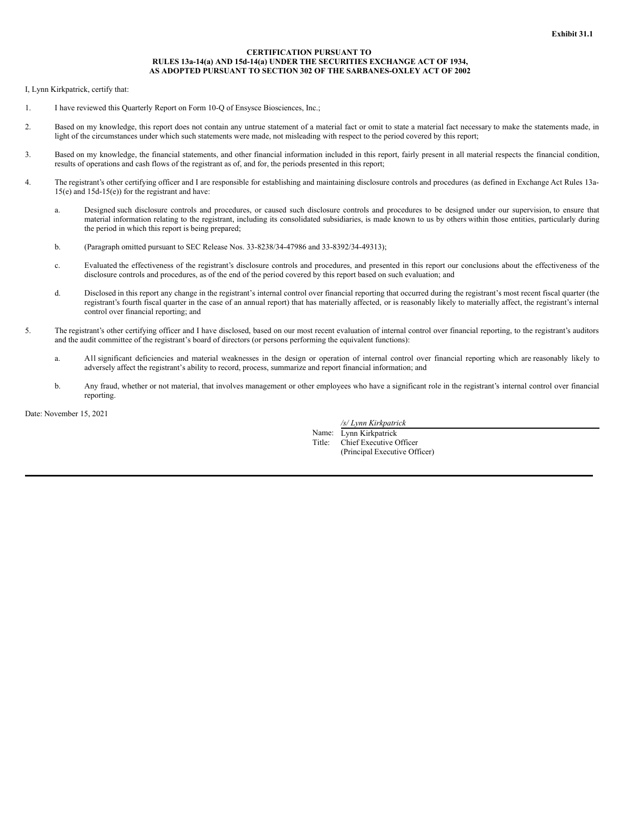#### **CERTIFICATION PURSUANT TO RULES 13a-14(a) AND 15d-14(a) UNDER THE SECURITIES EXCHANGE ACT OF 1934, AS ADOPTED PURSUANT TO SECTION 302 OF THE SARBANES-OXLEY ACT OF 2002**

<span id="page-53-0"></span>I, Lynn Kirkpatrick, certify that:

- 1. I have reviewed this Quarterly Report on Form 10-Q of Ensysce Biosciences, Inc.;
- 2. Based on my knowledge, this report does not contain any untrue statement of a material fact or omit to state a material fact necessary to make the statements made, in light of the circumstances under which such statements were made, not misleading with respect to the period covered by this report;
- 3. Based on my knowledge, the financial statements, and other financial information included in this report, fairly present in all material respects the financial condition, results of operations and cash flows of the registrant as of, and for, the periods presented in this report;
- 4. The registrant's other certifying officer and I are responsible for establishing and maintaining disclosure controls and procedures (as defined in Exchange Act Rules 13a-15(e) and 15d-15(e)) for the registrant and have:
	- a. Designed such disclosure controls and procedures, or caused such disclosure controls and procedures to be designed under our supervision, to ensure that material information relating to the registrant, including its consolidated subsidiaries, is made known to us by others within those entities, particularly during the period in which this report is being prepared;
	- b. (Paragraph omitted pursuant to SEC Release Nos. 33-8238/34-47986 and 33-8392/34-49313);
	- c. Evaluated the effectiveness of the registrant's disclosure controls and procedures, and presented in this report our conclusions about the effectiveness of the disclosure controls and procedures, as of the end of the period covered by this report based on such evaluation; and
	- d. Disclosed in this report any change in the registrant's internal control over financial reporting that occurred during the registrant's most recent fiscal quarter (the registrant's fourth fiscal quarter in the case of an annual report) that has materially affected, or is reasonably likely to materially affect, the registrant's internal control over financial reporting; and
- 5. The registrant's other certifying officer and I have disclosed, based on our most recent evaluation of internal control over financial reporting, to the registrant's auditors and the audit committee of the registrant's board of directors (or persons performing the equivalent functions):
	- a. All significant deficiencies and material weaknesses in the design or operation of internal control over financial reporting which are reasonably likely to adversely affect the registrant's ability to record, process, summarize and report financial information; and
	- b. Any fraud, whether or not material, that involves management or other employees who have a significant role in the registrant's internal control over financial reporting.

Date: November 15, 2021

*/s/ Lynn Kirkpatrick*

Name: Lynn Kirkpatrick<br>Title: Chief Executive C Chief Executive Officer (Principal Executive Officer)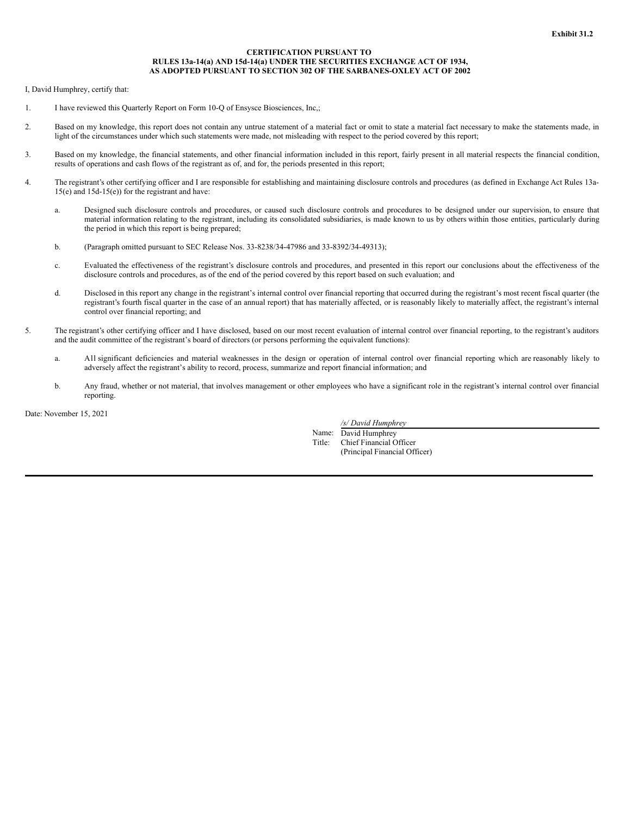## **CERTIFICATION PURSUANT TO RULES 13a-14(a) AND 15d-14(a) UNDER THE SECURITIES EXCHANGE ACT OF 1934, AS ADOPTED PURSUANT TO SECTION 302 OF THE SARBANES-OXLEY ACT OF 2002**

<span id="page-54-0"></span>I, David Humphrey, certify that:

- 1. I have reviewed this Quarterly Report on Form 10-Q of Ensysce Biosciences, Inc,;
- 2. Based on my knowledge, this report does not contain any untrue statement of a material fact or omit to state a material fact necessary to make the statements made, in light of the circumstances under which such statements were made, not misleading with respect to the period covered by this report;
- 3. Based on my knowledge, the financial statements, and other financial information included in this report, fairly present in all material respects the financial condition, results of operations and cash flows of the registrant as of, and for, the periods presented in this report;
- 4. The registrant's other certifying officer and I are responsible for establishing and maintaining disclosure controls and procedures (as defined in Exchange Act Rules 13a-15(e) and 15d-15(e)) for the registrant and have:
	- a. Designed such disclosure controls and procedures, or caused such disclosure controls and procedures to be designed under our supervision, to ensure that material information relating to the registrant, including its consolidated subsidiaries, is made known to us by others within those entities, particularly during the period in which this report is being prepared;
	- b. (Paragraph omitted pursuant to SEC Release Nos. 33-8238/34-47986 and 33-8392/34-49313);
	- c. Evaluated the effectiveness of the registrant's disclosure controls and procedures, and presented in this report our conclusions about the effectiveness of the disclosure controls and procedures, as of the end of the period covered by this report based on such evaluation; and
	- d. Disclosed in this report any change in the registrant's internal control over financial reporting that occurred during the registrant's most recent fiscal quarter (the registrant's fourth fiscal quarter in the case of an annual report) that has materially affected, or is reasonably likely to materially affect, the registrant's internal control over financial reporting; and
- 5. The registrant's other certifying officer and I have disclosed, based on our most recent evaluation of internal control over financial reporting, to the registrant's auditors and the audit committee of the registrant's board of directors (or persons performing the equivalent functions):
	- a. All significant deficiencies and material weaknesses in the design or operation of internal control over financial reporting which are reasonably likely to adversely affect the registrant's ability to record, process, summarize and report financial information; and
	- b. Any fraud, whether or not material, that involves management or other employees who have a significant role in the registrant's internal control over financial reporting.

Date: November 15, 2021

*/s/ David Humphrey*

Name: David Humphrey<br>Title: Chief Financial O Chief Financial Officer (Principal Financial Officer)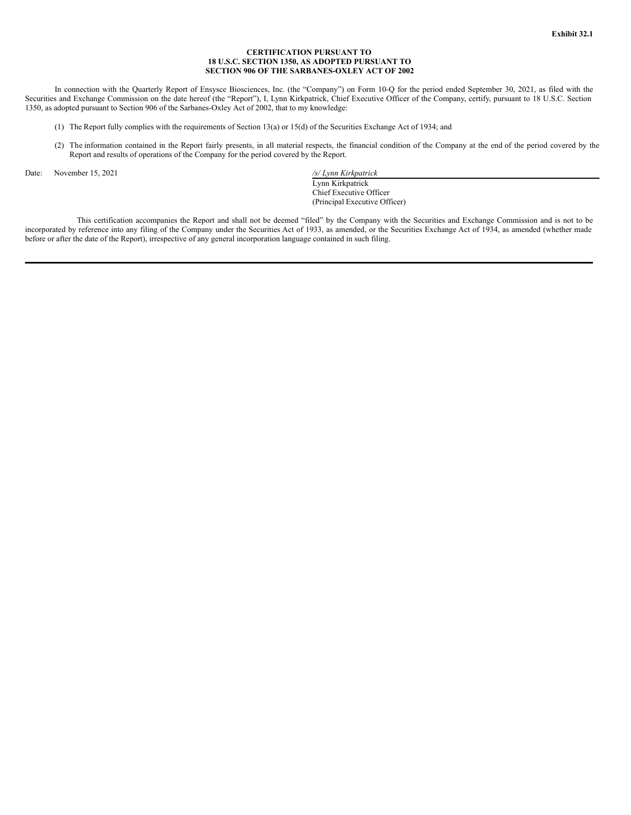## **CERTIFICATION PURSUANT TO 18 U.S.C. SECTION 1350, AS ADOPTED PURSUANT TO SECTION 906 OF THE SARBANES-OXLEY ACT OF 2002**

<span id="page-55-0"></span>In connection with the Quarterly Report of Ensysce Biosciences, Inc. (the "Company") on Form 10-Q for the period ended September 30, 2021, as filed with the Securities and Exchange Commission on the date hereof (the "Report"), I, Lynn Kirkpatrick, Chief Executive Officer of the Company, certify, pursuant to 18 U.S.C. Section 1350, as adopted pursuant to Section 906 of the Sarbanes-Oxley Act of 2002, that to my knowledge:

- (1) The Report fully complies with the requirements of Section 13(a) or 15(d) of the Securities Exchange Act of 1934; and
- (2) The information contained in the Report fairly presents, in all material respects, the financial condition of the Company at the end of the period covered by the Report and results of operations of the Company for the period covered by the Report.

Date: November 15, 2021 */s/ Lynn Kirkpatrick*

Lynn Kirkpatrick Chief Executive Officer (Principal Executive Officer)

This certification accompanies the Report and shall not be deemed "filed" by the Company with the Securities and Exchange Commission and is not to be incorporated by reference into any filing of the Company under the Securities Act of 1933, as amended, or the Securities Exchange Act of 1934, as amended (whether made before or after the date of the Report), irrespective of any general incorporation language contained in such filing.